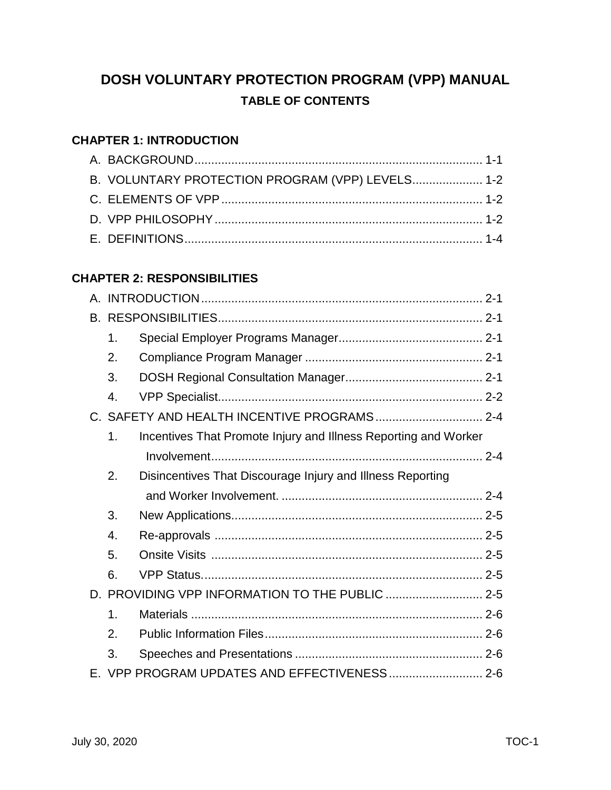# **DOSH VOLUNTARY PROTECTION PROGRAM (VPP) MANUAL TABLE OF CONTENTS**

## **CHAPTER 1: INTRODUCTION**

| B. VOLUNTARY PROTECTION PROGRAM (VPP) LEVELS 1-2 |  |
|--------------------------------------------------|--|
|                                                  |  |
|                                                  |  |
|                                                  |  |

## **CHAPTER 2: RESPONSIBILITIES**

| 1 <sub>1</sub> |                                                                 |  |
|----------------|-----------------------------------------------------------------|--|
| 2.             |                                                                 |  |
| 3.             |                                                                 |  |
| 4.             |                                                                 |  |
|                | C. SAFETY AND HEALTH INCENTIVE PROGRAMS 2-4                     |  |
| 1 <sub>1</sub> | Incentives That Promote Injury and Illness Reporting and Worker |  |
|                |                                                                 |  |
| 2.             | Disincentives That Discourage Injury and Illness Reporting      |  |
|                |                                                                 |  |
| 3.             |                                                                 |  |
| 4.             |                                                                 |  |
| 5.             |                                                                 |  |
| 6.             |                                                                 |  |
|                | D. PROVIDING VPP INFORMATION TO THE PUBLIC  2-5                 |  |
| 1 <sub>1</sub> |                                                                 |  |
| 2.             |                                                                 |  |
| 3.             |                                                                 |  |
|                | E. VPP PROGRAM UPDATES AND EFFECTIVENESS 2-6                    |  |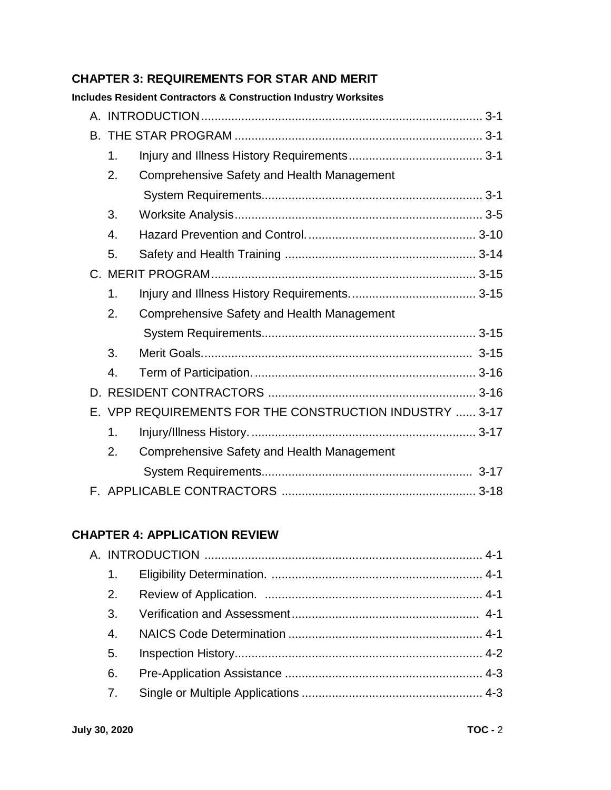### **CHAPTER 3: REQUIREMENTS FOR STAR AND MERIT**

|                  | <b>Includes Resident Contractors &amp; Construction Industry Worksites</b> |  |
|------------------|----------------------------------------------------------------------------|--|
|                  |                                                                            |  |
|                  |                                                                            |  |
| $\mathbf 1$ .    |                                                                            |  |
| 2.               | Comprehensive Safety and Health Management                                 |  |
|                  |                                                                            |  |
| 3.               |                                                                            |  |
| $\overline{4}$ . |                                                                            |  |
| 5.               |                                                                            |  |
|                  |                                                                            |  |
| $\mathbf 1$ .    |                                                                            |  |
| 2.               | Comprehensive Safety and Health Management                                 |  |
|                  |                                                                            |  |
| 3.               |                                                                            |  |
| $\overline{4}$ . |                                                                            |  |
|                  |                                                                            |  |
|                  | E. VPP REQUIREMENTS FOR THE CONSTRUCTION INDUSTRY  3-17                    |  |
| 1.               |                                                                            |  |
| 2.               | Comprehensive Safety and Health Management                                 |  |
|                  |                                                                            |  |
|                  |                                                                            |  |

# **CHAPTER 4: APPLICATION REVIEW**

| 2.             |  |
|----------------|--|
| 3 <sub>1</sub> |  |
| 4.             |  |
| 5 <sub>1</sub> |  |
| 6.             |  |
| 7.             |  |
|                |  |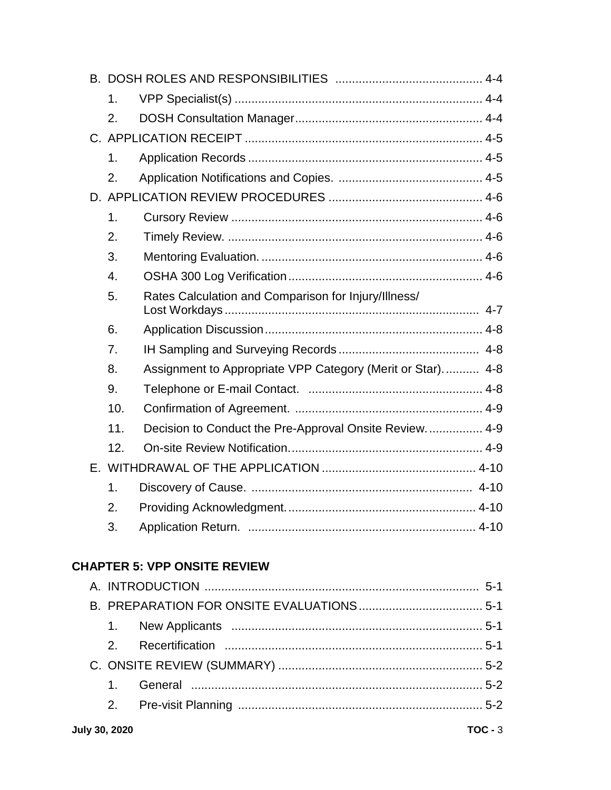| 1.             |                                                            |
|----------------|------------------------------------------------------------|
| 2.             |                                                            |
|                |                                                            |
| 1.             |                                                            |
| 2.             |                                                            |
|                |                                                            |
| 1.             |                                                            |
| 2.             |                                                            |
| 3.             |                                                            |
| 4.             |                                                            |
| 5.             | Rates Calculation and Comparison for Injury/Illness/       |
| 6.             |                                                            |
| 7.             |                                                            |
| 8.             | Assignment to Appropriate VPP Category (Merit or Star) 4-8 |
| 9.             |                                                            |
| 10.            |                                                            |
| 11.            | Decision to Conduct the Pre-Approval Onsite Review 4-9     |
| 12.            |                                                            |
|                |                                                            |
| 1 <sub>1</sub> |                                                            |
| 2.             |                                                            |
| 3.             |                                                            |
|                |                                                            |

### **CHAPTER 5: VPP ONSITE REVIEW**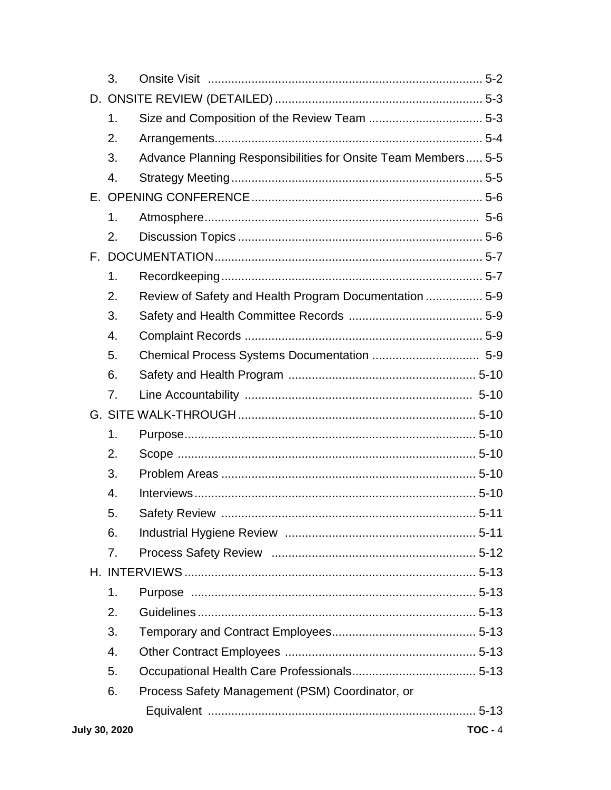| 3.               |                                                               |               |
|------------------|---------------------------------------------------------------|---------------|
|                  |                                                               |               |
| 1.               |                                                               |               |
| 2.               |                                                               |               |
| 3.               | Advance Planning Responsibilities for Onsite Team Members 5-5 |               |
| 4.               |                                                               |               |
|                  |                                                               |               |
| 1.               |                                                               |               |
| 2.               |                                                               |               |
|                  |                                                               |               |
| 1.               |                                                               |               |
| 2.               | Review of Safety and Health Program Documentation  5-9        |               |
| 3.               |                                                               |               |
| 4.               |                                                               |               |
| 5.               |                                                               |               |
| 6.               |                                                               |               |
| 7.               |                                                               |               |
|                  |                                                               |               |
| 1.               |                                                               |               |
| 2.               |                                                               |               |
| 3.               |                                                               |               |
| 4.               |                                                               |               |
| 5.               |                                                               |               |
| 6.               |                                                               |               |
| 7.               |                                                               |               |
|                  |                                                               |               |
| 1.               |                                                               |               |
| 2.               |                                                               |               |
| 3.               |                                                               |               |
| 4.               |                                                               |               |
| 5.               |                                                               |               |
| 6.               | Process Safety Management (PSM) Coordinator, or               |               |
|                  |                                                               |               |
| <b>1020 2020</b> |                                                               | $T\cap C = A$ |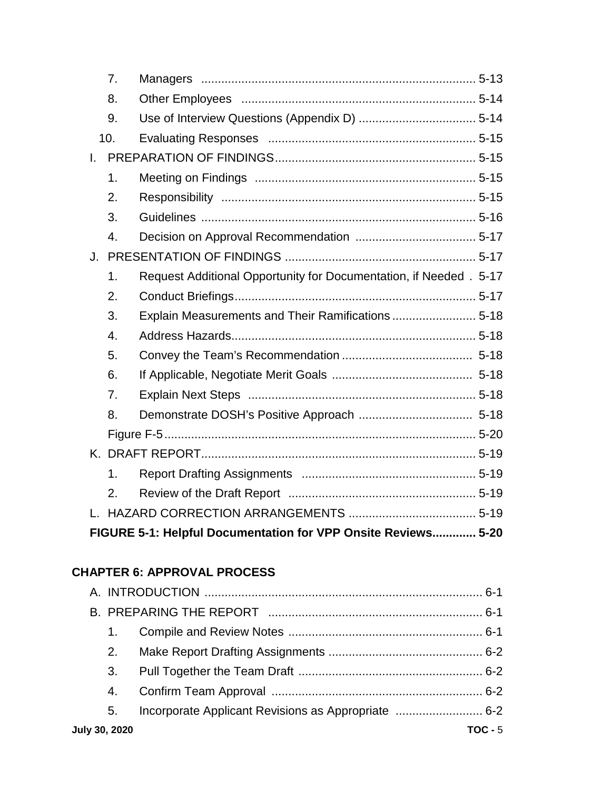| 7 <sub>1</sub>   |                                                                    |
|------------------|--------------------------------------------------------------------|
| 8.               |                                                                    |
| 9.               |                                                                    |
| 10.              |                                                                    |
|                  |                                                                    |
| $\mathbf 1$ .    |                                                                    |
| 2.               |                                                                    |
| 3.               |                                                                    |
| $\overline{4}$ . |                                                                    |
|                  |                                                                    |
| $\mathbf 1$ .    | Request Additional Opportunity for Documentation, if Needed . 5-17 |
| 2.               |                                                                    |
| 3.               | Explain Measurements and Their Ramifications  5-18                 |
| 4.               |                                                                    |
| 5.               |                                                                    |
| 6.               |                                                                    |
| 7.               |                                                                    |
| 8.               |                                                                    |
|                  |                                                                    |
|                  |                                                                    |
| 1.               |                                                                    |
| 2.               |                                                                    |
|                  |                                                                    |
|                  | FIGURE 5-1: Helpful Documentation for VPP Onsite Reviews 5-20      |

# **CHAPTER 6: APPROVAL PROCESS**

| 2.                   |         |
|----------------------|---------|
| 3.                   |         |
| 4.                   |         |
| 5.                   |         |
| <b>July 30, 2020</b> | TOC - 5 |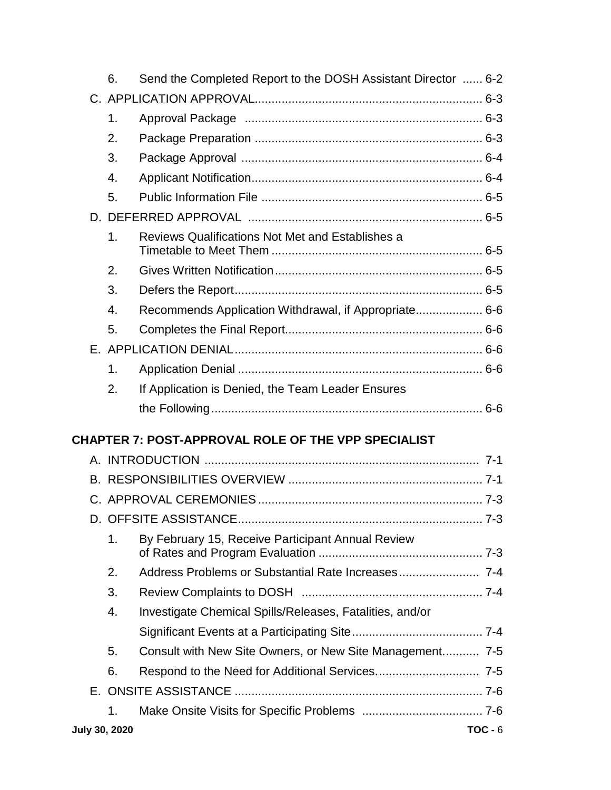| 6.               | Send the Completed Report to the DOSH Assistant Director  6-2 |  |
|------------------|---------------------------------------------------------------|--|
|                  |                                                               |  |
| $\mathbf 1$ .    |                                                               |  |
| 2.               |                                                               |  |
| 3.               |                                                               |  |
| $\overline{4}$ . |                                                               |  |
| 5.               |                                                               |  |
|                  |                                                               |  |
| $\mathbf 1$ .    | Reviews Qualifications Not Met and Establishes a              |  |
| 2.               |                                                               |  |
| 3.               |                                                               |  |
| 4.               |                                                               |  |
| 5.               |                                                               |  |
|                  |                                                               |  |
| $\mathbf 1$ .    |                                                               |  |
| 2.               | If Application is Denied, the Team Leader Ensures             |  |
|                  |                                                               |  |
|                  |                                                               |  |
|                  | <b>CHAPTER 7: POST-APPROVAL ROLE OF THE VPP SPECIALIST</b>    |  |
|                  |                                                               |  |
|                  |                                                               |  |
|                  |                                                               |  |
|                  |                                                               |  |
| 1.               | By February 15, Receive Participant Annual Review             |  |
| 2.               |                                                               |  |
| 3.               |                                                               |  |
| 4.               | Investigate Chemical Spills/Releases, Fatalities, and/or      |  |
|                  |                                                               |  |
| 5.               | Consult with New Site Owners, or New Site Management 7-5      |  |

**July 30, 2020 TOC -** 6 6. Respond to the Need for Additional Services............................... 7-5 E. ONSITE ASSISTANCE .......................................................................... 7-6 1. Make Onsite Visits for Specific Problems .................................... 7-6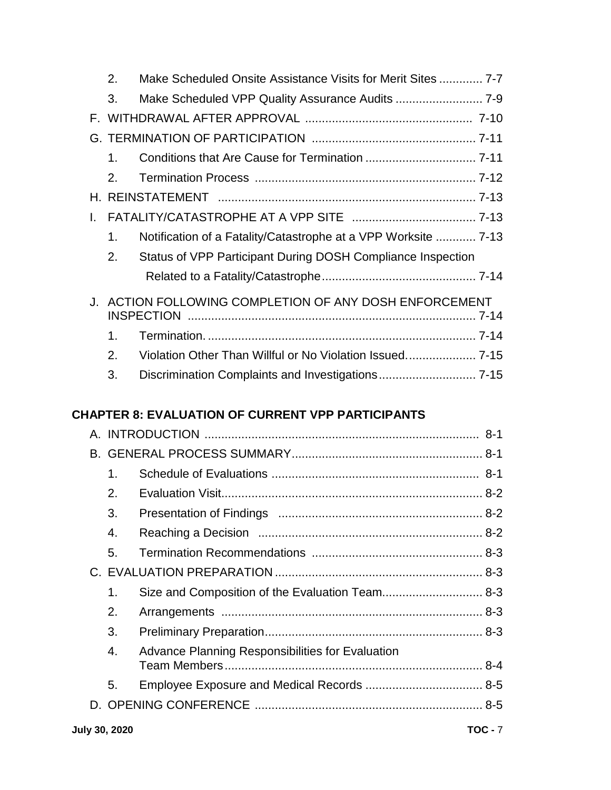|    | 2.            | Make Scheduled Onsite Assistance Visits for Merit Sites  7-7   |  |
|----|---------------|----------------------------------------------------------------|--|
|    | 3.            |                                                                |  |
|    |               |                                                                |  |
|    |               |                                                                |  |
|    | $\mathbf 1$ . |                                                                |  |
|    | 2.            |                                                                |  |
|    |               |                                                                |  |
| L. |               |                                                                |  |
|    | 1.            | Notification of a Fatality/Catastrophe at a VPP Worksite  7-13 |  |
|    | 2.            | Status of VPP Participant During DOSH Compliance Inspection    |  |
|    |               |                                                                |  |
|    |               | J. ACTION FOLLOWING COMPLETION OF ANY DOSH ENFORCEMENT         |  |
|    | 1.            |                                                                |  |
|    | 2.            |                                                                |  |
|    | 3.            |                                                                |  |
|    |               |                                                                |  |
|    |               | <b>CHAPTER 8: EVALUATION OF CURRENT VPP PARTICIPANTS</b>       |  |
|    |               |                                                                |  |
|    |               |                                                                |  |
|    | 1.            |                                                                |  |
|    | 2.            |                                                                |  |
|    | 3.            |                                                                |  |
|    | 4.            |                                                                |  |
|    | 5.            |                                                                |  |
|    |               |                                                                |  |
|    | 1.            | Size and Composition of the Evaluation Team 8-3                |  |
|    | 2.            |                                                                |  |
|    | 3.            |                                                                |  |
|    | 4.            | <b>Advance Planning Responsibilities for Evaluation</b>        |  |
|    | 5.            |                                                                |  |

D. OPENING CONFERENCE .................................................................... 8-5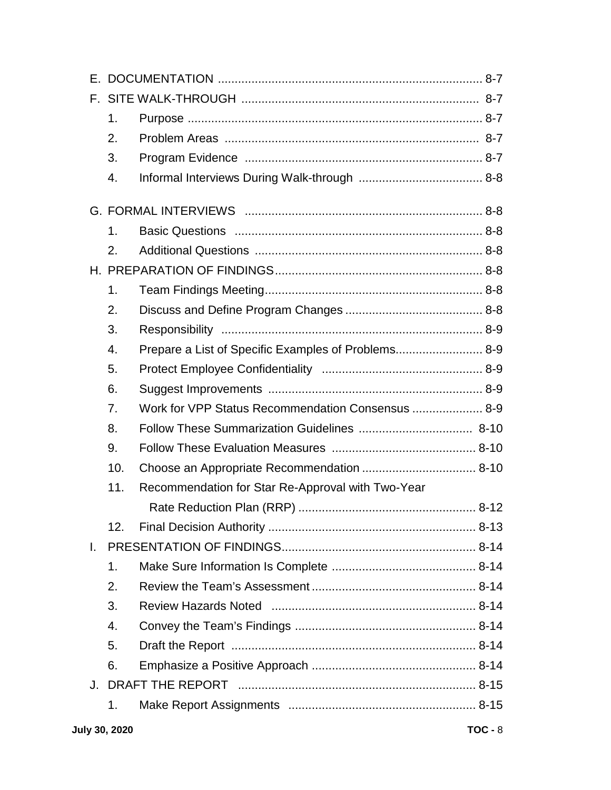|              | 1.  |                                                     |
|--------------|-----|-----------------------------------------------------|
|              | 2.  |                                                     |
|              | 3.  |                                                     |
|              | 4.  |                                                     |
|              |     |                                                     |
|              | 1.  |                                                     |
|              | 2.  |                                                     |
|              |     |                                                     |
|              | 1.  |                                                     |
|              | 2.  |                                                     |
|              | 3.  |                                                     |
|              | 4.  | Prepare a List of Specific Examples of Problems 8-9 |
|              | 5.  |                                                     |
|              | 6.  |                                                     |
|              | 7.  | Work for VPP Status Recommendation Consensus  8-9   |
|              | 8.  |                                                     |
|              | 9.  |                                                     |
|              | 10. |                                                     |
|              | 11. | Recommendation for Star Re-Approval with Two-Year   |
|              |     |                                                     |
|              | 12. |                                                     |
| $\mathbf{L}$ |     |                                                     |
|              | 1.  |                                                     |
|              | 2.  |                                                     |
|              | 3.  |                                                     |
|              | 4.  |                                                     |
|              | 5.  |                                                     |
|              | 6.  |                                                     |
|              |     |                                                     |
|              | 1.  |                                                     |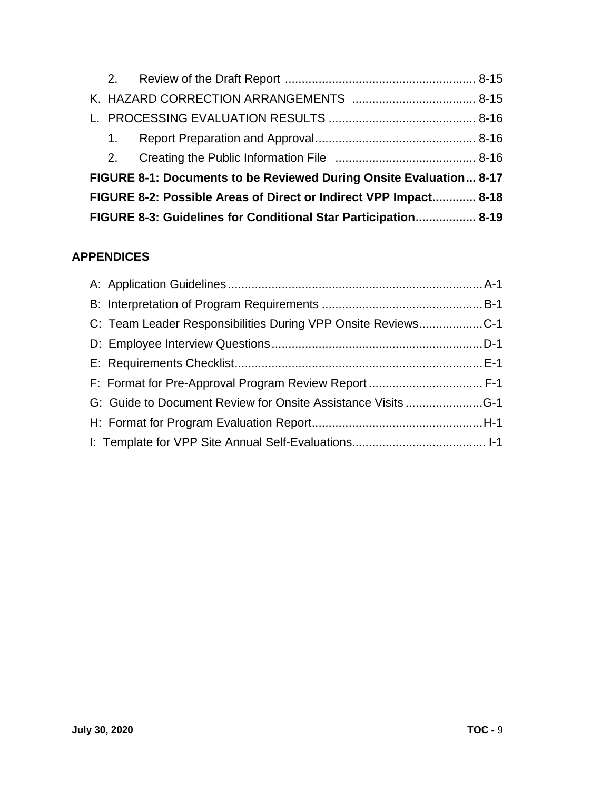|                                                                    | 1. |  |  |  |
|--------------------------------------------------------------------|----|--|--|--|
|                                                                    | 2. |  |  |  |
| FIGURE 8-1: Documents to be Reviewed During Onsite Evaluation 8-17 |    |  |  |  |
| FIGURE 8-2: Possible Areas of Direct or Indirect VPP Impact 8-18   |    |  |  |  |
| FIGURE 8-3: Guidelines for Conditional Star Participation 8-19     |    |  |  |  |

## **APPENDICES**

| C: Team Leader Responsibilities During VPP Onsite ReviewsC-1 |  |
|--------------------------------------------------------------|--|
|                                                              |  |
|                                                              |  |
|                                                              |  |
|                                                              |  |
|                                                              |  |
|                                                              |  |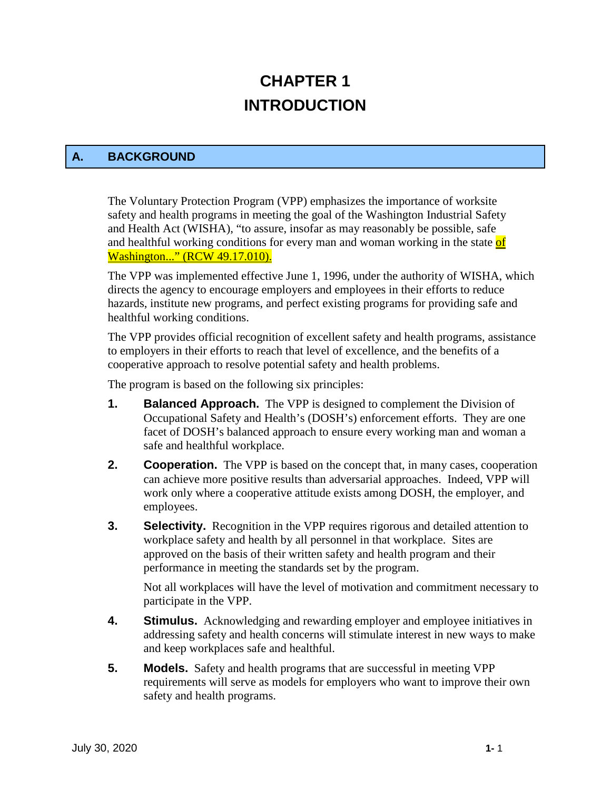# **CHAPTER 1 INTRODUCTION**

#### **A. BACKGROUND**

The Voluntary Protection Program (VPP) emphasizes the importance of worksite safety and health programs in meeting the goal of the Washington Industrial Safety and Health Act (WISHA), "to assure, insofar as may reasonably be possible, safe and healthful working conditions for every man and woman working in the state of Washington..." (RCW 49.17.010).

The VPP was implemented effective June 1, 1996, under the authority of WISHA, which directs the agency to encourage employers and employees in their efforts to reduce hazards, institute new programs, and perfect existing programs for providing safe and healthful working conditions.

The VPP provides official recognition of excellent safety and health programs, assistance to employers in their efforts to reach that level of excellence, and the benefits of a cooperative approach to resolve potential safety and health problems.

The program is based on the following six principles:

- **1. Balanced Approach.** The VPP is designed to complement the Division of Occupational Safety and Health's (DOSH's) enforcement efforts. They are one facet of DOSH's balanced approach to ensure every working man and woman a safe and healthful workplace.
- **2. Cooperation.** The VPP is based on the concept that, in many cases, cooperation can achieve more positive results than adversarial approaches. Indeed, VPP will work only where a cooperative attitude exists among DOSH, the employer, and employees.
- **3. Selectivity.** Recognition in the VPP requires rigorous and detailed attention to workplace safety and health by all personnel in that workplace. Sites are approved on the basis of their written safety and health program and their performance in meeting the standards set by the program.

Not all workplaces will have the level of motivation and commitment necessary to participate in the VPP.

- **4. Stimulus.** Acknowledging and rewarding employer and employee initiatives in addressing safety and health concerns will stimulate interest in new ways to make and keep workplaces safe and healthful.
- **5. Models.** Safety and health programs that are successful in meeting VPP requirements will serve as models for employers who want to improve their own safety and health programs.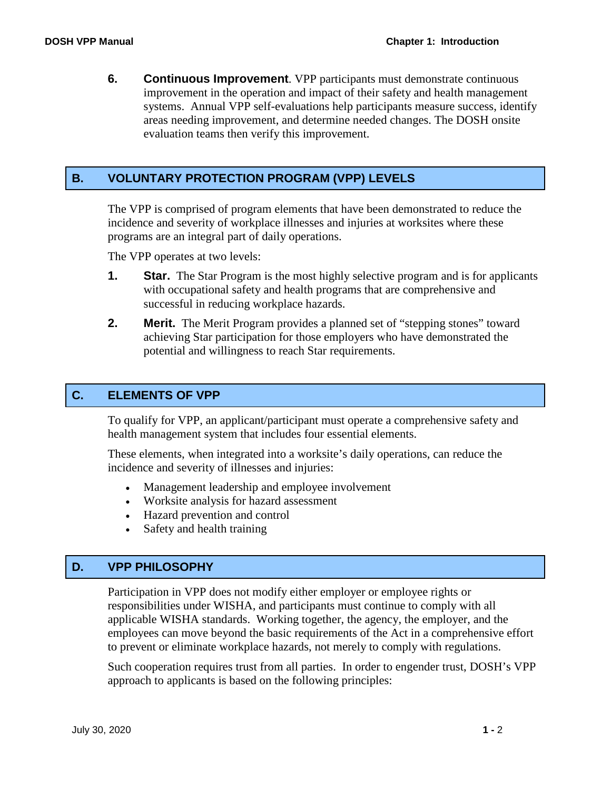**6. Continuous Improvement**. VPP participants must demonstrate continuous improvement in the operation and impact of their safety and health management systems. Annual VPP self-evaluations help participants measure success, identify areas needing improvement, and determine needed changes. The DOSH onsite evaluation teams then verify this improvement.

#### **B. VOLUNTARY PROTECTION PROGRAM (VPP) LEVELS**

The VPP is comprised of program elements that have been demonstrated to reduce the incidence and severity of workplace illnesses and injuries at worksites where these programs are an integral part of daily operations.

The VPP operates at two levels:

- **1. Star.** The Star Program is the most highly selective program and is for applicants with occupational safety and health programs that are comprehensive and successful in reducing workplace hazards.
- **2. Merit.** The Merit Program provides a planned set of "stepping stones" toward achieving Star participation for those employers who have demonstrated the potential and willingness to reach Star requirements.

#### **C. ELEMENTS OF VPP**

To qualify for VPP, an applicant/participant must operate a comprehensive safety and health management system that includes four essential elements.

These elements, when integrated into a worksite's daily operations, can reduce the incidence and severity of illnesses and injuries:

- Management leadership and employee involvement
- Worksite analysis for hazard assessment
- Hazard prevention and control
- Safety and health training

#### **D. VPP PHILOSOPHY**

Participation in VPP does not modify either employer or employee rights or responsibilities under WISHA, and participants must continue to comply with all applicable WISHA standards. Working together, the agency, the employer, and the employees can move beyond the basic requirements of the Act in a comprehensive effort to prevent or eliminate workplace hazards, not merely to comply with regulations.

Such cooperation requires trust from all parties. In order to engender trust, DOSH's VPP approach to applicants is based on the following principles: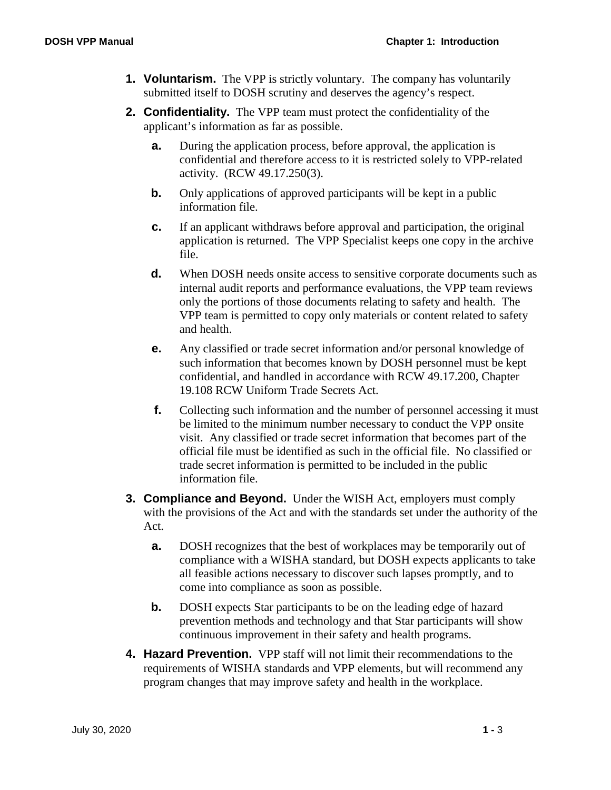- **1. Voluntarism.** The VPP is strictly voluntary. The company has voluntarily submitted itself to DOSH scrutiny and deserves the agency's respect.
- **2. Confidentiality.** The VPP team must protect the confidentiality of the applicant's information as far as possible.
	- **a.** During the application process, before approval, the application is confidential and therefore access to it is restricted solely to VPP-related activity. (RCW 49.17.250(3).
	- **b.** Only applications of approved participants will be kept in a public information file.
	- **c.** If an applicant withdraws before approval and participation, the original application is returned. The VPP Specialist keeps one copy in the archive file.
	- **d.** When DOSH needs onsite access to sensitive corporate documents such as internal audit reports and performance evaluations, the VPP team reviews only the portions of those documents relating to safety and health. The VPP team is permitted to copy only materials or content related to safety and health.
	- **e.** Any classified or trade secret information and/or personal knowledge of such information that becomes known by DOSH personnel must be kept confidential, and handled in accordance with RCW 49.17.200, Chapter 19.108 RCW Uniform Trade Secrets Act.
	- **f.** Collecting such information and the number of personnel accessing it must be limited to the minimum number necessary to conduct the VPP onsite visit. Any classified or trade secret information that becomes part of the official file must be identified as such in the official file. No classified or trade secret information is permitted to be included in the public information file.
- **3. Compliance and Beyond.** Under the WISH Act, employers must comply with the provisions of the Act and with the standards set under the authority of the Act.
	- **a.** DOSH recognizes that the best of workplaces may be temporarily out of compliance with a WISHA standard, but DOSH expects applicants to take all feasible actions necessary to discover such lapses promptly, and to come into compliance as soon as possible.
	- **b.** DOSH expects Star participants to be on the leading edge of hazard prevention methods and technology and that Star participants will show continuous improvement in their safety and health programs.
- **4. Hazard Prevention.** VPP staff will not limit their recommendations to the requirements of WISHA standards and VPP elements, but will recommend any program changes that may improve safety and health in the workplace.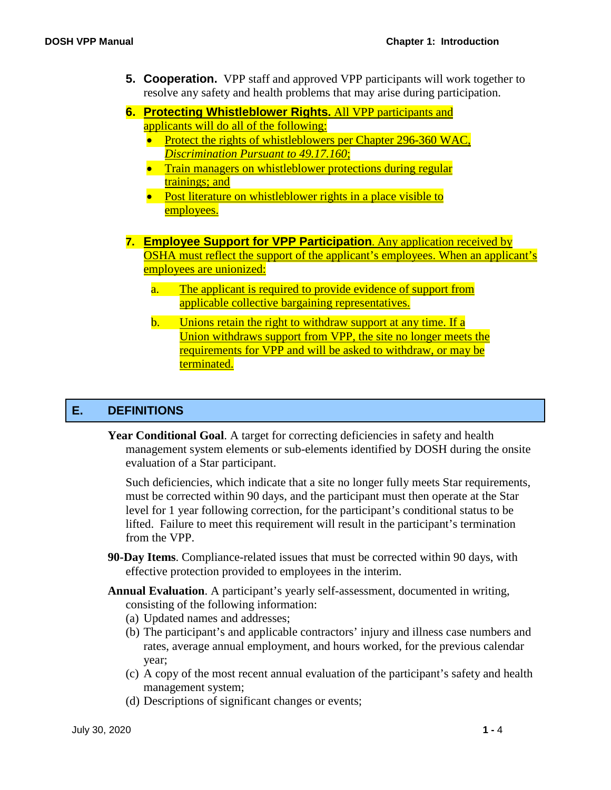- **5. Cooperation.** VPP staff and approved VPP participants will work together to resolve any safety and health problems that may arise during participation.
- **6. Protecting Whistleblower Rights.** All VPP participants and applicants will do all of the following:
	- Protect the rights of whistleblowers per Chapter 296-360 WAC. *Discrimination Pursuant to 49.17.160*;
	- Train managers on whistleblower protections during regular trainings; and
	- Post literature on whistleblower rights in a place visible to employees.
- **7. Employee Support for VPP Participation**. Any application received by OSHA must reflect the support of the applicant's employees. When an applicant's employees are unionized:
	- a. The applicant is required to provide evidence of support from applicable collective bargaining representatives.
	- b. Unions retain the right to withdraw support at any time. If a Union withdraws support from VPP, the site no longer meets the requirements for VPP and will be asked to withdraw, or may be terminated.

#### **E. DEFINITIONS**

**Year Conditional Goal**. A target for correcting deficiencies in safety and health management system elements or sub-elements identified by DOSH during the onsite evaluation of a Star participant.

Such deficiencies, which indicate that a site no longer fully meets Star requirements, must be corrected within 90 days, and the participant must then operate at the Star level for 1 year following correction, for the participant's conditional status to be lifted. Failure to meet this requirement will result in the participant's termination from the VPP.

- **90-Day Items**. Compliance-related issues that must be corrected within 90 days, with effective protection provided to employees in the interim.
- **Annual Evaluation**. A participant's yearly self-assessment, documented in writing, consisting of the following information:
	- (a) Updated names and addresses;
	- (b) The participant's and applicable contractors' injury and illness case numbers and rates, average annual employment, and hours worked, for the previous calendar year;
	- (c) A copy of the most recent annual evaluation of the participant's safety and health management system;
	- (d) Descriptions of significant changes or events;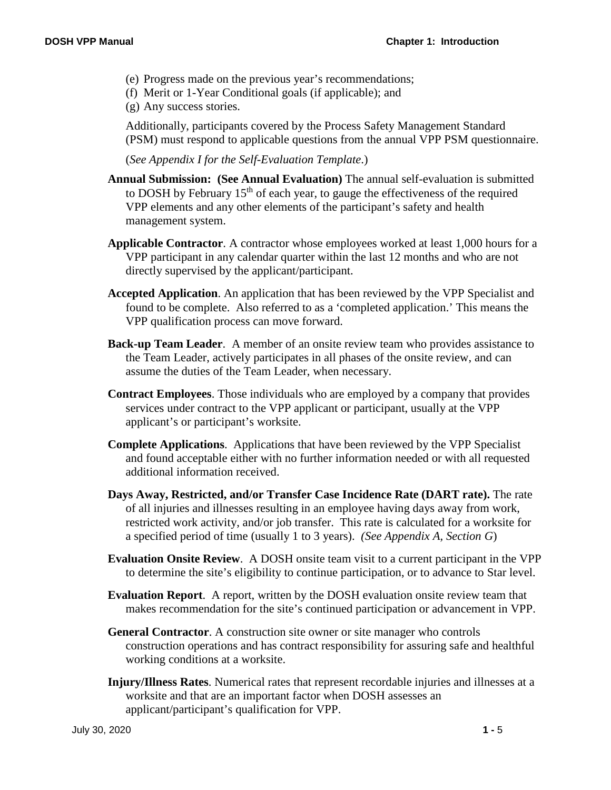- (e) Progress made on the previous year's recommendations;
- (f) Merit or 1-Year Conditional goals (if applicable); and

(g) Any success stories.

Additionally, participants covered by the Process Safety Management Standard (PSM) must respond to applicable questions from the annual VPP PSM questionnaire.

(*See Appendix I for the Self-Evaluation Template*.)

- **Annual Submission: (See Annual Evaluation)** The annual self-evaluation is submitted to DOSH by February  $15<sup>th</sup>$  of each year, to gauge the effectiveness of the required VPP elements and any other elements of the participant's safety and health management system.
- **Applicable Contractor**. A contractor whose employees worked at least 1,000 hours for a VPP participant in any calendar quarter within the last 12 months and who are not directly supervised by the applicant/participant.
- **Accepted Application**. An application that has been reviewed by the VPP Specialist and found to be complete. Also referred to as a 'completed application.' This means the VPP qualification process can move forward.
- **Back-up Team Leader**. A member of an onsite review team who provides assistance to the Team Leader, actively participates in all phases of the onsite review, and can assume the duties of the Team Leader, when necessary.
- **Contract Employees**. Those individuals who are employed by a company that provides services under contract to the VPP applicant or participant, usually at the VPP applicant's or participant's worksite.
- **Complete Applications**. Applications that have been reviewed by the VPP Specialist and found acceptable either with no further information needed or with all requested additional information received.
- **Days Away, Restricted, and/or Transfer Case Incidence Rate (DART rate).** The rate of all injuries and illnesses resulting in an employee having days away from work, restricted work activity, and/or job transfer. This rate is calculated for a worksite for a specified period of time (usually 1 to 3 years). *(See Appendix A, Section G*)
- **Evaluation Onsite Review**. A DOSH onsite team visit to a current participant in the VPP to determine the site's eligibility to continue participation, or to advance to Star level.
- **Evaluation Report**. A report, written by the DOSH evaluation onsite review team that makes recommendation for the site's continued participation or advancement in VPP.
- **General Contractor**. A construction site owner or site manager who controls construction operations and has contract responsibility for assuring safe and healthful working conditions at a worksite.
- **Injury/Illness Rates**. Numerical rates that represent recordable injuries and illnesses at a worksite and that are an important factor when DOSH assesses an applicant/participant's qualification for VPP.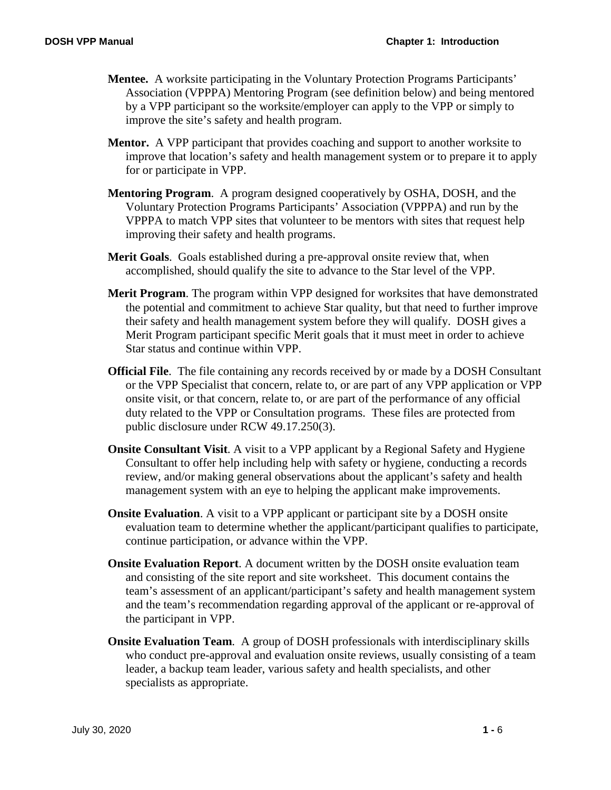- **Mentee.** A worksite participating in the Voluntary Protection Programs Participants' Association (VPPPA) Mentoring Program (see definition below) and being mentored by a VPP participant so the worksite/employer can apply to the VPP or simply to improve the site's safety and health program.
- **Mentor.** A VPP participant that provides coaching and support to another worksite to improve that location's safety and health management system or to prepare it to apply for or participate in VPP.
- **Mentoring Program**. A program designed cooperatively by OSHA, DOSH, and the Voluntary Protection Programs Participants' Association (VPPPA) and run by the VPPPA to match VPP sites that volunteer to be mentors with sites that request help improving their safety and health programs.
- **Merit Goals**. Goals established during a pre-approval onsite review that, when accomplished, should qualify the site to advance to the Star level of the VPP.
- **Merit Program**. The program within VPP designed for worksites that have demonstrated the potential and commitment to achieve Star quality, but that need to further improve their safety and health management system before they will qualify. DOSH gives a Merit Program participant specific Merit goals that it must meet in order to achieve Star status and continue within VPP.
- **Official File**. The file containing any records received by or made by a DOSH Consultant or the VPP Specialist that concern, relate to, or are part of any VPP application or VPP onsite visit, or that concern, relate to, or are part of the performance of any official duty related to the VPP or Consultation programs. These files are protected from public disclosure under RCW 49.17.250(3).
- **Onsite Consultant Visit.** A visit to a VPP applicant by a Regional Safety and Hygiene Consultant to offer help including help with safety or hygiene, conducting a records review, and/or making general observations about the applicant's safety and health management system with an eye to helping the applicant make improvements.
- **Onsite Evaluation.** A visit to a VPP applicant or participant site by a DOSH onsite evaluation team to determine whether the applicant/participant qualifies to participate, continue participation, or advance within the VPP.
- **Onsite Evaluation Report**. A document written by the DOSH onsite evaluation team and consisting of the site report and site worksheet. This document contains the team's assessment of an applicant/participant's safety and health management system and the team's recommendation regarding approval of the applicant or re-approval of the participant in VPP.
- **Onsite Evaluation Team.** A group of DOSH professionals with interdisciplinary skills who conduct pre-approval and evaluation onsite reviews, usually consisting of a team leader, a backup team leader, various safety and health specialists, and other specialists as appropriate.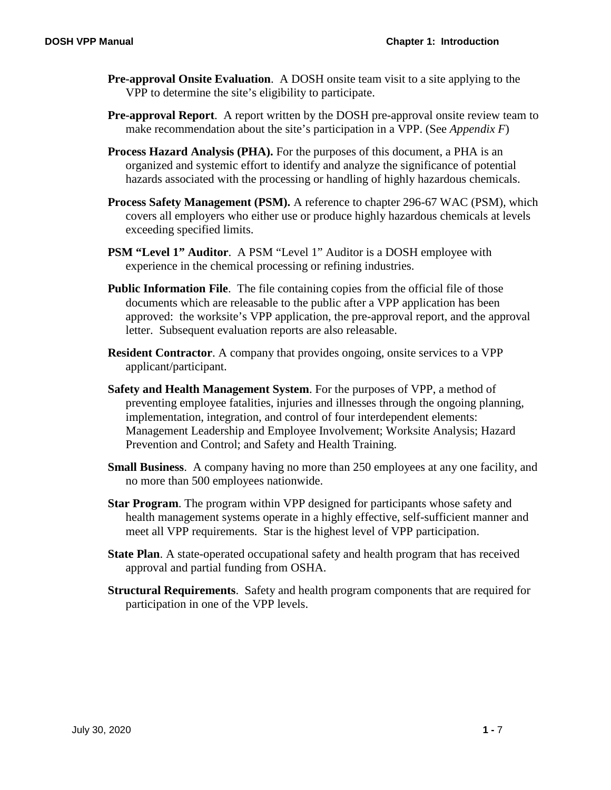- **Pre-approval Onsite Evaluation**. A DOSH onsite team visit to a site applying to the VPP to determine the site's eligibility to participate.
- **Pre-approval Report**. A report written by the DOSH pre-approval onsite review team to make recommendation about the site's participation in a VPP. (See *Appendix F*)
- **Process Hazard Analysis (PHA).** For the purposes of this document, a PHA is an organized and systemic effort to identify and analyze the significance of potential hazards associated with the processing or handling of highly hazardous chemicals.
- **Process Safety Management (PSM).** A reference to chapter 296-67 WAC (PSM), which covers all employers who either use or produce highly hazardous chemicals at levels exceeding specified limits.
- **PSM "Level 1" Auditor**. A PSM "Level 1" Auditor is a DOSH employee with experience in the chemical processing or refining industries.
- **Public Information File**. The file containing copies from the official file of those documents which are releasable to the public after a VPP application has been approved: the worksite's VPP application, the pre-approval report, and the approval letter. Subsequent evaluation reports are also releasable.
- **Resident Contractor**. A company that provides ongoing, onsite services to a VPP applicant/participant.
- **Safety and Health Management System**. For the purposes of VPP, a method of preventing employee fatalities, injuries and illnesses through the ongoing planning, implementation, integration, and control of four interdependent elements: Management Leadership and Employee Involvement; Worksite Analysis; Hazard Prevention and Control; and Safety and Health Training.
- **Small Business**. A company having no more than 250 employees at any one facility, and no more than 500 employees nationwide.
- **Star Program**. The program within VPP designed for participants whose safety and health management systems operate in a highly effective, self-sufficient manner and meet all VPP requirements. Star is the highest level of VPP participation.
- **State Plan**. A state-operated occupational safety and health program that has received approval and partial funding from OSHA.
- **Structural Requirements**. Safety and health program components that are required for participation in one of the VPP levels.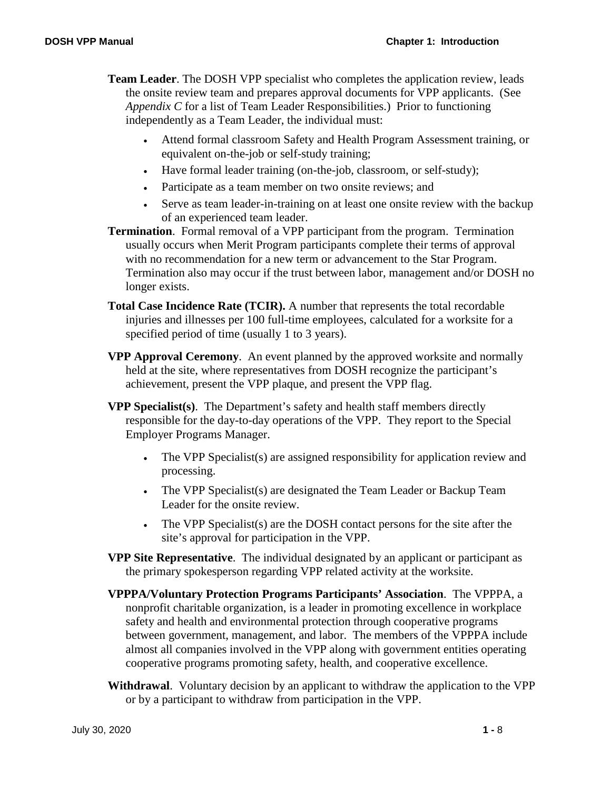- **Team Leader**. The DOSH VPP specialist who completes the application review, leads the onsite review team and prepares approval documents for VPP applicants. (See *Appendix C* for a list of Team Leader Responsibilities.) Prior to functioning independently as a Team Leader, the individual must:
	- Attend formal classroom Safety and Health Program Assessment training, or equivalent on-the-job or self-study training;
	- Have formal leader training (on-the-job, classroom, or self-study);
	- Participate as a team member on two onsite reviews; and
	- Serve as team leader-in-training on at least one onsite review with the backup of an experienced team leader.
- **Termination**. Formal removal of a VPP participant from the program. Termination usually occurs when Merit Program participants complete their terms of approval with no recommendation for a new term or advancement to the Star Program. Termination also may occur if the trust between labor, management and/or DOSH no longer exists.
- **Total Case Incidence Rate (TCIR).** A number that represents the total recordable injuries and illnesses per 100 full-time employees, calculated for a worksite for a specified period of time (usually 1 to 3 years).
- **VPP Approval Ceremony**. An event planned by the approved worksite and normally held at the site, where representatives from DOSH recognize the participant's achievement, present the VPP plaque, and present the VPP flag.
- **VPP Specialist(s)**. The Department's safety and health staff members directly responsible for the day-to-day operations of the VPP. They report to the Special Employer Programs Manager.
	- The VPP Specialist(s) are assigned responsibility for application review and processing.
	- The VPP Specialist(s) are designated the Team Leader or Backup Team Leader for the onsite review.
	- The VPP Specialist(s) are the DOSH contact persons for the site after the site's approval for participation in the VPP.
- **VPP Site Representative**. The individual designated by an applicant or participant as the primary spokesperson regarding VPP related activity at the worksite.
- **VPPPA/Voluntary Protection Programs Participants' Association**. The VPPPA, a nonprofit charitable organization, is a leader in promoting excellence in workplace safety and health and environmental protection through cooperative programs between government, management, and labor. The members of the VPPPA include almost all companies involved in the VPP along with government entities operating cooperative programs promoting safety, health, and cooperative excellence.
- **Withdrawal**. Voluntary decision by an applicant to withdraw the application to the VPP or by a participant to withdraw from participation in the VPP.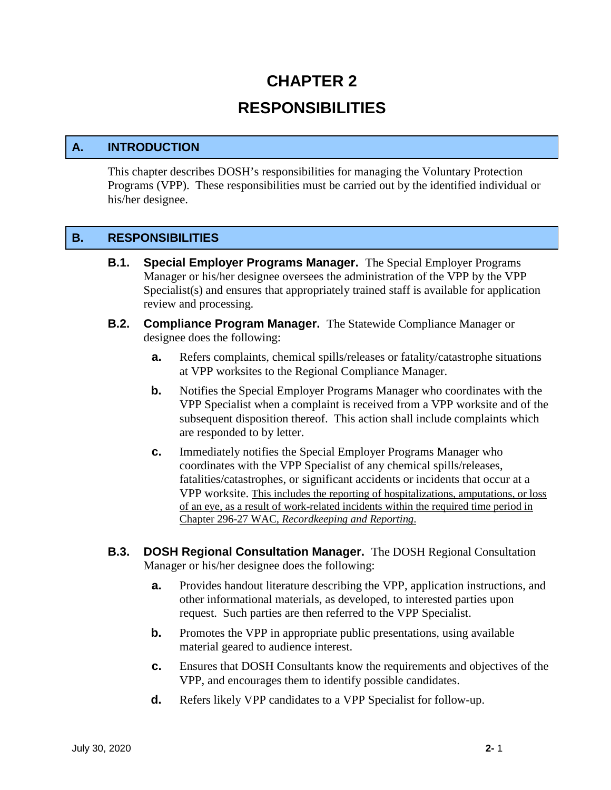# **CHAPTER 2 RESPONSIBILITIES**

#### **A. INTRODUCTION**

This chapter describes DOSH's responsibilities for managing the Voluntary Protection Programs (VPP). These responsibilities must be carried out by the identified individual or his/her designee.

#### **B. RESPONSIBILITIES**

- **B.1. Special Employer Programs Manager.** The Special Employer Programs Manager or his/her designee oversees the administration of the VPP by the VPP Specialist(s) and ensures that appropriately trained staff is available for application review and processing.
- **B.2. Compliance Program Manager.** The Statewide Compliance Manager or designee does the following:
	- **a.** Refers complaints, chemical spills/releases or fatality/catastrophe situations at VPP worksites to the Regional Compliance Manager.
	- **b.** Notifies the Special Employer Programs Manager who coordinates with the VPP Specialist when a complaint is received from a VPP worksite and of the subsequent disposition thereof. This action shall include complaints which are responded to by letter.
	- **c.** Immediately notifies the Special Employer Programs Manager who coordinates with the VPP Specialist of any chemical spills/releases, fatalities/catastrophes, or significant accidents or incidents that occur at a VPP worksite. This includes the reporting of hospitalizations, amputations, or loss of an eye, as a result of work-related incidents within the required time period in Chapter 296-27 WAC, *Recordkeeping and Reporting*.
- **B.3. DOSH Regional Consultation Manager.** The DOSH Regional Consultation Manager or his/her designee does the following:
	- **a.** Provides handout literature describing the VPP, application instructions, and other informational materials, as developed, to interested parties upon request. Such parties are then referred to the VPP Specialist.
	- **b.** Promotes the VPP in appropriate public presentations, using available material geared to audience interest.
	- **c.** Ensures that DOSH Consultants know the requirements and objectives of the VPP, and encourages them to identify possible candidates.
	- **d.** Refers likely VPP candidates to a VPP Specialist for follow-up.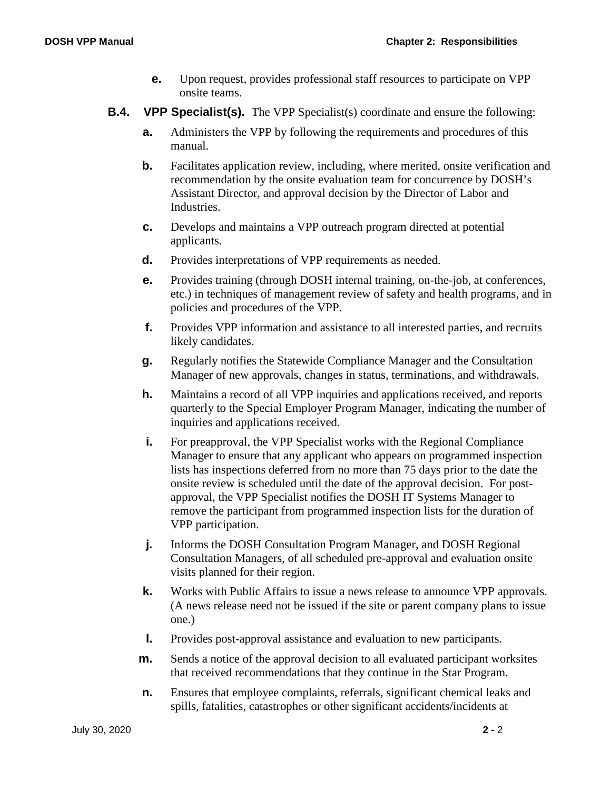- **e.** Upon request, provides professional staff resources to participate on VPP onsite teams.
- **B.4. VPP Specialist(s).** The VPP Specialist(s) coordinate and ensure the following:
	- **a.** Administers the VPP by following the requirements and procedures of this manual.
	- **b.** Facilitates application review, including, where merited, onsite verification and recommendation by the onsite evaluation team for concurrence by DOSH's Assistant Director, and approval decision by the Director of Labor and Industries.
	- **c.** Develops and maintains a VPP outreach program directed at potential applicants.
	- **d.** Provides interpretations of VPP requirements as needed.
	- **e.** Provides training (through DOSH internal training, on-the-job, at conferences, etc.) in techniques of management review of safety and health programs, and in policies and procedures of the VPP.
	- **f.** Provides VPP information and assistance to all interested parties, and recruits likely candidates.
	- **g.** Regularly notifies the Statewide Compliance Manager and the Consultation Manager of new approvals, changes in status, terminations, and withdrawals.
	- **h.** Maintains a record of all VPP inquiries and applications received, and reports quarterly to the Special Employer Program Manager, indicating the number of inquiries and applications received.
	- **i.** For preapproval, the VPP Specialist works with the Regional Compliance Manager to ensure that any applicant who appears on programmed inspection lists has inspections deferred from no more than 75 days prior to the date the onsite review is scheduled until the date of the approval decision. For postapproval, the VPP Specialist notifies the DOSH IT Systems Manager to remove the participant from programmed inspection lists for the duration of VPP participation.
	- **j.** Informs the DOSH Consultation Program Manager, and DOSH Regional Consultation Managers, of all scheduled pre-approval and evaluation onsite visits planned for their region.
	- **k.** Works with Public Affairs to issue a news release to announce VPP approvals. (A news release need not be issued if the site or parent company plans to issue one.)
	- **l.** Provides post-approval assistance and evaluation to new participants.
	- **m.** Sends a notice of the approval decision to all evaluated participant worksites that received recommendations that they continue in the Star Program.
	- **n.** Ensures that employee complaints, referrals, significant chemical leaks and spills, fatalities, catastrophes or other significant accidents/incidents at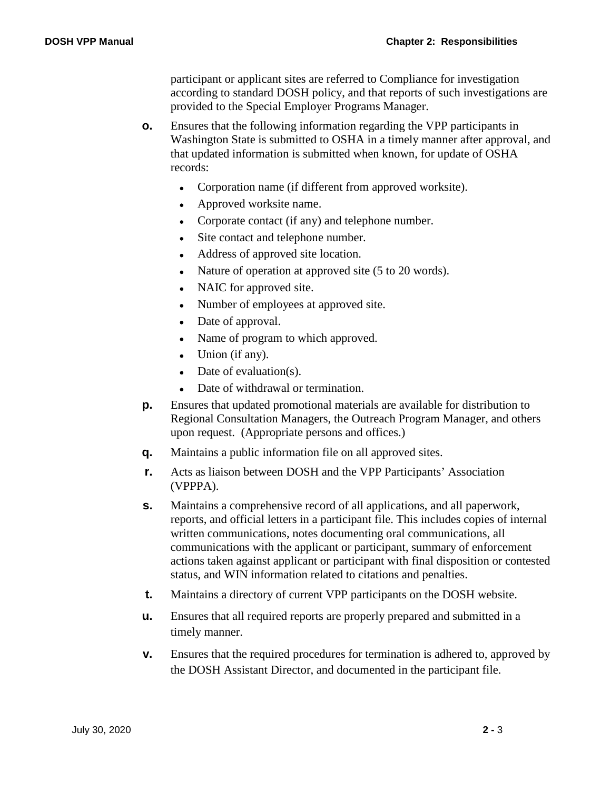participant or applicant sites are referred to Compliance for investigation according to standard DOSH policy, and that reports of such investigations are provided to the Special Employer Programs Manager.

- **o.** Ensures that the following information regarding the VPP participants in Washington State is submitted to OSHA in a timely manner after approval, and that updated information is submitted when known, for update of OSHA records:
	- Corporation name (if different from approved worksite).
	- Approved worksite name.
	- Corporate contact (if any) and telephone number.
	- Site contact and telephone number.
	- Address of approved site location.
	- Nature of operation at approved site (5 to 20 words).
	- NAIC for approved site.
	- Number of employees at approved site.
	- Date of approval.
	- Name of program to which approved.
	- Union (if any).
	- Date of evaluation(s).
	- Date of withdrawal or termination.
- **p.** Ensures that updated promotional materials are available for distribution to Regional Consultation Managers, the Outreach Program Manager, and others upon request. (Appropriate persons and offices.)
- **q.** Maintains a public information file on all approved sites.
- **r.** Acts as liaison between DOSH and the VPP Participants' Association (VPPPA).
- **s.** Maintains a comprehensive record of all applications, and all paperwork, reports, and official letters in a participant file. This includes copies of internal written communications, notes documenting oral communications, all communications with the applicant or participant, summary of enforcement actions taken against applicant or participant with final disposition or contested status, and WIN information related to citations and penalties.
- **t.** Maintains a directory of current VPP participants on the DOSH website.
- **u.** Ensures that all required reports are properly prepared and submitted in a timely manner.
- **v.** Ensures that the required procedures for termination is adhered to, approved by the DOSH Assistant Director, and documented in the participant file.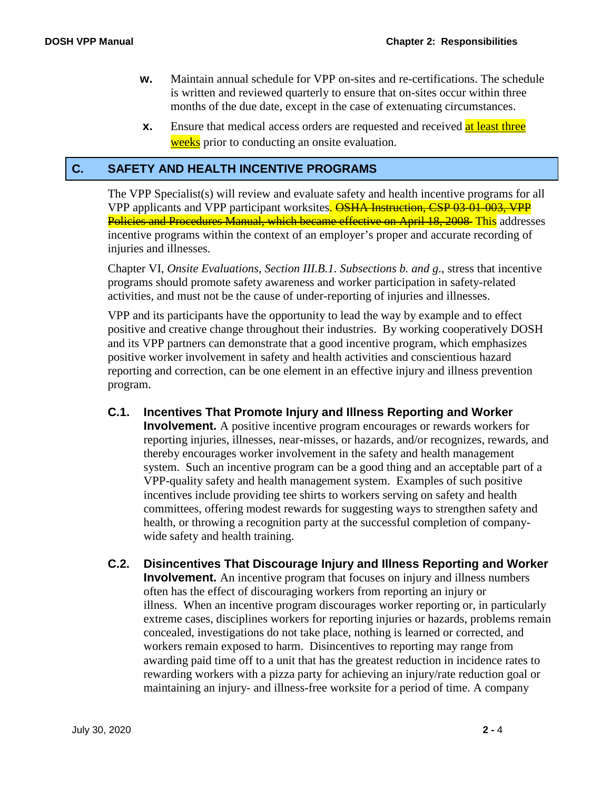- **w.** Maintain annual schedule for VPP on-sites and re-certifications. The schedule is written and reviewed quarterly to ensure that on-sites occur within three months of the due date, except in the case of extenuating circumstances.
- **x.** Ensure that medical access orders are requested and received at least three weeks prior to conducting an onsite evaluation.

#### **C. SAFETY AND HEALTH INCENTIVE PROGRAMS**

The VPP Specialist(s) will review and evaluate safety and health incentive programs for all VPP applicants and VPP participant worksites. **OSHA Instruction, CSP 03-01-003, VPP** Policies and Procedures Manual, which became effective on April 18, 2008 This addresses incentive programs within the context of an employer's proper and accurate recording of injuries and illnesses.

Chapter VI, *Onsite Evaluations, Section III.B.1. Subsections b. and g*., stress that incentive programs should promote safety awareness and worker participation in safety-related activities, and must not be the cause of under-reporting of injuries and illnesses.

VPP and its participants have the opportunity to lead the way by example and to effect positive and creative change throughout their industries. By working cooperatively DOSH and its VPP partners can demonstrate that a good incentive program, which emphasizes positive worker involvement in safety and health activities and conscientious hazard reporting and correction, can be one element in an effective injury and illness prevention program.

#### **C.1. Incentives That Promote Injury and Illness Reporting and Worker**

**Involvement.** A positive incentive program encourages or rewards workers for reporting injuries, illnesses, near-misses, or hazards, and/or recognizes, rewards, and thereby encourages worker involvement in the safety and health management system. Such an incentive program can be a good thing and an acceptable part of a VPP-quality safety and health management system. Examples of such positive incentives include providing tee shirts to workers serving on safety and health committees, offering modest rewards for suggesting ways to strengthen safety and health, or throwing a recognition party at the successful completion of companywide safety and health training.

**C.2. Disincentives That Discourage Injury and Illness Reporting and Worker Involvement.** An incentive program that focuses on injury and illness numbers often has the effect of discouraging workers from reporting an injury or illness. When an incentive program discourages worker reporting or, in particularly extreme cases, disciplines workers for reporting injuries or hazards, problems remain concealed, investigations do not take place, nothing is learned or corrected, and workers remain exposed to harm. Disincentives to reporting may range from awarding paid time off to a unit that has the greatest reduction in incidence rates to rewarding workers with a pizza party for achieving an injury/rate reduction goal or maintaining an injury- and illness-free worksite for a period of time. A company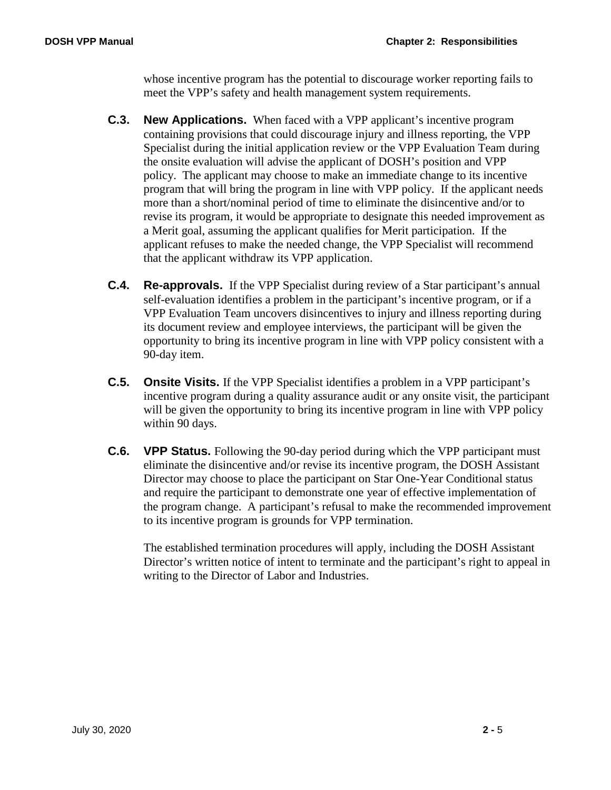whose incentive program has the potential to discourage worker reporting fails to meet the VPP's safety and health management system requirements.

- **C.3. New Applications.** When faced with a VPP applicant's incentive program containing provisions that could discourage injury and illness reporting, the VPP Specialist during the initial application review or the VPP Evaluation Team during the onsite evaluation will advise the applicant of DOSH's position and VPP policy. The applicant may choose to make an immediate change to its incentive program that will bring the program in line with VPP policy. If the applicant needs more than a short/nominal period of time to eliminate the disincentive and/or to revise its program, it would be appropriate to designate this needed improvement as a Merit goal, assuming the applicant qualifies for Merit participation. If the applicant refuses to make the needed change, the VPP Specialist will recommend that the applicant withdraw its VPP application.
- **C.4. Re-approvals.** If the VPP Specialist during review of a Star participant's annual self-evaluation identifies a problem in the participant's incentive program, or if a VPP Evaluation Team uncovers disincentives to injury and illness reporting during its document review and employee interviews, the participant will be given the opportunity to bring its incentive program in line with VPP policy consistent with a 90-day item.
- **C.5. Onsite Visits.** If the VPP Specialist identifies a problem in a VPP participant's incentive program during a quality assurance audit or any onsite visit, the participant will be given the opportunity to bring its incentive program in line with VPP policy within 90 days.
- **C.6.** VPP Status. Following the 90-day period during which the VPP participant must eliminate the disincentive and/or revise its incentive program, the DOSH Assistant Director may choose to place the participant on Star One-Year Conditional status and require the participant to demonstrate one year of effective implementation of the program change. A participant's refusal to make the recommended improvement to its incentive program is grounds for VPP termination.

The established termination procedures will apply, including the DOSH Assistant Director's written notice of intent to terminate and the participant's right to appeal in writing to the Director of Labor and Industries.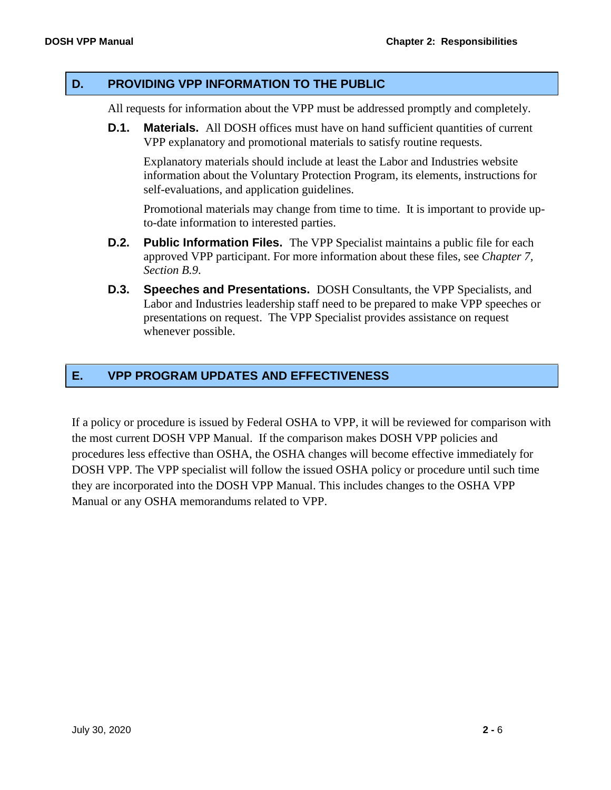#### **D. PROVIDING VPP INFORMATION TO THE PUBLIC**

All requests for information about the VPP must be addressed promptly and completely.

**D.1. Materials.** All DOSH offices must have on hand sufficient quantities of current VPP explanatory and promotional materials to satisfy routine requests.

Explanatory materials should include at least the Labor and Industries website information about the Voluntary Protection Program, its elements, instructions for self-evaluations, and application guidelines.

Promotional materials may change from time to time. It is important to provide upto-date information to interested parties.

- **D.2. Public Information Files.** The VPP Specialist maintains a public file for each approved VPP participant. For more information about these files, see *Chapter 7, Section B.9*.
- **D.3. Speeches and Presentations.** DOSH Consultants, the VPP Specialists, and Labor and Industries leadership staff need to be prepared to make VPP speeches or presentations on request. The VPP Specialist provides assistance on request whenever possible.

#### **E. VPP PROGRAM UPDATES AND EFFECTIVENESS**

If a policy or procedure is issued by Federal OSHA to VPP, it will be reviewed for comparison with the most current DOSH VPP Manual. If the comparison makes DOSH VPP policies and procedures less effective than OSHA, the OSHA changes will become effective immediately for DOSH VPP. The VPP specialist will follow the issued OSHA policy or procedure until such time they are incorporated into the DOSH VPP Manual. This includes changes to the OSHA VPP Manual or any OSHA memorandums related to VPP.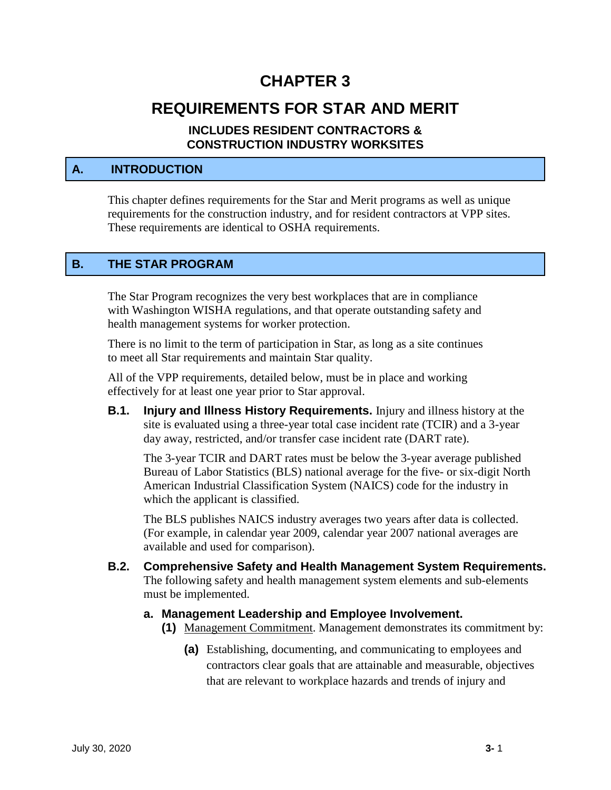# **CHAPTER 3**

# **REQUIREMENTS FOR STAR AND MERIT**

#### **INCLUDES RESIDENT CONTRACTORS & CONSTRUCTION INDUSTRY WORKSITES**

#### **A. INTRODUCTION**

This chapter defines requirements for the Star and Merit programs as well as unique requirements for the construction industry, and for resident contractors at VPP sites. These requirements are identical to OSHA requirements.

#### **B. THE STAR PROGRAM**

The Star Program recognizes the very best workplaces that are in compliance with Washington WISHA regulations, and that operate outstanding safety and health management systems for worker protection.

There is no limit to the term of participation in Star, as long as a site continues to meet all Star requirements and maintain Star quality.

All of the VPP requirements, detailed below, must be in place and working effectively for at least one year prior to Star approval.

**B.1. Injury and Illness History Requirements.** Injury and illness history at the site is evaluated using a three-year total case incident rate (TCIR) and a 3-year day away, restricted, and/or transfer case incident rate (DART rate).

The 3-year TCIR and DART rates must be below the 3-year average published Bureau of Labor Statistics (BLS) national average for the five- or six-digit North American Industrial Classification System (NAICS) code for the industry in which the applicant is classified.

The BLS publishes NAICS industry averages two years after data is collected. (For example, in calendar year 2009, calendar year 2007 national averages are available and used for comparison).

#### **B.2. Comprehensive Safety and Health Management System Requirements.**  The following safety and health management system elements and sub-elements must be implemented.

#### **a. Management Leadership and Employee Involvement.**

- **(1)** Management Commitment. Management demonstrates its commitment by:
	- **(a)** Establishing, documenting, and communicating to employees and contractors clear goals that are attainable and measurable, objectives that are relevant to workplace hazards and trends of injury and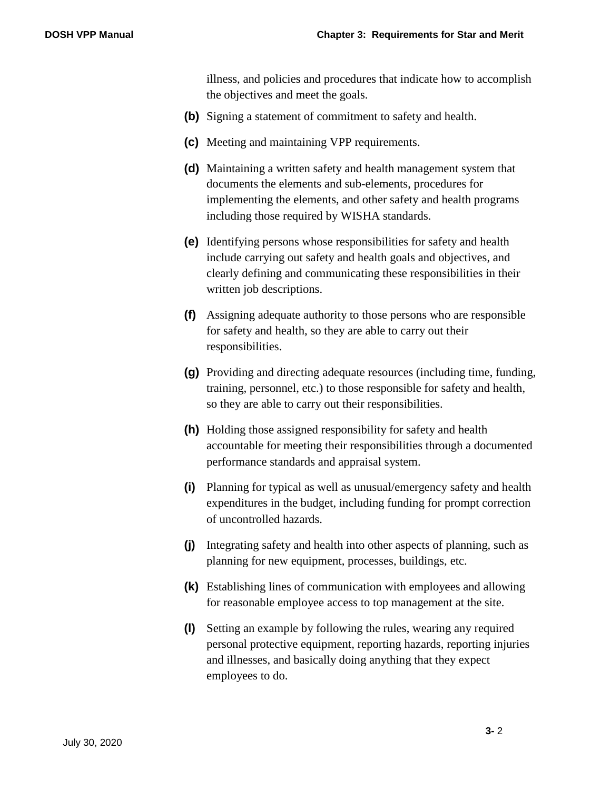illness, and policies and procedures that indicate how to accomplish the objectives and meet the goals.

- **(b)** Signing a statement of commitment to safety and health.
- **(c)** Meeting and maintaining VPP requirements.
- **(d)** Maintaining a written safety and health management system that documents the elements and sub-elements, procedures for implementing the elements, and other safety and health programs including those required by WISHA standards.
- **(e)** Identifying persons whose responsibilities for safety and health include carrying out safety and health goals and objectives, and clearly defining and communicating these responsibilities in their written job descriptions.
- **(f)** Assigning adequate authority to those persons who are responsible for safety and health, so they are able to carry out their responsibilities.
- **(g)** Providing and directing adequate resources (including time, funding, training, personnel, etc.) to those responsible for safety and health, so they are able to carry out their responsibilities.
- **(h)** Holding those assigned responsibility for safety and health accountable for meeting their responsibilities through a documented performance standards and appraisal system.
- **(i)** Planning for typical as well as unusual/emergency safety and health expenditures in the budget, including funding for prompt correction of uncontrolled hazards.
- **(j)** Integrating safety and health into other aspects of planning, such as planning for new equipment, processes, buildings, etc.
- **(k)** Establishing lines of communication with employees and allowing for reasonable employee access to top management at the site.
- **(l)** Setting an example by following the rules, wearing any required personal protective equipment, reporting hazards, reporting injuries and illnesses, and basically doing anything that they expect employees to do.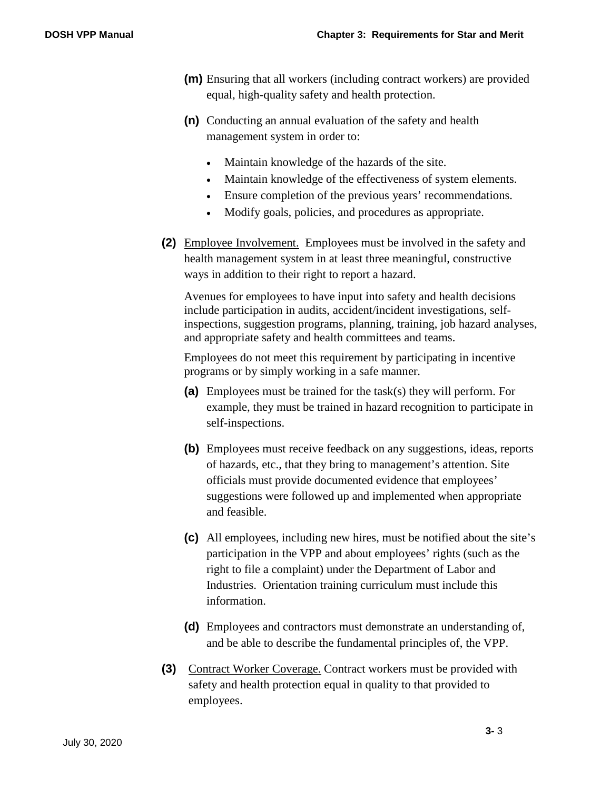- **(m)** Ensuring that all workers (including contract workers) are provided equal, high-quality safety and health protection.
- **(n)** Conducting an annual evaluation of the safety and health management system in order to:
	- Maintain knowledge of the hazards of the site.
	- Maintain knowledge of the effectiveness of system elements.
	- Ensure completion of the previous years' recommendations.
	- Modify goals, policies, and procedures as appropriate.
- **(2)** Employee Involvement. Employees must be involved in the safety and health management system in at least three meaningful, constructive ways in addition to their right to report a hazard.

Avenues for employees to have input into safety and health decisions include participation in audits, accident/incident investigations, selfinspections, suggestion programs, planning, training, job hazard analyses, and appropriate safety and health committees and teams.

Employees do not meet this requirement by participating in incentive programs or by simply working in a safe manner.

- **(a)** Employees must be trained for the task(s) they will perform. For example, they must be trained in hazard recognition to participate in self-inspections.
- **(b)** Employees must receive feedback on any suggestions, ideas, reports of hazards, etc., that they bring to management's attention. Site officials must provide documented evidence that employees' suggestions were followed up and implemented when appropriate and feasible.
- **(c)** All employees, including new hires, must be notified about the site's participation in the VPP and about employees' rights (such as the right to file a complaint) under the Department of Labor and Industries. Orientation training curriculum must include this information.
- **(d)** Employees and contractors must demonstrate an understanding of, and be able to describe the fundamental principles of, the VPP.
- **(3)** Contract Worker Coverage. Contract workers must be provided with safety and health protection equal in quality to that provided to employees.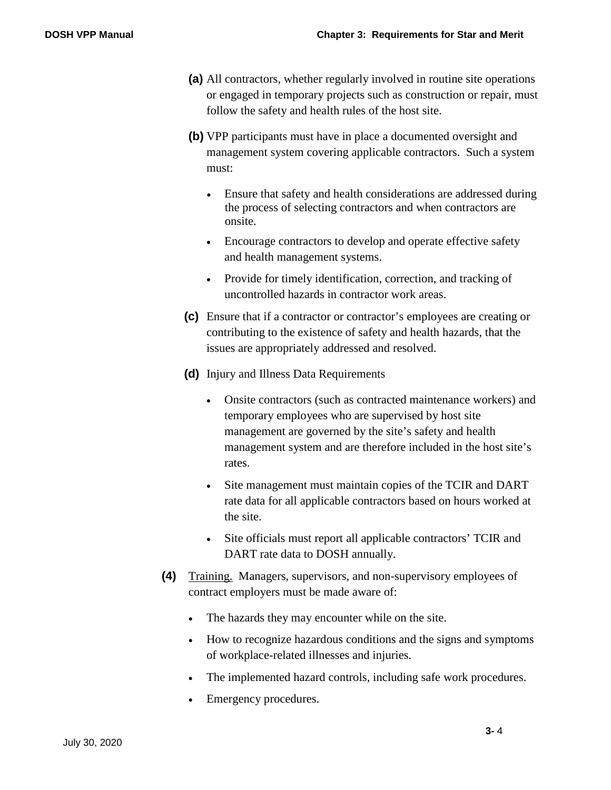- **(a)** All contractors, whether regularly involved in routine site operations or engaged in temporary projects such as construction or repair, must follow the safety and health rules of the host site.
- **(b)** VPP participants must have in place a documented oversight and management system covering applicable contractors. Such a system must:
	- Ensure that safety and health considerations are addressed during the process of selecting contractors and when contractors are onsite.
	- Encourage contractors to develop and operate effective safety and health management systems.
	- Provide for timely identification, correction, and tracking of uncontrolled hazards in contractor work areas.
- **(c)** Ensure that if a contractor or contractor's employees are creating or contributing to the existence of safety and health hazards, that the issues are appropriately addressed and resolved.
- **(d)** Injury and Illness Data Requirements
	- Onsite contractors (such as contracted maintenance workers) and temporary employees who are supervised by host site management are governed by the site's safety and health management system and are therefore included in the host site's rates.
	- Site management must maintain copies of the TCIR and DART rate data for all applicable contractors based on hours worked at the site.
	- Site officials must report all applicable contractors' TCIR and DART rate data to DOSH annually.
- **(4)** Training. Managers, supervisors, and non-supervisory employees of contract employers must be made aware of:
	- The hazards they may encounter while on the site.
	- How to recognize hazardous conditions and the signs and symptoms of workplace-related illnesses and injuries.
	- The implemented hazard controls, including safe work procedures.
	- Emergency procedures.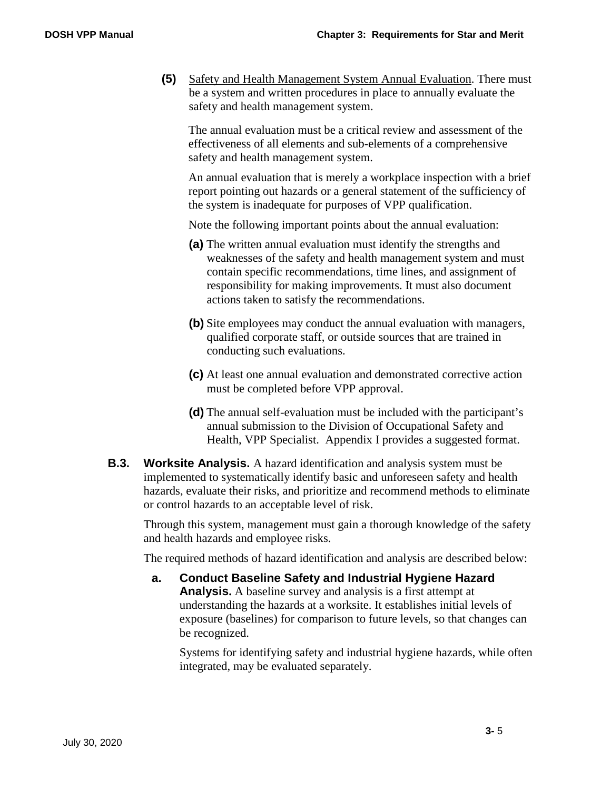**(5)** Safety and Health Management System Annual Evaluation. There must be a system and written procedures in place to annually evaluate the safety and health management system.

The annual evaluation must be a critical review and assessment of the effectiveness of all elements and sub-elements of a comprehensive safety and health management system.

An annual evaluation that is merely a workplace inspection with a brief report pointing out hazards or a general statement of the sufficiency of the system is inadequate for purposes of VPP qualification.

Note the following important points about the annual evaluation:

- **(a)** The written annual evaluation must identify the strengths and weaknesses of the safety and health management system and must contain specific recommendations, time lines, and assignment of responsibility for making improvements. It must also document actions taken to satisfy the recommendations.
- **(b)** Site employees may conduct the annual evaluation with managers, qualified corporate staff, or outside sources that are trained in conducting such evaluations.
- **(c)** At least one annual evaluation and demonstrated corrective action must be completed before VPP approval.
- **(d)** The annual self-evaluation must be included with the participant's annual submission to the Division of Occupational Safety and Health, VPP Specialist. Appendix I provides a suggested format.
- **B.3. Worksite Analysis.** A hazard identification and analysis system must be implemented to systematically identify basic and unforeseen safety and health hazards, evaluate their risks, and prioritize and recommend methods to eliminate or control hazards to an acceptable level of risk.

Through this system, management must gain a thorough knowledge of the safety and health hazards and employee risks.

The required methods of hazard identification and analysis are described below:

**a. Conduct Baseline Safety and Industrial Hygiene Hazard Analysis.** A baseline survey and analysis is a first attempt at understanding the hazards at a worksite. It establishes initial levels of exposure (baselines) for comparison to future levels, so that changes can be recognized.

Systems for identifying safety and industrial hygiene hazards, while often integrated, may be evaluated separately.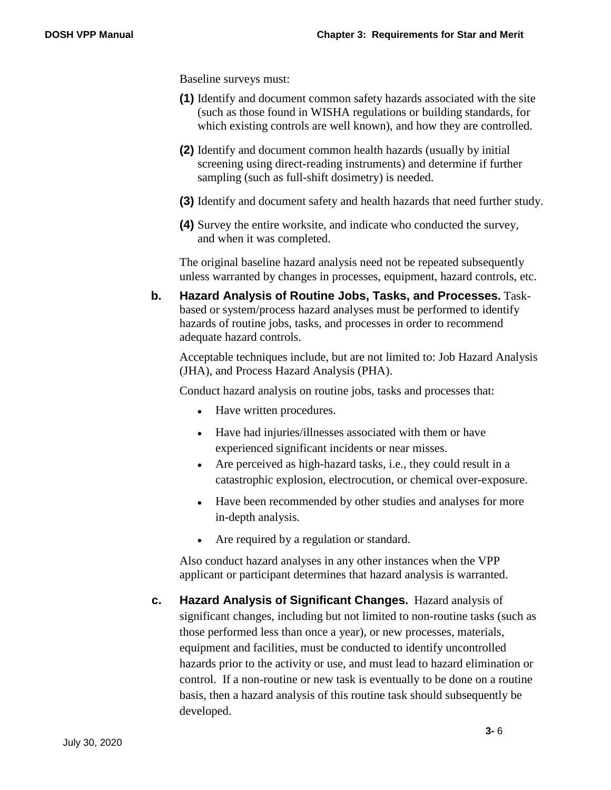Baseline surveys must:

- **(1)** Identify and document common safety hazards associated with the site (such as those found in WISHA regulations or building standards, for which existing controls are well known), and how they are controlled.
- **(2)** Identify and document common health hazards (usually by initial screening using direct-reading instruments) and determine if further sampling (such as full-shift dosimetry) is needed.
- **(3)** Identify and document safety and health hazards that need further study.
- **(4)** Survey the entire worksite, and indicate who conducted the survey, and when it was completed.

The original baseline hazard analysis need not be repeated subsequently unless warranted by changes in processes, equipment, hazard controls, etc.

**b. Hazard Analysis of Routine Jobs, Tasks, and Processes.** Taskbased or system/process hazard analyses must be performed to identify hazards of routine jobs, tasks, and processes in order to recommend adequate hazard controls.

Acceptable techniques include, but are not limited to: Job Hazard Analysis (JHA), and Process Hazard Analysis (PHA).

Conduct hazard analysis on routine jobs, tasks and processes that:

- Have written procedures.
- Have had injuries/illnesses associated with them or have experienced significant incidents or near misses.
- Are perceived as high-hazard tasks, i.e., they could result in a catastrophic explosion, electrocution, or chemical over-exposure.
- Have been recommended by other studies and analyses for more in-depth analysis.
- Are required by a regulation or standard.

Also conduct hazard analyses in any other instances when the VPP applicant or participant determines that hazard analysis is warranted.

**c. Hazard Analysis of Significant Changes.** Hazard analysis of significant changes, including but not limited to non-routine tasks (such as those performed less than once a year), or new processes, materials, equipment and facilities, must be conducted to identify uncontrolled hazards prior to the activity or use, and must lead to hazard elimination or control. If a non-routine or new task is eventually to be done on a routine basis, then a hazard analysis of this routine task should subsequently be developed.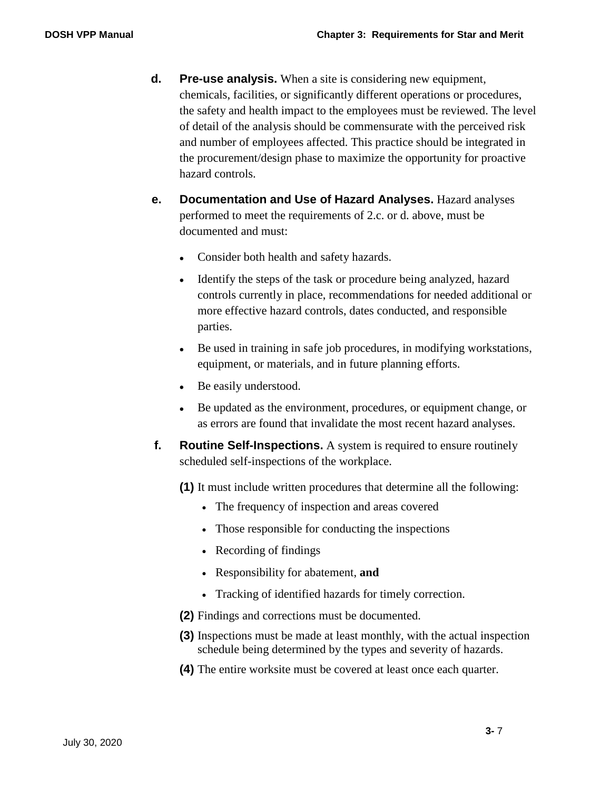- **d. Pre-use analysis.** When a site is considering new equipment, chemicals, facilities, or significantly different operations or procedures, the safety and health impact to the employees must be reviewed. The level of detail of the analysis should be commensurate with the perceived risk and number of employees affected. This practice should be integrated in the procurement/design phase to maximize the opportunity for proactive hazard controls.
- **e. Documentation and Use of Hazard Analyses.** Hazard analyses performed to meet the requirements of 2.c. or d. above, must be documented and must:
	- Consider both health and safety hazards.
	- Identify the steps of the task or procedure being analyzed, hazard controls currently in place, recommendations for needed additional or more effective hazard controls, dates conducted, and responsible parties.
	- Be used in training in safe job procedures, in modifying workstations, equipment, or materials, and in future planning efforts.
	- Be easily understood.
	- Be updated as the environment, procedures, or equipment change, or as errors are found that invalidate the most recent hazard analyses.
- **f. Routine Self-Inspections.** A system is required to ensure routinely scheduled self-inspections of the workplace.
	- **(1)** It must include written procedures that determine all the following:
		- The frequency of inspection and areas covered
		- Those responsible for conducting the inspections
		- Recording of findings
		- Responsibility for abatement, **and**
		- Tracking of identified hazards for timely correction.
	- **(2)** Findings and corrections must be documented.
	- **(3)** Inspections must be made at least monthly, with the actual inspection schedule being determined by the types and severity of hazards.
	- **(4)** The entire worksite must be covered at least once each quarter.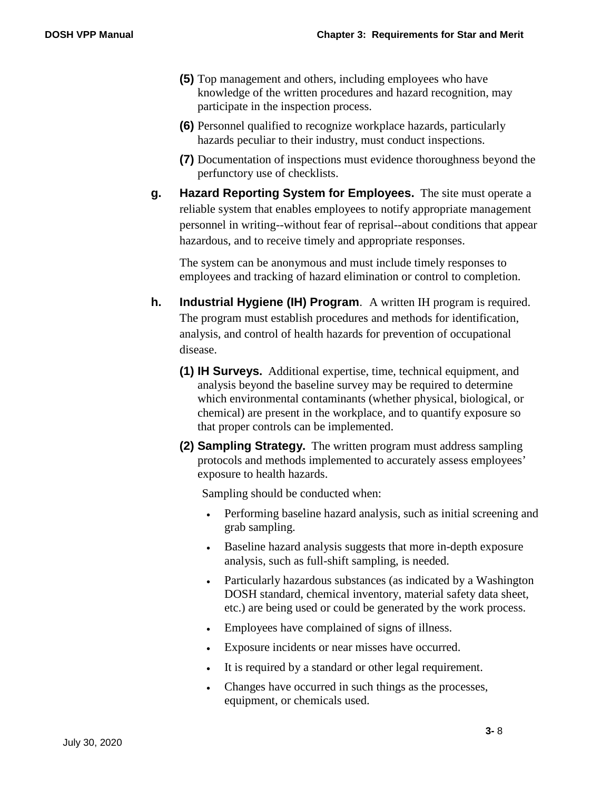- **(5)** Top management and others, including employees who have knowledge of the written procedures and hazard recognition, may participate in the inspection process.
- **(6)** Personnel qualified to recognize workplace hazards, particularly hazards peculiar to their industry, must conduct inspections.
- **(7)** Documentation of inspections must evidence thoroughness beyond the perfunctory use of checklists.
- **g. Hazard Reporting System for Employees.** The site must operate a reliable system that enables employees to notify appropriate management personnel in writing--without fear of reprisal--about conditions that appear hazardous, and to receive timely and appropriate responses.

The system can be anonymous and must include timely responses to employees and tracking of hazard elimination or control to completion.

- **h. Industrial Hygiene (IH) Program**. A written IH program is required. The program must establish procedures and methods for identification, analysis, and control of health hazards for prevention of occupational disease.
	- **(1) IH Surveys.** Additional expertise, time, technical equipment, and analysis beyond the baseline survey may be required to determine which environmental contaminants (whether physical, biological, or chemical) are present in the workplace, and to quantify exposure so that proper controls can be implemented.
	- **(2) Sampling Strategy.** The written program must address sampling protocols and methods implemented to accurately assess employees' exposure to health hazards.

Sampling should be conducted when:

- Performing baseline hazard analysis, such as initial screening and grab sampling.
- Baseline hazard analysis suggests that more in-depth exposure analysis, such as full-shift sampling, is needed.
- Particularly hazardous substances (as indicated by a Washington DOSH standard, chemical inventory, material safety data sheet, etc.) are being used or could be generated by the work process.
- Employees have complained of signs of illness.
- Exposure incidents or near misses have occurred.
- It is required by a standard or other legal requirement.
- Changes have occurred in such things as the processes, equipment, or chemicals used.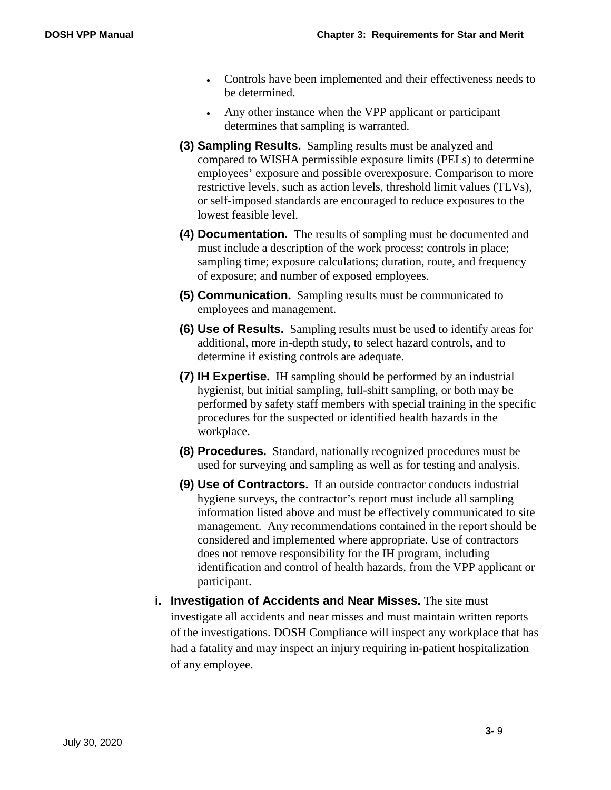- Controls have been implemented and their effectiveness needs to be determined.
- Any other instance when the VPP applicant or participant determines that sampling is warranted.
- **(3) Sampling Results.** Sampling results must be analyzed and compared to WISHA permissible exposure limits (PELs) to determine employees' exposure and possible overexposure. Comparison to more restrictive levels, such as action levels, threshold limit values (TLVs), or self-imposed standards are encouraged to reduce exposures to the lowest feasible level.
- **(4) Documentation.** The results of sampling must be documented and must include a description of the work process; controls in place; sampling time; exposure calculations; duration, route, and frequency of exposure; and number of exposed employees.
- **(5) Communication.** Sampling results must be communicated to employees and management.
- **(6) Use of Results.** Sampling results must be used to identify areas for additional, more in-depth study, to select hazard controls, and to determine if existing controls are adequate.
- **(7) IH Expertise.** IH sampling should be performed by an industrial hygienist, but initial sampling, full-shift sampling, or both may be performed by safety staff members with special training in the specific procedures for the suspected or identified health hazards in the workplace.
- **(8) Procedures.** Standard, nationally recognized procedures must be used for surveying and sampling as well as for testing and analysis.
- **(9) Use of Contractors.** If an outside contractor conducts industrial hygiene surveys, the contractor's report must include all sampling information listed above and must be effectively communicated to site management. Any recommendations contained in the report should be considered and implemented where appropriate. Use of contractors does not remove responsibility for the IH program, including identification and control of health hazards, from the VPP applicant or participant.
- **i. Investigation of Accidents and Near Misses.** The site must investigate all accidents and near misses and must maintain written reports of the investigations. DOSH Compliance will inspect any workplace that has had a fatality and may inspect an injury requiring in-patient hospitalization of any employee.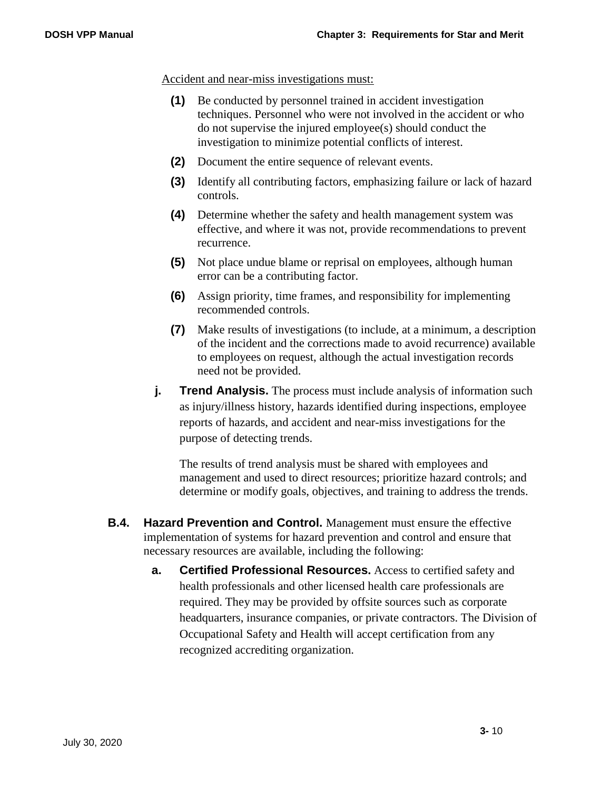Accident and near-miss investigations must:

- **(1)** Be conducted by personnel trained in accident investigation techniques. Personnel who were not involved in the accident or who do not supervise the injured employee(s) should conduct the investigation to minimize potential conflicts of interest.
- **(2)** Document the entire sequence of relevant events.
- **(3)** Identify all contributing factors, emphasizing failure or lack of hazard controls.
- **(4)** Determine whether the safety and health management system was effective, and where it was not, provide recommendations to prevent recurrence.
- **(5)** Not place undue blame or reprisal on employees, although human error can be a contributing factor.
- **(6)** Assign priority, time frames, and responsibility for implementing recommended controls.
- **(7)** Make results of investigations (to include, at a minimum, a description of the incident and the corrections made to avoid recurrence) available to employees on request, although the actual investigation records need not be provided.
- **j. Trend Analysis.** The process must include analysis of information such as injury/illness history, hazards identified during inspections, employee reports of hazards, and accident and near-miss investigations for the purpose of detecting trends.

The results of trend analysis must be shared with employees and management and used to direct resources; prioritize hazard controls; and determine or modify goals, objectives, and training to address the trends.

- **B.4. Hazard Prevention and Control.** Management must ensure the effective implementation of systems for hazard prevention and control and ensure that necessary resources are available, including the following:
	- **a. Certified Professional Resources.** Access to certified safety and health professionals and other licensed health care professionals are required. They may be provided by offsite sources such as corporate headquarters, insurance companies, or private contractors. The Division of Occupational Safety and Health will accept certification from any recognized accrediting organization.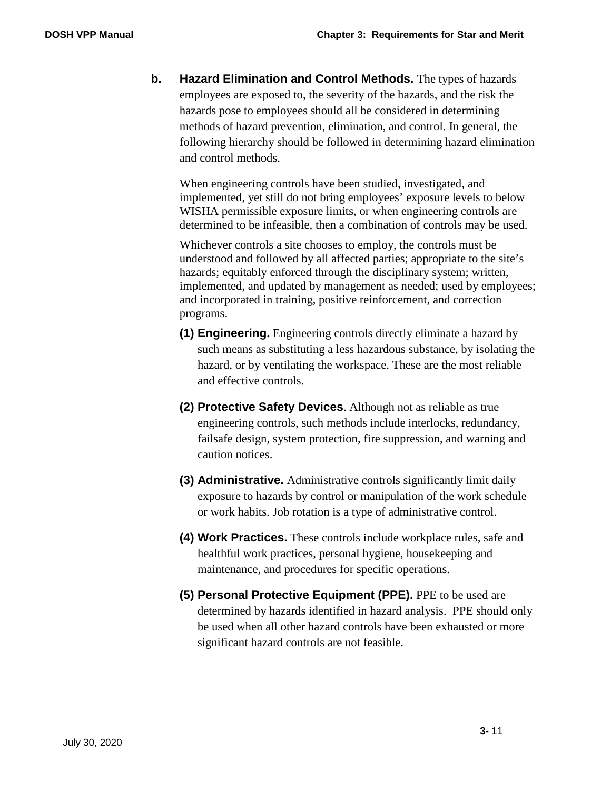**b. Hazard Elimination and Control Methods.** The types of hazards employees are exposed to, the severity of the hazards, and the risk the hazards pose to employees should all be considered in determining methods of hazard prevention, elimination, and control. In general, the following hierarchy should be followed in determining hazard elimination and control methods.

When engineering controls have been studied, investigated, and implemented, yet still do not bring employees' exposure levels to below WISHA permissible exposure limits, or when engineering controls are determined to be infeasible, then a combination of controls may be used.

Whichever controls a site chooses to employ, the controls must be understood and followed by all affected parties; appropriate to the site's hazards; equitably enforced through the disciplinary system; written, implemented, and updated by management as needed; used by employees; and incorporated in training, positive reinforcement, and correction programs.

- **(1) Engineering.** Engineering controls directly eliminate a hazard by such means as substituting a less hazardous substance, by isolating the hazard, or by ventilating the workspace. These are the most reliable and effective controls.
- **(2) Protective Safety Devices**. Although not as reliable as true engineering controls, such methods include interlocks, redundancy, failsafe design, system protection, fire suppression, and warning and caution notices.
- **(3) Administrative.** Administrative controls significantly limit daily exposure to hazards by control or manipulation of the work schedule or work habits. Job rotation is a type of administrative control.
- **(4) Work Practices.** These controls include workplace rules, safe and healthful work practices, personal hygiene, housekeeping and maintenance, and procedures for specific operations.
- **(5) Personal Protective Equipment (PPE).** PPE to be used are determined by hazards identified in hazard analysis. PPE should only be used when all other hazard controls have been exhausted or more significant hazard controls are not feasible.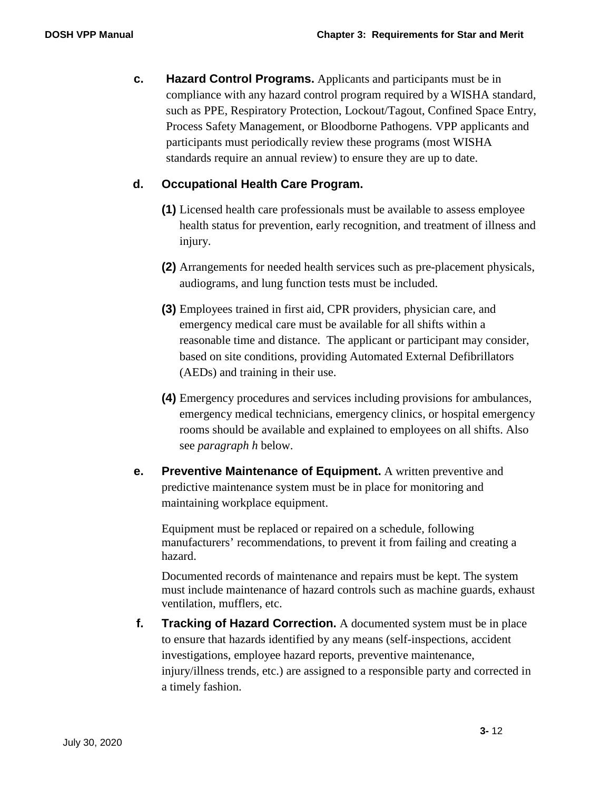**c. Hazard Control Programs.** Applicants and participants must be in compliance with any hazard control program required by a WISHA standard, such as PPE, Respiratory Protection, Lockout/Tagout, Confined Space Entry, Process Safety Management, or Bloodborne Pathogens. VPP applicants and participants must periodically review these programs (most WISHA standards require an annual review) to ensure they are up to date.

#### **d. Occupational Health Care Program.**

- **(1)** Licensed health care professionals must be available to assess employee health status for prevention, early recognition, and treatment of illness and injury.
- **(2)** Arrangements for needed health services such as pre-placement physicals, audiograms, and lung function tests must be included.
- **(3)** Employees trained in first aid, CPR providers, physician care, and emergency medical care must be available for all shifts within a reasonable time and distance. The applicant or participant may consider, based on site conditions, providing Automated External Defibrillators (AEDs) and training in their use.
- **(4)** Emergency procedures and services including provisions for ambulances, emergency medical technicians, emergency clinics, or hospital emergency rooms should be available and explained to employees on all shifts. Also see *paragraph h* below.
- **e. Preventive Maintenance of Equipment.** A written preventive and predictive maintenance system must be in place for monitoring and maintaining workplace equipment.

Equipment must be replaced or repaired on a schedule, following manufacturers' recommendations, to prevent it from failing and creating a hazard.

Documented records of maintenance and repairs must be kept. The system must include maintenance of hazard controls such as machine guards, exhaust ventilation, mufflers, etc.

**f. Tracking of Hazard Correction.** A documented system must be in place to ensure that hazards identified by any means (self-inspections, accident investigations, employee hazard reports, preventive maintenance, injury/illness trends, etc.) are assigned to a responsible party and corrected in a timely fashion.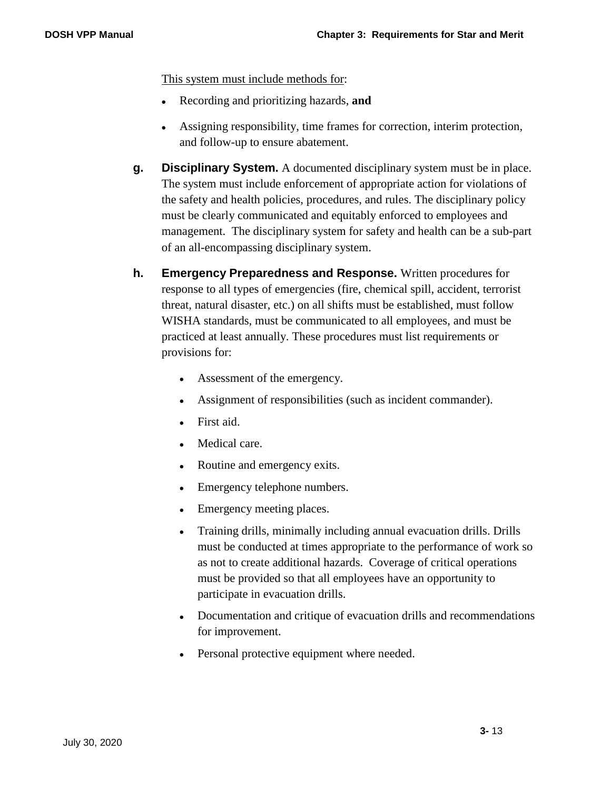This system must include methods for:

- Recording and prioritizing hazards, **and**
- Assigning responsibility, time frames for correction, interim protection, and follow-up to ensure abatement.
- **g. Disciplinary System.** A documented disciplinary system must be in place. The system must include enforcement of appropriate action for violations of the safety and health policies, procedures, and rules. The disciplinary policy must be clearly communicated and equitably enforced to employees and management. The disciplinary system for safety and health can be a sub-part of an all-encompassing disciplinary system.
- **h. Emergency Preparedness and Response.** Written procedures for response to all types of emergencies (fire, chemical spill, accident, terrorist threat, natural disaster, etc.) on all shifts must be established, must follow WISHA standards, must be communicated to all employees, and must be practiced at least annually. These procedures must list requirements or provisions for:
	- Assessment of the emergency.
	- Assignment of responsibilities (such as incident commander).
	- First aid.
	- Medical care.
	- Routine and emergency exits.
	- Emergency telephone numbers.
	- Emergency meeting places.
	- Training drills, minimally including annual evacuation drills. Drills must be conducted at times appropriate to the performance of work so as not to create additional hazards. Coverage of critical operations must be provided so that all employees have an opportunity to participate in evacuation drills.
	- Documentation and critique of evacuation drills and recommendations for improvement.
	- Personal protective equipment where needed.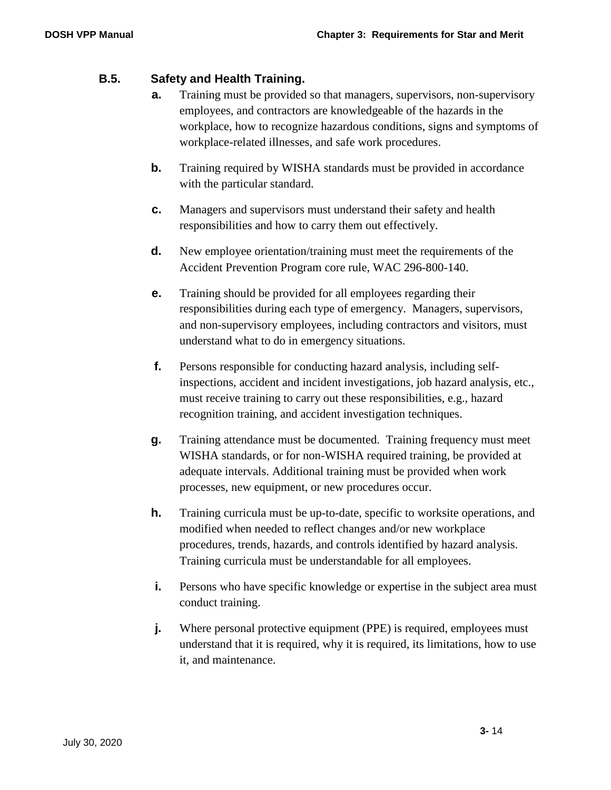# **B.5. Safety and Health Training.**

- **a.** Training must be provided so that managers, supervisors, non-supervisory employees, and contractors are knowledgeable of the hazards in the workplace, how to recognize hazardous conditions, signs and symptoms of workplace-related illnesses, and safe work procedures.
- **b.** Training required by WISHA standards must be provided in accordance with the particular standard.
- **c.** Managers and supervisors must understand their safety and health responsibilities and how to carry them out effectively.
- **d.** New employee orientation/training must meet the requirements of the Accident Prevention Program core rule, WAC 296-800-140.
- **e.** Training should be provided for all employees regarding their responsibilities during each type of emergency. Managers, supervisors, and non-supervisory employees, including contractors and visitors, must understand what to do in emergency situations.
- **f.** Persons responsible for conducting hazard analysis, including selfinspections, accident and incident investigations, job hazard analysis, etc., must receive training to carry out these responsibilities, e.g., hazard recognition training, and accident investigation techniques.
- **g.** Training attendance must be documented. Training frequency must meet WISHA standards, or for non-WISHA required training, be provided at adequate intervals. Additional training must be provided when work processes, new equipment, or new procedures occur.
- **h.** Training curricula must be up-to-date, specific to worksite operations, and modified when needed to reflect changes and/or new workplace procedures, trends, hazards, and controls identified by hazard analysis. Training curricula must be understandable for all employees.
- **i.** Persons who have specific knowledge or expertise in the subject area must conduct training.
- **j.** Where personal protective equipment (PPE) is required, employees must understand that it is required, why it is required, its limitations, how to use it, and maintenance.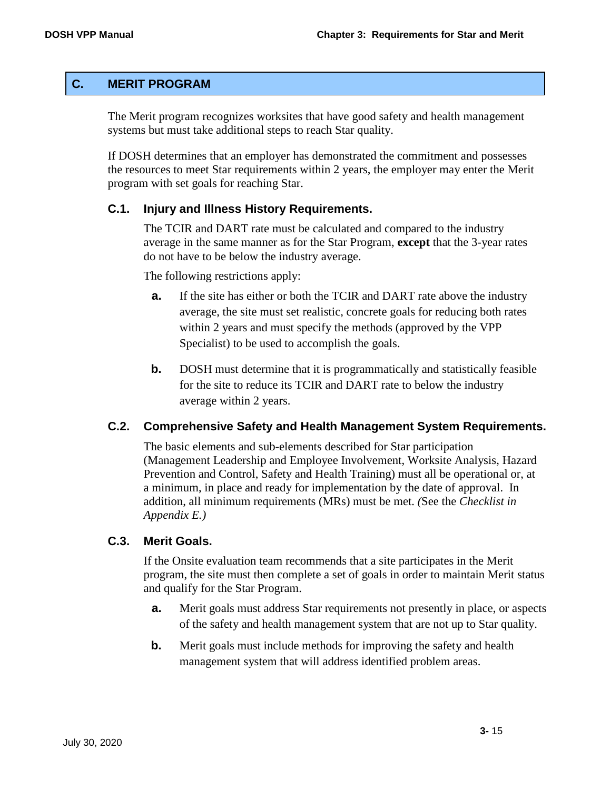# **C. MERIT PROGRAM**

The Merit program recognizes worksites that have good safety and health management systems but must take additional steps to reach Star quality.

If DOSH determines that an employer has demonstrated the commitment and possesses the resources to meet Star requirements within 2 years, the employer may enter the Merit program with set goals for reaching Star.

## **C.1. Injury and Illness History Requirements.**

The TCIR and DART rate must be calculated and compared to the industry average in the same manner as for the Star Program, **except** that the 3-year rates do not have to be below the industry average.

The following restrictions apply:

- **a.** If the site has either or both the TCIR and DART rate above the industry average, the site must set realistic, concrete goals for reducing both rates within 2 years and must specify the methods (approved by the VPP Specialist) to be used to accomplish the goals.
- **b.** DOSH must determine that it is programmatically and statistically feasible for the site to reduce its TCIR and DART rate to below the industry average within 2 years.

## **C.2. Comprehensive Safety and Health Management System Requirements.**

The basic elements and sub-elements described for Star participation (Management Leadership and Employee Involvement, Worksite Analysis, Hazard Prevention and Control, Safety and Health Training) must all be operational or, at a minimum, in place and ready for implementation by the date of approval. In addition, all minimum requirements (MRs) must be met. *(*See the *Checklist in Appendix E.)*

## **C.3. Merit Goals.**

If the Onsite evaluation team recommends that a site participates in the Merit program, the site must then complete a set of goals in order to maintain Merit status and qualify for the Star Program.

- **a.** Merit goals must address Star requirements not presently in place, or aspects of the safety and health management system that are not up to Star quality.
- **b.** Merit goals must include methods for improving the safety and health management system that will address identified problem areas.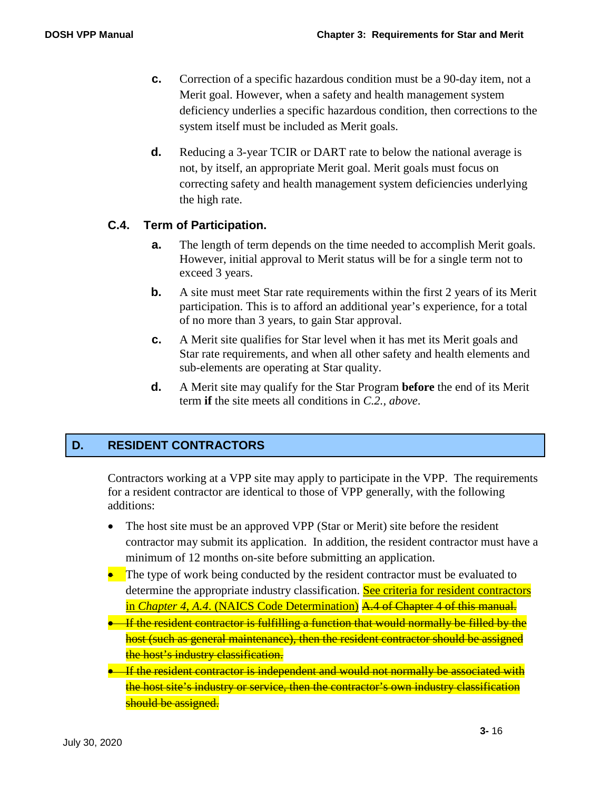- **c.** Correction of a specific hazardous condition must be a 90-day item, not a Merit goal. However, when a safety and health management system deficiency underlies a specific hazardous condition, then corrections to the system itself must be included as Merit goals.
- **d.** Reducing a 3-year TCIR or DART rate to below the national average is not, by itself, an appropriate Merit goal. Merit goals must focus on correcting safety and health management system deficiencies underlying the high rate.

# **C.4. Term of Participation.**

- **a.** The length of term depends on the time needed to accomplish Merit goals. However, initial approval to Merit status will be for a single term not to exceed 3 years.
- **b.** A site must meet Star rate requirements within the first 2 years of its Merit participation. This is to afford an additional year's experience, for a total of no more than 3 years, to gain Star approval.
- **c.** A Merit site qualifies for Star level when it has met its Merit goals and Star rate requirements, and when all other safety and health elements and sub-elements are operating at Star quality.
- **d.** A Merit site may qualify for the Star Program **before** the end of its Merit term **if** the site meets all conditions in *C.2., above*.

# **D. RESIDENT CONTRACTORS**

Contractors working at a VPP site may apply to participate in the VPP. The requirements for a resident contractor are identical to those of VPP generally, with the following additions:

- The host site must be an approved VPP (Star or Merit) site before the resident contractor may submit its application. In addition, the resident contractor must have a minimum of 12 months on-site before submitting an application.
- The type of work being conducted by the resident contractor must be evaluated to determine the appropriate industry classification. See criteria for resident contractors in *Chapter 4, A.4*. (NAICS Code Determination) A.4 of Chapter 4 of this manual.
- If the resident contractor is fulfilling a function that would normally be filled by the host (such as general maintenance), then the resident contractor should be assigned the host's industry classification.
- If the resident contractor is independent and would not normally be associated with the host site's industry or service, then the contractor's own industry classification should be assigned.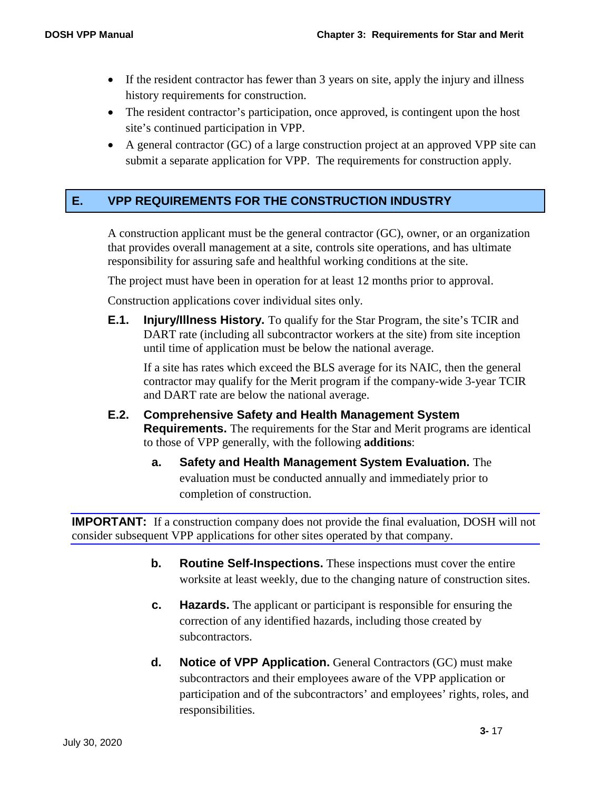- If the resident contractor has fewer than 3 years on site, apply the injury and illness history requirements for construction.
- The resident contractor's participation, once approved, is contingent upon the host site's continued participation in VPP.
- A general contractor (GC) of a large construction project at an approved VPP site can submit a separate application for VPP. The requirements for construction apply.

# **E. VPP REQUIREMENTS FOR THE CONSTRUCTION INDUSTRY**

A construction applicant must be the general contractor (GC), owner, or an organization that provides overall management at a site, controls site operations, and has ultimate responsibility for assuring safe and healthful working conditions at the site.

The project must have been in operation for at least 12 months prior to approval.

Construction applications cover individual sites only.

**E.1. Injury/Illness History.** To qualify for the Star Program, the site's TCIR and DART rate (including all subcontractor workers at the site) from site inception until time of application must be below the national average.

If a site has rates which exceed the BLS average for its NAIC, then the general contractor may qualify for the Merit program if the company-wide 3-year TCIR and DART rate are below the national average.

- **E.2. Comprehensive Safety and Health Management System Requirements.** The requirements for the Star and Merit programs are identical to those of VPP generally, with the following **additions**:
	- **a. Safety and Health Management System Evaluation.** The evaluation must be conducted annually and immediately prior to completion of construction.

**IMPORTANT:** If a construction company does not provide the final evaluation, DOSH will not consider subsequent VPP applications for other sites operated by that company.

- **b. Routine Self-Inspections.** These inspections must cover the entire worksite at least weekly, due to the changing nature of construction sites.
- **c. Hazards.** The applicant or participant is responsible for ensuring the correction of any identified hazards, including those created by subcontractors.
- **d. Notice of VPP Application.** General Contractors (GC) must make subcontractors and their employees aware of the VPP application or participation and of the subcontractors' and employees' rights, roles, and responsibilities.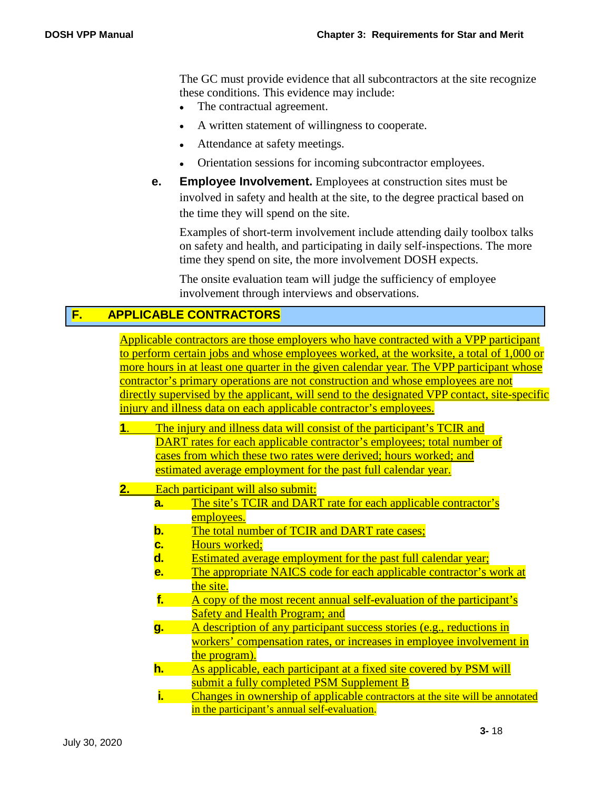The GC must provide evidence that all subcontractors at the site recognize these conditions. This evidence may include:

- The contractual agreement.
- A written statement of willingness to cooperate.
- Attendance at safety meetings.
- Orientation sessions for incoming subcontractor employees.
- **e. Employee Involvement.** Employees at construction sites must be involved in safety and health at the site, to the degree practical based on the time they will spend on the site.

Examples of short-term involvement include attending daily toolbox talks on safety and health, and participating in daily self-inspections. The more time they spend on site, the more involvement DOSH expects.

The onsite evaluation team will judge the sufficiency of employee involvement through interviews and observations.

## **F. APPLICABLE CONTRACTORS**

Applicable contractors are those employers who have contracted with a VPP participant to perform certain jobs and whose employees worked, at the worksite, a total of 1,000 or more hours in at least one quarter in the given calendar year. The VPP participant whose contractor's primary operations are not construction and whose employees are not directly supervised by the applicant, will send to the designated VPP contact, site-specific injury and illness data on each applicable contractor's employees.

**1**. The injury and illness data will consist of the participant's TCIR and DART rates for each applicable contractor's employees; total number of cases from which these two rates were derived; hours worked; and estimated average employment for the past full calendar year.

#### **2.** Each participant will also submit:

- **a.** The site's TCIR and DART rate for each applicable contractor's employees.
- **b.** The total number of TCIR and DART rate cases;
- **c.** Hours worked;
- **d.** Estimated average employment for the past full calendar year;
- **e.** The appropriate NAICS code for each applicable contractor's work at the site.
- **f.** A copy of the most recent annual self-evaluation of the participant's Safety and Health Program; and
- **g.** A description of any participant success stories (e.g., reductions in workers' compensation rates, or increases in employee involvement in the program).
- **h.** As applicable, each participant at a fixed site covered by PSM will submit a fully completed PSM Supplement B
- **i.** Changes in ownership of applicable contractors at the site will be annotated in the participant's annual self-evaluation.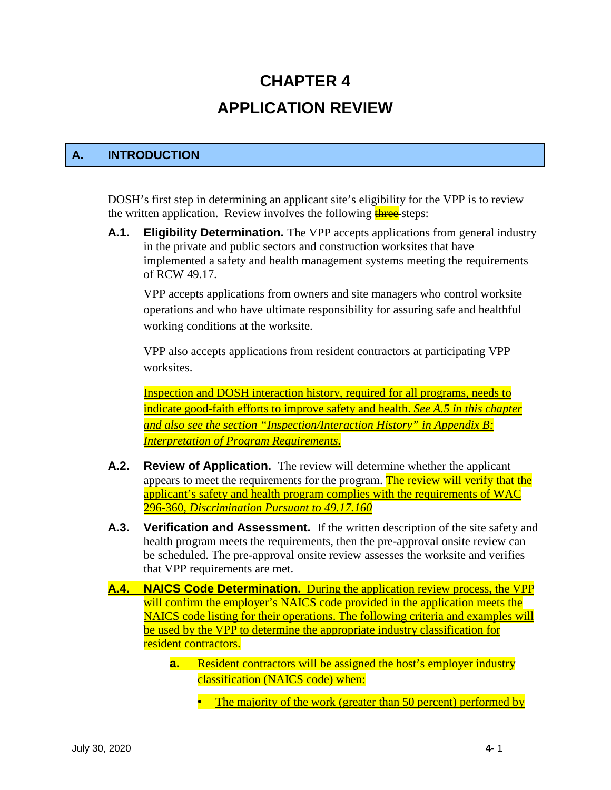# **CHAPTER 4 APPLICATION REVIEW**

# **A. INTRODUCTION**

DOSH's first step in determining an applicant site's eligibility for the VPP is to review the written application. Review involves the following **three** steps:

**A.1. Eligibility Determination.** The VPP accepts applications from general industry in the private and public sectors and construction worksites that have implemented a safety and health management systems meeting the requirements of RCW 49.17.

VPP accepts applications from owners and site managers who control worksite operations and who have ultimate responsibility for assuring safe and healthful working conditions at the worksite.

VPP also accepts applications from resident contractors at participating VPP worksites.

Inspection and DOSH interaction history, required for all programs, needs to indicate good-faith efforts to improve safety and health. *See A.5 in this chapter and also see the section "Inspection/Interaction History" in Appendix B: Interpretation of Program Requirements.*

- **A.2. Review of Application.** The review will determine whether the applicant appears to meet the requirements for the program. The review will verify that the applicant's safety and health program complies with the requirements of WAC 296-360, *Discrimination Pursuant to 49.17.160*
- **A.3. Verification and Assessment.** If the written description of the site safety and health program meets the requirements, then the pre-approval onsite review can be scheduled. The pre-approval onsite review assesses the worksite and verifies that VPP requirements are met.
- **A.4. NAICS Code Determination.** During the application review process, the VPP will confirm the employer's NAICS code provided in the application meets the NAICS code listing for their operations. The following criteria and examples will be used by the VPP to determine the appropriate industry classification for resident contractors.
	- **a.** Resident contractors will be assigned the host's employer industry classification (NAICS code) when:
		- The majority of the work (greater than 50 percent) performed by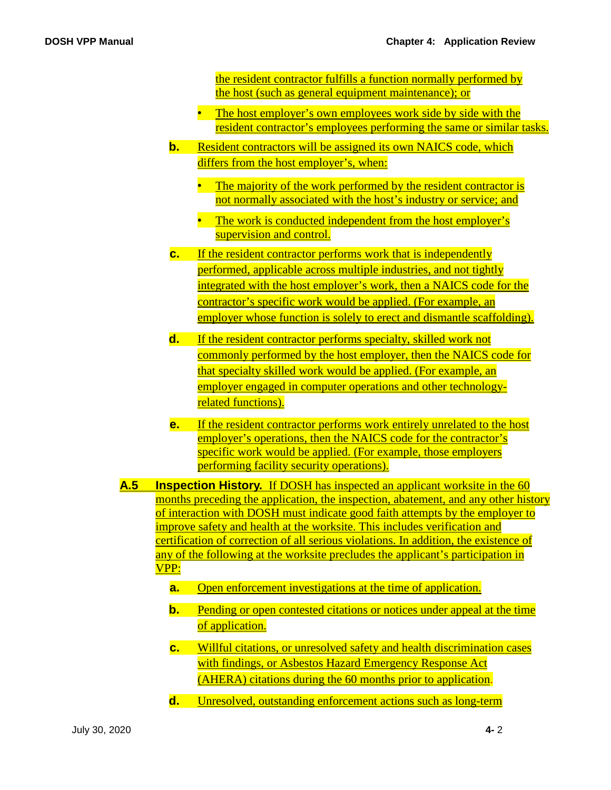the resident contractor fulfills a function normally performed by the host (such as general equipment maintenance); or

- The host employer's own employees work side by side with the resident contractor's employees performing the same or similar tasks.
- **b.** Resident contractors will be assigned its own NAICS code, which differs from the host employer's, when:
	- The majority of the work performed by the resident contractor is not normally associated with the host's industry or service; and
	- The work is conducted independent from the host employer's supervision and control.
- **c.** If the resident contractor performs work that is independently performed, applicable across multiple industries, and not tightly integrated with the host employer's work, then a NAICS code for the contractor's specific work would be applied. (For example, an employer whose function is solely to erect and dismantle scaffolding).
- **d.** If the resident contractor performs specialty, skilled work not commonly performed by the host employer, then the NAICS code for that specialty skilled work would be applied. (For example, an employer engaged in computer operations and other technologyrelated functions).
- **e.** If the resident contractor performs work entirely unrelated to the host employer's operations, then the NAICS code for the contractor's specific work would be applied. (For example, those employers performing facility security operations).
- **A.5 Inspection History.** If DOSH has inspected an applicant worksite in the 60 months preceding the application, the inspection, abatement, and any other history of interaction with DOSH must indicate good faith attempts by the employer to improve safety and health at the worksite. This includes verification and certification of correction of all serious violations. In addition, the existence of any of the following at the worksite precludes the applicant's participation in VPP:
	- **a.** Open enforcement investigations at the time of application.
	- **b.** Pending or open contested citations or notices under appeal at the time of application.
	- **c.** Willful citations, or unresolved safety and health discrimination cases with findings, or Asbestos Hazard Emergency Response Act (AHERA) citations during the 60 months prior to application.
	- **d.** Unresolved, outstanding enforcement actions such as long-term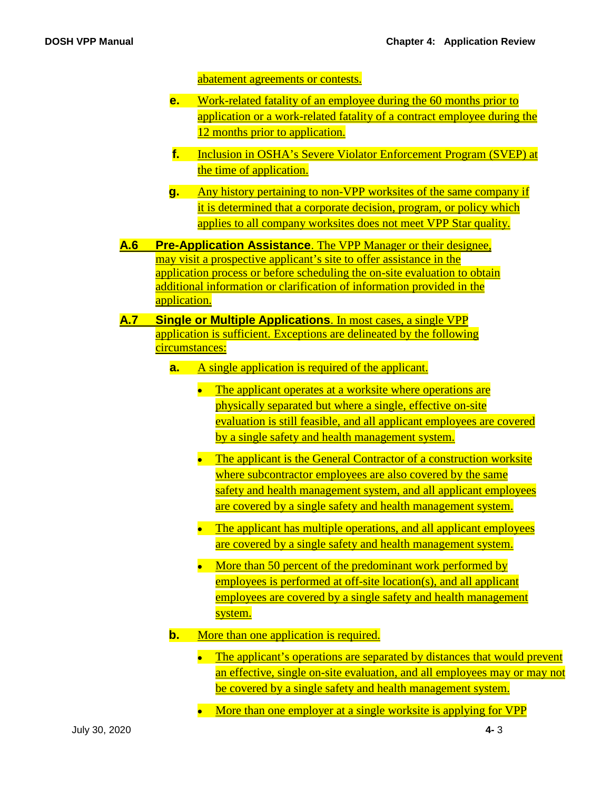abatement agreements or contests.

- **e.** Work-related fatality of an employee during the 60 months prior to application or a work-related fatality of a contract employee during the 12 months prior to application.
- **f.** Inclusion in OSHA's Severe Violator Enforcement Program (SVEP) at the time of application.
- **g.** Any history pertaining to non-VPP worksites of the same company if it is determined that a corporate decision, program, or policy which applies to all company worksites does not meet VPP Star quality.
- **A.6 Pre-Application Assistance**. The VPP Manager or their designee, may visit a prospective applicant's site to offer assistance in the application process or before scheduling the on-site evaluation to obtain additional information or clarification of information provided in the application.
- **A.7 Single or Multiple Applications**. In most cases, a single VPP application is sufficient. Exceptions are delineated by the following circumstances:
	- **a.** A single application is required of the applicant.
		- The applicant operates at a worksite where operations are physically separated but where a single, effective on-site evaluation is still feasible, and all applicant employees are covered by a single safety and health management system.
		- The applicant is the General Contractor of a construction worksite where subcontractor employees are also covered by the same safety and health management system, and all applicant employees are covered by a single safety and health management system.
		- The applicant has multiple operations, and all applicant employees are covered by a single safety and health management system.
		- More than 50 percent of the predominant work performed by employees is performed at off-site location(s), and all applicant employees are covered by a single safety and health management system.
	- **b.** More than one application is required.
		- The applicant's operations are separated by distances that would prevent an effective, single on-site evaluation, and all employees may or may not be covered by a single safety and health management system.
		- More than one employer at a single worksite is applying for VPP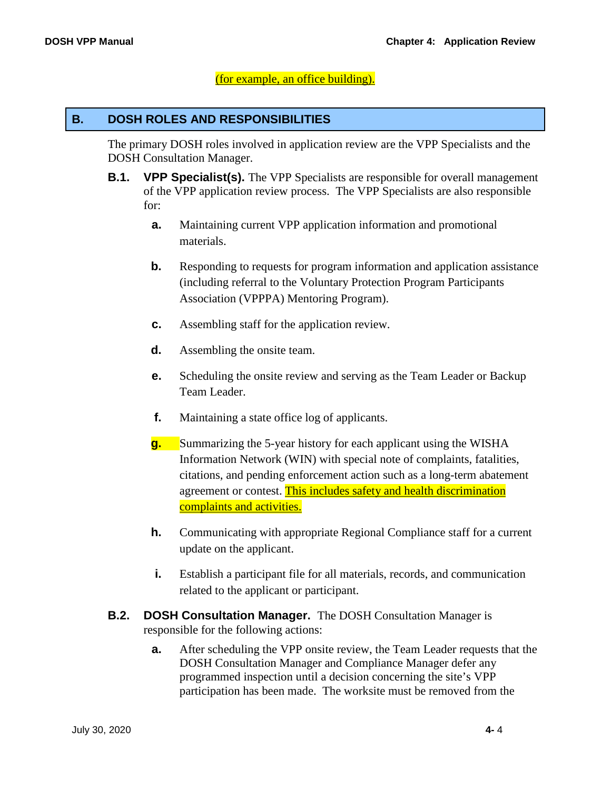### (for example, an office building).

#### **B. DOSH ROLES AND RESPONSIBILITIES**

The primary DOSH roles involved in application review are the VPP Specialists and the DOSH Consultation Manager.

- **B.1. VPP Specialist(s).** The VPP Specialists are responsible for overall management of the VPP application review process. The VPP Specialists are also responsible for:
	- **a.** Maintaining current VPP application information and promotional materials.
	- **b.** Responding to requests for program information and application assistance (including referral to the Voluntary Protection Program Participants Association (VPPPA) Mentoring Program).
	- **c.** Assembling staff for the application review.
	- **d.** Assembling the onsite team.
	- **e.** Scheduling the onsite review and serving as the Team Leader or Backup Team Leader.
	- **f.** Maintaining a state office log of applicants.
	- **g.** Summarizing the 5-year history for each applicant using the WISHA Information Network (WIN) with special note of complaints, fatalities, citations, and pending enforcement action such as a long-term abatement agreement or contest. This includes safety and health discrimination complaints and activities.
	- **h.** Communicating with appropriate Regional Compliance staff for a current update on the applicant.
	- **i.** Establish a participant file for all materials, records, and communication related to the applicant or participant.
- **B.2. DOSH Consultation Manager.** The DOSH Consultation Manager is responsible for the following actions:
	- **a.** After scheduling the VPP onsite review, the Team Leader requests that the DOSH Consultation Manager and Compliance Manager defer any programmed inspection until a decision concerning the site's VPP participation has been made. The worksite must be removed from the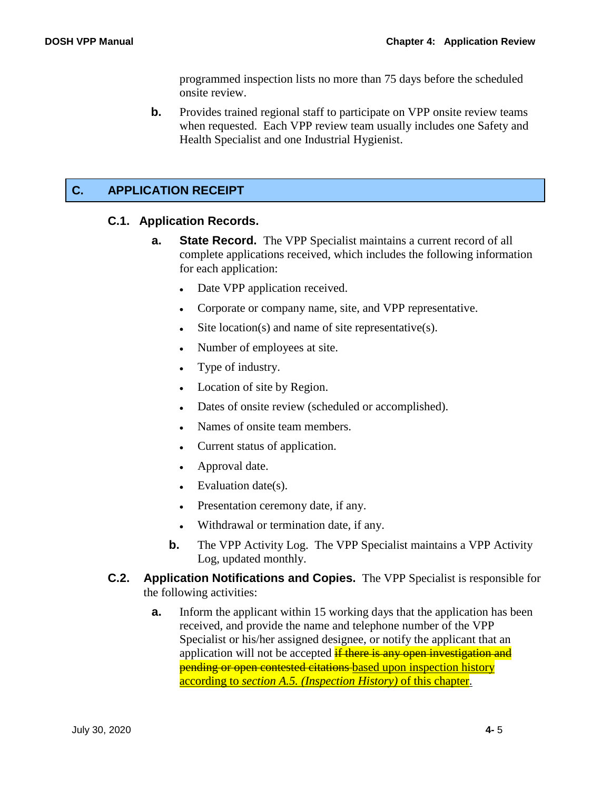programmed inspection lists no more than 75 days before the scheduled onsite review.

**b.** Provides trained regional staff to participate on VPP onsite review teams when requested. Each VPP review team usually includes one Safety and Health Specialist and one Industrial Hygienist.

# **C. APPLICATION RECEIPT**

#### **C.1. Application Records.**

- **a. State Record.** The VPP Specialist maintains a current record of all complete applications received, which includes the following information for each application:
	- Date VPP application received.
	- Corporate or company name, site, and VPP representative.
	- Site location(s) and name of site representative(s).
	- Number of employees at site.
	- Type of industry.
	- Location of site by Region.
	- Dates of onsite review (scheduled or accomplished).
	- Names of onsite team members.
	- Current status of application.
	- Approval date.
	- Evaluation date(s).
	- Presentation ceremony date, if any.
	- Withdrawal or termination date, if any.
	- **b.** The VPP Activity Log. The VPP Specialist maintains a VPP Activity Log, updated monthly.
- **C.2. Application Notifications and Copies.** The VPP Specialist is responsible for the following activities:
	- **a.** Inform the applicant within 15 working days that the application has been received, and provide the name and telephone number of the VPP Specialist or his/her assigned designee, or notify the applicant that an application will not be accepted  $\frac{1}{2}$  there is any open investigation and pending or open contested citations based upon inspection history according to *section A.5. (Inspection History)* of this chapter.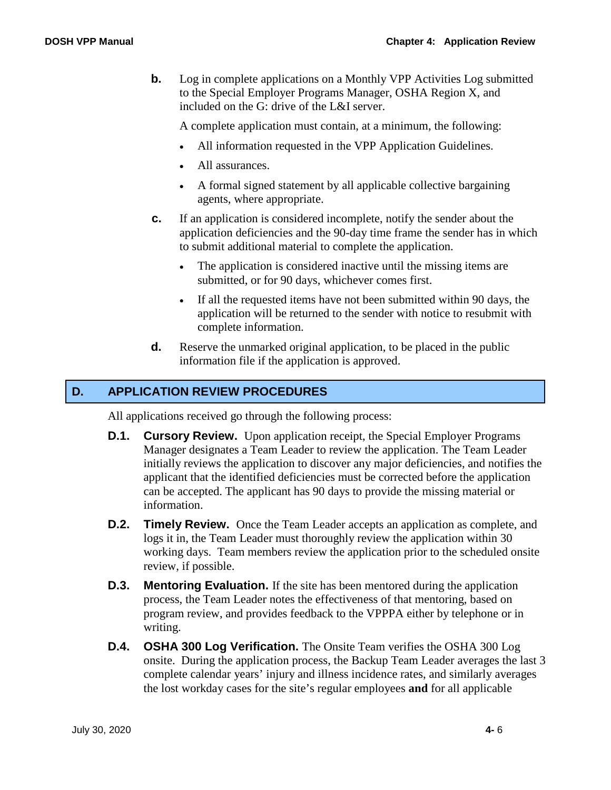**b.** Log in complete applications on a Monthly VPP Activities Log submitted to the Special Employer Programs Manager, OSHA Region X, and included on the G: drive of the L&I server.

A complete application must contain, at a minimum, the following:

- All information requested in the VPP Application Guidelines.
- All assurances.
- A formal signed statement by all applicable collective bargaining agents, where appropriate.
- **c.** If an application is considered incomplete, notify the sender about the application deficiencies and the 90-day time frame the sender has in which to submit additional material to complete the application.
	- The application is considered inactive until the missing items are submitted, or for 90 days, whichever comes first.
	- If all the requested items have not been submitted within 90 days, the application will be returned to the sender with notice to resubmit with complete information.
- **d.** Reserve the unmarked original application, to be placed in the public information file if the application is approved.

# **D. APPLICATION REVIEW PROCEDURES**

All applications received go through the following process:

- **D.1. Cursory Review.** Upon application receipt, the Special Employer Programs Manager designates a Team Leader to review the application. The Team Leader initially reviews the application to discover any major deficiencies, and notifies the applicant that the identified deficiencies must be corrected before the application can be accepted. The applicant has 90 days to provide the missing material or information.
- **D.2. Timely Review.** Once the Team Leader accepts an application as complete, and logs it in, the Team Leader must thoroughly review the application within 30 working days. Team members review the application prior to the scheduled onsite review, if possible.
- **D.3. Mentoring Evaluation.** If the site has been mentored during the application process, the Team Leader notes the effectiveness of that mentoring, based on program review, and provides feedback to the VPPPA either by telephone or in writing.
- **D.4. OSHA 300 Log Verification.** The Onsite Team verifies the OSHA 300 Log onsite. During the application process, the Backup Team Leader averages the last 3 complete calendar years' injury and illness incidence rates, and similarly averages the lost workday cases for the site's regular employees **and** for all applicable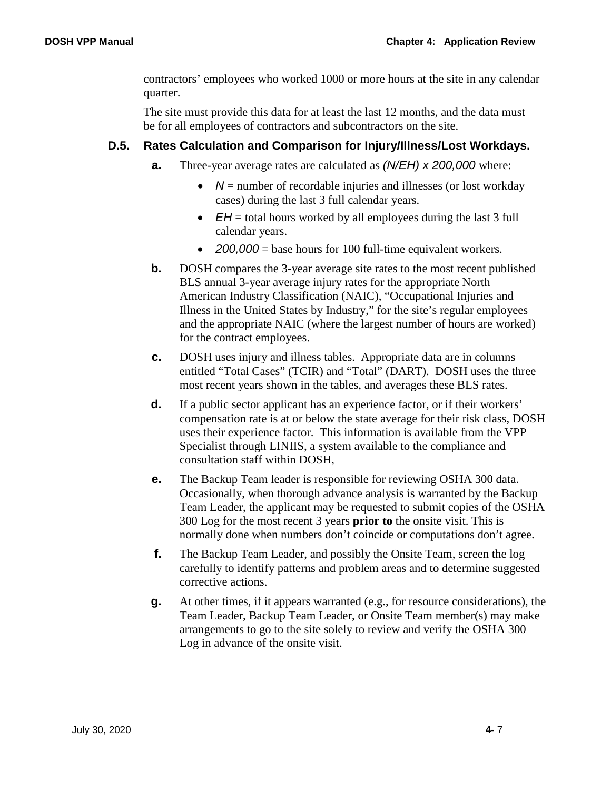contractors' employees who worked 1000 or more hours at the site in any calendar quarter.

The site must provide this data for at least the last 12 months, and the data must be for all employees of contractors and subcontractors on the site.

### **D.5. Rates Calculation and Comparison for Injury/Illness/Lost Workdays.**

- **a.** Three-year average rates are calculated as *(N/EH) x 200,000* where:
	- $N =$  number of recordable injuries and illnesses (or lost workday cases) during the last 3 full calendar years.
	- $EH =$  total hours worked by all employees during the last 3 full calendar years.
	- **200,000** = base hours for 100 full-time equivalent workers.
- **b.** DOSH compares the 3-year average site rates to the most recent published BLS annual 3-year average injury rates for the appropriate North American Industry Classification (NAIC), "Occupational Injuries and Illness in the United States by Industry," for the site's regular employees and the appropriate NAIC (where the largest number of hours are worked) for the contract employees.
- **c.** DOSH uses injury and illness tables. Appropriate data are in columns entitled "Total Cases" (TCIR) and "Total" (DART). DOSH uses the three most recent years shown in the tables, and averages these BLS rates.
- **d.** If a public sector applicant has an experience factor, or if their workers' compensation rate is at or below the state average for their risk class, DOSH uses their experience factor. This information is available from the VPP Specialist through LINIIS, a system available to the compliance and consultation staff within DOSH,
- **e.** The Backup Team leader is responsible for reviewing OSHA 300 data. Occasionally, when thorough advance analysis is warranted by the Backup Team Leader, the applicant may be requested to submit copies of the OSHA 300 Log for the most recent 3 years **prior to** the onsite visit. This is normally done when numbers don't coincide or computations don't agree.
- **f.** The Backup Team Leader, and possibly the Onsite Team, screen the log carefully to identify patterns and problem areas and to determine suggested corrective actions.
- **g.** At other times, if it appears warranted (e.g., for resource considerations), the Team Leader, Backup Team Leader, or Onsite Team member(s) may make arrangements to go to the site solely to review and verify the OSHA 300 Log in advance of the onsite visit.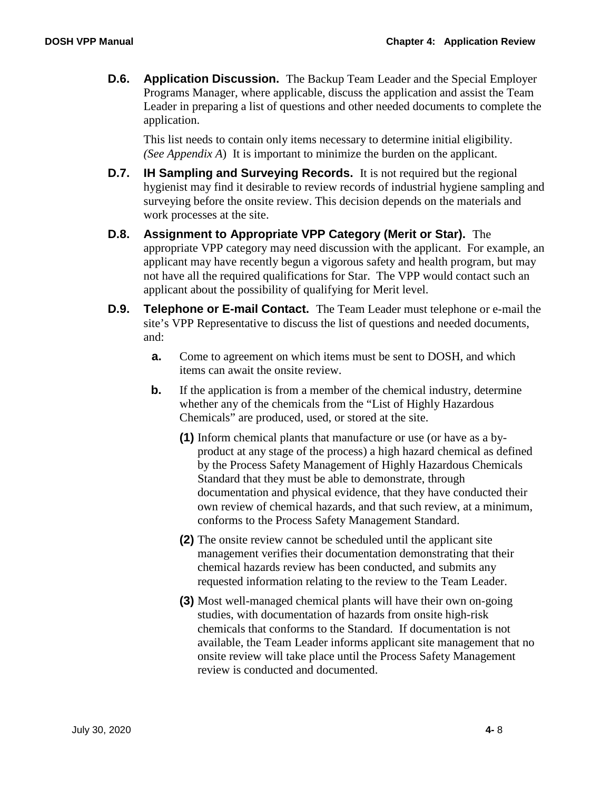**D.6. Application Discussion.** The Backup Team Leader and the Special Employer Programs Manager, where applicable, discuss the application and assist the Team Leader in preparing a list of questions and other needed documents to complete the application.

This list needs to contain only items necessary to determine initial eligibility. *(See Appendix A*) It is important to minimize the burden on the applicant.

- **D.7. IH Sampling and Surveying Records.** It is not required but the regional hygienist may find it desirable to review records of industrial hygiene sampling and surveying before the onsite review. This decision depends on the materials and work processes at the site.
- **D.8. Assignment to Appropriate VPP Category (Merit or Star).** The appropriate VPP category may need discussion with the applicant. For example, an applicant may have recently begun a vigorous safety and health program, but may not have all the required qualifications for Star. The VPP would contact such an applicant about the possibility of qualifying for Merit level.
- **D.9. Telephone or E-mail Contact.** The Team Leader must telephone or e-mail the site's VPP Representative to discuss the list of questions and needed documents, and:
	- **a.** Come to agreement on which items must be sent to DOSH, and which items can await the onsite review.
	- **b.** If the application is from a member of the chemical industry, determine whether any of the chemicals from the "List of Highly Hazardous Chemicals" are produced, used, or stored at the site.
		- **(1)** Inform chemical plants that manufacture or use (or have as a byproduct at any stage of the process) a high hazard chemical as defined by the Process Safety Management of Highly Hazardous Chemicals Standard that they must be able to demonstrate, through documentation and physical evidence, that they have conducted their own review of chemical hazards, and that such review, at a minimum, conforms to the Process Safety Management Standard.
		- **(2)** The onsite review cannot be scheduled until the applicant site management verifies their documentation demonstrating that their chemical hazards review has been conducted, and submits any requested information relating to the review to the Team Leader.
		- **(3)** Most well-managed chemical plants will have their own on-going studies, with documentation of hazards from onsite high-risk chemicals that conforms to the Standard. If documentation is not available, the Team Leader informs applicant site management that no onsite review will take place until the Process Safety Management review is conducted and documented.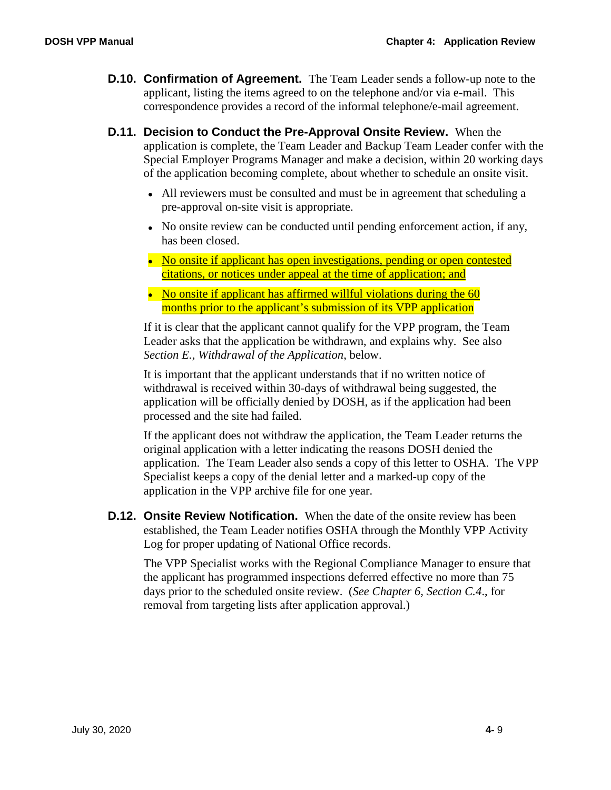- **D.10. Confirmation of Agreement.** The Team Leader sends a follow-up note to the applicant, listing the items agreed to on the telephone and/or via e-mail. This correspondence provides a record of the informal telephone/e-mail agreement.
- **D.11. Decision to Conduct the Pre-Approval Onsite Review.** When the application is complete, the Team Leader and Backup Team Leader confer with the Special Employer Programs Manager and make a decision, within 20 working days of the application becoming complete, about whether to schedule an onsite visit.
	- All reviewers must be consulted and must be in agreement that scheduling a pre-approval on-site visit is appropriate.
	- No onsite review can be conducted until pending enforcement action, if any, has been closed.
	- No onsite if applicant has open investigations, pending or open contested citations, or notices under appeal at the time of application; and
	- No onsite if applicant has affirmed willful violations during the 60 months prior to the applicant's submission of its VPP application

If it is clear that the applicant cannot qualify for the VPP program, the Team Leader asks that the application be withdrawn, and explains why. See also *Section E., Withdrawal of the Application*, below.

It is important that the applicant understands that if no written notice of withdrawal is received within 30-days of withdrawal being suggested, the application will be officially denied by DOSH, as if the application had been processed and the site had failed.

If the applicant does not withdraw the application, the Team Leader returns the original application with a letter indicating the reasons DOSH denied the application. The Team Leader also sends a copy of this letter to OSHA. The VPP Specialist keeps a copy of the denial letter and a marked-up copy of the application in the VPP archive file for one year.

**D.12. Onsite Review Notification.** When the date of the onsite review has been established, the Team Leader notifies OSHA through the Monthly VPP Activity Log for proper updating of National Office records.

The VPP Specialist works with the Regional Compliance Manager to ensure that the applicant has programmed inspections deferred effective no more than 75 days prior to the scheduled onsite review. (*See Chapter 6, Section C.4*., for removal from targeting lists after application approval.)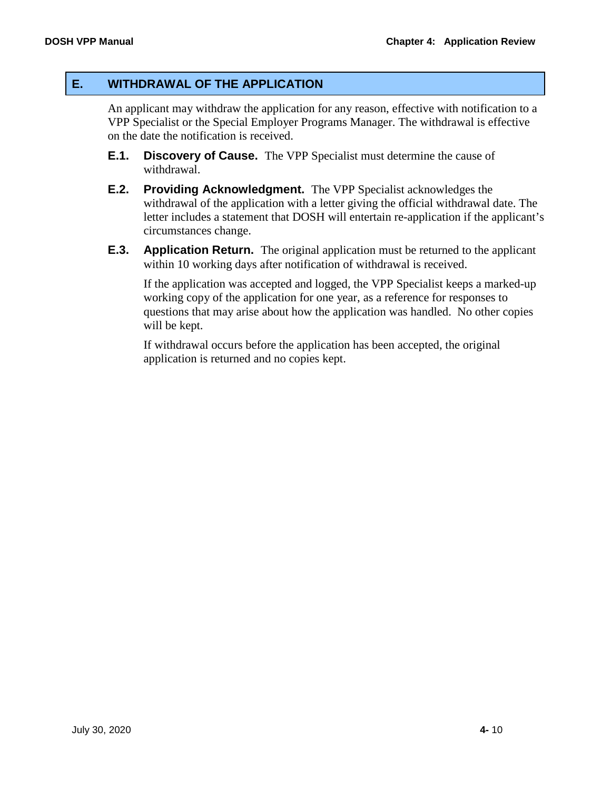# **E. WITHDRAWAL OF THE APPLICATION**

An applicant may withdraw the application for any reason, effective with notification to a VPP Specialist or the Special Employer Programs Manager. The withdrawal is effective on the date the notification is received.

- **E.1. Discovery of Cause.** The VPP Specialist must determine the cause of withdrawal.
- **E.2. Providing Acknowledgment.** The VPP Specialist acknowledges the withdrawal of the application with a letter giving the official withdrawal date. The letter includes a statement that DOSH will entertain re-application if the applicant's circumstances change.
- **E.3. Application Return.** The original application must be returned to the applicant within 10 working days after notification of withdrawal is received.

If the application was accepted and logged, the VPP Specialist keeps a marked-up working copy of the application for one year, as a reference for responses to questions that may arise about how the application was handled. No other copies will be kept.

If withdrawal occurs before the application has been accepted, the original application is returned and no copies kept.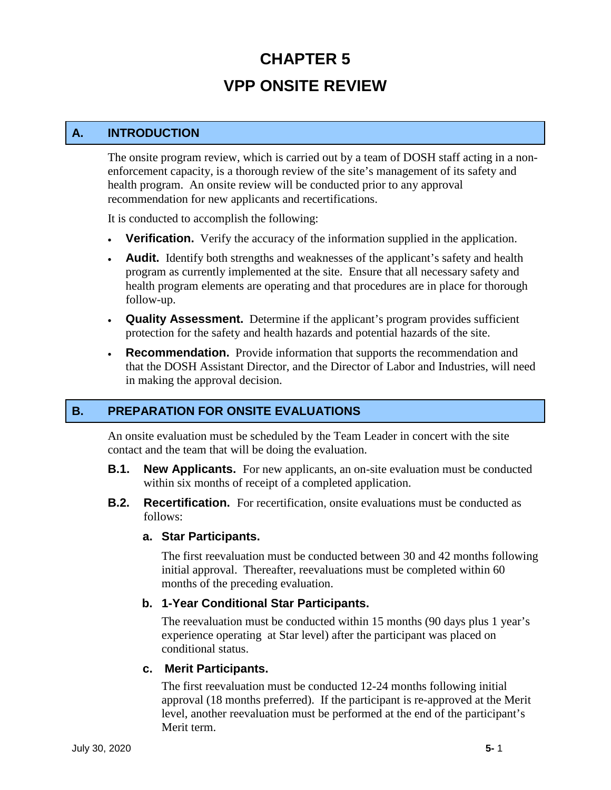# **CHAPTER 5 VPP ONSITE REVIEW**

## **A. INTRODUCTION**

The onsite program review, which is carried out by a team of DOSH staff acting in a nonenforcement capacity, is a thorough review of the site's management of its safety and health program. An onsite review will be conducted prior to any approval recommendation for new applicants and recertifications.

It is conducted to accomplish the following:

- **Verification.** Verify the accuracy of the information supplied in the application.
- **Audit.** Identify both strengths and weaknesses of the applicant's safety and health program as currently implemented at the site. Ensure that all necessary safety and health program elements are operating and that procedures are in place for thorough follow-up.
- **Quality Assessment.** Determine if the applicant's program provides sufficient protection for the safety and health hazards and potential hazards of the site.
- **Recommendation.** Provide information that supports the recommendation and that the DOSH Assistant Director, and the Director of Labor and Industries, will need in making the approval decision.

# **B. PREPARATION FOR ONSITE EVALUATIONS**

An onsite evaluation must be scheduled by the Team Leader in concert with the site contact and the team that will be doing the evaluation.

- **B.1. New Applicants.** For new applicants, an on-site evaluation must be conducted within six months of receipt of a completed application.
- **B.2. Recertification.** For recertification, onsite evaluations must be conducted as follows:

#### **a. Star Participants.**

The first reevaluation must be conducted between 30 and 42 months following initial approval. Thereafter, reevaluations must be completed within 60 months of the preceding evaluation.

#### **b. 1-Year Conditional Star Participants.**

The reevaluation must be conducted within 15 months (90 days plus 1 year's experience operating at Star level) after the participant was placed on conditional status.

#### **c. Merit Participants.**

The first reevaluation must be conducted 12-24 months following initial approval (18 months preferred). If the participant is re-approved at the Merit level, another reevaluation must be performed at the end of the participant's Merit term.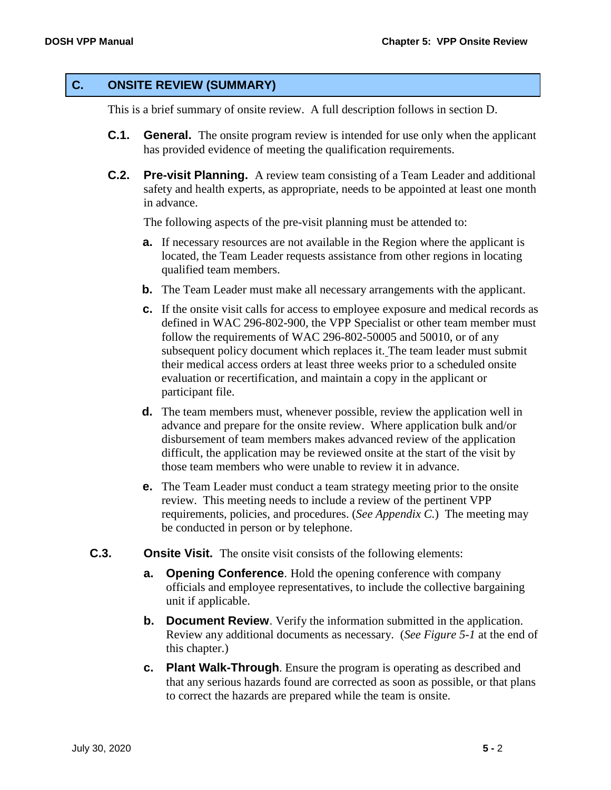## **C. ONSITE REVIEW (SUMMARY)**

This is a brief summary of onsite review. A full description follows in section D.

- **C.1. General.** The onsite program review is intended for use only when the applicant has provided evidence of meeting the qualification requirements.
- **C.2. Pre-visit Planning.** A review team consisting of a Team Leader and additional safety and health experts, as appropriate, needs to be appointed at least one month in advance.

The following aspects of the pre-visit planning must be attended to:

- **a.** If necessary resources are not available in the Region where the applicant is located, the Team Leader requests assistance from other regions in locating qualified team members.
- **b.** The Team Leader must make all necessary arrangements with the applicant.
- **c.** If the onsite visit calls for access to employee exposure and medical records as defined in WAC 296-802-900, the VPP Specialist or other team member must follow the requirements of WAC 296-802-50005 and 50010, or of any subsequent policy document which replaces it. The team leader must submit their medical access orders at least three weeks prior to a scheduled onsite evaluation or recertification, and maintain a copy in the applicant or participant file.
- **d.** The team members must, whenever possible, review the application well in advance and prepare for the onsite review. Where application bulk and/or disbursement of team members makes advanced review of the application difficult, the application may be reviewed onsite at the start of the visit by those team members who were unable to review it in advance.
- **e.** The Team Leader must conduct a team strategy meeting prior to the onsite review. This meeting needs to include a review of the pertinent VPP requirements, policies, and procedures. (*See Appendix C.*) The meeting may be conducted in person or by telephone.
- **C.3. Onsite Visit.** The onsite visit consists of the following elements:
	- **a. Opening Conference**. Hold the opening conference with company officials and employee representatives, to include the collective bargaining unit if applicable.
	- **b. Document Review**. Verify the information submitted in the application. Review any additional documents as necessary. (*See Figure 5-1* at the end of this chapter.)
	- **c. Plant Walk-Through**. Ensure the program is operating as described and that any serious hazards found are corrected as soon as possible, or that plans to correct the hazards are prepared while the team is onsite.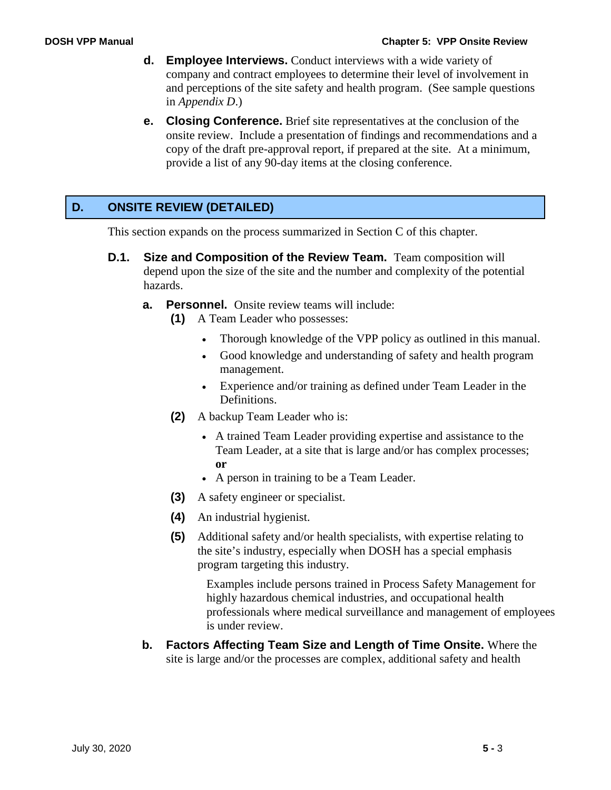- **d. Employee Interviews.** Conduct interviews with a wide variety of company and contract employees to determine their level of involvement in and perceptions of the site safety and health program. (See sample questions in *Appendix D*.)
- **e. Closing Conference.** Brief site representatives at the conclusion of the onsite review. Include a presentation of findings and recommendations and a copy of the draft pre-approval report, if prepared at the site. At a minimum, provide a list of any 90-day items at the closing conference.

# **D. ONSITE REVIEW (DETAILED)**

This section expands on the process summarized in Section C of this chapter.

- **D.1. Size and Composition of the Review Team.** Team composition will depend upon the size of the site and the number and complexity of the potential hazards.
	- **a. Personnel.** Onsite review teams will include:
		- **(1)** A Team Leader who possesses:
			- Thorough knowledge of the VPP policy as outlined in this manual.
			- Good knowledge and understanding of safety and health program management.
			- Experience and/or training as defined under Team Leader in the Definitions.
		- **(2)** A backup Team Leader who is:
			- A trained Team Leader providing expertise and assistance to the Team Leader, at a site that is large and/or has complex processes; **or**
			- A person in training to be a Team Leader.
		- **(3)** A safety engineer or specialist.
		- **(4)** An industrial hygienist.
		- **(5)** Additional safety and/or health specialists, with expertise relating to the site's industry, especially when DOSH has a special emphasis program targeting this industry.

Examples include persons trained in Process Safety Management for highly hazardous chemical industries, and occupational health professionals where medical surveillance and management of employees is under review.

**b. Factors Affecting Team Size and Length of Time Onsite.** Where the site is large and/or the processes are complex, additional safety and health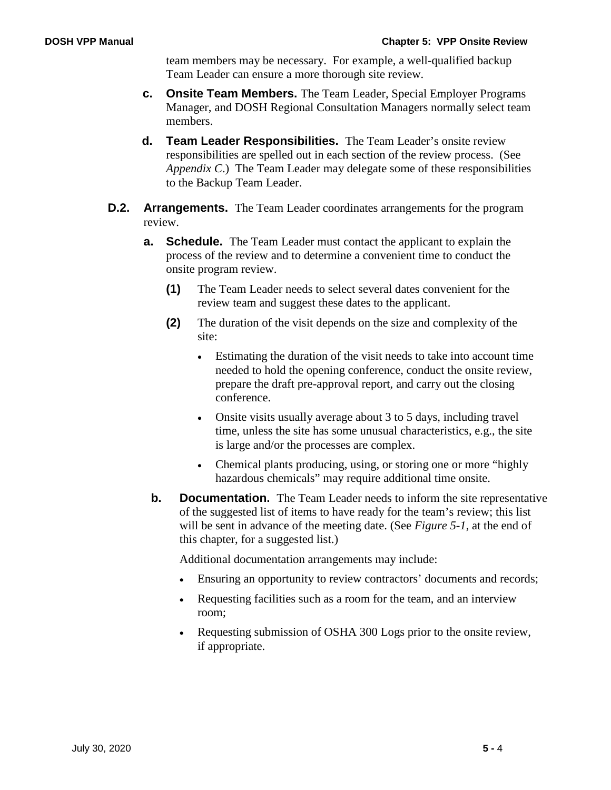team members may be necessary. For example, a well-qualified backup Team Leader can ensure a more thorough site review.

- **c. Onsite Team Members.** The Team Leader, Special Employer Programs Manager, and DOSH Regional Consultation Managers normally select team members.
- **d. Team Leader Responsibilities.** The Team Leader's onsite review responsibilities are spelled out in each section of the review process. (See *Appendix C*.) The Team Leader may delegate some of these responsibilities to the Backup Team Leader.
- **D.2. Arrangements.** The Team Leader coordinates arrangements for the program review.
	- **a. Schedule.** The Team Leader must contact the applicant to explain the process of the review and to determine a convenient time to conduct the onsite program review.
		- **(1)** The Team Leader needs to select several dates convenient for the review team and suggest these dates to the applicant.
		- **(2)** The duration of the visit depends on the size and complexity of the site:
			- Estimating the duration of the visit needs to take into account time needed to hold the opening conference, conduct the onsite review, prepare the draft pre-approval report, and carry out the closing conference.
			- Onsite visits usually average about 3 to 5 days, including travel time, unless the site has some unusual characteristics, e.g., the site is large and/or the processes are complex.
			- Chemical plants producing, using, or storing one or more "highly hazardous chemicals" may require additional time onsite.
		- **b. Documentation.** The Team Leader needs to inform the site representative of the suggested list of items to have ready for the team's review; this list will be sent in advance of the meeting date. (See *Figure 5-1*, at the end of this chapter, for a suggested list.)

Additional documentation arrangements may include:

- Ensuring an opportunity to review contractors' documents and records;
- Requesting facilities such as a room for the team, and an interview room;
- Requesting submission of OSHA 300 Logs prior to the onsite review, if appropriate.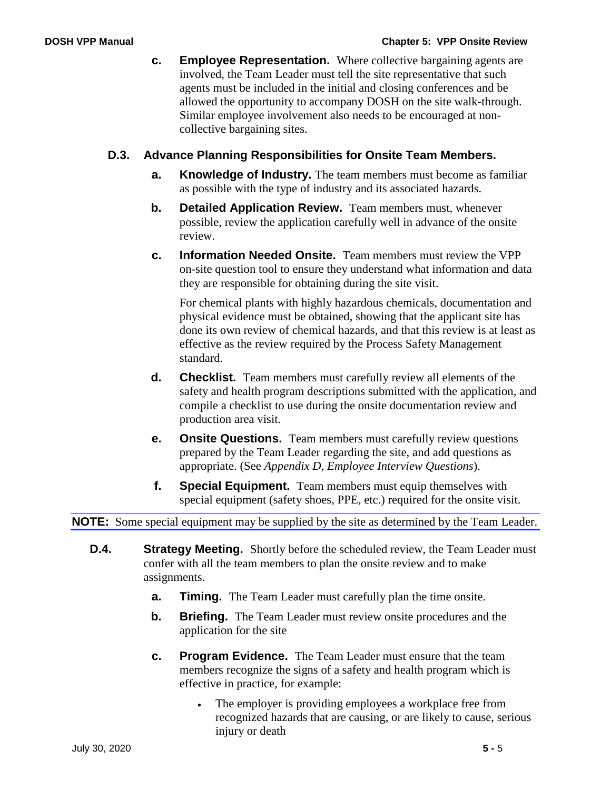**c. Employee Representation.** Where collective bargaining agents are involved, the Team Leader must tell the site representative that such agents must be included in the initial and closing conferences and be allowed the opportunity to accompany DOSH on the site walk-through. Similar employee involvement also needs to be encouraged at noncollective bargaining sites.

# **D.3. Advance Planning Responsibilities for Onsite Team Members.**

- **a. Knowledge of Industry.** The team members must become as familiar as possible with the type of industry and its associated hazards.
- **b. Detailed Application Review.** Team members must, whenever possible, review the application carefully well in advance of the onsite review.
- **c. Information Needed Onsite.** Team members must review the VPP on-site question tool to ensure they understand what information and data they are responsible for obtaining during the site visit.

For chemical plants with highly hazardous chemicals, documentation and physical evidence must be obtained, showing that the applicant site has done its own review of chemical hazards, and that this review is at least as effective as the review required by the Process Safety Management standard.

- **d. Checklist.** Team members must carefully review all elements of the safety and health program descriptions submitted with the application, and compile a checklist to use during the onsite documentation review and production area visit.
- **e. Onsite Questions.** Team members must carefully review questions prepared by the Team Leader regarding the site, and add questions as appropriate. (See *Appendix D, Employee Interview Questions*).
- **f. Special Equipment.** Team members must equip themselves with special equipment (safety shoes, PPE, etc.) required for the onsite visit.

**NOTE:** Some special equipment may be supplied by the site as determined by the Team Leader.

- **D.4. Strategy Meeting.** Shortly before the scheduled review, the Team Leader must confer with all the team members to plan the onsite review and to make assignments.
	- **a. Timing.** The Team Leader must carefully plan the time onsite.
	- **b. Briefing.** The Team Leader must review onsite procedures and the application for the site
	- **c. Program Evidence.** The Team Leader must ensure that the team members recognize the signs of a safety and health program which is effective in practice, for example:
		- The employer is providing employees a workplace free from recognized hazards that are causing, or are likely to cause, serious injury or death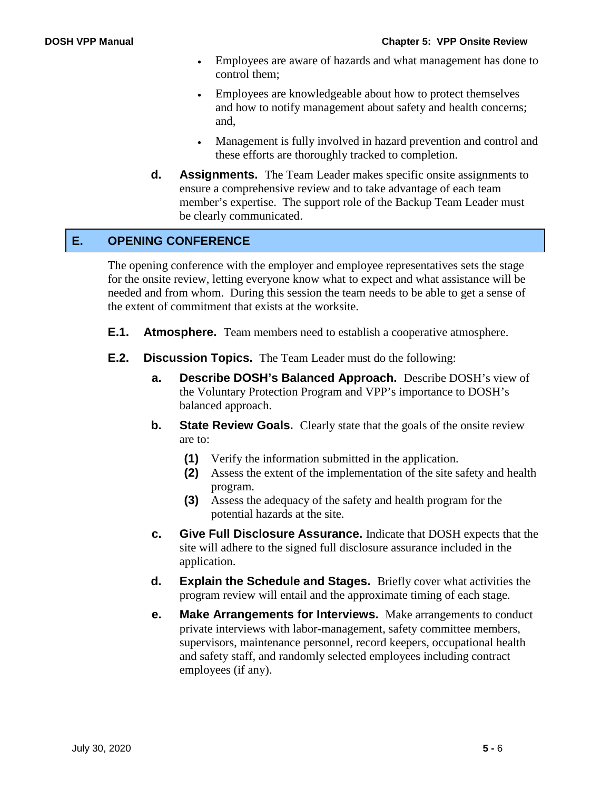- Employees are aware of hazards and what management has done to control them;
- Employees are knowledgeable about how to protect themselves and how to notify management about safety and health concerns; and,
- Management is fully involved in hazard prevention and control and these efforts are thoroughly tracked to completion.
- **d. Assignments.** The Team Leader makes specific onsite assignments to ensure a comprehensive review and to take advantage of each team member's expertise. The support role of the Backup Team Leader must be clearly communicated.

## **E. OPENING CONFERENCE**

The opening conference with the employer and employee representatives sets the stage for the onsite review, letting everyone know what to expect and what assistance will be needed and from whom. During this session the team needs to be able to get a sense of the extent of commitment that exists at the worksite.

- **E.1. Atmosphere.** Team members need to establish a cooperative atmosphere.
- **E.2. Discussion Topics.** The Team Leader must do the following:
	- **a. Describe DOSH's Balanced Approach.** Describe DOSH's view of the Voluntary Protection Program and VPP's importance to DOSH's balanced approach.
	- **b. State Review Goals.** Clearly state that the goals of the onsite review are to:
		- **(1)** Verify the information submitted in the application.
		- **(2)** Assess the extent of the implementation of the site safety and health program.
		- **(3)** Assess the adequacy of the safety and health program for the potential hazards at the site.
	- **c. Give Full Disclosure Assurance.** Indicate that DOSH expects that the site will adhere to the signed full disclosure assurance included in the application.
	- **d. Explain the Schedule and Stages.** Briefly cover what activities the program review will entail and the approximate timing of each stage.
	- **e. Make Arrangements for Interviews.** Make arrangements to conduct private interviews with labor-management, safety committee members, supervisors, maintenance personnel, record keepers, occupational health and safety staff, and randomly selected employees including contract employees (if any).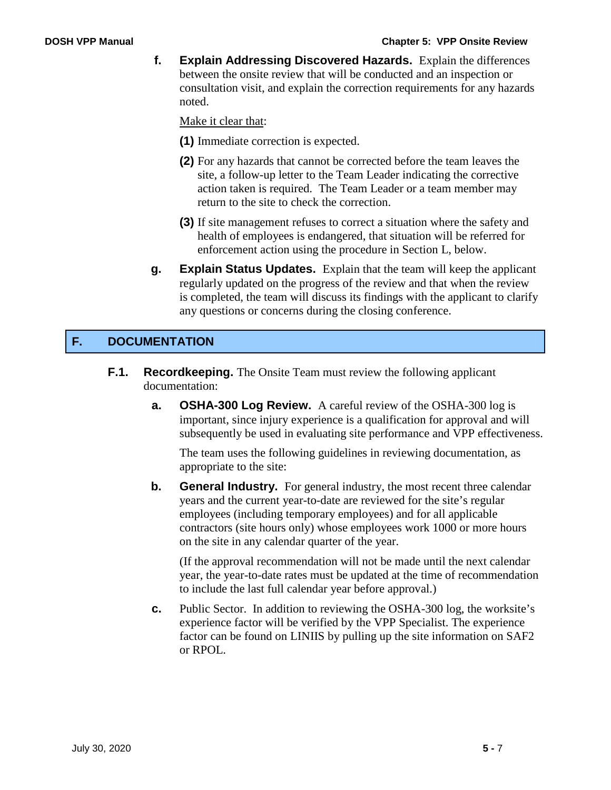**f. Explain Addressing Discovered Hazards.** Explain the differences between the onsite review that will be conducted and an inspection or consultation visit, and explain the correction requirements for any hazards noted.

Make it clear that:

- **(1)** Immediate correction is expected.
- **(2)** For any hazards that cannot be corrected before the team leaves the site, a follow-up letter to the Team Leader indicating the corrective action taken is required. The Team Leader or a team member may return to the site to check the correction.
- **(3)** If site management refuses to correct a situation where the safety and health of employees is endangered, that situation will be referred for enforcement action using the procedure in Section L, below.
- **g. Explain Status Updates.** Explain that the team will keep the applicant regularly updated on the progress of the review and that when the review is completed, the team will discuss its findings with the applicant to clarify any questions or concerns during the closing conference.

# **F. DOCUMENTATION**

- **F.1. Recordkeeping.** The Onsite Team must review the following applicant documentation:
	- **a. OSHA-300 Log Review.** A careful review of the OSHA-300 log is important, since injury experience is a qualification for approval and will subsequently be used in evaluating site performance and VPP effectiveness.

The team uses the following guidelines in reviewing documentation, as appropriate to the site:

**b. General Industry.** For general industry, the most recent three calendar years and the current year-to-date are reviewed for the site's regular employees (including temporary employees) and for all applicable contractors (site hours only) whose employees work 1000 or more hours on the site in any calendar quarter of the year.

(If the approval recommendation will not be made until the next calendar year, the year-to-date rates must be updated at the time of recommendation to include the last full calendar year before approval.)

**c.** Public Sector. In addition to reviewing the OSHA-300 log, the worksite's experience factor will be verified by the VPP Specialist. The experience factor can be found on LINIIS by pulling up the site information on SAF2 or RPOL.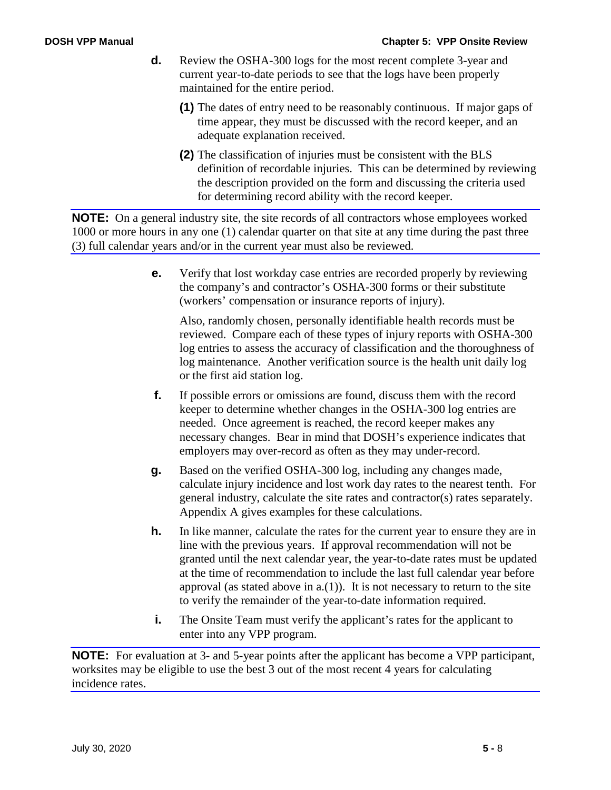- **d.** Review the OSHA-300 logs for the most recent complete 3-year and current year-to-date periods to see that the logs have been properly maintained for the entire period.
	- **(1)** The dates of entry need to be reasonably continuous. If major gaps of time appear, they must be discussed with the record keeper, and an adequate explanation received.
	- **(2)** The classification of injuries must be consistent with the BLS definition of recordable injuries. This can be determined by reviewing the description provided on the form and discussing the criteria used for determining record ability with the record keeper.

**NOTE:** On a general industry site, the site records of all contractors whose employees worked 1000 or more hours in any one (1) calendar quarter on that site at any time during the past three (3) full calendar years and/or in the current year must also be reviewed.

> **e.** Verify that lost workday case entries are recorded properly by reviewing the company's and contractor's OSHA-300 forms or their substitute (workers' compensation or insurance reports of injury).

Also, randomly chosen, personally identifiable health records must be reviewed. Compare each of these types of injury reports with OSHA-300 log entries to assess the accuracy of classification and the thoroughness of log maintenance. Another verification source is the health unit daily log or the first aid station log.

- **f.** If possible errors or omissions are found, discuss them with the record keeper to determine whether changes in the OSHA-300 log entries are needed. Once agreement is reached, the record keeper makes any necessary changes. Bear in mind that DOSH's experience indicates that employers may over-record as often as they may under-record.
- **g.** Based on the verified OSHA-300 log, including any changes made, calculate injury incidence and lost work day rates to the nearest tenth. For general industry, calculate the site rates and contractor(s) rates separately. Appendix A gives examples for these calculations.
- **h.** In like manner, calculate the rates for the current year to ensure they are in line with the previous years. If approval recommendation will not be granted until the next calendar year, the year-to-date rates must be updated at the time of recommendation to include the last full calendar year before approval (as stated above in  $a(1)$ ). It is not necessary to return to the site to verify the remainder of the year-to-date information required.
- **i.** The Onsite Team must verify the applicant's rates for the applicant to enter into any VPP program.

**NOTE:** For evaluation at 3- and 5-year points after the applicant has become a VPP participant, worksites may be eligible to use the best 3 out of the most recent 4 years for calculating incidence rates.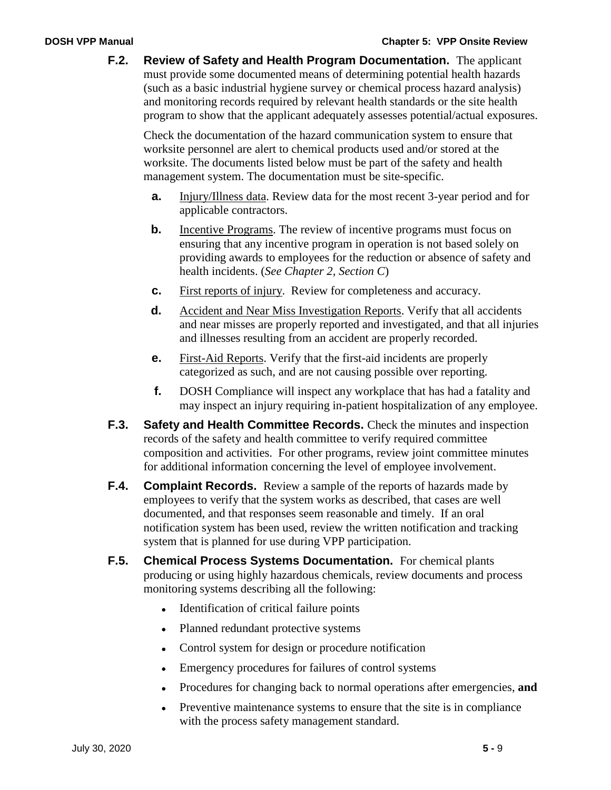**F.2. Review of Safety and Health Program Documentation.** The applicant must provide some documented means of determining potential health hazards (such as a basic industrial hygiene survey or chemical process hazard analysis) and monitoring records required by relevant health standards or the site health program to show that the applicant adequately assesses potential/actual exposures.

Check the documentation of the hazard communication system to ensure that worksite personnel are alert to chemical products used and/or stored at the worksite. The documents listed below must be part of the safety and health management system. The documentation must be site-specific.

- **a.** Injury/Illness data. Review data for the most recent 3-year period and for applicable contractors.
- **b.** Incentive Programs. The review of incentive programs must focus on ensuring that any incentive program in operation is not based solely on providing awards to employees for the reduction or absence of safety and health incidents. (*See Chapter 2, Section C*)
- **c.** First reports of injury. Review for completeness and accuracy.
- **d.** Accident and Near Miss Investigation Reports. Verify that all accidents and near misses are properly reported and investigated, and that all injuries and illnesses resulting from an accident are properly recorded.
- **e.** First-Aid Reports. Verify that the first-aid incidents are properly categorized as such, and are not causing possible over reporting.
- **f.** DOSH Compliance will inspect any workplace that has had a fatality and may inspect an injury requiring in-patient hospitalization of any employee.
- **F.3. Safety and Health Committee Records.** Check the minutes and inspection records of the safety and health committee to verify required committee composition and activities. For other programs, review joint committee minutes for additional information concerning the level of employee involvement.
- **F.4. Complaint Records.** Review a sample of the reports of hazards made by employees to verify that the system works as described, that cases are well documented, and that responses seem reasonable and timely. If an oral notification system has been used, review the written notification and tracking system that is planned for use during VPP participation.
- **F.5. Chemical Process Systems Documentation.** For chemical plants producing or using highly hazardous chemicals, review documents and process monitoring systems describing all the following:
	- Identification of critical failure points
	- Planned redundant protective systems
	- Control system for design or procedure notification
	- Emergency procedures for failures of control systems
	- Procedures for changing back to normal operations after emergencies, **and**
	- Preventive maintenance systems to ensure that the site is in compliance with the process safety management standard.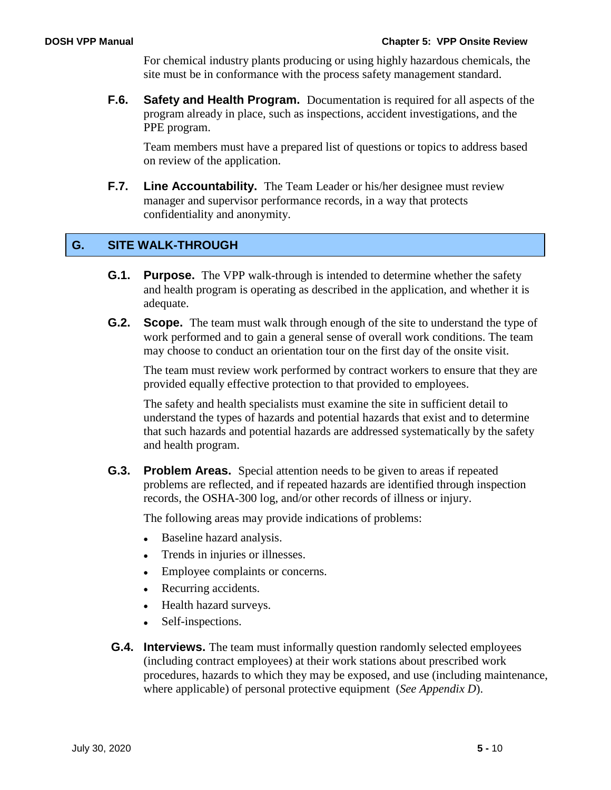For chemical industry plants producing or using highly hazardous chemicals, the site must be in conformance with the process safety management standard.

**F.6. Safety and Health Program.** Documentation is required for all aspects of the program already in place, such as inspections, accident investigations, and the PPE program.

Team members must have a prepared list of questions or topics to address based on review of the application.

**F.7. Line Accountability.** The Team Leader or his/her designee must review manager and supervisor performance records, in a way that protects confidentiality and anonymity.

## **G. SITE WALK-THROUGH**

- **G.1. Purpose.** The VPP walk-through is intended to determine whether the safety and health program is operating as described in the application, and whether it is adequate.
- **G.2. Scope.** The team must walk through enough of the site to understand the type of work performed and to gain a general sense of overall work conditions. The team may choose to conduct an orientation tour on the first day of the onsite visit.

The team must review work performed by contract workers to ensure that they are provided equally effective protection to that provided to employees.

The safety and health specialists must examine the site in sufficient detail to understand the types of hazards and potential hazards that exist and to determine that such hazards and potential hazards are addressed systematically by the safety and health program.

**G.3. Problem Areas.** Special attention needs to be given to areas if repeated problems are reflected, and if repeated hazards are identified through inspection records, the OSHA-300 log, and/or other records of illness or injury.

The following areas may provide indications of problems:

- Baseline hazard analysis.
- Trends in injuries or illnesses.
- Employee complaints or concerns.
- Recurring accidents.
- Health hazard surveys.
- Self-inspections.
- **G.4. Interviews.** The team must informally question randomly selected employees (including contract employees) at their work stations about prescribed work procedures, hazards to which they may be exposed, and use (including maintenance, where applicable) of personal protective equipment (*See Appendix D*).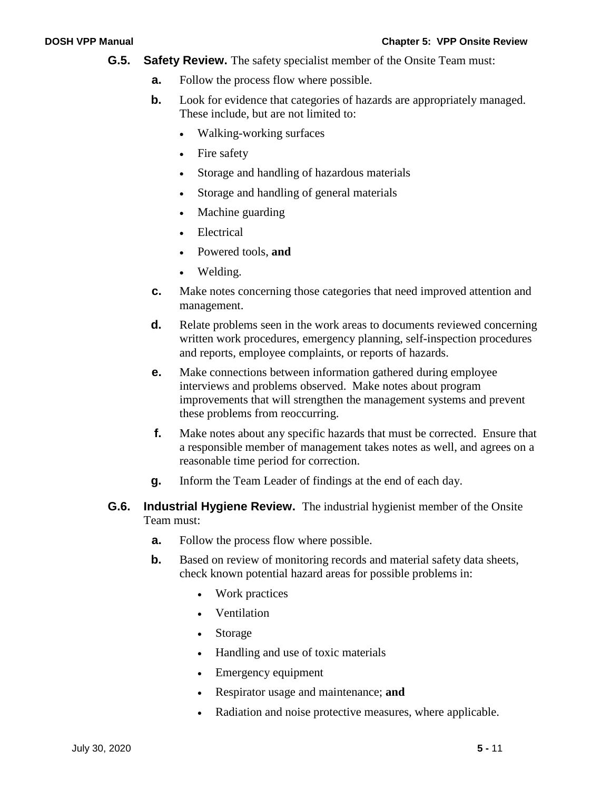- **G.5. Safety Review.** The safety specialist member of the Onsite Team must:
	- **a.** Follow the process flow where possible.
	- **b.** Look for evidence that categories of hazards are appropriately managed. These include, but are not limited to:
		- Walking-working surfaces
		- Fire safety
		- Storage and handling of hazardous materials
		- Storage and handling of general materials
		- Machine guarding
		- Electrical
		- Powered tools, **and**
		- Welding.
	- **c.** Make notes concerning those categories that need improved attention and management.
	- **d.** Relate problems seen in the work areas to documents reviewed concerning written work procedures, emergency planning, self-inspection procedures and reports, employee complaints, or reports of hazards.
	- **e.** Make connections between information gathered during employee interviews and problems observed. Make notes about program improvements that will strengthen the management systems and prevent these problems from reoccurring.
	- **f.** Make notes about any specific hazards that must be corrected. Ensure that a responsible member of management takes notes as well, and agrees on a reasonable time period for correction.
	- **g.** Inform the Team Leader of findings at the end of each day.
- **G.6. Industrial Hygiene Review.** The industrial hygienist member of the Onsite Team must:
	- **a.** Follow the process flow where possible.
	- **b.** Based on review of monitoring records and material safety data sheets, check known potential hazard areas for possible problems in:
		- Work practices
		- Ventilation
		- Storage
		- Handling and use of toxic materials
		- Emergency equipment
		- Respirator usage and maintenance; **and**
		- Radiation and noise protective measures, where applicable.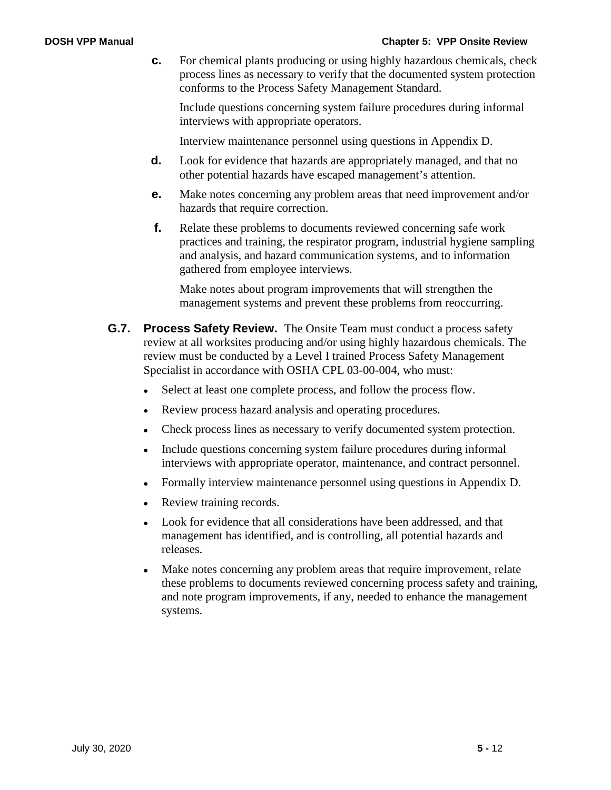**c.** For chemical plants producing or using highly hazardous chemicals, check process lines as necessary to verify that the documented system protection conforms to the Process Safety Management Standard.

Include questions concerning system failure procedures during informal interviews with appropriate operators.

Interview maintenance personnel using questions in Appendix D.

- **d.** Look for evidence that hazards are appropriately managed, and that no other potential hazards have escaped management's attention.
- **e.** Make notes concerning any problem areas that need improvement and/or hazards that require correction.
- **f.** Relate these problems to documents reviewed concerning safe work practices and training, the respirator program, industrial hygiene sampling and analysis, and hazard communication systems, and to information gathered from employee interviews.

Make notes about program improvements that will strengthen the management systems and prevent these problems from reoccurring.

- **G.7. Process Safety Review.** The Onsite Team must conduct a process safety review at all worksites producing and/or using highly hazardous chemicals. The review must be conducted by a Level I trained Process Safety Management Specialist in accordance with OSHA CPL 03-00-004, who must:
	- Select at least one complete process, and follow the process flow.
	- Review process hazard analysis and operating procedures.
	- Check process lines as necessary to verify documented system protection.
	- Include questions concerning system failure procedures during informal interviews with appropriate operator, maintenance, and contract personnel.
	- Formally interview maintenance personnel using questions in Appendix D.
	- Review training records.
	- Look for evidence that all considerations have been addressed, and that management has identified, and is controlling, all potential hazards and releases.
	- Make notes concerning any problem areas that require improvement, relate these problems to documents reviewed concerning process safety and training, and note program improvements, if any, needed to enhance the management systems.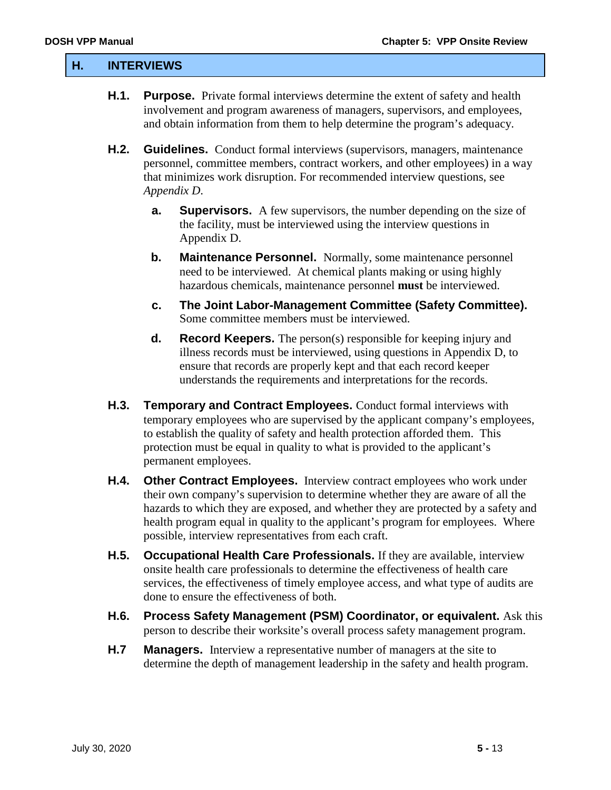#### **H. INTERVIEWS**

- **H.1. Purpose.** Private formal interviews determine the extent of safety and health involvement and program awareness of managers, supervisors, and employees, and obtain information from them to help determine the program's adequacy.
- **H.2. Guidelines.** Conduct formal interviews (supervisors, managers, maintenance personnel, committee members, contract workers, and other employees) in a way that minimizes work disruption. For recommended interview questions, see *Appendix D*.
	- **a. Supervisors.** A few supervisors, the number depending on the size of the facility, must be interviewed using the interview questions in Appendix D.
	- **b. Maintenance Personnel.** Normally, some maintenance personnel need to be interviewed. At chemical plants making or using highly hazardous chemicals, maintenance personnel **must** be interviewed.
	- **c. The Joint Labor-Management Committee (Safety Committee).**  Some committee members must be interviewed.
	- **d. Record Keepers.** The person(s) responsible for keeping injury and illness records must be interviewed, using questions in Appendix D, to ensure that records are properly kept and that each record keeper understands the requirements and interpretations for the records.
- **H.3. Temporary and Contract Employees.** Conduct formal interviews with temporary employees who are supervised by the applicant company's employees, to establish the quality of safety and health protection afforded them. This protection must be equal in quality to what is provided to the applicant's permanent employees.
- **H.4. Other Contract Employees.** Interview contract employees who work under their own company's supervision to determine whether they are aware of all the hazards to which they are exposed, and whether they are protected by a safety and health program equal in quality to the applicant's program for employees. Where possible, interview representatives from each craft.
- **H.5. Occupational Health Care Professionals.** If they are available, interview onsite health care professionals to determine the effectiveness of health care services, the effectiveness of timely employee access, and what type of audits are done to ensure the effectiveness of both.
- **H.6. Process Safety Management (PSM) Coordinator, or equivalent.** Ask this person to describe their worksite's overall process safety management program.
- **H.7 Managers.** Interview a representative number of managers at the site to determine the depth of management leadership in the safety and health program.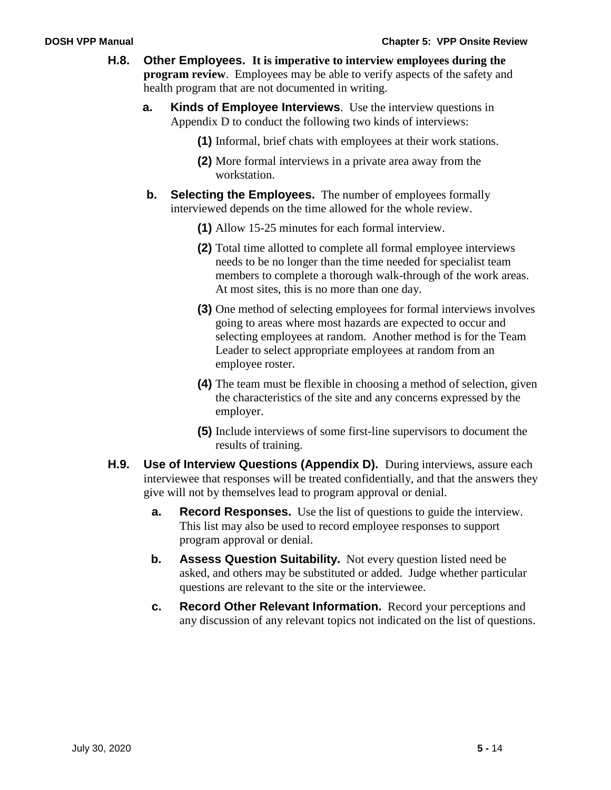- **H.8. Other Employees. It is imperative to interview employees during the program review**. Employees may be able to verify aspects of the safety and health program that are not documented in writing.
	- **a. Kinds of Employee Interviews**. Use the interview questions in Appendix D to conduct the following two kinds of interviews:
		- **(1)** Informal, brief chats with employees at their work stations.
		- **(2)** More formal interviews in a private area away from the workstation.
	- **b. Selecting the Employees.** The number of employees formally interviewed depends on the time allowed for the whole review.
		- **(1)** Allow 15-25 minutes for each formal interview.
		- **(2)** Total time allotted to complete all formal employee interviews needs to be no longer than the time needed for specialist team members to complete a thorough walk-through of the work areas. At most sites, this is no more than one day.
		- **(3)** One method of selecting employees for formal interviews involves going to areas where most hazards are expected to occur and selecting employees at random. Another method is for the Team Leader to select appropriate employees at random from an employee roster.
		- **(4)** The team must be flexible in choosing a method of selection, given the characteristics of the site and any concerns expressed by the employer.
		- **(5)** Include interviews of some first-line supervisors to document the results of training.
- **H.9. Use of Interview Questions (Appendix D).** During interviews, assure each interviewee that responses will be treated confidentially, and that the answers they give will not by themselves lead to program approval or denial.
	- **a. Record Responses.** Use the list of questions to guide the interview. This list may also be used to record employee responses to support program approval or denial.
	- **b. Assess Question Suitability.** Not every question listed need be asked, and others may be substituted or added. Judge whether particular questions are relevant to the site or the interviewee.
	- **c. Record Other Relevant Information.** Record your perceptions and any discussion of any relevant topics not indicated on the list of questions.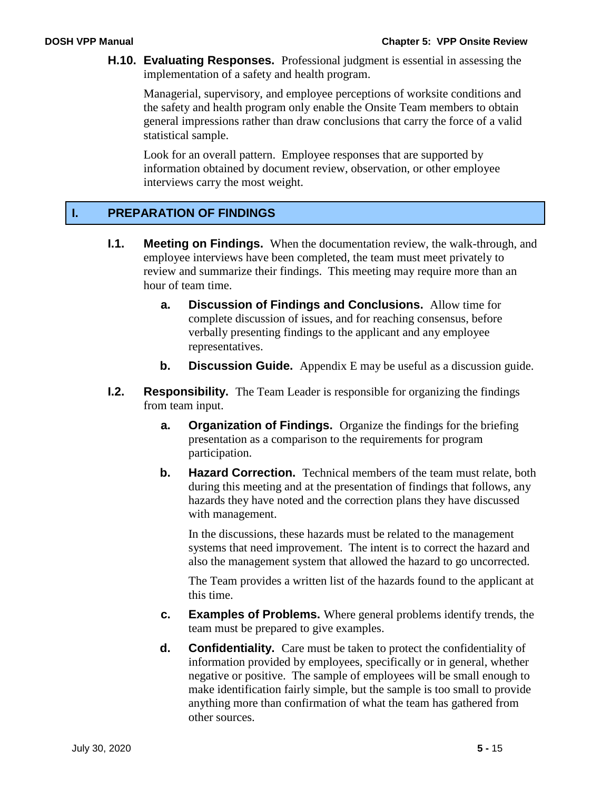**H.10. Evaluating Responses.** Professional judgment is essential in assessing the implementation of a safety and health program.

Managerial, supervisory, and employee perceptions of worksite conditions and the safety and health program only enable the Onsite Team members to obtain general impressions rather than draw conclusions that carry the force of a valid statistical sample.

Look for an overall pattern. Employee responses that are supported by information obtained by document review, observation, or other employee interviews carry the most weight.

# **I. PREPARATION OF FINDINGS**

- **I.1. Meeting on Findings.** When the documentation review, the walk-through, and employee interviews have been completed, the team must meet privately to review and summarize their findings. This meeting may require more than an hour of team time.
	- **a. Discussion of Findings and Conclusions.** Allow time for complete discussion of issues, and for reaching consensus, before verbally presenting findings to the applicant and any employee representatives.
	- **b. Discussion Guide.** Appendix E may be useful as a discussion guide.
- **I.2. Responsibility.** The Team Leader is responsible for organizing the findings from team input.
	- **a. Organization of Findings.** Organize the findings for the briefing presentation as a comparison to the requirements for program participation.
	- **b. Hazard Correction.** Technical members of the team must relate, both during this meeting and at the presentation of findings that follows, any hazards they have noted and the correction plans they have discussed with management.

In the discussions, these hazards must be related to the management systems that need improvement. The intent is to correct the hazard and also the management system that allowed the hazard to go uncorrected.

The Team provides a written list of the hazards found to the applicant at this time.

- **c. Examples of Problems.** Where general problems identify trends, the team must be prepared to give examples.
- **d. Confidentiality.** Care must be taken to protect the confidentiality of information provided by employees, specifically or in general, whether negative or positive. The sample of employees will be small enough to make identification fairly simple, but the sample is too small to provide anything more than confirmation of what the team has gathered from other sources.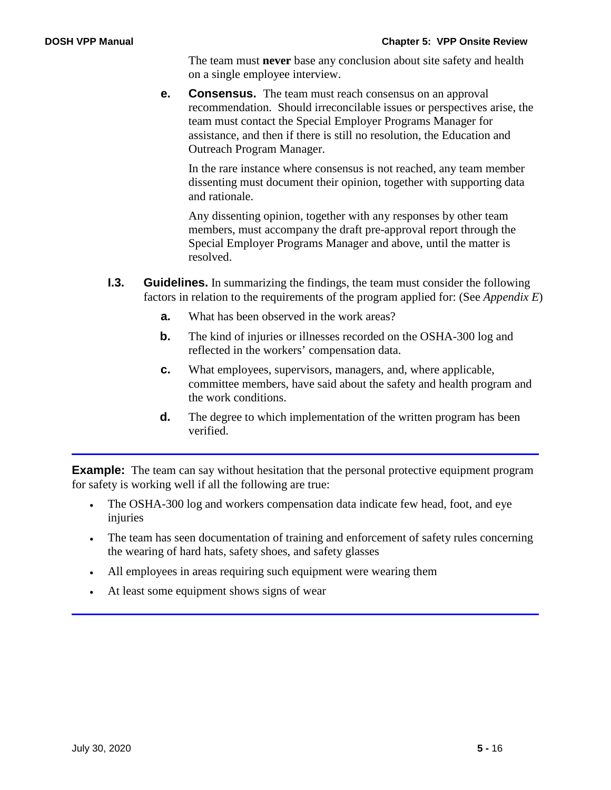The team must **never** base any conclusion about site safety and health on a single employee interview.

**e. Consensus.** The team must reach consensus on an approval recommendation. Should irreconcilable issues or perspectives arise, the team must contact the Special Employer Programs Manager for assistance, and then if there is still no resolution, the Education and Outreach Program Manager.

In the rare instance where consensus is not reached, any team member dissenting must document their opinion, together with supporting data and rationale.

Any dissenting opinion, together with any responses by other team members, must accompany the draft pre-approval report through the Special Employer Programs Manager and above, until the matter is resolved.

- **I.3. Guidelines.** In summarizing the findings, the team must consider the following factors in relation to the requirements of the program applied for: (See *Appendix E*)
	- **a.** What has been observed in the work areas?
	- **b.** The kind of injuries or illnesses recorded on the OSHA-300 log and reflected in the workers' compensation data.
	- **c.** What employees, supervisors, managers, and, where applicable, committee members, have said about the safety and health program and the work conditions.
	- **d.** The degree to which implementation of the written program has been verified.

**Example:** The team can say without hesitation that the personal protective equipment program for safety is working well if all the following are true:

- The OSHA-300 log and workers compensation data indicate few head, foot, and eye injuries
- The team has seen documentation of training and enforcement of safety rules concerning the wearing of hard hats, safety shoes, and safety glasses
- All employees in areas requiring such equipment were wearing them
- At least some equipment shows signs of wear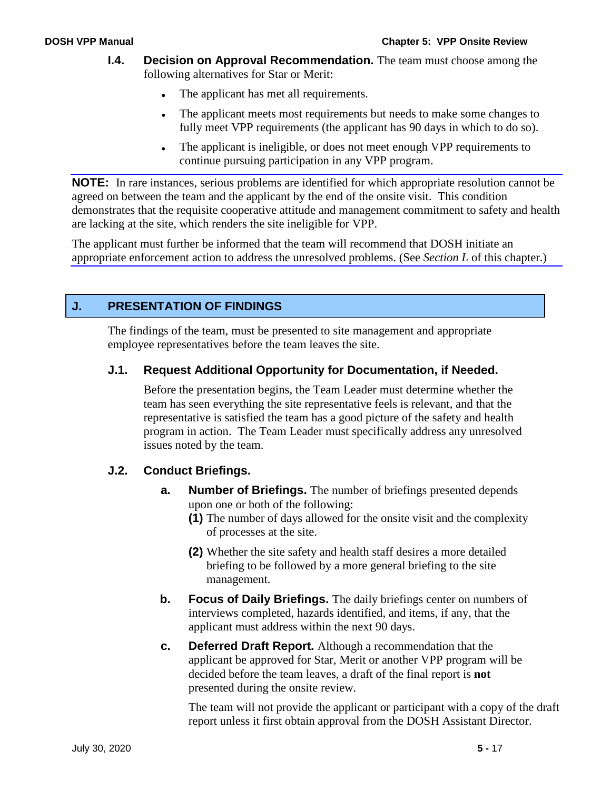- **I.4. Decision on Approval Recommendation.** The team must choose among the following alternatives for Star or Merit:
	- The applicant has met all requirements.
	- The applicant meets most requirements but needs to make some changes to fully meet VPP requirements (the applicant has 90 days in which to do so).
	- The applicant is ineligible, or does not meet enough VPP requirements to continue pursuing participation in any VPP program.

**NOTE:** In rare instances, serious problems are identified for which appropriate resolution cannot be agreed on between the team and the applicant by the end of the onsite visit. This condition demonstrates that the requisite cooperative attitude and management commitment to safety and health are lacking at the site, which renders the site ineligible for VPP.

The applicant must further be informed that the team will recommend that DOSH initiate an appropriate enforcement action to address the unresolved problems. (See *Section L* of this chapter.)

# **J. PRESENTATION OF FINDINGS**

The findings of the team, must be presented to site management and appropriate employee representatives before the team leaves the site.

# **J.1. Request Additional Opportunity for Documentation, if Needed.**

Before the presentation begins, the Team Leader must determine whether the team has seen everything the site representative feels is relevant, and that the representative is satisfied the team has a good picture of the safety and health program in action. The Team Leader must specifically address any unresolved issues noted by the team.

# **J.2. Conduct Briefings.**

- **a. Number of Briefings.** The number of briefings presented depends upon one or both of the following:
	- **(1)** The number of days allowed for the onsite visit and the complexity of processes at the site.
	- **(2)** Whether the site safety and health staff desires a more detailed briefing to be followed by a more general briefing to the site management.
- **b. Focus of Daily Briefings.** The daily briefings center on numbers of interviews completed, hazards identified, and items, if any, that the applicant must address within the next 90 days.
- **c. Deferred Draft Report.** Although a recommendation that the applicant be approved for Star, Merit or another VPP program will be decided before the team leaves, a draft of the final report is **not** presented during the onsite review.

The team will not provide the applicant or participant with a copy of the draft report unless it first obtain approval from the DOSH Assistant Director.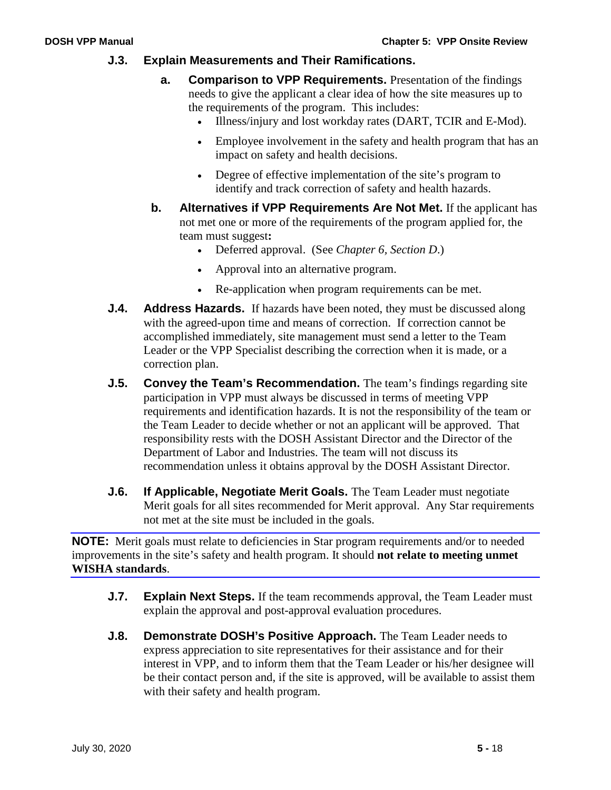### **J.3. Explain Measurements and Their Ramifications.**

- **a. Comparison to VPP Requirements.** Presentation of the findings needs to give the applicant a clear idea of how the site measures up to the requirements of the program. This includes:
	- Illness/injury and lost workday rates (DART, TCIR and E-Mod).
	- Employee involvement in the safety and health program that has an impact on safety and health decisions.
	- Degree of effective implementation of the site's program to identify and track correction of safety and health hazards.
- **b. Alternatives if VPP Requirements Are Not Met.** If the applicant has not met one or more of the requirements of the program applied for, the team must suggest**:**
	- Deferred approval. (See *Chapter 6, Section D*.)
	- Approval into an alternative program.
	- Re-application when program requirements can be met.
- **J.4. Address Hazards.** If hazards have been noted, they must be discussed along with the agreed-upon time and means of correction. If correction cannot be accomplished immediately, site management must send a letter to the Team Leader or the VPP Specialist describing the correction when it is made, or a correction plan.
- **J.5. Convey the Team's Recommendation.** The team's findings regarding site participation in VPP must always be discussed in terms of meeting VPP requirements and identification hazards. It is not the responsibility of the team or the Team Leader to decide whether or not an applicant will be approved. That responsibility rests with the DOSH Assistant Director and the Director of the Department of Labor and Industries. The team will not discuss its recommendation unless it obtains approval by the DOSH Assistant Director.
- **J.6. If Applicable, Negotiate Merit Goals.** The Team Leader must negotiate Merit goals for all sites recommended for Merit approval. Any Star requirements not met at the site must be included in the goals.

**NOTE:** Merit goals must relate to deficiencies in Star program requirements and/or to needed improvements in the site's safety and health program. It should **not relate to meeting unmet WISHA standards**.

- **J.7. Explain Next Steps.** If the team recommends approval, the Team Leader must explain the approval and post-approval evaluation procedures.
- **J.8. Demonstrate DOSH's Positive Approach.** The Team Leader needs to express appreciation to site representatives for their assistance and for their interest in VPP, and to inform them that the Team Leader or his/her designee will be their contact person and, if the site is approved, will be available to assist them with their safety and health program.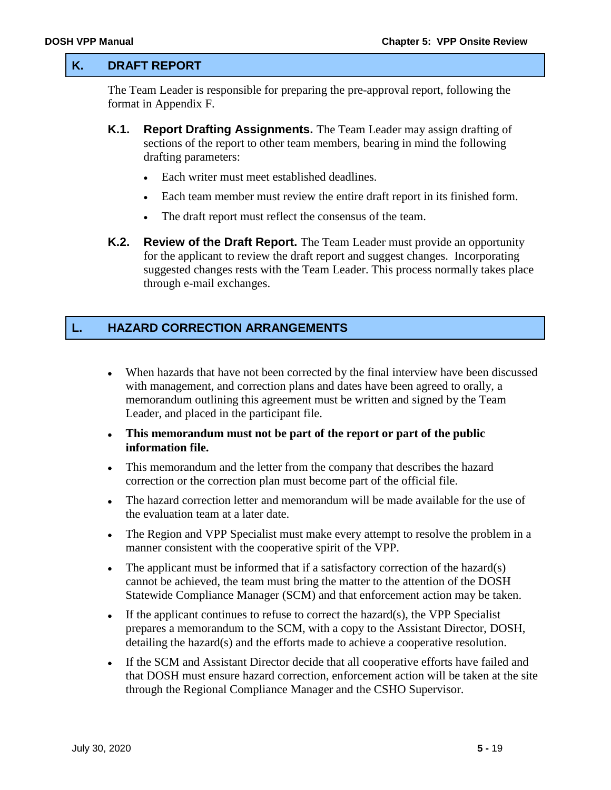#### **K. DRAFT REPORT**

The Team Leader is responsible for preparing the pre-approval report, following the format in Appendix F.

- **K.1. Report Drafting Assignments.** The Team Leader may assign drafting of sections of the report to other team members, bearing in mind the following drafting parameters:
	- Each writer must meet established deadlines.
	- Each team member must review the entire draft report in its finished form.
	- The draft report must reflect the consensus of the team.
- **K.2. Review of the Draft Report.** The Team Leader must provide an opportunity for the applicant to review the draft report and suggest changes. Incorporating suggested changes rests with the Team Leader. This process normally takes place through e-mail exchanges.

#### **L. HAZARD CORRECTION ARRANGEMENTS**

- When hazards that have not been corrected by the final interview have been discussed with management, and correction plans and dates have been agreed to orally, a memorandum outlining this agreement must be written and signed by the Team Leader, and placed in the participant file.
- **This memorandum must not be part of the report or part of the public information file.**
- This memorandum and the letter from the company that describes the hazard correction or the correction plan must become part of the official file.
- The hazard correction letter and memorandum will be made available for the use of the evaluation team at a later date.
- The Region and VPP Specialist must make every attempt to resolve the problem in a manner consistent with the cooperative spirit of the VPP.
- The applicant must be informed that if a satisfactory correction of the hazard(s) cannot be achieved, the team must bring the matter to the attention of the DOSH Statewide Compliance Manager (SCM) and that enforcement action may be taken.
- If the applicant continues to refuse to correct the hazard(s), the VPP Specialist prepares a memorandum to the SCM, with a copy to the Assistant Director, DOSH, detailing the hazard(s) and the efforts made to achieve a cooperative resolution.
- If the SCM and Assistant Director decide that all cooperative efforts have failed and that DOSH must ensure hazard correction, enforcement action will be taken at the site through the Regional Compliance Manager and the CSHO Supervisor.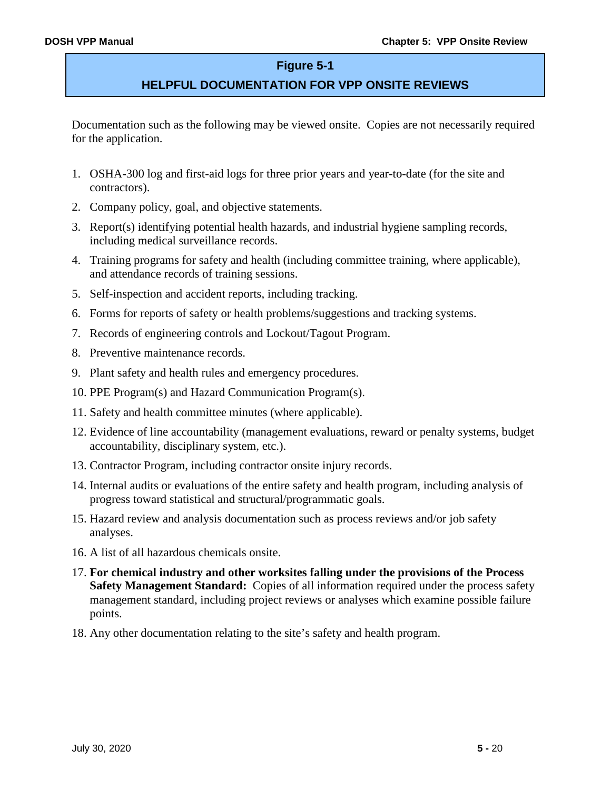#### **Figure 5-1**

# **HELPFUL DOCUMENTATION FOR VPP ONSITE REVIEWS**

Documentation such as the following may be viewed onsite. Copies are not necessarily required for the application.

- 1. OSHA-300 log and first-aid logs for three prior years and year-to-date (for the site and contractors).
- 2. Company policy, goal, and objective statements.
- 3. Report(s) identifying potential health hazards, and industrial hygiene sampling records, including medical surveillance records.
- 4. Training programs for safety and health (including committee training, where applicable), and attendance records of training sessions.
- 5. Self-inspection and accident reports, including tracking.
- 6. Forms for reports of safety or health problems/suggestions and tracking systems.
- 7. Records of engineering controls and Lockout/Tagout Program.
- 8. Preventive maintenance records.
- 9. Plant safety and health rules and emergency procedures.
- 10. PPE Program(s) and Hazard Communication Program(s).
- 11. Safety and health committee minutes (where applicable).
- 12. Evidence of line accountability (management evaluations, reward or penalty systems, budget accountability, disciplinary system, etc.).
- 13. Contractor Program, including contractor onsite injury records.
- 14. Internal audits or evaluations of the entire safety and health program, including analysis of progress toward statistical and structural/programmatic goals.
- 15. Hazard review and analysis documentation such as process reviews and/or job safety analyses.
- 16. A list of all hazardous chemicals onsite.
- 17. **For chemical industry and other worksites falling under the provisions of the Process Safety Management Standard:** Copies of all information required under the process safety management standard, including project reviews or analyses which examine possible failure points.
- 18. Any other documentation relating to the site's safety and health program.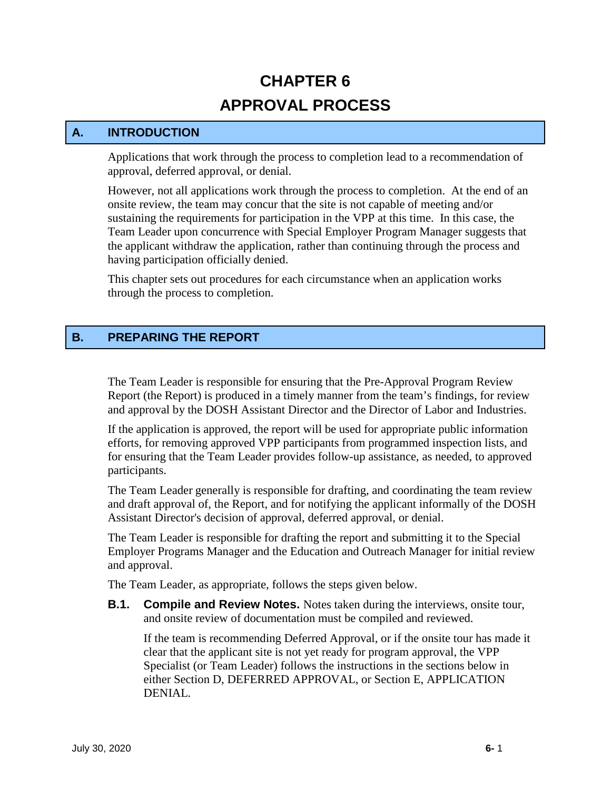# **CHAPTER 6 APPROVAL PROCESS**

## **A. INTRODUCTION**

Applications that work through the process to completion lead to a recommendation of approval, deferred approval, or denial.

However, not all applications work through the process to completion. At the end of an onsite review, the team may concur that the site is not capable of meeting and/or sustaining the requirements for participation in the VPP at this time. In this case, the Team Leader upon concurrence with Special Employer Program Manager suggests that the applicant withdraw the application, rather than continuing through the process and having participation officially denied.

This chapter sets out procedures for each circumstance when an application works through the process to completion.

## **B. PREPARING THE REPORT**

The Team Leader is responsible for ensuring that the Pre-Approval Program Review Report (the Report) is produced in a timely manner from the team's findings, for review and approval by the DOSH Assistant Director and the Director of Labor and Industries.

If the application is approved, the report will be used for appropriate public information efforts, for removing approved VPP participants from programmed inspection lists, and for ensuring that the Team Leader provides follow-up assistance, as needed, to approved participants.

The Team Leader generally is responsible for drafting, and coordinating the team review and draft approval of, the Report, and for notifying the applicant informally of the DOSH Assistant Director's decision of approval, deferred approval, or denial.

The Team Leader is responsible for drafting the report and submitting it to the Special Employer Programs Manager and the Education and Outreach Manager for initial review and approval.

The Team Leader, as appropriate, follows the steps given below.

**B.1. Compile and Review Notes.** Notes taken during the interviews, onsite tour, and onsite review of documentation must be compiled and reviewed.

If the team is recommending Deferred Approval, or if the onsite tour has made it clear that the applicant site is not yet ready for program approval, the VPP Specialist (or Team Leader) follows the instructions in the sections below in either Section D, DEFERRED APPROVAL, or Section E, APPLICATION DENIAL*.*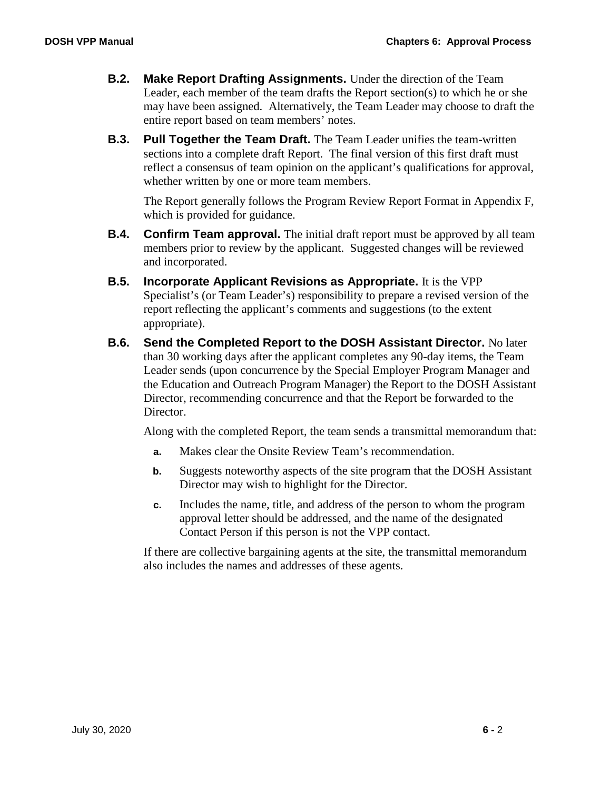- **B.2. Make Report Drafting Assignments.** Under the direction of the Team Leader, each member of the team drafts the Report section(s) to which he or she may have been assigned. Alternatively, the Team Leader may choose to draft the entire report based on team members' notes.
- **B.3. Pull Together the Team Draft.** The Team Leader unifies the team-written sections into a complete draft Report. The final version of this first draft must reflect a consensus of team opinion on the applicant's qualifications for approval, whether written by one or more team members.

The Report generally follows the Program Review Report Format in Appendix F, which is provided for guidance.

- **B.4. Confirm Team approval.** The initial draft report must be approved by all team members prior to review by the applicant. Suggested changes will be reviewed and incorporated.
- **B.5. Incorporate Applicant Revisions as Appropriate.** It is the VPP Specialist's (or Team Leader's) responsibility to prepare a revised version of the report reflecting the applicant's comments and suggestions (to the extent appropriate).
- **B.6. Send the Completed Report to the DOSH Assistant Director.** No later than 30 working days after the applicant completes any 90-day items, the Team Leader sends (upon concurrence by the Special Employer Program Manager and the Education and Outreach Program Manager) the Report to the DOSH Assistant Director, recommending concurrence and that the Report be forwarded to the Director.

Along with the completed Report, the team sends a transmittal memorandum that:

- **a.** Makes clear the Onsite Review Team's recommendation.
- **b.** Suggests noteworthy aspects of the site program that the DOSH Assistant Director may wish to highlight for the Director.
- **c.** Includes the name, title, and address of the person to whom the program approval letter should be addressed, and the name of the designated Contact Person if this person is not the VPP contact.

If there are collective bargaining agents at the site, the transmittal memorandum also includes the names and addresses of these agents.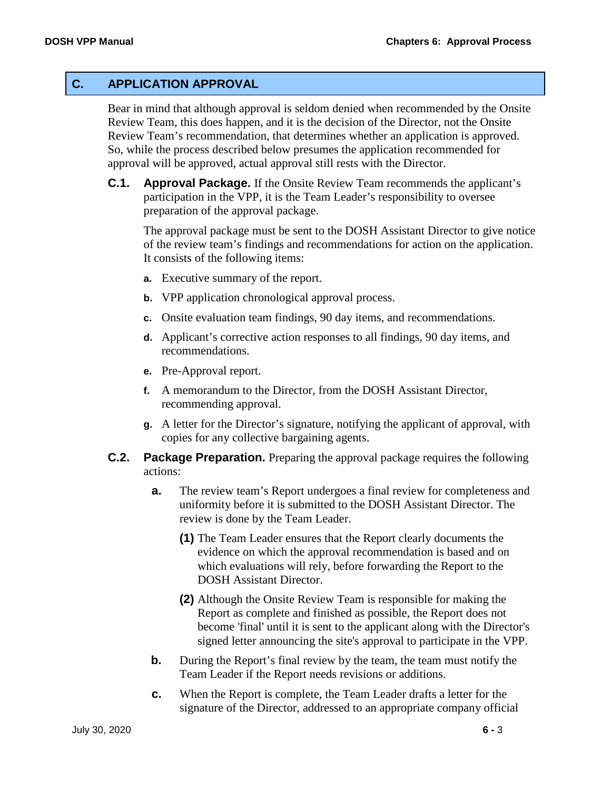# **C. APPLICATION APPROVAL**

Bear in mind that although approval is seldom denied when recommended by the Onsite Review Team, this does happen, and it is the decision of the Director, not the Onsite Review Team's recommendation, that determines whether an application is approved. So, while the process described below presumes the application recommended for approval will be approved, actual approval still rests with the Director.

**C.1. Approval Package.** If the Onsite Review Team recommends the applicant's participation in the VPP, it is the Team Leader's responsibility to oversee preparation of the approval package.

The approval package must be sent to the DOSH Assistant Director to give notice of the review team's findings and recommendations for action on the application. It consists of the following items:

- **a.** Executive summary of the report.
- **b.** VPP application chronological approval process.
- **c.** Onsite evaluation team findings, 90 day items, and recommendations.
- **d.** Applicant's corrective action responses to all findings, 90 day items, and recommendations.
- **e.** Pre-Approval report.
- **f.** A memorandum to the Director, from the DOSH Assistant Director, recommending approval.
- **g.** A letter for the Director's signature, notifying the applicant of approval, with copies for any collective bargaining agents.
- **C.2. Package Preparation.** Preparing the approval package requires the following actions:
	- **a.** The review team's Report undergoes a final review for completeness and uniformity before it is submitted to the DOSH Assistant Director. The review is done by the Team Leader.
		- **(1)** The Team Leader ensures that the Report clearly documents the evidence on which the approval recommendation is based and on which evaluations will rely, before forwarding the Report to the DOSH Assistant Director.
		- **(2)** Although the Onsite Review Team is responsible for making the Report as complete and finished as possible, the Report does not become 'final' until it is sent to the applicant along with the Director's signed letter announcing the site's approval to participate in the VPP.
	- **b.** During the Report's final review by the team, the team must notify the Team Leader if the Report needs revisions or additions.
	- **c.** When the Report is complete, the Team Leader drafts a letter for the signature of the Director, addressed to an appropriate company official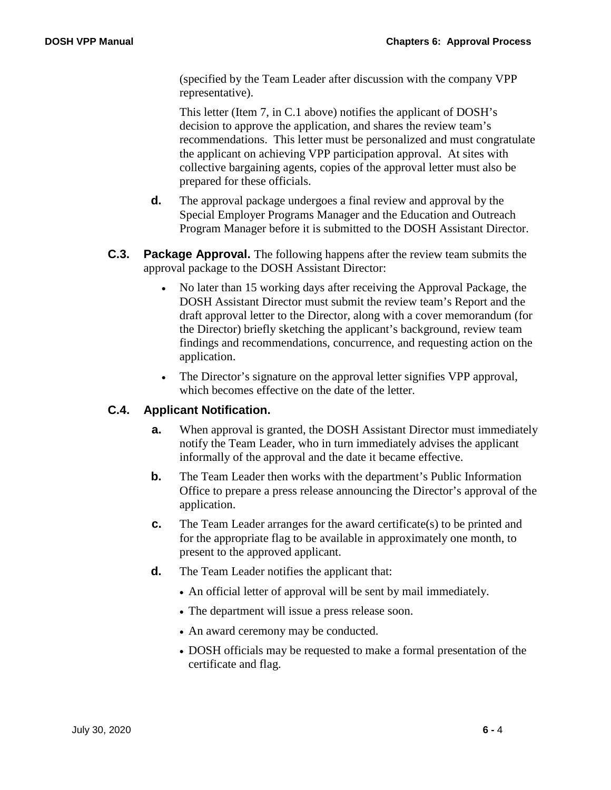(specified by the Team Leader after discussion with the company VPP representative).

This letter (Item 7, in C.1 above) notifies the applicant of DOSH's decision to approve the application, and shares the review team's recommendations. This letter must be personalized and must congratulate the applicant on achieving VPP participation approval. At sites with collective bargaining agents, copies of the approval letter must also be prepared for these officials.

- **d.** The approval package undergoes a final review and approval by the Special Employer Programs Manager and the Education and Outreach Program Manager before it is submitted to the DOSH Assistant Director.
- **C.3. Package Approval.** The following happens after the review team submits the approval package to the DOSH Assistant Director:
	- No later than 15 working days after receiving the Approval Package, the DOSH Assistant Director must submit the review team's Report and the draft approval letter to the Director, along with a cover memorandum (for the Director) briefly sketching the applicant's background, review team findings and recommendations, concurrence, and requesting action on the application.
	- The Director's signature on the approval letter signifies VPP approval, which becomes effective on the date of the letter.

### **C.4. Applicant Notification.**

- **a.** When approval is granted, the DOSH Assistant Director must immediately notify the Team Leader, who in turn immediately advises the applicant informally of the approval and the date it became effective.
- **b.** The Team Leader then works with the department's Public Information Office to prepare a press release announcing the Director's approval of the application.
- **c.** The Team Leader arranges for the award certificate(s) to be printed and for the appropriate flag to be available in approximately one month, to present to the approved applicant.
- **d.** The Team Leader notifies the applicant that:
	- An official letter of approval will be sent by mail immediately.
	- The department will issue a press release soon.
	- An award ceremony may be conducted.
	- DOSH officials may be requested to make a formal presentation of the certificate and flag.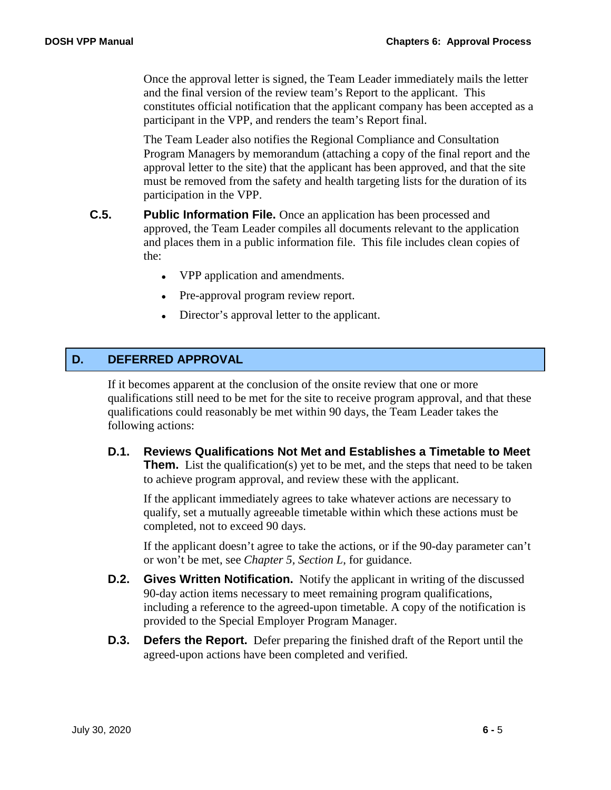Once the approval letter is signed, the Team Leader immediately mails the letter and the final version of the review team's Report to the applicant. This constitutes official notification that the applicant company has been accepted as a participant in the VPP, and renders the team's Report final.

The Team Leader also notifies the Regional Compliance and Consultation Program Managers by memorandum (attaching a copy of the final report and the approval letter to the site) that the applicant has been approved, and that the site must be removed from the safety and health targeting lists for the duration of its participation in the VPP.

- **C.5. Public Information File.** Once an application has been processed and approved, the Team Leader compiles all documents relevant to the application and places them in a public information file. This file includes clean copies of the:
	- VPP application and amendments.
	- Pre-approval program review report.
	- Director's approval letter to the applicant.

# **D. DEFERRED APPROVAL**

If it becomes apparent at the conclusion of the onsite review that one or more qualifications still need to be met for the site to receive program approval, and that these qualifications could reasonably be met within 90 days, the Team Leader takes the following actions:

**D.1. Reviews Qualifications Not Met and Establishes a Timetable to Meet Them.** List the qualification(s) yet to be met, and the steps that need to be taken to achieve program approval, and review these with the applicant.

If the applicant immediately agrees to take whatever actions are necessary to qualify, set a mutually agreeable timetable within which these actions must be completed, not to exceed 90 days.

If the applicant doesn't agree to take the actions, or if the 90-day parameter can't or won't be met, see *Chapter 5, Section L*, for guidance.

- **D.2. Gives Written Notification.** Notify the applicant in writing of the discussed 90-day action items necessary to meet remaining program qualifications, including a reference to the agreed-upon timetable. A copy of the notification is provided to the Special Employer Program Manager.
- **D.3. Defers the Report.** Defer preparing the finished draft of the Report until the agreed-upon actions have been completed and verified.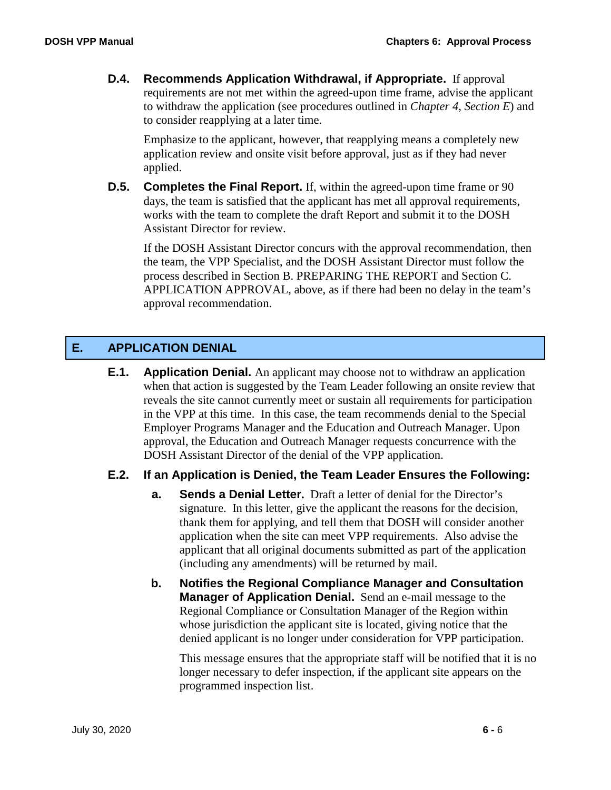**D.4. Recommends Application Withdrawal, if Appropriate.** If approval requirements are not met within the agreed-upon time frame, advise the applicant to withdraw the application (see procedures outlined in *Chapter 4, Section E*) and to consider reapplying at a later time.

Emphasize to the applicant, however, that reapplying means a completely new application review and onsite visit before approval, just as if they had never applied.

**D.5. Completes the Final Report.** If, within the agreed-upon time frame or 90 days, the team is satisfied that the applicant has met all approval requirements, works with the team to complete the draft Report and submit it to the DOSH Assistant Director for review.

If the DOSH Assistant Director concurs with the approval recommendation, then the team, the VPP Specialist, and the DOSH Assistant Director must follow the process described in Section B. PREPARING THE REPORT and Section C. APPLICATION APPROVAL, above, as if there had been no delay in the team's approval recommendation.

# **E. APPLICATION DENIAL**

**E.1. Application Denial.** An applicant may choose not to withdraw an application when that action is suggested by the Team Leader following an onsite review that reveals the site cannot currently meet or sustain all requirements for participation in the VPP at this time. In this case, the team recommends denial to the Special Employer Programs Manager and the Education and Outreach Manager. Upon approval, the Education and Outreach Manager requests concurrence with the DOSH Assistant Director of the denial of the VPP application.

#### **E.2. If an Application is Denied, the Team Leader Ensures the Following:**

- **a. Sends a Denial Letter.** Draft a letter of denial for the Director's signature. In this letter, give the applicant the reasons for the decision, thank them for applying, and tell them that DOSH will consider another application when the site can meet VPP requirements. Also advise the applicant that all original documents submitted as part of the application (including any amendments) will be returned by mail.
- **b. Notifies the Regional Compliance Manager and Consultation Manager of Application Denial.** Send an e-mail message to the Regional Compliance or Consultation Manager of the Region within whose jurisdiction the applicant site is located, giving notice that the denied applicant is no longer under consideration for VPP participation.

This message ensures that the appropriate staff will be notified that it is no longer necessary to defer inspection, if the applicant site appears on the programmed inspection list.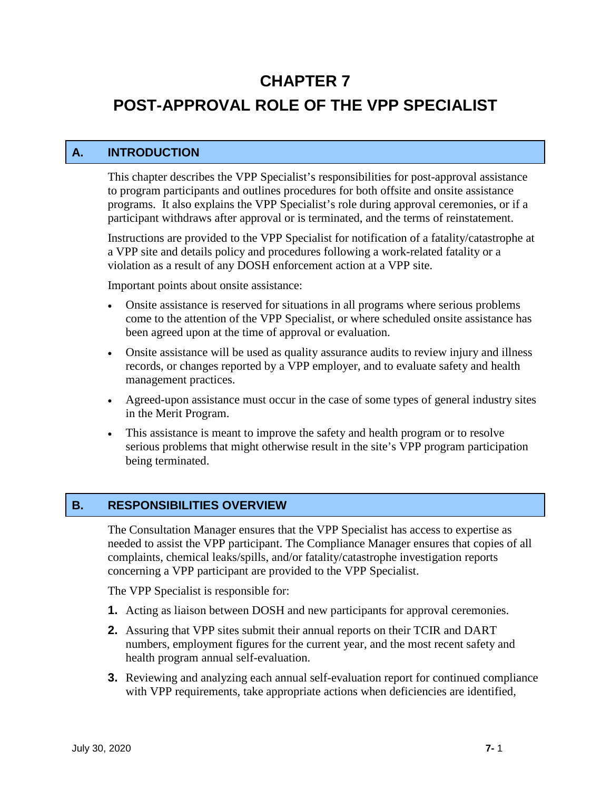# **CHAPTER 7**

# **POST-APPROVAL ROLE OF THE VPP SPECIALIST**

## **A. INTRODUCTION**

This chapter describes the VPP Specialist's responsibilities for post-approval assistance to program participants and outlines procedures for both offsite and onsite assistance programs. It also explains the VPP Specialist's role during approval ceremonies, or if a participant withdraws after approval or is terminated, and the terms of reinstatement.

Instructions are provided to the VPP Specialist for notification of a fatality/catastrophe at a VPP site and details policy and procedures following a work-related fatality or a violation as a result of any DOSH enforcement action at a VPP site.

Important points about onsite assistance:

- Onsite assistance is reserved for situations in all programs where serious problems come to the attention of the VPP Specialist, or where scheduled onsite assistance has been agreed upon at the time of approval or evaluation.
- Onsite assistance will be used as quality assurance audits to review injury and illness records, or changes reported by a VPP employer, and to evaluate safety and health management practices.
- Agreed-upon assistance must occur in the case of some types of general industry sites in the Merit Program.
- This assistance is meant to improve the safety and health program or to resolve serious problems that might otherwise result in the site's VPP program participation being terminated.

#### **B. RESPONSIBILITIES OVERVIEW**

The Consultation Manager ensures that the VPP Specialist has access to expertise as needed to assist the VPP participant. The Compliance Manager ensures that copies of all complaints, chemical leaks/spills, and/or fatality/catastrophe investigation reports concerning a VPP participant are provided to the VPP Specialist.

The VPP Specialist is responsible for:

- **1.** Acting as liaison between DOSH and new participants for approval ceremonies.
- **2.** Assuring that VPP sites submit their annual reports on their TCIR and DART numbers, employment figures for the current year, and the most recent safety and health program annual self-evaluation.
- **3.** Reviewing and analyzing each annual self-evaluation report for continued compliance with VPP requirements, take appropriate actions when deficiencies are identified,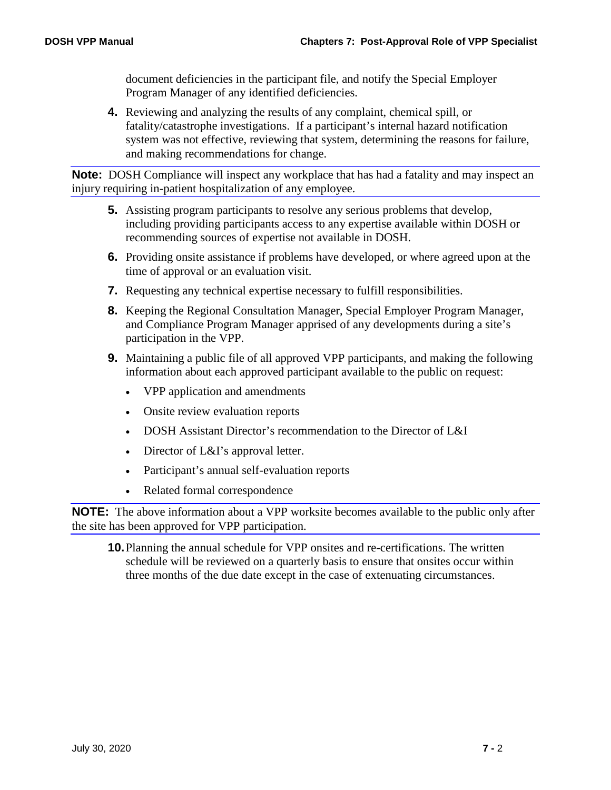document deficiencies in the participant file, and notify the Special Employer Program Manager of any identified deficiencies.

**4.** Reviewing and analyzing the results of any complaint, chemical spill, or fatality/catastrophe investigations. If a participant's internal hazard notification system was not effective, reviewing that system, determining the reasons for failure, and making recommendations for change.

**Note:** DOSH Compliance will inspect any workplace that has had a fatality and may inspect an injury requiring in-patient hospitalization of any employee.

- **5.** Assisting program participants to resolve any serious problems that develop, including providing participants access to any expertise available within DOSH or recommending sources of expertise not available in DOSH.
- **6.** Providing onsite assistance if problems have developed, or where agreed upon at the time of approval or an evaluation visit.
- **7.** Requesting any technical expertise necessary to fulfill responsibilities.
- **8.** Keeping the Regional Consultation Manager, Special Employer Program Manager, and Compliance Program Manager apprised of any developments during a site's participation in the VPP.
- **9.** Maintaining a public file of all approved VPP participants, and making the following information about each approved participant available to the public on request:
	- VPP application and amendments
	- Onsite review evaluation reports
	- DOSH Assistant Director's recommendation to the Director of L&I
	- Director of L&I's approval letter.
	- Participant's annual self-evaluation reports
	- Related formal correspondence

**NOTE:** The above information about a VPP worksite becomes available to the public only after the site has been approved for VPP participation.

**10.**Planning the annual schedule for VPP onsites and re-certifications. The written schedule will be reviewed on a quarterly basis to ensure that onsites occur within three months of the due date except in the case of extenuating circumstances.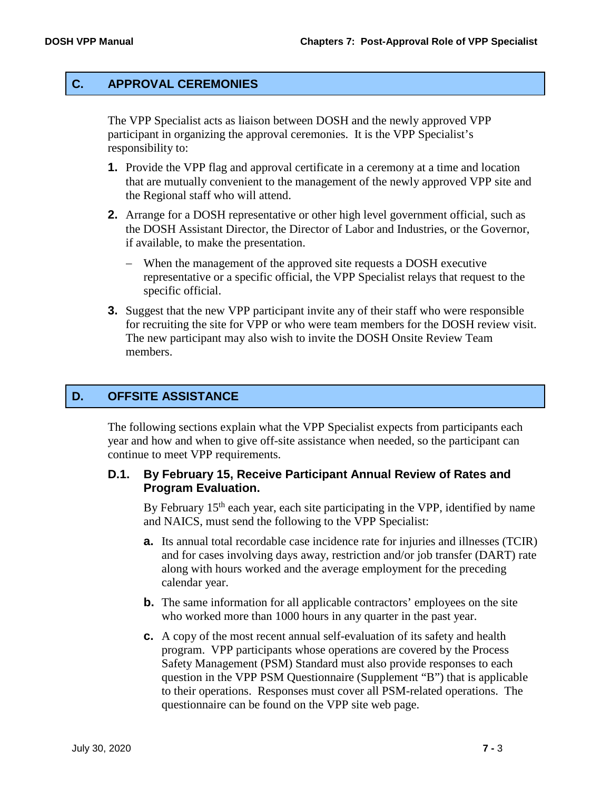## **C. APPROVAL CEREMONIES**

The VPP Specialist acts as liaison between DOSH and the newly approved VPP participant in organizing the approval ceremonies. It is the VPP Specialist's responsibility to:

- **1.** Provide the VPP flag and approval certificate in a ceremony at a time and location that are mutually convenient to the management of the newly approved VPP site and the Regional staff who will attend.
- **2.** Arrange for a DOSH representative or other high level government official, such as the DOSH Assistant Director, the Director of Labor and Industries, or the Governor, if available, to make the presentation.
	- − When the management of the approved site requests a DOSH executive representative or a specific official, the VPP Specialist relays that request to the specific official.
- **3.** Suggest that the new VPP participant invite any of their staff who were responsible for recruiting the site for VPP or who were team members for the DOSH review visit. The new participant may also wish to invite the DOSH Onsite Review Team members.

# **D. OFFSITE ASSISTANCE**

The following sections explain what the VPP Specialist expects from participants each year and how and when to give off-site assistance when needed, so the participant can continue to meet VPP requirements.

#### **D.1. By February 15, Receive Participant Annual Review of Rates and Program Evaluation.**

By February  $15<sup>th</sup>$  each year, each site participating in the VPP, identified by name and NAICS, must send the following to the VPP Specialist:

- **a.** Its annual total recordable case incidence rate for injuries and illnesses (TCIR) and for cases involving days away, restriction and/or job transfer (DART) rate along with hours worked and the average employment for the preceding calendar year.
- **b.** The same information for all applicable contractors' employees on the site who worked more than 1000 hours in any quarter in the past year.
- **c.** A copy of the most recent annual self-evaluation of its safety and health program. VPP participants whose operations are covered by the Process Safety Management (PSM) Standard must also provide responses to each question in the VPP PSM Questionnaire (Supplement "B") that is applicable to their operations. Responses must cover all PSM-related operations. The questionnaire can be found on the VPP site web page.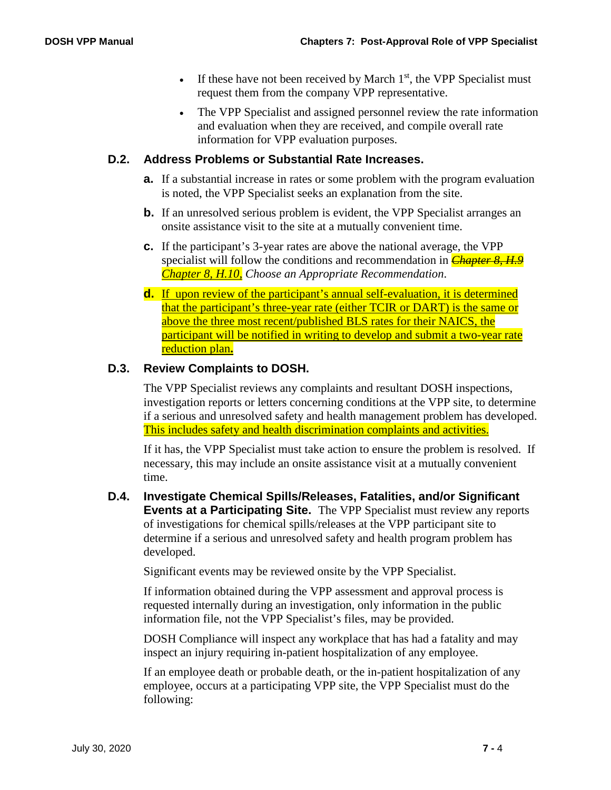- If these have not been received by March  $1<sup>st</sup>$ , the VPP Specialist must request them from the company VPP representative.
- The VPP Specialist and assigned personnel review the rate information and evaluation when they are received, and compile overall rate information for VPP evaluation purposes.

### **D.2. Address Problems or Substantial Rate Increases.**

- **a.** If a substantial increase in rates or some problem with the program evaluation is noted, the VPP Specialist seeks an explanation from the site.
- **b.** If an unresolved serious problem is evident, the VPP Specialist arranges an onsite assistance visit to the site at a mutually convenient time.
- **c.** If the participant's 3-year rates are above the national average, the VPP specialist will follow the conditions and recommendation in *Chapter 8, H.9 Chapter 8, H.10, Choose an Appropriate Recommendation*.
- **d.** If upon review of the participant's annual self-evaluation, it is determined that the participant's three-year rate (either TCIR or DART) is the same or above the three most recent/published BLS rates for their NAICS, the participant will be notified in writing to develop and submit a two-year rate reduction plan**.**

## **D.3. Review Complaints to DOSH.**

The VPP Specialist reviews any complaints and resultant DOSH inspections, investigation reports or letters concerning conditions at the VPP site, to determine if a serious and unresolved safety and health management problem has developed. This includes safety and health discrimination complaints and activities.

If it has, the VPP Specialist must take action to ensure the problem is resolved. If necessary, this may include an onsite assistance visit at a mutually convenient time.

**D.4. Investigate Chemical Spills/Releases, Fatalities, and/or Significant Events at a Participating Site.** The VPP Specialist must review any reports of investigations for chemical spills/releases at the VPP participant site to determine if a serious and unresolved safety and health program problem has developed.

Significant events may be reviewed onsite by the VPP Specialist.

If information obtained during the VPP assessment and approval process is requested internally during an investigation, only information in the public information file, not the VPP Specialist's files, may be provided.

DOSH Compliance will inspect any workplace that has had a fatality and may inspect an injury requiring in-patient hospitalization of any employee.

If an employee death or probable death, or the in-patient hospitalization of any employee, occurs at a participating VPP site, the VPP Specialist must do the following: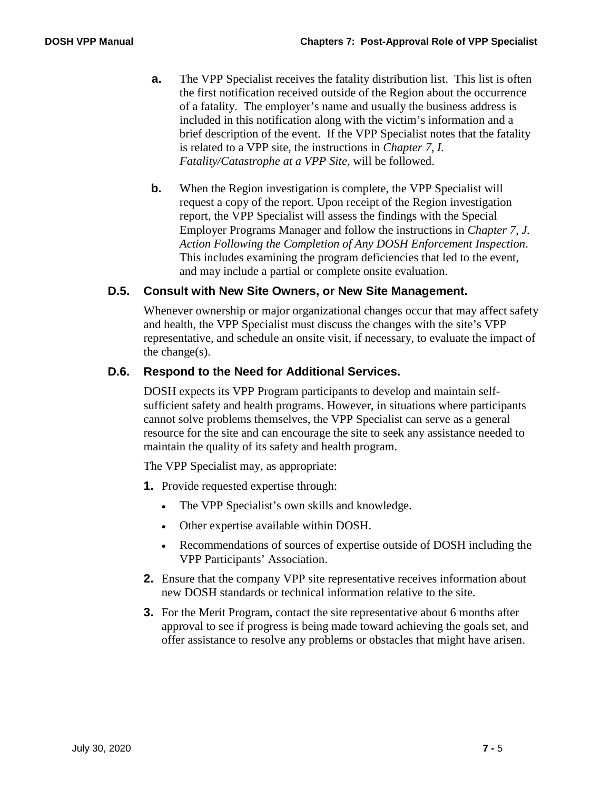- **a.** The VPP Specialist receives the fatality distribution list. This list is often the first notification received outside of the Region about the occurrence of a fatality. The employer's name and usually the business address is included in this notification along with the victim's information and a brief description of the event. If the VPP Specialist notes that the fatality is related to a VPP site, the instructions in *Chapter 7, I. Fatality/Catastrophe at a VPP Site*, will be followed.
- **b.** When the Region investigation is complete, the VPP Specialist will request a copy of the report. Upon receipt of the Region investigation report, the VPP Specialist will assess the findings with the Special Employer Programs Manager and follow the instructions in *Chapter 7, J. Action Following the Completion of Any DOSH Enforcement Inspection*. This includes examining the program deficiencies that led to the event, and may include a partial or complete onsite evaluation.

## **D.5. Consult with New Site Owners, or New Site Management.**

Whenever ownership or major organizational changes occur that may affect safety and health, the VPP Specialist must discuss the changes with the site's VPP representative, and schedule an onsite visit, if necessary, to evaluate the impact of the change(s).

## **D.6. Respond to the Need for Additional Services.**

DOSH expects its VPP Program participants to develop and maintain selfsufficient safety and health programs. However, in situations where participants cannot solve problems themselves, the VPP Specialist can serve as a general resource for the site and can encourage the site to seek any assistance needed to maintain the quality of its safety and health program.

The VPP Specialist may, as appropriate:

- **1.** Provide requested expertise through:
	- The VPP Specialist's own skills and knowledge.
	- Other expertise available within DOSH.
	- Recommendations of sources of expertise outside of DOSH including the VPP Participants' Association.
- **2.** Ensure that the company VPP site representative receives information about new DOSH standards or technical information relative to the site.
- **3.** For the Merit Program, contact the site representative about 6 months after approval to see if progress is being made toward achieving the goals set, and offer assistance to resolve any problems or obstacles that might have arisen.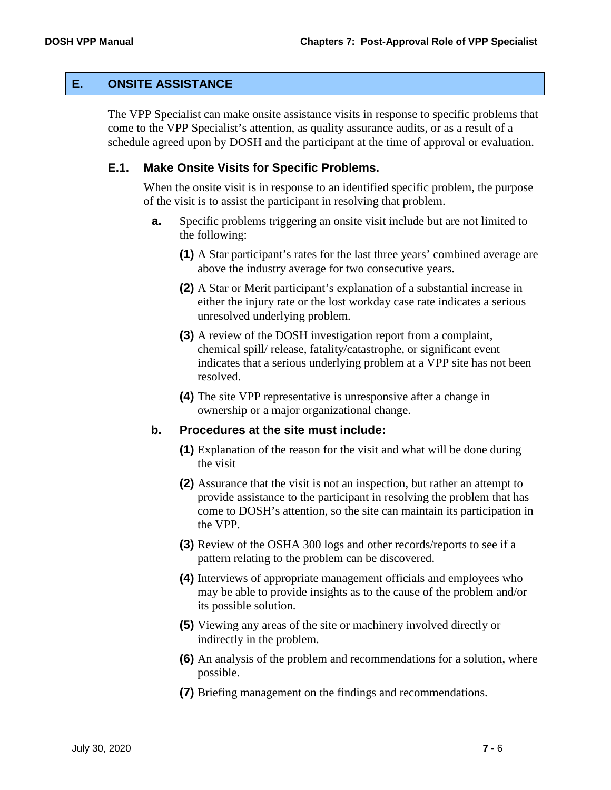#### **E. ONSITE ASSISTANCE**

The VPP Specialist can make onsite assistance visits in response to specific problems that come to the VPP Specialist's attention, as quality assurance audits, or as a result of a schedule agreed upon by DOSH and the participant at the time of approval or evaluation.

#### **E.1. Make Onsite Visits for Specific Problems.**

When the onsite visit is in response to an identified specific problem, the purpose of the visit is to assist the participant in resolving that problem.

- **a.** Specific problems triggering an onsite visit include but are not limited to the following:
	- **(1)** A Star participant's rates for the last three years' combined average are above the industry average for two consecutive years.
	- **(2)** A Star or Merit participant's explanation of a substantial increase in either the injury rate or the lost workday case rate indicates a serious unresolved underlying problem.
	- **(3)** A review of the DOSH investigation report from a complaint, chemical spill/ release, fatality/catastrophe, or significant event indicates that a serious underlying problem at a VPP site has not been resolved.
	- **(4)** The site VPP representative is unresponsive after a change in ownership or a major organizational change.

#### **b. Procedures at the site must include:**

- **(1)** Explanation of the reason for the visit and what will be done during the visit
- **(2)** Assurance that the visit is not an inspection, but rather an attempt to provide assistance to the participant in resolving the problem that has come to DOSH's attention, so the site can maintain its participation in the VPP.
- **(3)** Review of the OSHA 300 logs and other records/reports to see if a pattern relating to the problem can be discovered.
- **(4)** Interviews of appropriate management officials and employees who may be able to provide insights as to the cause of the problem and/or its possible solution.
- **(5)** Viewing any areas of the site or machinery involved directly or indirectly in the problem.
- **(6)** An analysis of the problem and recommendations for a solution, where possible.
- **(7)** Briefing management on the findings and recommendations.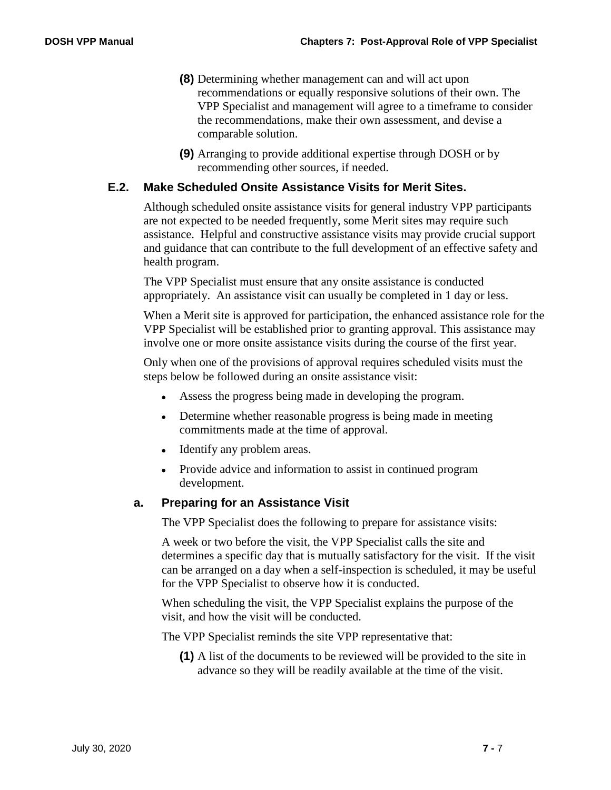- **(8)** Determining whether management can and will act upon recommendations or equally responsive solutions of their own. The VPP Specialist and management will agree to a timeframe to consider the recommendations, make their own assessment, and devise a comparable solution.
- **(9)** Arranging to provide additional expertise through DOSH or by recommending other sources, if needed.

#### **E.2. Make Scheduled Onsite Assistance Visits for Merit Sites.**

Although scheduled onsite assistance visits for general industry VPP participants are not expected to be needed frequently, some Merit sites may require such assistance. Helpful and constructive assistance visits may provide crucial support and guidance that can contribute to the full development of an effective safety and health program.

The VPP Specialist must ensure that any onsite assistance is conducted appropriately. An assistance visit can usually be completed in 1 day or less.

When a Merit site is approved for participation, the enhanced assistance role for the VPP Specialist will be established prior to granting approval. This assistance may involve one or more onsite assistance visits during the course of the first year.

Only when one of the provisions of approval requires scheduled visits must the steps below be followed during an onsite assistance visit:

- Assess the progress being made in developing the program.
- Determine whether reasonable progress is being made in meeting commitments made at the time of approval.
- Identify any problem areas.
- Provide advice and information to assist in continued program development.

#### **a. Preparing for an Assistance Visit**

The VPP Specialist does the following to prepare for assistance visits:

A week or two before the visit, the VPP Specialist calls the site and determines a specific day that is mutually satisfactory for the visit. If the visit can be arranged on a day when a self-inspection is scheduled, it may be useful for the VPP Specialist to observe how it is conducted.

When scheduling the visit, the VPP Specialist explains the purpose of the visit, and how the visit will be conducted.

The VPP Specialist reminds the site VPP representative that:

**(1)** A list of the documents to be reviewed will be provided to the site in advance so they will be readily available at the time of the visit.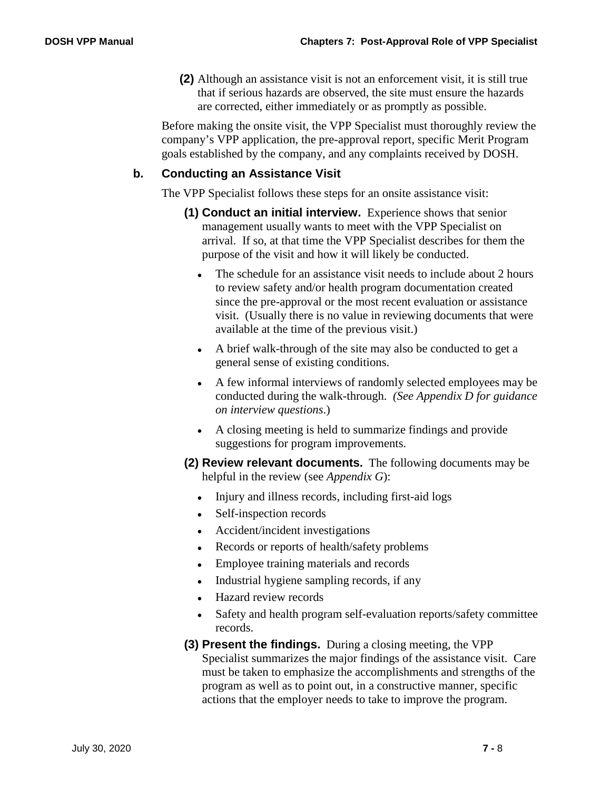**(2)** Although an assistance visit is not an enforcement visit, it is still true that if serious hazards are observed, the site must ensure the hazards are corrected, either immediately or as promptly as possible.

Before making the onsite visit, the VPP Specialist must thoroughly review the company's VPP application, the pre-approval report, specific Merit Program goals established by the company, and any complaints received by DOSH.

#### **b. Conducting an Assistance Visit**

The VPP Specialist follows these steps for an onsite assistance visit:

- **(1) Conduct an initial interview.** Experience shows that senior management usually wants to meet with the VPP Specialist on arrival. If so, at that time the VPP Specialist describes for them the purpose of the visit and how it will likely be conducted.
	- The schedule for an assistance visit needs to include about 2 hours to review safety and/or health program documentation created since the pre-approval or the most recent evaluation or assistance visit. (Usually there is no value in reviewing documents that were available at the time of the previous visit.)
	- A brief walk-through of the site may also be conducted to get a general sense of existing conditions.
	- A few informal interviews of randomly selected employees may be conducted during the walk-through. *(See Appendix D for guidance on interview questions*.)
	- A closing meeting is held to summarize findings and provide suggestions for program improvements.
- **(2) Review relevant documents.** The following documents may be helpful in the review (see *Appendix G*):
	- Injury and illness records, including first-aid logs
	- Self-inspection records
	- Accident/incident investigations
	- Records or reports of health/safety problems
	- Employee training materials and records
	- Industrial hygiene sampling records, if any
	- Hazard review records
	- Safety and health program self-evaluation reports/safety committee records.
- **(3) Present the findings.** During a closing meeting, the VPP Specialist summarizes the major findings of the assistance visit. Care must be taken to emphasize the accomplishments and strengths of the program as well as to point out, in a constructive manner, specific actions that the employer needs to take to improve the program.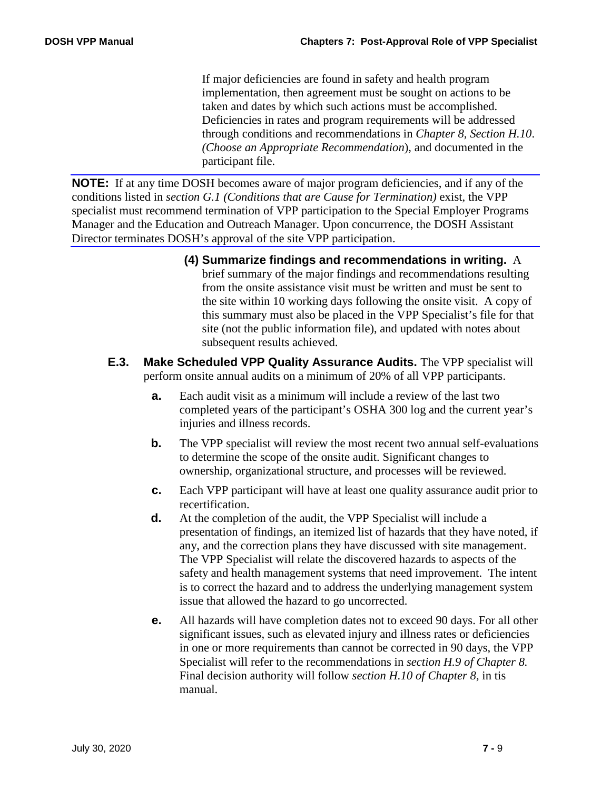If major deficiencies are found in safety and health program implementation, then agreement must be sought on actions to be taken and dates by which such actions must be accomplished. Deficiencies in rates and program requirements will be addressed through conditions and recommendations in *Chapter 8, Section H.10*. *(Choose an Appropriate Recommendation*), and documented in the participant file.

**NOTE:** If at any time DOSH becomes aware of major program deficiencies, and if any of the conditions listed in *section G.1 (Conditions that are Cause for Termination)* exist, the VPP specialist must recommend termination of VPP participation to the Special Employer Programs Manager and the Education and Outreach Manager. Upon concurrence, the DOSH Assistant Director terminates DOSH's approval of the site VPP participation.

- **(4) Summarize findings and recommendations in writing.** A brief summary of the major findings and recommendations resulting from the onsite assistance visit must be written and must be sent to the site within 10 working days following the onsite visit. A copy of this summary must also be placed in the VPP Specialist's file for that site (not the public information file), and updated with notes about subsequent results achieved.
- **E.3. Make Scheduled VPP Quality Assurance Audits.** The VPP specialist will perform onsite annual audits on a minimum of 20% of all VPP participants.
	- **a.** Each audit visit as a minimum will include a review of the last two completed years of the participant's OSHA 300 log and the current year's injuries and illness records.
	- **b.** The VPP specialist will review the most recent two annual self-evaluations to determine the scope of the onsite audit. Significant changes to ownership, organizational structure, and processes will be reviewed.
	- **c.** Each VPP participant will have at least one quality assurance audit prior to recertification.
	- **d.** At the completion of the audit, the VPP Specialist will include a presentation of findings, an itemized list of hazards that they have noted, if any, and the correction plans they have discussed with site management. The VPP Specialist will relate the discovered hazards to aspects of the safety and health management systems that need improvement. The intent is to correct the hazard and to address the underlying management system issue that allowed the hazard to go uncorrected.
	- **e.** All hazards will have completion dates not to exceed 90 days. For all other significant issues, such as elevated injury and illness rates or deficiencies in one or more requirements than cannot be corrected in 90 days, the VPP Specialist will refer to the recommendations in *section H.9 of Chapter 8.*  Final decision authority will follow *section H.10 of Chapter 8,* in tis manual.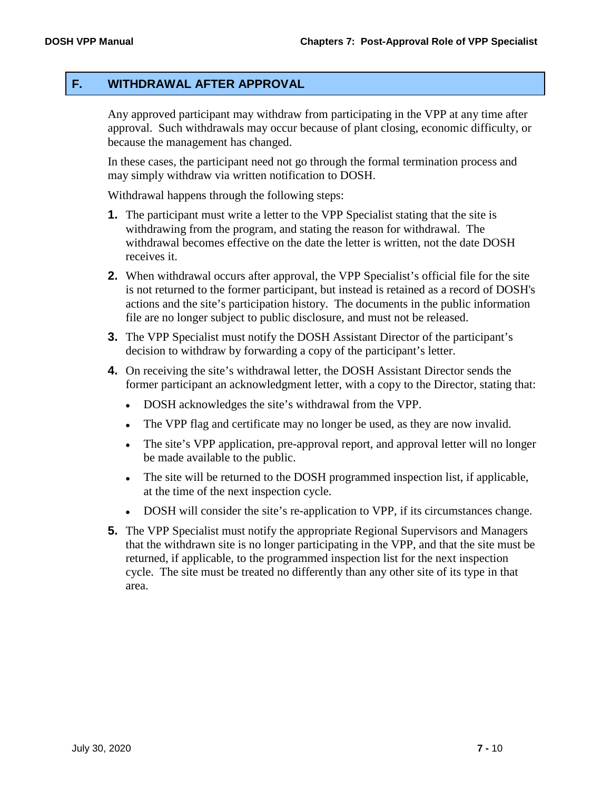## **F. WITHDRAWAL AFTER APPROVAL**

Any approved participant may withdraw from participating in the VPP at any time after approval. Such withdrawals may occur because of plant closing, economic difficulty, or because the management has changed.

In these cases, the participant need not go through the formal termination process and may simply withdraw via written notification to DOSH.

Withdrawal happens through the following steps:

- **1.** The participant must write a letter to the VPP Specialist stating that the site is withdrawing from the program, and stating the reason for withdrawal. The withdrawal becomes effective on the date the letter is written, not the date DOSH receives it.
- **2.** When withdrawal occurs after approval, the VPP Specialist's official file for the site is not returned to the former participant, but instead is retained as a record of DOSH's actions and the site's participation history. The documents in the public information file are no longer subject to public disclosure, and must not be released.
- **3.** The VPP Specialist must notify the DOSH Assistant Director of the participant's decision to withdraw by forwarding a copy of the participant's letter.
- **4.** On receiving the site's withdrawal letter, the DOSH Assistant Director sends the former participant an acknowledgment letter, with a copy to the Director, stating that:
	- DOSH acknowledges the site's withdrawal from the VPP.
	- The VPP flag and certificate may no longer be used, as they are now invalid.
	- The site's VPP application, pre-approval report, and approval letter will no longer be made available to the public.
	- The site will be returned to the DOSH programmed inspection list, if applicable, at the time of the next inspection cycle.
	- DOSH will consider the site's re-application to VPP, if its circumstances change.
- **5.** The VPP Specialist must notify the appropriate Regional Supervisors and Managers that the withdrawn site is no longer participating in the VPP, and that the site must be returned, if applicable, to the programmed inspection list for the next inspection cycle. The site must be treated no differently than any other site of its type in that area.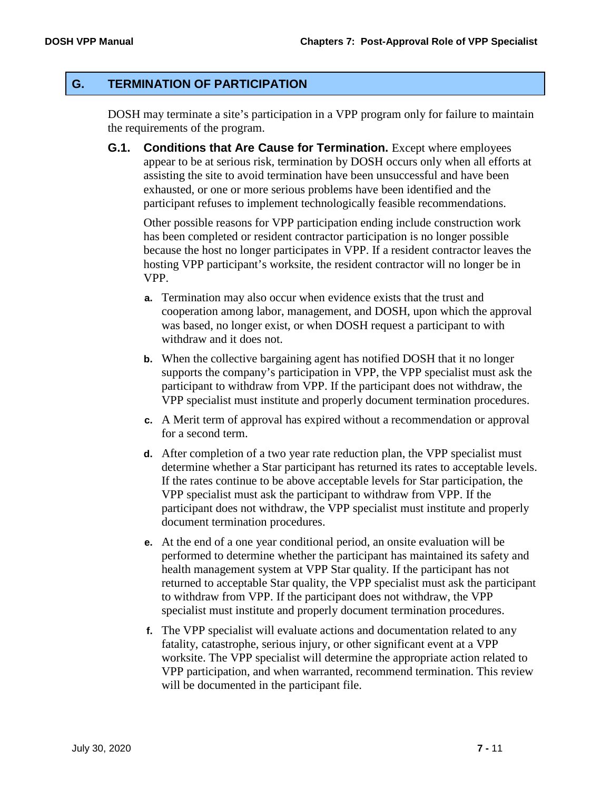## **G. TERMINATION OF PARTICIPATION**

DOSH may terminate a site's participation in a VPP program only for failure to maintain the requirements of the program.

**G.1. Conditions that Are Cause for Termination.** Except where employees appear to be at serious risk, termination by DOSH occurs only when all efforts at assisting the site to avoid termination have been unsuccessful and have been exhausted, or one or more serious problems have been identified and the participant refuses to implement technologically feasible recommendations.

Other possible reasons for VPP participation ending include construction work has been completed or resident contractor participation is no longer possible because the host no longer participates in VPP. If a resident contractor leaves the hosting VPP participant's worksite, the resident contractor will no longer be in VPP.

- **a.** Termination may also occur when evidence exists that the trust and cooperation among labor, management, and DOSH, upon which the approval was based, no longer exist, or when DOSH request a participant to with withdraw and it does not.
- **b.** When the collective bargaining agent has notified DOSH that it no longer supports the company's participation in VPP, the VPP specialist must ask the participant to withdraw from VPP. If the participant does not withdraw, the VPP specialist must institute and properly document termination procedures.
- **c.** A Merit term of approval has expired without a recommendation or approval for a second term.
- **d.** After completion of a two year rate reduction plan, the VPP specialist must determine whether a Star participant has returned its rates to acceptable levels. If the rates continue to be above acceptable levels for Star participation, the VPP specialist must ask the participant to withdraw from VPP. If the participant does not withdraw, the VPP specialist must institute and properly document termination procedures.
- **e.** At the end of a one year conditional period, an onsite evaluation will be performed to determine whether the participant has maintained its safety and health management system at VPP Star quality. If the participant has not returned to acceptable Star quality, the VPP specialist must ask the participant to withdraw from VPP. If the participant does not withdraw, the VPP specialist must institute and properly document termination procedures.
- **f.** The VPP specialist will evaluate actions and documentation related to any fatality, catastrophe, serious injury, or other significant event at a VPP worksite. The VPP specialist will determine the appropriate action related to VPP participation, and when warranted, recommend termination. This review will be documented in the participant file.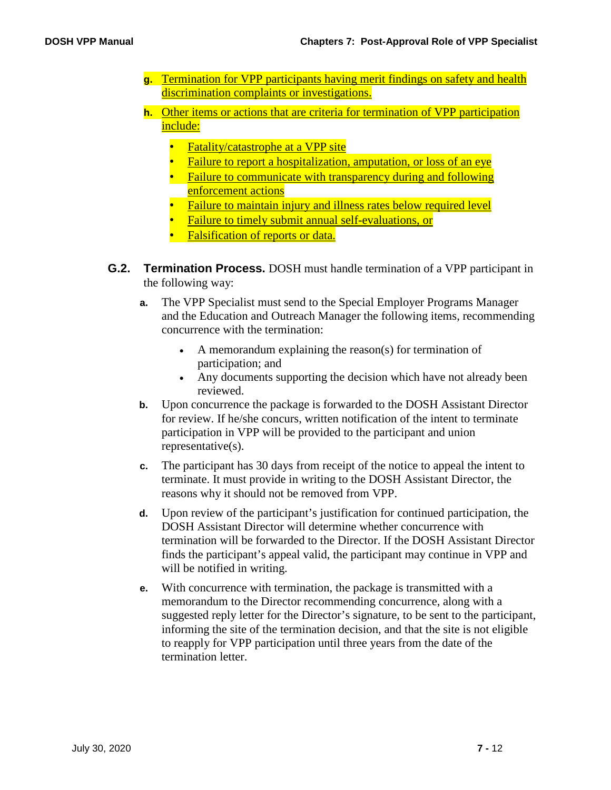- **g.** Termination for VPP participants having merit findings on safety and health discrimination complaints or investigations.
- **h.** Other items or actions that are criteria for termination of VPP participation include:
	- Fatality/catastrophe at a VPP site
	- Failure to report a hospitalization, amputation, or loss of an eye
	- Failure to communicate with transparency during and following enforcement actions
	- Failure to maintain injury and illness rates below required level
	- Failure to timely submit annual self-evaluations, or
	- Falsification of reports or data.
- **G.2. Termination Process.** DOSH must handle termination of a VPP participant in the following way:
	- **a.** The VPP Specialist must send to the Special Employer Programs Manager and the Education and Outreach Manager the following items, recommending concurrence with the termination:
		- A memorandum explaining the reason(s) for termination of participation; and
		- Any documents supporting the decision which have not already been reviewed.
	- **b.** Upon concurrence the package is forwarded to the DOSH Assistant Director for review. If he/she concurs, written notification of the intent to terminate participation in VPP will be provided to the participant and union representative(s).
	- **c.** The participant has 30 days from receipt of the notice to appeal the intent to terminate. It must provide in writing to the DOSH Assistant Director, the reasons why it should not be removed from VPP.
	- **d.** Upon review of the participant's justification for continued participation, the DOSH Assistant Director will determine whether concurrence with termination will be forwarded to the Director. If the DOSH Assistant Director finds the participant's appeal valid, the participant may continue in VPP and will be notified in writing.
	- **e.** With concurrence with termination, the package is transmitted with a memorandum to the Director recommending concurrence, along with a suggested reply letter for the Director's signature, to be sent to the participant, informing the site of the termination decision, and that the site is not eligible to reapply for VPP participation until three years from the date of the termination letter.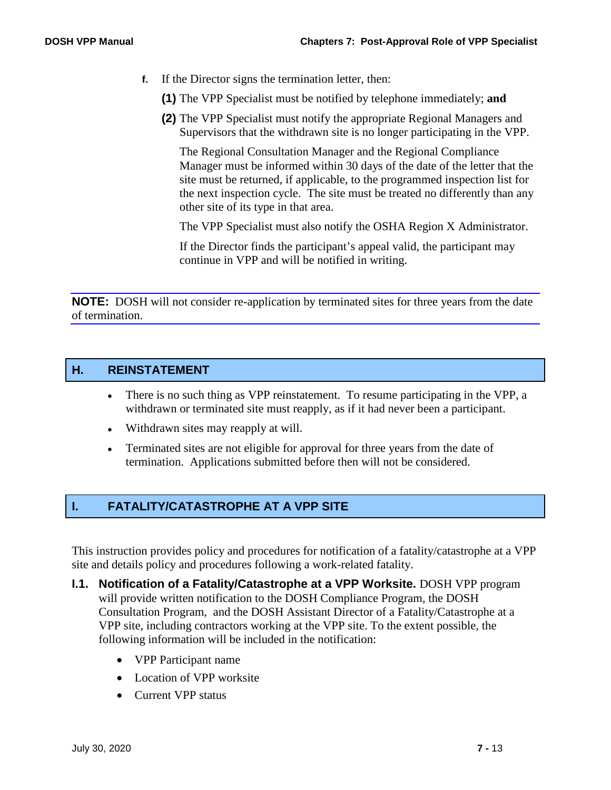- **f.** If the Director signs the termination letter, then:
	- **(1)** The VPP Specialist must be notified by telephone immediately; **and**
	- **(2)** The VPP Specialist must notify the appropriate Regional Managers and Supervisors that the withdrawn site is no longer participating in the VPP.

The Regional Consultation Manager and the Regional Compliance Manager must be informed within 30 days of the date of the letter that the site must be returned, if applicable, to the programmed inspection list for the next inspection cycle. The site must be treated no differently than any other site of its type in that area.

The VPP Specialist must also notify the OSHA Region X Administrator.

If the Director finds the participant's appeal valid, the participant may continue in VPP and will be notified in writing.

**NOTE:** DOSH will not consider re-application by terminated sites for three years from the date of termination.

## **H. REINSTATEMENT**

- There is no such thing as VPP reinstatement. To resume participating in the VPP, a withdrawn or terminated site must reapply, as if it had never been a participant.
- Withdrawn sites may reapply at will.
- Terminated sites are not eligible for approval for three years from the date of termination. Applications submitted before then will not be considered.

# **I. FATALITY/CATASTROPHE AT A VPP SITE**

This instruction provides policy and procedures for notification of a fatality/catastrophe at a VPP site and details policy and procedures following a work-related fatality.

- **I.1. Notification of a Fatality/Catastrophe at a VPP Worksite.** DOSH VPP program will provide written notification to the DOSH Compliance Program, the DOSH Consultation Program, and the DOSH Assistant Director of a Fatality/Catastrophe at a VPP site, including contractors working at the VPP site. To the extent possible, the following information will be included in the notification:
	- VPP Participant name
	- Location of VPP worksite
	- Current VPP status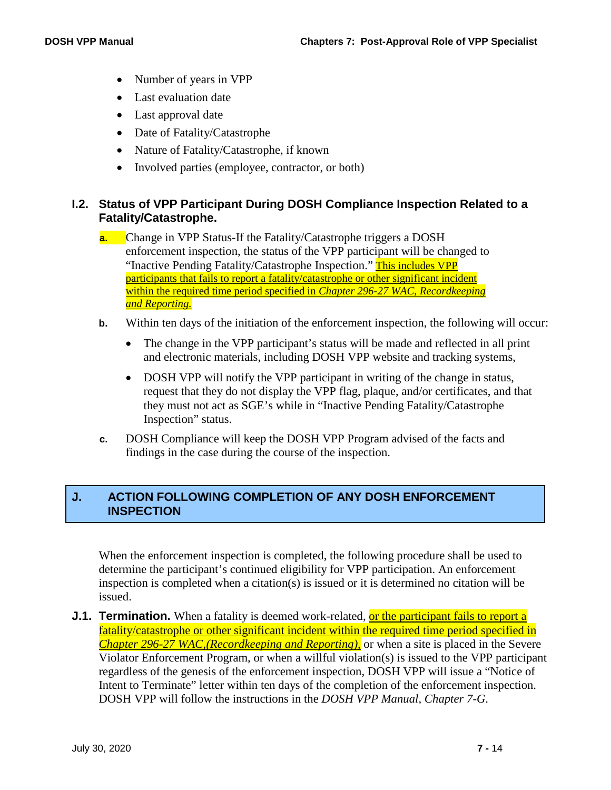- Number of years in VPP
- Last evaluation date
- Last approval date
- Date of Fatality/Catastrophe
- Nature of Fatality/Catastrophe, if known
- Involved parties (employee, contractor, or both)

#### **I.2. Status of VPP Participant During DOSH Compliance Inspection Related to a Fatality/Catastrophe.**

- **a.** Change in VPP Status-If the Fatality/Catastrophe triggers a DOSH enforcement inspection, the status of the VPP participant will be changed to "Inactive Pending Fatality/Catastrophe Inspection." This includes VPP participants that fails to report a fatality/catastrophe or other significant incident within the required time period specified in *Chapter 296-27 WAC, Recordkeeping and Reporting.*
- **b.** Within ten days of the initiation of the enforcement inspection, the following will occur:
	- The change in the VPP participant's status will be made and reflected in all print and electronic materials, including DOSH VPP website and tracking systems,
	- DOSH VPP will notify the VPP participant in writing of the change in status, request that they do not display the VPP flag, plaque, and/or certificates, and that they must not act as SGE's while in "Inactive Pending Fatality/Catastrophe Inspection" status.
- **c.** DOSH Compliance will keep the DOSH VPP Program advised of the facts and findings in the case during the course of the inspection.

## **J. ACTION FOLLOWING COMPLETION OF ANY DOSH ENFORCEMENT INSPECTION**

When the enforcement inspection is completed, the following procedure shall be used to determine the participant's continued eligibility for VPP participation. An enforcement inspection is completed when a citation(s) is issued or it is determined no citation will be issued.

**J.1. Termination.** When a fatality is deemed work-related, or the participant fails to report a fatality/catastrophe or other significant incident within the required time period specified in *Chapter 296-27 WAC,(Recordkeeping and Reporting),* or when a site is placed in the Severe Violator Enforcement Program, or when a willful violation(s) is issued to the VPP participant regardless of the genesis of the enforcement inspection, DOSH VPP will issue a "Notice of Intent to Terminate" letter within ten days of the completion of the enforcement inspection. DOSH VPP will follow the instructions in the *DOSH VPP Manual, Chapter 7-G*.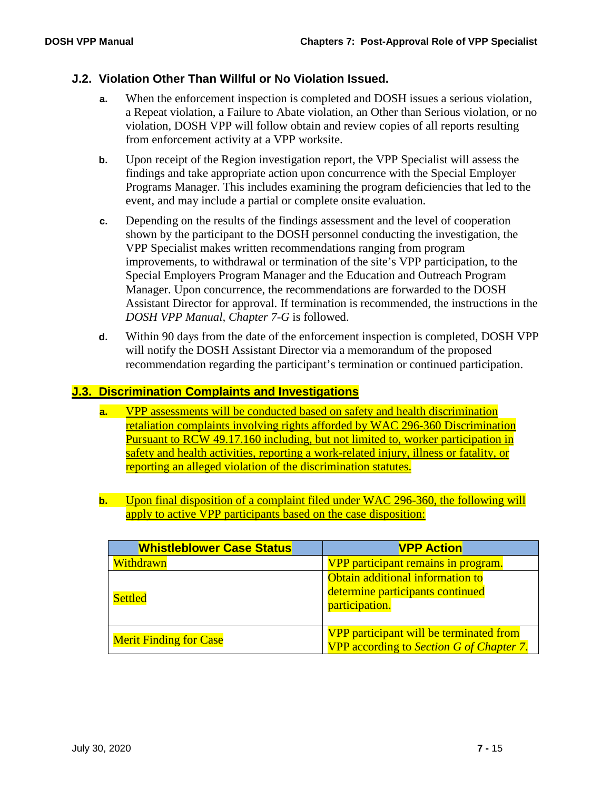## **J.2. Violation Other Than Willful or No Violation Issued.**

- **a.** When the enforcement inspection is completed and DOSH issues a serious violation, a Repeat violation, a Failure to Abate violation, an Other than Serious violation, or no violation, DOSH VPP will follow obtain and review copies of all reports resulting from enforcement activity at a VPP worksite.
- **b.** Upon receipt of the Region investigation report, the VPP Specialist will assess the findings and take appropriate action upon concurrence with the Special Employer Programs Manager. This includes examining the program deficiencies that led to the event, and may include a partial or complete onsite evaluation.
- **c.** Depending on the results of the findings assessment and the level of cooperation shown by the participant to the DOSH personnel conducting the investigation, the VPP Specialist makes written recommendations ranging from program improvements, to withdrawal or termination of the site's VPP participation, to the Special Employers Program Manager and the Education and Outreach Program Manager. Upon concurrence, the recommendations are forwarded to the DOSH Assistant Director for approval. If termination is recommended, the instructions in the *DOSH VPP Manual, Chapter 7-G* is followed.
- **d.** Within 90 days from the date of the enforcement inspection is completed, DOSH VPP will notify the DOSH Assistant Director via a memorandum of the proposed recommendation regarding the participant's termination or continued participation.

#### **J.3. Discrimination Complaints and Investigations**

- **a.** VPP assessments will be conducted based on safety and health discrimination retaliation complaints involving rights afforded by WAC 296-360 Discrimination Pursuant to RCW 49.17.160 including, but not limited to, worker participation in safety and health activities, reporting a work-related injury, illness or fatality, or reporting an alleged violation of the discrimination statutes.
- **b.** Upon final disposition of a complaint filed under WAC 296-360, the following will apply to active VPP participants based on the case disposition:

| <b>Whistleblower Case Status</b> | <b>VPP Action</b>                                                                                 |
|----------------------------------|---------------------------------------------------------------------------------------------------|
| Withdrawn                        | <b>VPP</b> participant remains in program.                                                        |
| <b>Settled</b>                   | Obtain additional information to<br>determine participants continued<br>participation.            |
| <b>Merit Finding for Case</b>    | <b>VPP</b> participant will be terminated from<br><b>VPP</b> according to Section G of Chapter 7. |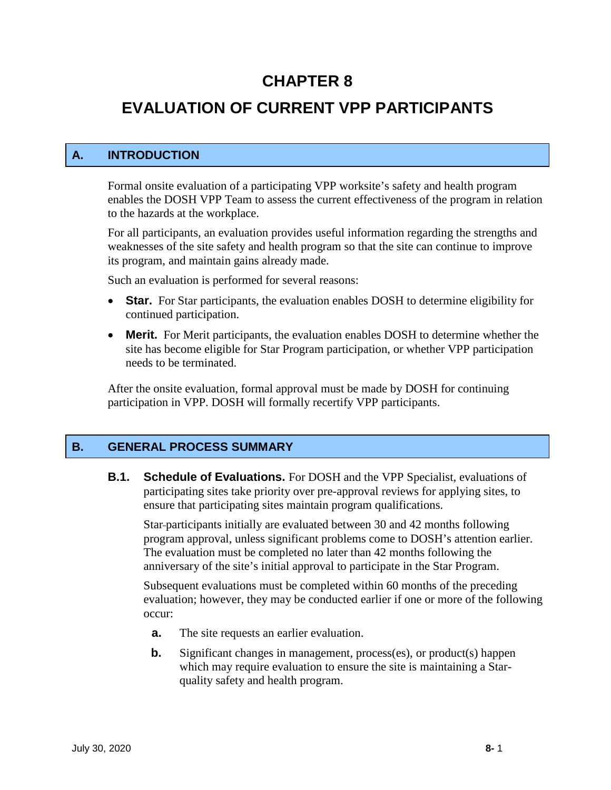# **CHAPTER 8**

# **EVALUATION OF CURRENT VPP PARTICIPANTS**

# **A. INTRODUCTION**

Formal onsite evaluation of a participating VPP worksite's safety and health program enables the DOSH VPP Team to assess the current effectiveness of the program in relation to the hazards at the workplace.

For all participants, an evaluation provides useful information regarding the strengths and weaknesses of the site safety and health program so that the site can continue to improve its program, and maintain gains already made.

Such an evaluation is performed for several reasons:

- **Star.** For Star participants, the evaluation enables DOSH to determine eligibility for continued participation.
- **Merit.** For Merit participants, the evaluation enables DOSH to determine whether the site has become eligible for Star Program participation, or whether VPP participation needs to be terminated.

After the onsite evaluation, formal approval must be made by DOSH for continuing participation in VPP. DOSH will formally recertify VPP participants.

#### **B. GENERAL PROCESS SUMMARY**

**B.1. Schedule of Evaluations.** For DOSH and the VPP Specialist, evaluations of participating sites take priority over pre-approval reviews for applying sites, to ensure that participating sites maintain program qualifications.

Star participants initially are evaluated between 30 and 42 months following program approval, unless significant problems come to DOSH's attention earlier. The evaluation must be completed no later than 42 months following the anniversary of the site's initial approval to participate in the Star Program.

Subsequent evaluations must be completed within 60 months of the preceding evaluation; however, they may be conducted earlier if one or more of the following occur:

- **a.** The site requests an earlier evaluation.
- **b.** Significant changes in management, process(es), or product(s) happen which may require evaluation to ensure the site is maintaining a Starquality safety and health program.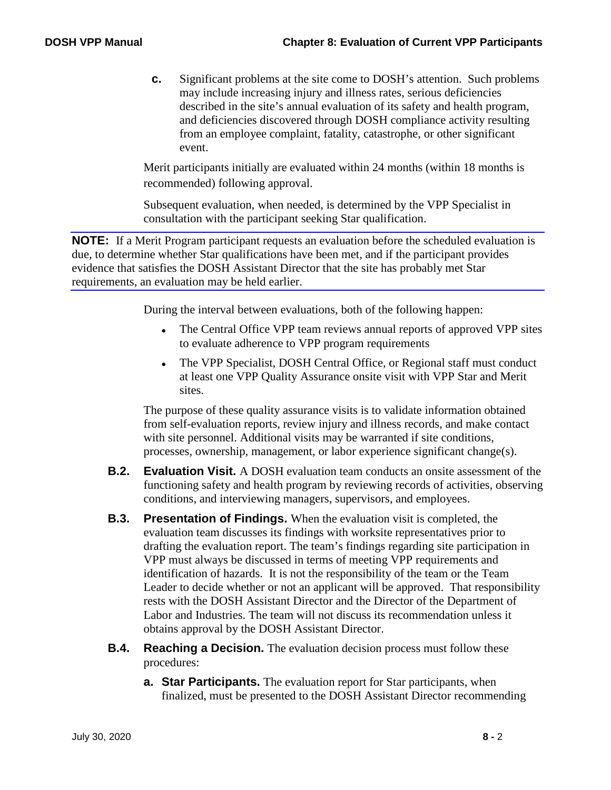**c.** Significant problems at the site come to DOSH's attention. Such problems may include increasing injury and illness rates, serious deficiencies described in the site's annual evaluation of its safety and health program, and deficiencies discovered through DOSH compliance activity resulting from an employee complaint, fatality, catastrophe, or other significant event.

Merit participants initially are evaluated within 24 months (within 18 months is recommended) following approval.

Subsequent evaluation, when needed, is determined by the VPP Specialist in consultation with the participant seeking Star qualification.

**NOTE:** If a Merit Program participant requests an evaluation before the scheduled evaluation is due, to determine whether Star qualifications have been met, and if the participant provides evidence that satisfies the DOSH Assistant Director that the site has probably met Star requirements, an evaluation may be held earlier.

During the interval between evaluations, both of the following happen:

- The Central Office VPP team reviews annual reports of approved VPP sites to evaluate adherence to VPP program requirements
- The VPP Specialist, DOSH Central Office, or Regional staff must conduct at least one VPP Quality Assurance onsite visit with VPP Star and Merit sites.

The purpose of these quality assurance visits is to validate information obtained from self-evaluation reports, review injury and illness records, and make contact with site personnel. Additional visits may be warranted if site conditions, processes, ownership, management, or labor experience significant change(s).

- **B.2. Evaluation Visit.** A DOSH evaluation team conducts an onsite assessment of the functioning safety and health program by reviewing records of activities, observing conditions, and interviewing managers, supervisors, and employees.
- **B.3. Presentation of Findings.** When the evaluation visit is completed, the evaluation team discusses its findings with worksite representatives prior to drafting the evaluation report. The team's findings regarding site participation in VPP must always be discussed in terms of meeting VPP requirements and identification of hazards. It is not the responsibility of the team or the Team Leader to decide whether or not an applicant will be approved. That responsibility rests with the DOSH Assistant Director and the Director of the Department of Labor and Industries. The team will not discuss its recommendation unless it obtains approval by the DOSH Assistant Director.
- **B.4. Reaching a Decision.** The evaluation decision process must follow these procedures:
	- **a. Star Participants.** The evaluation report for Star participants, when finalized, must be presented to the DOSH Assistant Director recommending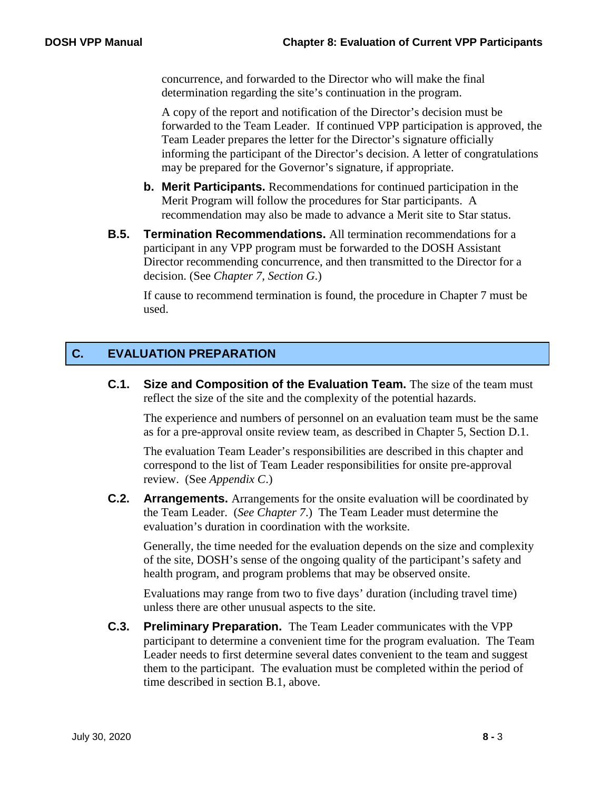concurrence, and forwarded to the Director who will make the final determination regarding the site's continuation in the program.

A copy of the report and notification of the Director's decision must be forwarded to the Team Leader. If continued VPP participation is approved, the Team Leader prepares the letter for the Director's signature officially informing the participant of the Director's decision. A letter of congratulations may be prepared for the Governor's signature, if appropriate.

- **b. Merit Participants.** Recommendations for continued participation in the Merit Program will follow the procedures for Star participants. A recommendation may also be made to advance a Merit site to Star status.
- **B.5. Termination Recommendations.** All termination recommendations for a participant in any VPP program must be forwarded to the DOSH Assistant Director recommending concurrence, and then transmitted to the Director for a decision. (See *Chapter 7, Section G*.)

If cause to recommend termination is found, the procedure in Chapter 7 must be used.

# **C. EVALUATION PREPARATION**

**C.1.** Size and Composition of the Evaluation Team. The size of the team must reflect the size of the site and the complexity of the potential hazards.

The experience and numbers of personnel on an evaluation team must be the same as for a pre-approval onsite review team, as described in Chapter 5, Section D.1.

The evaluation Team Leader's responsibilities are described in this chapter and correspond to the list of Team Leader responsibilities for onsite pre-approval review. (See *Appendix C*.)

**C.2. Arrangements.** Arrangements for the onsite evaluation will be coordinated by the Team Leader. (*See Chapter 7*.) The Team Leader must determine the evaluation's duration in coordination with the worksite.

Generally, the time needed for the evaluation depends on the size and complexity of the site, DOSH's sense of the ongoing quality of the participant's safety and health program, and program problems that may be observed onsite.

Evaluations may range from two to five days' duration (including travel time) unless there are other unusual aspects to the site.

**C.3. Preliminary Preparation.** The Team Leader communicates with the VPP participant to determine a convenient time for the program evaluation. The Team Leader needs to first determine several dates convenient to the team and suggest them to the participant. The evaluation must be completed within the period of time described in section B.1, above.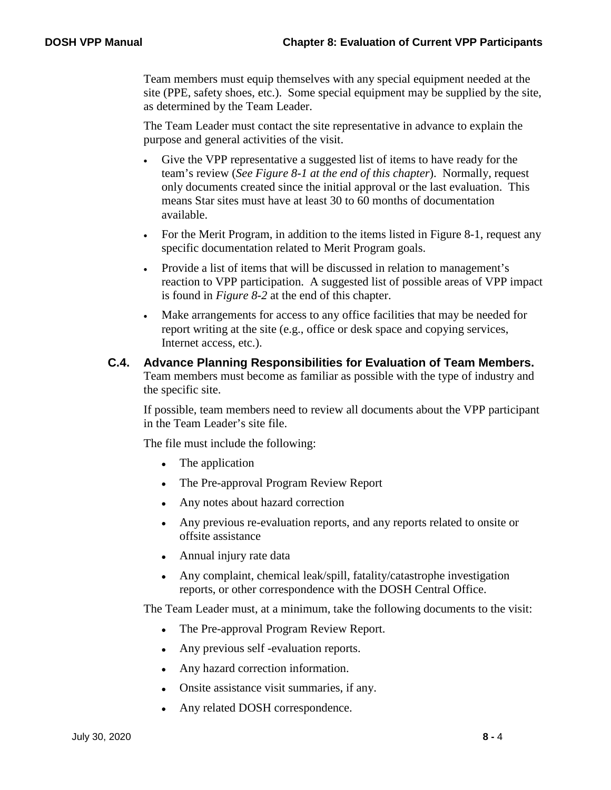Team members must equip themselves with any special equipment needed at the site (PPE, safety shoes, etc.). Some special equipment may be supplied by the site, as determined by the Team Leader.

The Team Leader must contact the site representative in advance to explain the purpose and general activities of the visit.

- Give the VPP representative a suggested list of items to have ready for the team's review (*See Figure 8-1 at the end of this chapter*). Normally, request only documents created since the initial approval or the last evaluation. This means Star sites must have at least 30 to 60 months of documentation available.
- For the Merit Program, in addition to the items listed in Figure 8-1, request any specific documentation related to Merit Program goals.
- Provide a list of items that will be discussed in relation to management's reaction to VPP participation. A suggested list of possible areas of VPP impact is found in *Figure 8-2* at the end of this chapter.
- Make arrangements for access to any office facilities that may be needed for report writing at the site (e.g., office or desk space and copying services, Internet access, etc.).
- **C.4. Advance Planning Responsibilities for Evaluation of Team Members.**  Team members must become as familiar as possible with the type of industry and the specific site.

If possible, team members need to review all documents about the VPP participant in the Team Leader's site file.

The file must include the following:

- The application
- The Pre-approval Program Review Report
- Any notes about hazard correction
- Any previous re-evaluation reports, and any reports related to onsite or offsite assistance
- Annual injury rate data
- Any complaint, chemical leak/spill, fatality/catastrophe investigation reports, or other correspondence with the DOSH Central Office.

The Team Leader must, at a minimum, take the following documents to the visit:

- The Pre-approval Program Review Report.
- Any previous self -evaluation reports.
- Any hazard correction information.
- Onsite assistance visit summaries, if any.
- Any related DOSH correspondence.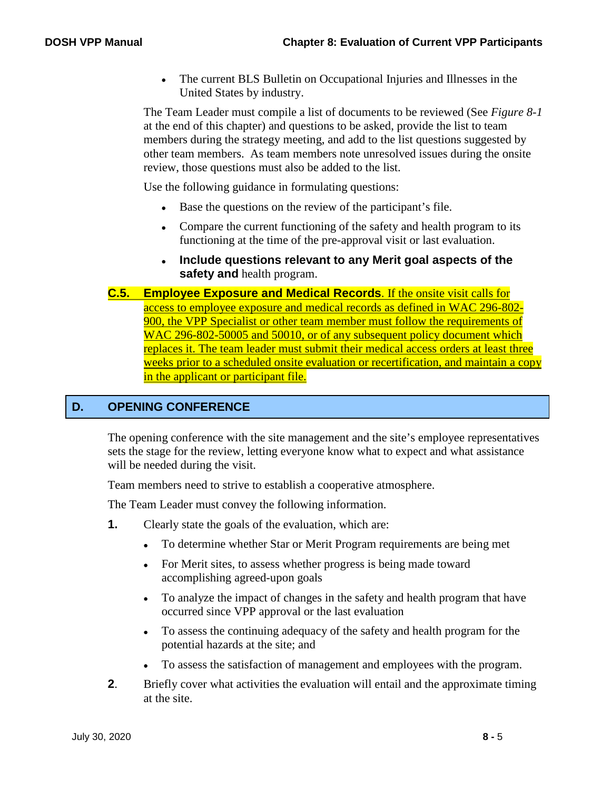• The current BLS Bulletin on Occupational Injuries and Illnesses in the United States by industry.

The Team Leader must compile a list of documents to be reviewed (See *Figure 8-1* at the end of this chapter) and questions to be asked, provide the list to team members during the strategy meeting, and add to the list questions suggested by other team members. As team members note unresolved issues during the onsite review, those questions must also be added to the list.

Use the following guidance in formulating questions:

- Base the questions on the review of the participant's file.
- Compare the current functioning of the safety and health program to its functioning at the time of the pre-approval visit or last evaluation.
- **Include questions relevant to any Merit goal aspects of the safety and** health program.

**C.5. Employee Exposure and Medical Records**. If the onsite visit calls for access to employee exposure and medical records as defined in WAC 296-802- 900, the VPP Specialist or other team member must follow the requirements of WAC 296-802-50005 and 50010, or of any subsequent policy document which replaces it. The team leader must submit their medical access orders at least three weeks prior to a scheduled onsite evaluation or recertification, and maintain a copy in the applicant or participant file.

#### **D. OPENING CONFERENCE**

The opening conference with the site management and the site's employee representatives sets the stage for the review, letting everyone know what to expect and what assistance will be needed during the visit.

Team members need to strive to establish a cooperative atmosphere.

The Team Leader must convey the following information.

- **1.** Clearly state the goals of the evaluation, which are:
	- To determine whether Star or Merit Program requirements are being met
	- For Merit sites, to assess whether progress is being made toward accomplishing agreed-upon goals
	- To analyze the impact of changes in the safety and health program that have occurred since VPP approval or the last evaluation
	- To assess the continuing adequacy of the safety and health program for the potential hazards at the site; and
	- To assess the satisfaction of management and employees with the program.
- **2**. Briefly cover what activities the evaluation will entail and the approximate timing at the site.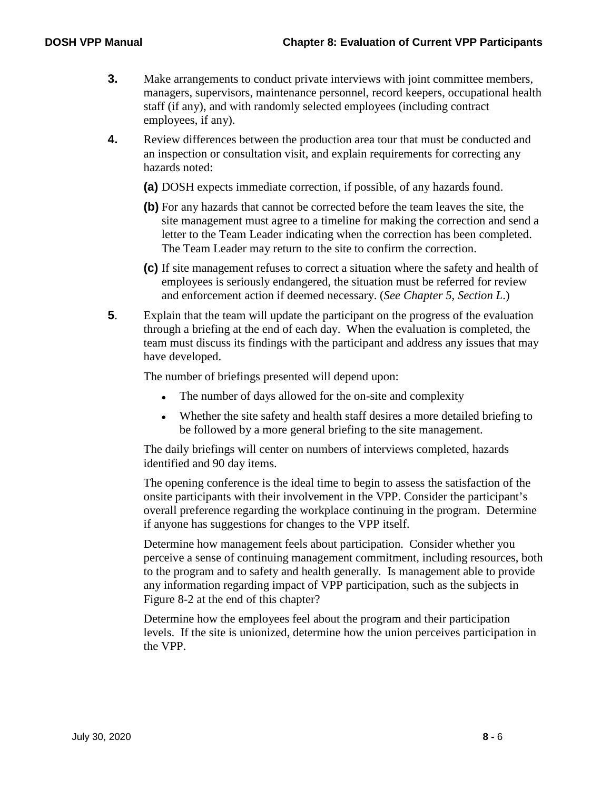- **3.** Make arrangements to conduct private interviews with joint committee members, managers, supervisors, maintenance personnel, record keepers, occupational health staff (if any), and with randomly selected employees (including contract employees, if any).
- **4.** Review differences between the production area tour that must be conducted and an inspection or consultation visit, and explain requirements for correcting any hazards noted:
	- **(a)** DOSH expects immediate correction, if possible, of any hazards found.
	- **(b)** For any hazards that cannot be corrected before the team leaves the site, the site management must agree to a timeline for making the correction and send a letter to the Team Leader indicating when the correction has been completed. The Team Leader may return to the site to confirm the correction.
	- **(c)** If site management refuses to correct a situation where the safety and health of employees is seriously endangered, the situation must be referred for review and enforcement action if deemed necessary. (*See Chapter 5, Section L*.)
- **5**. Explain that the team will update the participant on the progress of the evaluation through a briefing at the end of each day. When the evaluation is completed, the team must discuss its findings with the participant and address any issues that may have developed.

The number of briefings presented will depend upon:

- The number of days allowed for the on-site and complexity
- Whether the site safety and health staff desires a more detailed briefing to be followed by a more general briefing to the site management.

The daily briefings will center on numbers of interviews completed, hazards identified and 90 day items.

The opening conference is the ideal time to begin to assess the satisfaction of the onsite participants with their involvement in the VPP. Consider the participant's overall preference regarding the workplace continuing in the program. Determine if anyone has suggestions for changes to the VPP itself.

Determine how management feels about participation. Consider whether you perceive a sense of continuing management commitment, including resources, both to the program and to safety and health generally. Is management able to provide any information regarding impact of VPP participation, such as the subjects in Figure 8-2 at the end of this chapter?

Determine how the employees feel about the program and their participation levels. If the site is unionized, determine how the union perceives participation in the VPP.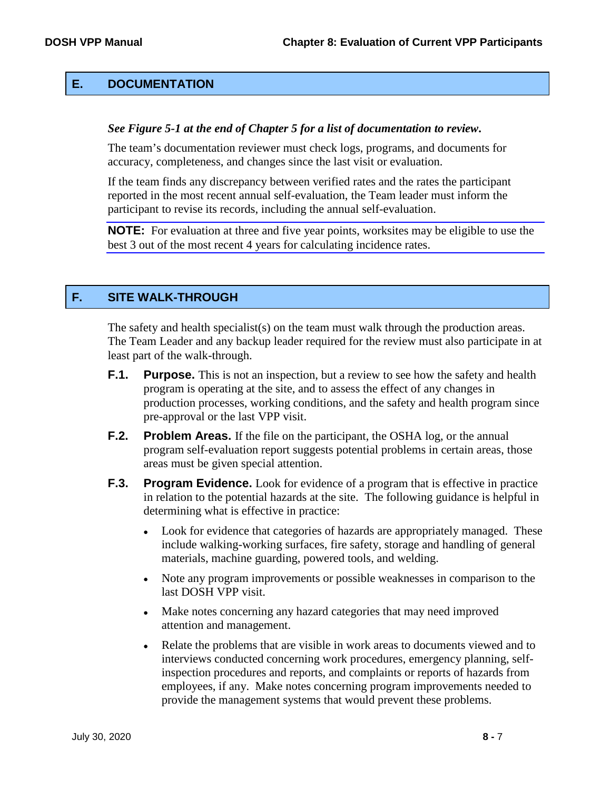## **E. DOCUMENTATION**

#### *See Figure 5-1 at the end of Chapter 5 for a list of documentation to review***.**

The team's documentation reviewer must check logs, programs, and documents for accuracy, completeness, and changes since the last visit or evaluation.

If the team finds any discrepancy between verified rates and the rates the participant reported in the most recent annual self-evaluation, the Team leader must inform the participant to revise its records, including the annual self-evaluation.

**NOTE:** For evaluation at three and five year points, worksites may be eligible to use the best 3 out of the most recent 4 years for calculating incidence rates.

#### **F. SITE WALK-THROUGH**

The safety and health specialist(s) on the team must walk through the production areas. The Team Leader and any backup leader required for the review must also participate in at least part of the walk-through.

- **F.1. Purpose.** This is not an inspection, but a review to see how the safety and health program is operating at the site, and to assess the effect of any changes in production processes, working conditions, and the safety and health program since pre-approval or the last VPP visit.
- **F.2. Problem Areas.** If the file on the participant, the OSHA log, or the annual program self-evaluation report suggests potential problems in certain areas, those areas must be given special attention.
- **F.3. Program Evidence.** Look for evidence of a program that is effective in practice in relation to the potential hazards at the site. The following guidance is helpful in determining what is effective in practice:
	- Look for evidence that categories of hazards are appropriately managed. These include walking-working surfaces, fire safety, storage and handling of general materials, machine guarding, powered tools, and welding.
	- Note any program improvements or possible weaknesses in comparison to the last DOSH VPP visit.
	- Make notes concerning any hazard categories that may need improved attention and management.
	- Relate the problems that are visible in work areas to documents viewed and to interviews conducted concerning work procedures, emergency planning, selfinspection procedures and reports, and complaints or reports of hazards from employees, if any. Make notes concerning program improvements needed to provide the management systems that would prevent these problems.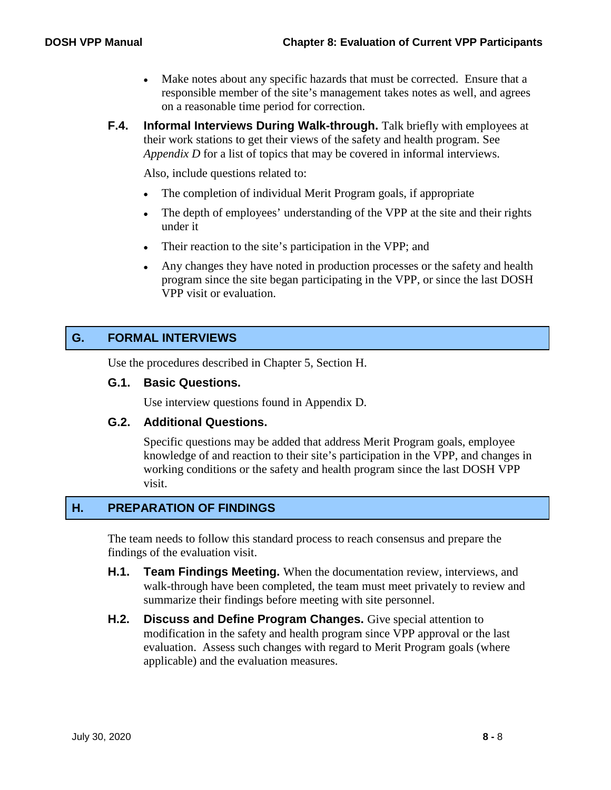- Make notes about any specific hazards that must be corrected. Ensure that a responsible member of the site's management takes notes as well, and agrees on a reasonable time period for correction.
- **F.4. Informal Interviews During Walk-through.** Talk briefly with employees at their work stations to get their views of the safety and health program. See *Appendix D* for a list of topics that may be covered in informal interviews.

Also, include questions related to:

- The completion of individual Merit Program goals, if appropriate
- The depth of employees' understanding of the VPP at the site and their rights under it
- Their reaction to the site's participation in the VPP; and
- Any changes they have noted in production processes or the safety and health program since the site began participating in the VPP, or since the last DOSH VPP visit or evaluation.

## **G. FORMAL INTERVIEWS**

Use the procedures described in Chapter 5, Section H.

#### **G.1. Basic Questions.**

Use interview questions found in Appendix D.

#### **G.2. Additional Questions.**

Specific questions may be added that address Merit Program goals, employee knowledge of and reaction to their site's participation in the VPP, and changes in working conditions or the safety and health program since the last DOSH VPP visit.

#### **H. PREPARATION OF FINDINGS**

The team needs to follow this standard process to reach consensus and prepare the findings of the evaluation visit.

- **H.1. Team Findings Meeting.** When the documentation review, interviews, and walk-through have been completed, the team must meet privately to review and summarize their findings before meeting with site personnel.
- **H.2. Discuss and Define Program Changes.** Give special attention to modification in the safety and health program since VPP approval or the last evaluation. Assess such changes with regard to Merit Program goals (where applicable) and the evaluation measures.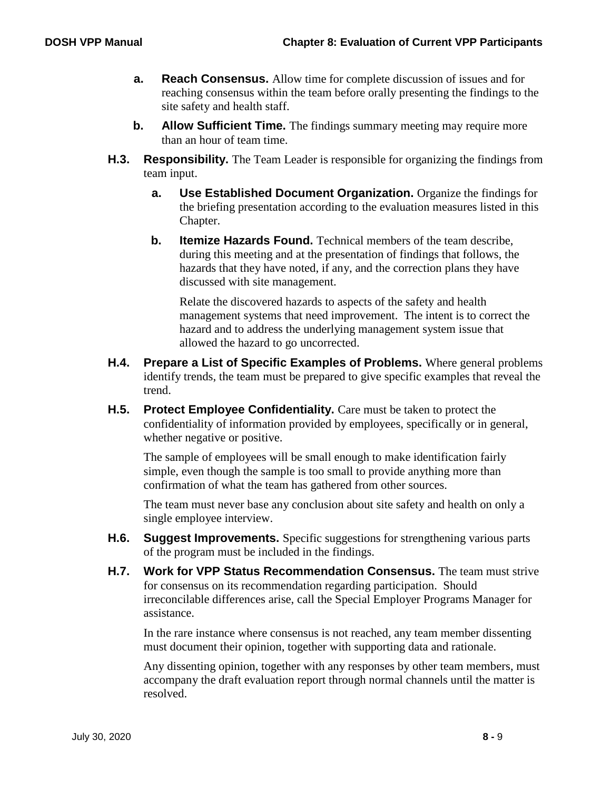- **a. Reach Consensus.** Allow time for complete discussion of issues and for reaching consensus within the team before orally presenting the findings to the site safety and health staff.
- **b. Allow Sufficient Time.** The findings summary meeting may require more than an hour of team time.
- **H.3. Responsibility.** The Team Leader is responsible for organizing the findings from team input.
	- **a. Use Established Document Organization.** Organize the findings for the briefing presentation according to the evaluation measures listed in this Chapter.
	- **b. Itemize Hazards Found.** Technical members of the team describe, during this meeting and at the presentation of findings that follows, the hazards that they have noted, if any, and the correction plans they have discussed with site management.

Relate the discovered hazards to aspects of the safety and health management systems that need improvement. The intent is to correct the hazard and to address the underlying management system issue that allowed the hazard to go uncorrected.

- **H.4. Prepare a List of Specific Examples of Problems.** Where general problems identify trends, the team must be prepared to give specific examples that reveal the trend.
- **H.5. Protect Employee Confidentiality.** Care must be taken to protect the confidentiality of information provided by employees, specifically or in general, whether negative or positive.

The sample of employees will be small enough to make identification fairly simple, even though the sample is too small to provide anything more than confirmation of what the team has gathered from other sources.

The team must never base any conclusion about site safety and health on only a single employee interview.

- **H.6. Suggest Improvements.** Specific suggestions for strengthening various parts of the program must be included in the findings.
- **H.7. Work for VPP Status Recommendation Consensus.** The team must strive for consensus on its recommendation regarding participation. Should irreconcilable differences arise, call the Special Employer Programs Manager for assistance.

In the rare instance where consensus is not reached, any team member dissenting must document their opinion, together with supporting data and rationale.

Any dissenting opinion, together with any responses by other team members, must accompany the draft evaluation report through normal channels until the matter is resolved.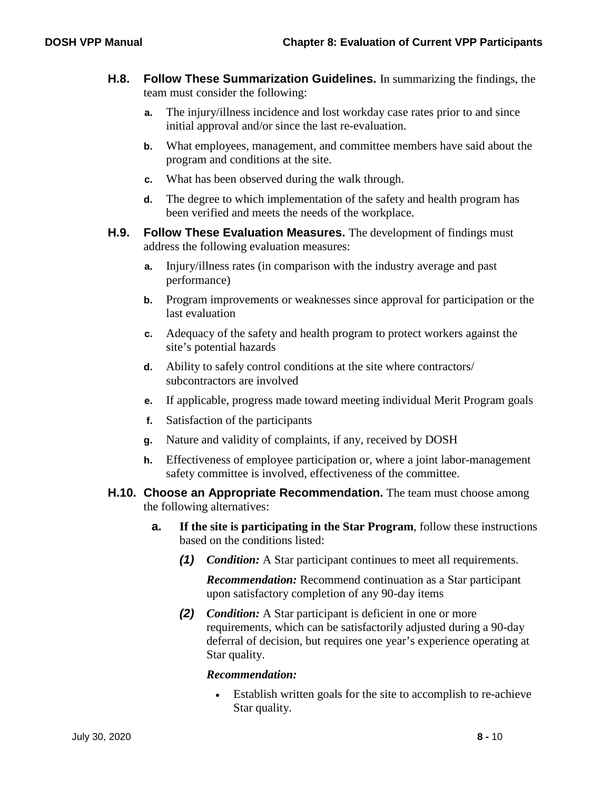- **H.8. Follow These Summarization Guidelines.** In summarizing the findings, the team must consider the following:
	- **a.** The injury/illness incidence and lost workday case rates prior to and since initial approval and/or since the last re-evaluation.
	- **b.** What employees, management, and committee members have said about the program and conditions at the site.
	- **c.** What has been observed during the walk through.
	- **d.** The degree to which implementation of the safety and health program has been verified and meets the needs of the workplace.
- **H.9. Follow These Evaluation Measures.** The development of findings must address the following evaluation measures:
	- **a.** Injury/illness rates (in comparison with the industry average and past performance)
	- **b.** Program improvements or weaknesses since approval for participation or the last evaluation
	- **c.** Adequacy of the safety and health program to protect workers against the site's potential hazards
	- **d.** Ability to safely control conditions at the site where contractors/ subcontractors are involved
	- **e.** If applicable, progress made toward meeting individual Merit Program goals
	- **f.** Satisfaction of the participants
	- **g.** Nature and validity of complaints, if any, received by DOSH
	- **h.** Effectiveness of employee participation or, where a joint labor-management safety committee is involved, effectiveness of the committee.
- **H.10. Choose an Appropriate Recommendation.** The team must choose among the following alternatives:
	- **a. If the site is participating in the Star Program**, follow these instructions based on the conditions listed:
		- *(1) Condition:* A Star participant continues to meet all requirements.

*Recommendation:* Recommend continuation as a Star participant upon satisfactory completion of any 90-day items

*(2) Condition:* A Star participant is deficient in one or more requirements, which can be satisfactorily adjusted during a 90-day deferral of decision, but requires one year's experience operating at Star quality.

#### *Recommendation:*

• Establish written goals for the site to accomplish to re-achieve Star quality.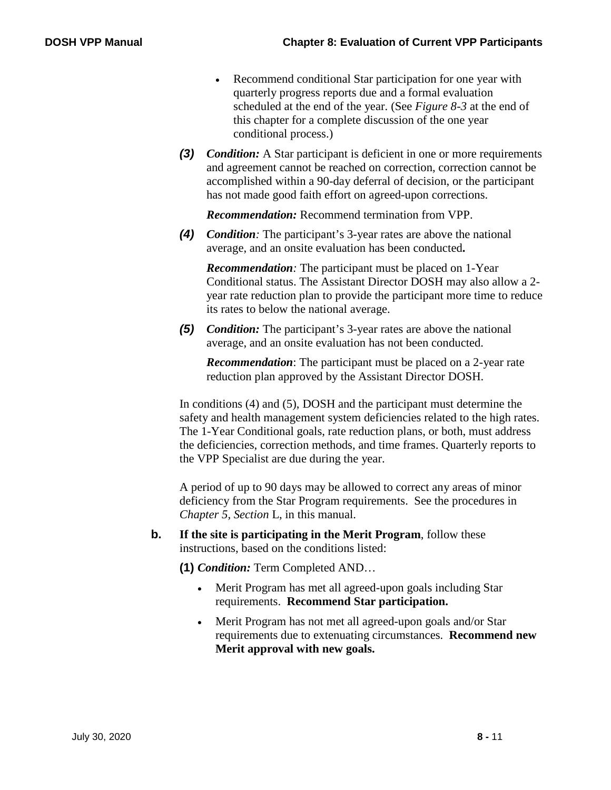- Recommend conditional Star participation for one year with quarterly progress reports due and a formal evaluation scheduled at the end of the year. (See *Figure 8-3* at the end of this chapter for a complete discussion of the one year conditional process.)
- *(3) Condition:* A Star participant is deficient in one or more requirements and agreement cannot be reached on correction, correction cannot be accomplished within a 90-day deferral of decision, or the participant has not made good faith effort on agreed-upon corrections.

*Recommendation:* Recommend termination from VPP.

*(4) Condition:* The participant's 3-year rates are above the national average, and an onsite evaluation has been conducted**.**

*Recommendation:* The participant must be placed on 1-Year Conditional status. The Assistant Director DOSH may also allow a 2 year rate reduction plan to provide the participant more time to reduce its rates to below the national average.

*(5) Condition:* The participant's 3-year rates are above the national average, and an onsite evaluation has not been conducted.

*Recommendation*: The participant must be placed on a 2-year rate reduction plan approved by the Assistant Director DOSH.

In conditions (4) and (5), DOSH and the participant must determine the safety and health management system deficiencies related to the high rates. The 1-Year Conditional goals, rate reduction plans, or both, must address the deficiencies, correction methods, and time frames. Quarterly reports to the VPP Specialist are due during the year.

A period of up to 90 days may be allowed to correct any areas of minor deficiency from the Star Program requirements. See the procedures in *Chapter 5, Section* L, in this manual.

**b. If the site is participating in the Merit Program**, follow these instructions, based on the conditions listed:

**(1)** *Condition:* Term Completed AND…

- Merit Program has met all agreed-upon goals including Star requirements.**Recommend Star participation.**
- Merit Program has not met all agreed-upon goals and/or Star requirements due to extenuating circumstances. **Recommend new Merit approval with new goals.**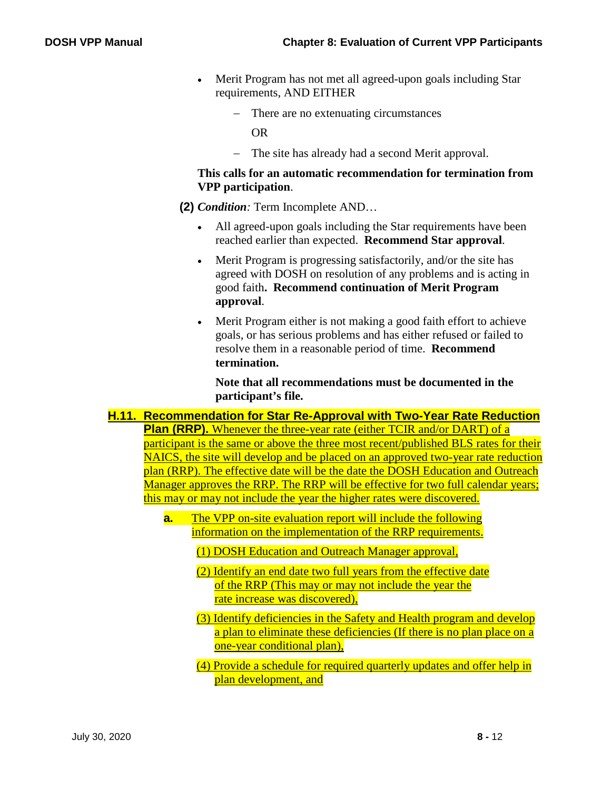- Merit Program has not met all agreed-upon goals including Star requirements, AND EITHER
	- There are no extenuating circumstances

OR

− The site has already had a second Merit approval.

#### **This calls for an automatic recommendation for termination from VPP participation**.

- **(2)** *Condition:* Term Incomplete AND…
	- All agreed-upon goals including the Star requirements have been reached earlier than expected. **Recommend Star approval**.
	- Merit Program is progressing satisfactorily, and/or the site has agreed with DOSH on resolution of any problems and is acting in good faith**. Recommend continuation of Merit Program approval**.
	- Merit Program either is not making a good faith effort to achieve goals, or has serious problems and has either refused or failed to resolve them in a reasonable period of time. **Recommend termination.**

**Note that all recommendations must be documented in the participant's file.**

## **H.11. Recommendation for Star Re-Approval with Two-Year Rate Reduction Plan (RRP).** Whenever the three-year rate (either TCIR and/or DART) of a participant is the same or above the three most recent/published BLS rates for their NAICS, the site will develop and be placed on an approved two-year rate reduction plan (RRP). The effective date will be the date the DOSH Education and Outreach Manager approves the RRP. The RRP will be effective for two full calendar years; this may or may not include the year the higher rates were discovered.

- **a.** The VPP on-site evaluation report will include the following information on the implementation of the RRP requirements.
	- (1) DOSH Education and Outreach Manager approval,
	- (2) Identify an end date two full years from the effective date of the RRP (This may or may not include the year the rate increase was discovered),
	- (3) Identify deficiencies in the Safety and Health program and develop a plan to eliminate these deficiencies (If there is no plan place on a one-year conditional plan),
	- (4) Provide a schedule for required quarterly updates and offer help in plan development, and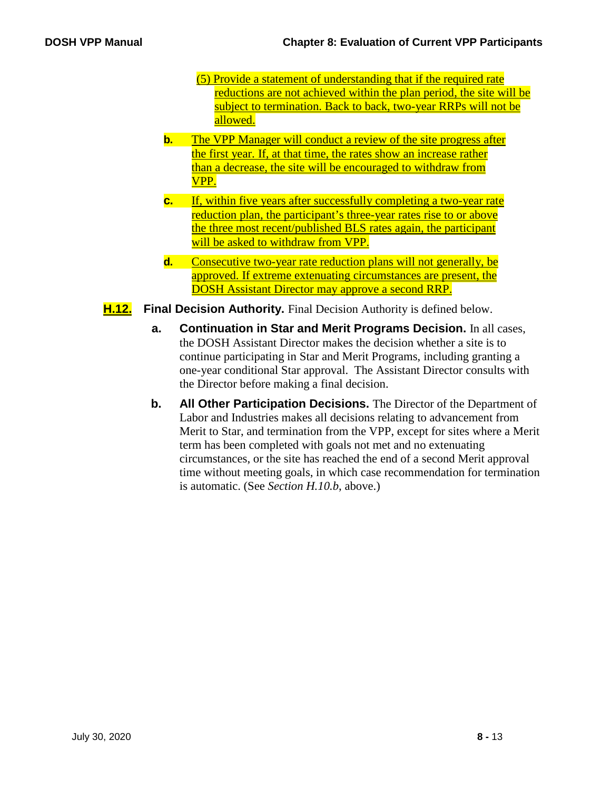- (5) Provide a statement of understanding that if the required rate reductions are not achieved within the plan period, the site will be subject to termination. Back to back, two-year RRPs will not be allowed.
- **b.** The VPP Manager will conduct a review of the site progress after the first year. If, at that time, the rates show an increase rather than a decrease, the site will be encouraged to withdraw from VPP.
- **c.** If, within five years after successfully completing a two-year rate reduction plan, the participant's three-year rates rise to or above the three most recent/published BLS rates again, the participant will be asked to withdraw from VPP.
- **d.** Consecutive two-year rate reduction plans will not generally, be approved. If extreme extenuating circumstances are present, the DOSH Assistant Director may approve a second RRP.
- **H.12. Final Decision Authority.** Final Decision Authority is defined below.
	- **a. Continuation in Star and Merit Programs Decision.** In all cases, the DOSH Assistant Director makes the decision whether a site is to continue participating in Star and Merit Programs, including granting a one-year conditional Star approval. The Assistant Director consults with the Director before making a final decision.
	- **b. All Other Participation Decisions.** The Director of the Department of Labor and Industries makes all decisions relating to advancement from Merit to Star, and termination from the VPP, except for sites where a Merit term has been completed with goals not met and no extenuating circumstances, or the site has reached the end of a second Merit approval time without meeting goals, in which case recommendation for termination is automatic. (See *Section H.10.b*, above.)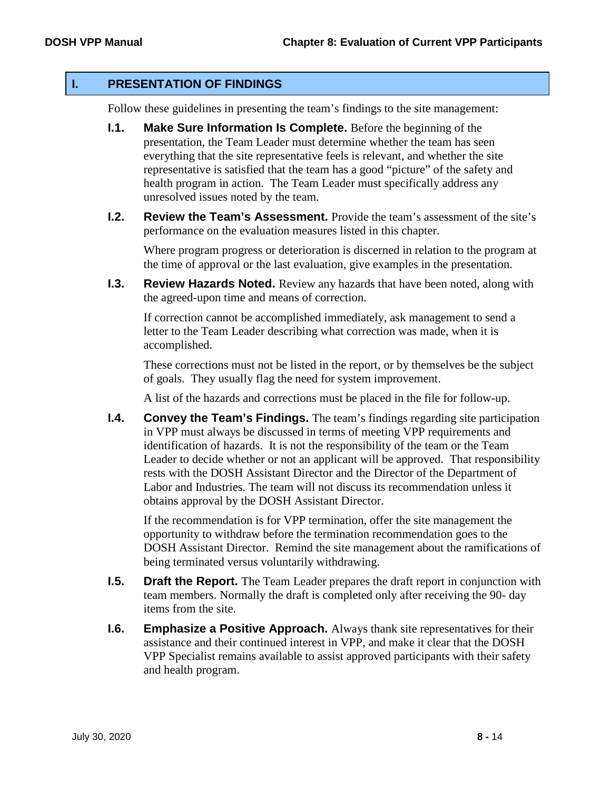# **I. PRESENTATION OF FINDINGS**

Follow these guidelines in presenting the team's findings to the site management:

- **I.1. Make Sure Information Is Complete.** Before the beginning of the presentation, the Team Leader must determine whether the team has seen everything that the site representative feels is relevant, and whether the site representative is satisfied that the team has a good "picture" of the safety and health program in action. The Team Leader must specifically address any unresolved issues noted by the team.
- **I.2. Review the Team's Assessment.** Provide the team's assessment of the site's performance on the evaluation measures listed in this chapter.

Where program progress or deterioration is discerned in relation to the program at the time of approval or the last evaluation, give examples in the presentation.

**I.3. Review Hazards Noted.** Review any hazards that have been noted, along with the agreed-upon time and means of correction.

If correction cannot be accomplished immediately, ask management to send a letter to the Team Leader describing what correction was made, when it is accomplished.

These corrections must not be listed in the report, or by themselves be the subject of goals. They usually flag the need for system improvement.

A list of the hazards and corrections must be placed in the file for follow-up.

**I.4. Convey the Team's Findings.** The team's findings regarding site participation in VPP must always be discussed in terms of meeting VPP requirements and identification of hazards. It is not the responsibility of the team or the Team Leader to decide whether or not an applicant will be approved. That responsibility rests with the DOSH Assistant Director and the Director of the Department of Labor and Industries. The team will not discuss its recommendation unless it obtains approval by the DOSH Assistant Director.

If the recommendation is for VPP termination, offer the site management the opportunity to withdraw before the termination recommendation goes to the DOSH Assistant Director. Remind the site management about the ramifications of being terminated versus voluntarily withdrawing.

- **I.5. Draft the Report.** The Team Leader prepares the draft report in conjunction with team members. Normally the draft is completed only after receiving the 90- day items from the site.
- **I.6. Emphasize a Positive Approach.** Always thank site representatives for their assistance and their continued interest in VPP, and make it clear that the DOSH VPP Specialist remains available to assist approved participants with their safety and health program.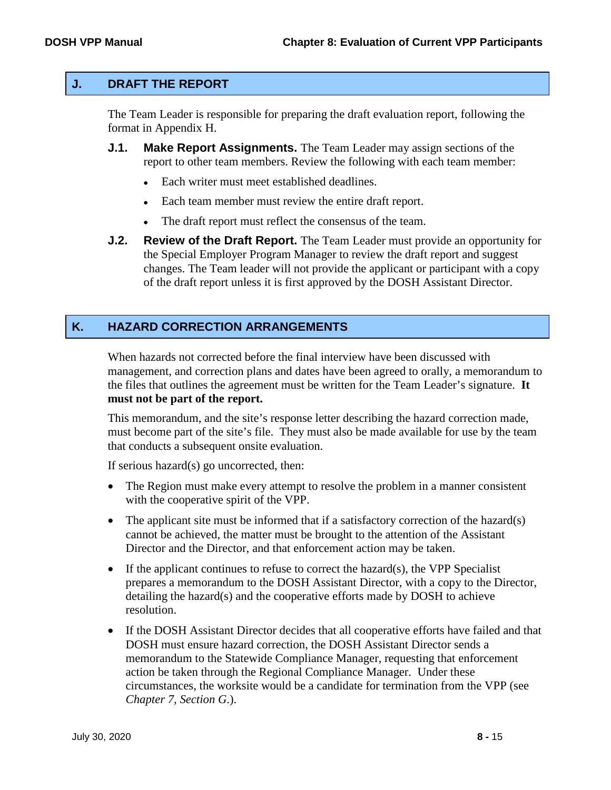# **J. DRAFT THE REPORT**

The Team Leader is responsible for preparing the draft evaluation report, following the format in Appendix H.

- **J.1. Make Report Assignments.** The Team Leader may assign sections of the report to other team members. Review the following with each team member:
	- Each writer must meet established deadlines.
	- Each team member must review the entire draft report.
	- The draft report must reflect the consensus of the team.
- **J.2. Review of the Draft Report.** The Team Leader must provide an opportunity for the Special Employer Program Manager to review the draft report and suggest changes. The Team leader will not provide the applicant or participant with a copy of the draft report unless it is first approved by the DOSH Assistant Director.

# **K. HAZARD CORRECTION ARRANGEMENTS**

When hazards not corrected before the final interview have been discussed with management, and correction plans and dates have been agreed to orally, a memorandum to the files that outlines the agreement must be written for the Team Leader's signature. **It must not be part of the report.**

This memorandum, and the site's response letter describing the hazard correction made, must become part of the site's file. They must also be made available for use by the team that conducts a subsequent onsite evaluation.

If serious hazard(s) go uncorrected, then:

- The Region must make every attempt to resolve the problem in a manner consistent with the cooperative spirit of the VPP.
- The applicant site must be informed that if a satisfactory correction of the hazard(s) cannot be achieved, the matter must be brought to the attention of the Assistant Director and the Director, and that enforcement action may be taken.
- If the applicant continues to refuse to correct the hazard(s), the VPP Specialist prepares a memorandum to the DOSH Assistant Director, with a copy to the Director, detailing the hazard(s) and the cooperative efforts made by DOSH to achieve resolution.
- If the DOSH Assistant Director decides that all cooperative efforts have failed and that DOSH must ensure hazard correction, the DOSH Assistant Director sends a memorandum to the Statewide Compliance Manager, requesting that enforcement action be taken through the Regional Compliance Manager. Under these circumstances, the worksite would be a candidate for termination from the VPP (see *Chapter 7, Section G*.).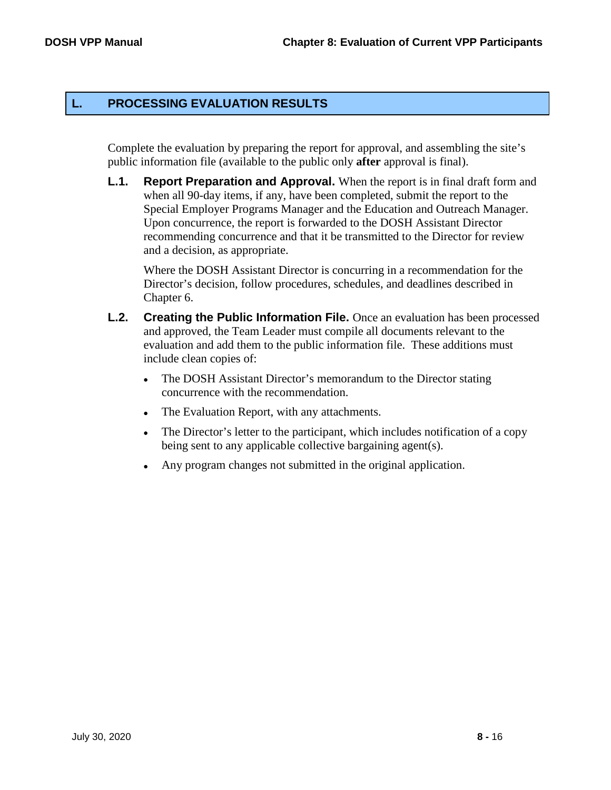#### **L. PROCESSING EVALUATION RESULTS**

Complete the evaluation by preparing the report for approval, and assembling the site's public information file (available to the public only **after** approval is final).

**L.1. Report Preparation and Approval.** When the report is in final draft form and when all 90-day items, if any, have been completed, submit the report to the Special Employer Programs Manager and the Education and Outreach Manager. Upon concurrence, the report is forwarded to the DOSH Assistant Director recommending concurrence and that it be transmitted to the Director for review and a decision, as appropriate.

Where the DOSH Assistant Director is concurring in a recommendation for the Director's decision, follow procedures, schedules, and deadlines described in Chapter 6.

- **L.2. Creating the Public Information File.** Once an evaluation has been processed and approved, the Team Leader must compile all documents relevant to the evaluation and add them to the public information file. These additions must include clean copies of:
	- The DOSH Assistant Director's memorandum to the Director stating concurrence with the recommendation.
	- The Evaluation Report, with any attachments.
	- The Director's letter to the participant, which includes notification of a copy being sent to any applicable collective bargaining agent(s).
	- Any program changes not submitted in the original application.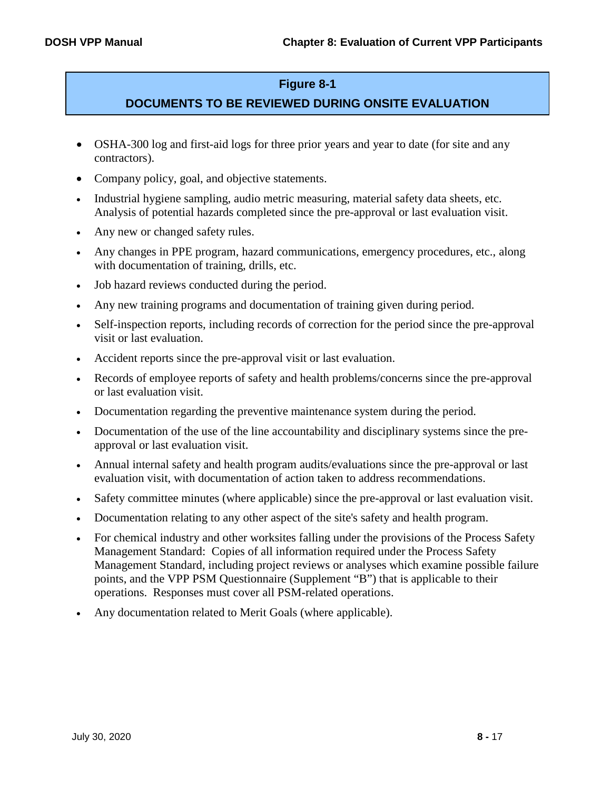# **Figure 8-1**

# **DOCUMENTS TO BE REVIEWED DURING ONSITE EVALUATION**

- OSHA-300 log and first-aid logs for three prior years and year to date (for site and any contractors).
- Company policy, goal, and objective statements.
- Industrial hygiene sampling, audio metric measuring, material safety data sheets, etc. Analysis of potential hazards completed since the pre-approval or last evaluation visit.
- Any new or changed safety rules.
- Any changes in PPE program, hazard communications, emergency procedures, etc., along with documentation of training, drills, etc.
- Job hazard reviews conducted during the period.
- Any new training programs and documentation of training given during period.
- Self-inspection reports, including records of correction for the period since the pre-approval visit or last evaluation.
- Accident reports since the pre-approval visit or last evaluation.
- Records of employee reports of safety and health problems/concerns since the pre-approval or last evaluation visit.
- Documentation regarding the preventive maintenance system during the period.
- Documentation of the use of the line accountability and disciplinary systems since the preapproval or last evaluation visit.
- Annual internal safety and health program audits/evaluations since the pre-approval or last evaluation visit, with documentation of action taken to address recommendations.
- Safety committee minutes (where applicable) since the pre-approval or last evaluation visit.
- Documentation relating to any other aspect of the site's safety and health program.
- For chemical industry and other worksites falling under the provisions of the Process Safety Management Standard: Copies of all information required under the Process Safety Management Standard, including project reviews or analyses which examine possible failure points, and the VPP PSM Questionnaire (Supplement "B") that is applicable to their operations. Responses must cover all PSM-related operations.
- Any documentation related to Merit Goals (where applicable).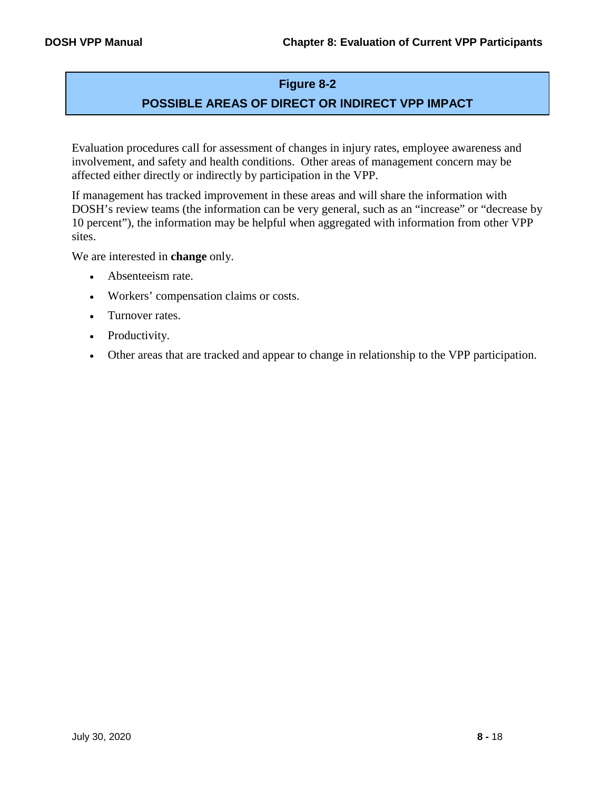# **Figure 8-2**

# **POSSIBLE AREAS OF DIRECT OR INDIRECT VPP IMPACT**

Evaluation procedures call for assessment of changes in injury rates, employee awareness and involvement, and safety and health conditions. Other areas of management concern may be affected either directly or indirectly by participation in the VPP.

If management has tracked improvement in these areas and will share the information with DOSH's review teams (the information can be very general, such as an "increase" or "decrease by 10 percent"), the information may be helpful when aggregated with information from other VPP sites.

We are interested in **change** only.

- Absenteeism rate.
- Workers' compensation claims or costs.
- Turnover rates.
- Productivity.
- Other areas that are tracked and appear to change in relationship to the VPP participation.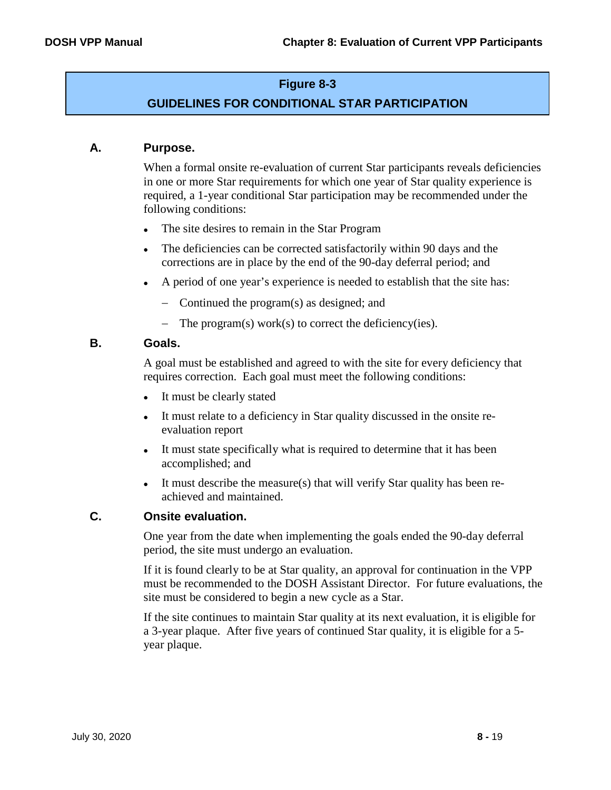# **Figure 8-3**

# **GUIDELINES FOR CONDITIONAL STAR PARTICIPATION**

# **A. Purpose.**

When a formal onsite re-evaluation of current Star participants reveals deficiencies in one or more Star requirements for which one year of Star quality experience is required, a 1-year conditional Star participation may be recommended under the following conditions:

- The site desires to remain in the Star Program
- The deficiencies can be corrected satisfactorily within 90 days and the corrections are in place by the end of the 90-day deferral period; and
- A period of one year's experience is needed to establish that the site has:
	- − Continued the program(s) as designed; and
	- − The program(s) work(s) to correct the deficiency(ies).

# **B. Goals.**

A goal must be established and agreed to with the site for every deficiency that requires correction. Each goal must meet the following conditions:

- It must be clearly stated
- It must relate to a deficiency in Star quality discussed in the onsite reevaluation report
- It must state specifically what is required to determine that it has been accomplished; and
- It must describe the measure(s) that will verify Star quality has been reachieved and maintained.

# **C. Onsite evaluation.**

One year from the date when implementing the goals ended the 90-day deferral period, the site must undergo an evaluation.

If it is found clearly to be at Star quality, an approval for continuation in the VPP must be recommended to the DOSH Assistant Director. For future evaluations, the site must be considered to begin a new cycle as a Star.

If the site continues to maintain Star quality at its next evaluation, it is eligible for a 3-year plaque. After five years of continued Star quality, it is eligible for a 5 year plaque.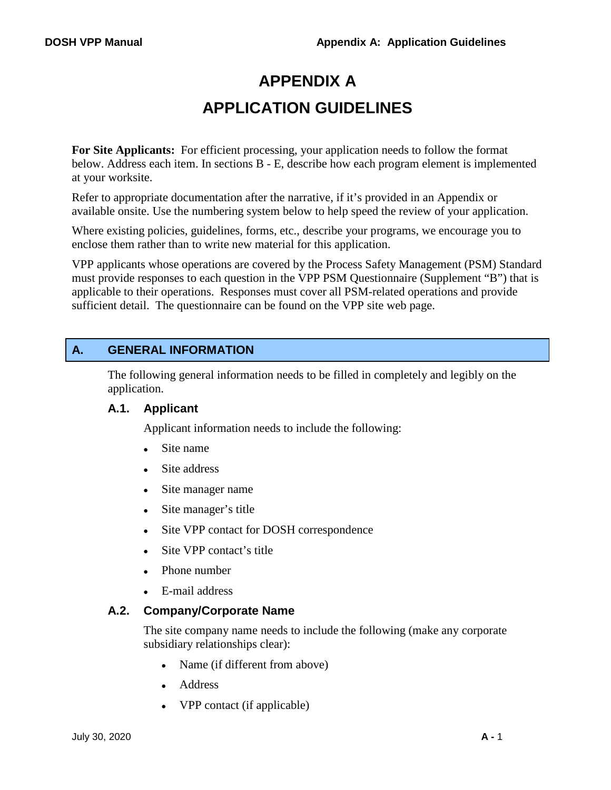# **APPENDIX A APPLICATION GUIDELINES**

For Site Applicants: For efficient processing, your application needs to follow the format below. Address each item. In sections B - E, describe how each program element is implemented at your worksite.

Refer to appropriate documentation after the narrative, if it's provided in an Appendix or available onsite. Use the numbering system below to help speed the review of your application.

Where existing policies, guidelines, forms, etc., describe your programs, we encourage you to enclose them rather than to write new material for this application.

VPP applicants whose operations are covered by the Process Safety Management (PSM) Standard must provide responses to each question in the VPP PSM Questionnaire (Supplement "B") that is applicable to their operations. Responses must cover all PSM-related operations and provide sufficient detail. The questionnaire can be found on the VPP site web page.

# **A. GENERAL INFORMATION**

The following general information needs to be filled in completely and legibly on the application.

#### **A.1. Applicant**

Applicant information needs to include the following:

- Site name
- Site address
- Site manager name
- Site manager's title
- Site VPP contact for DOSH correspondence
- Site VPP contact's title
- Phone number
- E-mail address

#### **A.2. Company/Corporate Name**

The site company name needs to include the following (make any corporate subsidiary relationships clear):

- Name (if different from above)
- Address
- VPP contact (if applicable)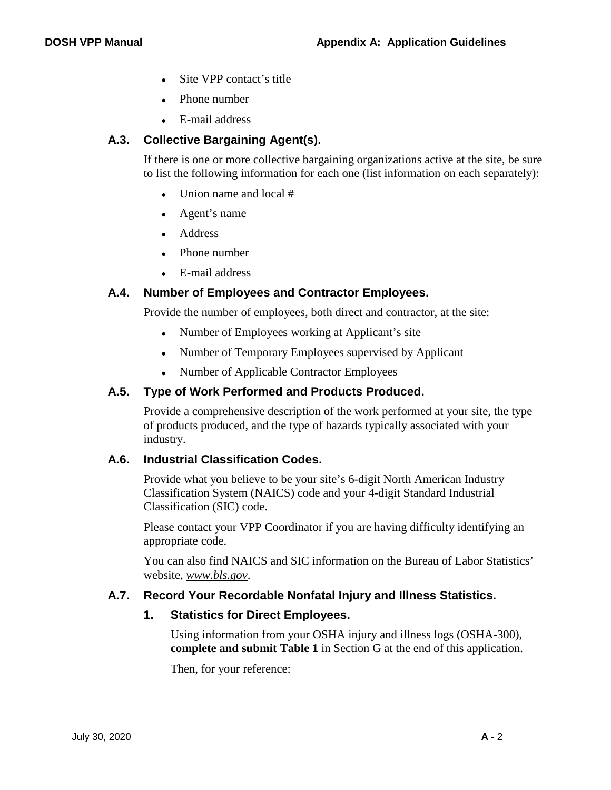- Site VPP contact's title
- Phone number
- E-mail address

# **A.3. Collective Bargaining Agent(s).**

If there is one or more collective bargaining organizations active at the site, be sure to list the following information for each one (list information on each separately):

- Union name and local #
- Agent's name
- Address
- Phone number
- E-mail address

# **A.4. Number of Employees and Contractor Employees.**

Provide the number of employees, both direct and contractor, at the site:

- Number of Employees working at Applicant's site
- Number of Temporary Employees supervised by Applicant
- Number of Applicable Contractor Employees

# **A.5. Type of Work Performed and Products Produced.**

Provide a comprehensive description of the work performed at your site, the type of products produced, and the type of hazards typically associated with your industry.

# **A.6. Industrial Classification Codes.**

Provide what you believe to be your site's 6-digit North American Industry Classification System (NAICS) code and your 4-digit Standard Industrial Classification (SIC) code.

Please contact your VPP Coordinator if you are having difficulty identifying an appropriate code.

You can also find NAICS and SIC information on the Bureau of Labor Statistics' website, *[www.bls.gov](http://www.bls.gov/)*.

# **A.7. Record Your Recordable Nonfatal Injury and Illness Statistics.**

# **1. Statistics for Direct Employees.**

Using information from your OSHA injury and illness logs (OSHA-300), **complete and submit Table 1** in Section G at the end of this application.

Then, for your reference: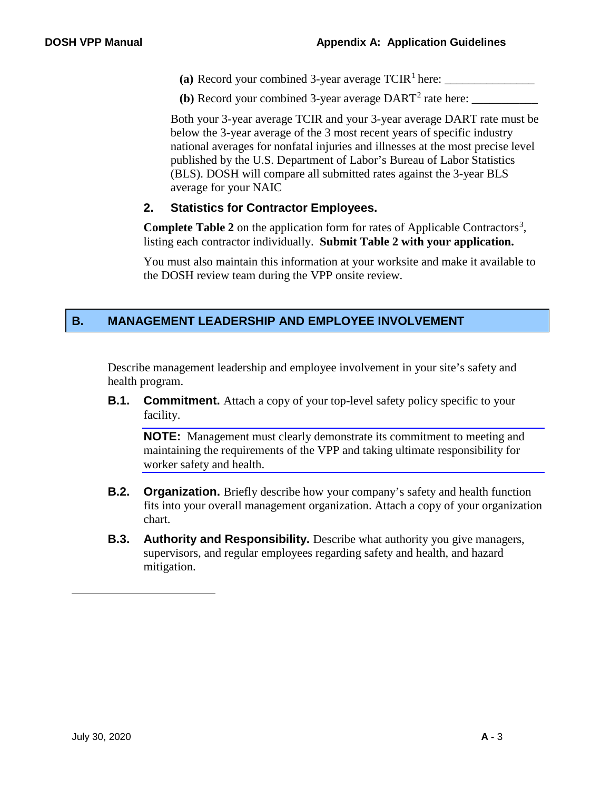- (a) Record your combined 3-year average  $TCIR<sup>1</sup>$  $TCIR<sup>1</sup>$  $TCIR<sup>1</sup>$  here:
- **(b)** Record your combined 3-year average DART[2](#page-113-1) rate here: \_\_\_\_\_\_\_\_\_\_\_

Both your 3-year average TCIR and your 3-year average DART rate must be below the 3-year average of the 3 most recent years of specific industry national averages for nonfatal injuries and illnesses at the most precise level published by the U.S. Department of Labor's Bureau of Labor Statistics (BLS). DOSH will compare all submitted rates against the 3-year BLS average for your NAIC

# **2. Statistics for Contractor Employees.**

**Complete Table 2** on the application form for rates of Applicable Contractors<sup>[3](#page-113-2)</sup>, listing each contractor individually. **Submit Table 2 with your application.**

You must also maintain this information at your worksite and make it available to the DOSH review team during the VPP onsite review.

# **B. MANAGEMENT LEADERSHIP AND EMPLOYEE INVOLVEMENT**

Describe management leadership and employee involvement in your site's safety and health program.

**B.1. Commitment.** Attach a copy of your top-level safety policy specific to your facility.

**NOTE:** Management must clearly demonstrate its commitment to meeting and maintaining the requirements of the VPP and taking ultimate responsibility for worker safety and health.

- **B.2. Organization.** Briefly describe how your company's safety and health function fits into your overall management organization. Attach a copy of your organization chart.
- **B.3. Authority and Responsibility.** Describe what authority you give managers, supervisors, and regular employees regarding safety and health, and hazard mitigation.

<span id="page-113-2"></span><span id="page-113-1"></span><span id="page-113-0"></span> $\overline{a}$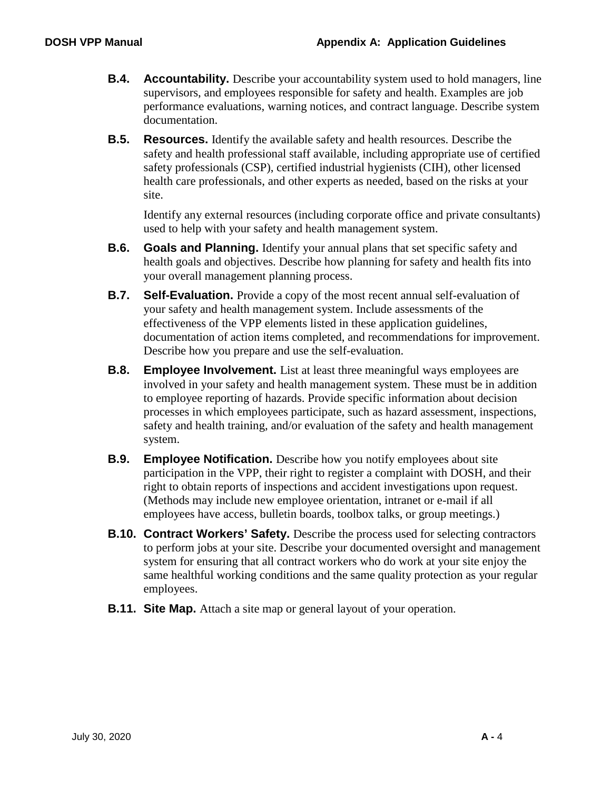- **B.4. Accountability.** Describe your accountability system used to hold managers, line supervisors, and employees responsible for safety and health. Examples are job performance evaluations, warning notices, and contract language. Describe system documentation.
- **B.5. Resources.** Identify the available safety and health resources. Describe the safety and health professional staff available, including appropriate use of certified safety professionals (CSP), certified industrial hygienists (CIH), other licensed health care professionals, and other experts as needed, based on the risks at your site.

Identify any external resources (including corporate office and private consultants) used to help with your safety and health management system.

- **B.6. Goals and Planning.** Identify your annual plans that set specific safety and health goals and objectives. Describe how planning for safety and health fits into your overall management planning process.
- **B.7. Self-Evaluation.** Provide a copy of the most recent annual self-evaluation of your safety and health management system. Include assessments of the effectiveness of the VPP elements listed in these application guidelines, documentation of action items completed, and recommendations for improvement. Describe how you prepare and use the self-evaluation.
- **B.8. Employee Involvement.** List at least three meaningful ways employees are involved in your safety and health management system. These must be in addition to employee reporting of hazards. Provide specific information about decision processes in which employees participate, such as hazard assessment, inspections, safety and health training, and/or evaluation of the safety and health management system.
- **B.9. Employee Notification.** Describe how you notify employees about site participation in the VPP, their right to register a complaint with DOSH, and their right to obtain reports of inspections and accident investigations upon request. (Methods may include new employee orientation, intranet or e-mail if all employees have access, bulletin boards, toolbox talks, or group meetings.)
- **B.10. Contract Workers' Safety.** Describe the process used for selecting contractors to perform jobs at your site. Describe your documented oversight and management system for ensuring that all contract workers who do work at your site enjoy the same healthful working conditions and the same quality protection as your regular employees.
- **B.11. Site Map.** Attach a site map or general layout of your operation.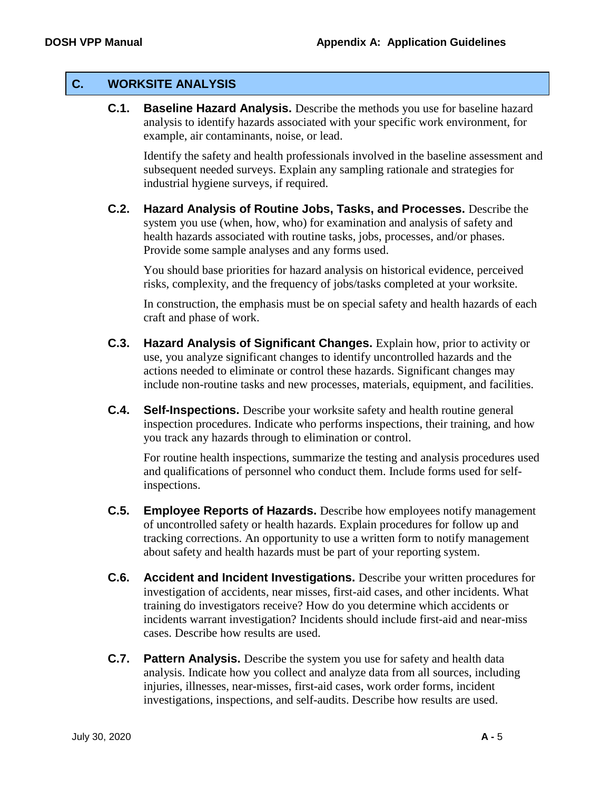# **C. WORKSITE ANALYSIS**

**C.1. Baseline Hazard Analysis.** Describe the methods you use for baseline hazard analysis to identify hazards associated with your specific work environment, for example, air contaminants, noise, or lead.

Identify the safety and health professionals involved in the baseline assessment and subsequent needed surveys. Explain any sampling rationale and strategies for industrial hygiene surveys, if required.

**C.2. Hazard Analysis of Routine Jobs, Tasks, and Processes.** Describe the system you use (when, how, who) for examination and analysis of safety and health hazards associated with routine tasks, jobs, processes, and/or phases. Provide some sample analyses and any forms used.

You should base priorities for hazard analysis on historical evidence, perceived risks, complexity, and the frequency of jobs/tasks completed at your worksite.

In construction, the emphasis must be on special safety and health hazards of each craft and phase of work.

- **C.3. Hazard Analysis of Significant Changes.** Explain how, prior to activity or use, you analyze significant changes to identify uncontrolled hazards and the actions needed to eliminate or control these hazards. Significant changes may include non-routine tasks and new processes, materials, equipment, and facilities.
- **C.4. Self-Inspections.** Describe your worksite safety and health routine general inspection procedures. Indicate who performs inspections, their training, and how you track any hazards through to elimination or control.

For routine health inspections, summarize the testing and analysis procedures used and qualifications of personnel who conduct them. Include forms used for selfinspections.

- **C.5. Employee Reports of Hazards.** Describe how employees notify management of uncontrolled safety or health hazards. Explain procedures for follow up and tracking corrections. An opportunity to use a written form to notify management about safety and health hazards must be part of your reporting system.
- **C.6. Accident and Incident Investigations.** Describe your written procedures for investigation of accidents, near misses, first-aid cases, and other incidents. What training do investigators receive? How do you determine which accidents or incidents warrant investigation? Incidents should include first-aid and near-miss cases. Describe how results are used.
- **C.7. Pattern Analysis.** Describe the system you use for safety and health data analysis. Indicate how you collect and analyze data from all sources, including injuries, illnesses, near-misses, first-aid cases, work order forms, incident investigations, inspections, and self-audits. Describe how results are used.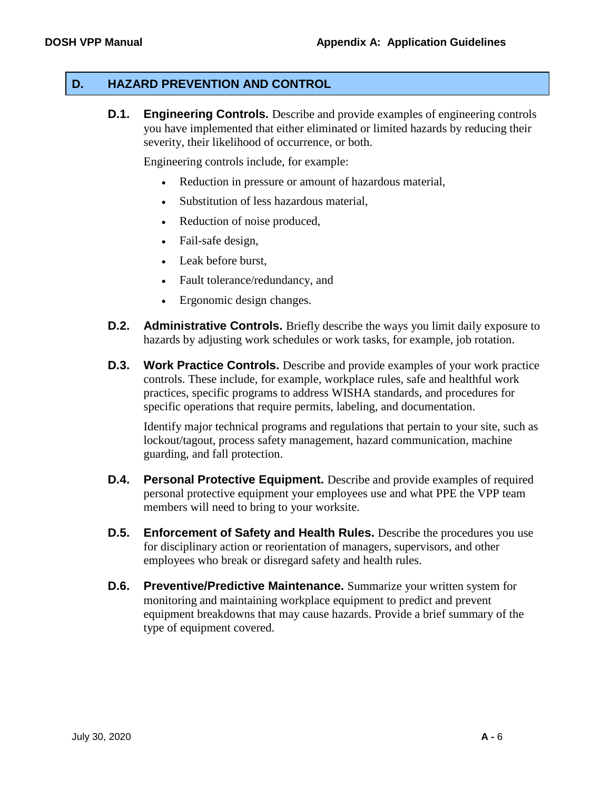# **D. HAZARD PREVENTION AND CONTROL**

**D.1. Engineering Controls.** Describe and provide examples of engineering controls you have implemented that either eliminated or limited hazards by reducing their severity, their likelihood of occurrence, or both.

Engineering controls include, for example:

- Reduction in pressure or amount of hazardous material,
- Substitution of less hazardous material,
- Reduction of noise produced,
- Fail-safe design,
- Leak before burst,
- Fault tolerance/redundancy, and
- Ergonomic design changes.
- **D.2. Administrative Controls.** Briefly describe the ways you limit daily exposure to hazards by adjusting work schedules or work tasks, for example, job rotation.
- **D.3. Work Practice Controls.** Describe and provide examples of your work practice controls. These include, for example, workplace rules, safe and healthful work practices, specific programs to address WISHA standards, and procedures for specific operations that require permits, labeling, and documentation.

Identify major technical programs and regulations that pertain to your site, such as lockout/tagout, process safety management, hazard communication, machine guarding, and fall protection.

- **D.4. Personal Protective Equipment.** Describe and provide examples of required personal protective equipment your employees use and what PPE the VPP team members will need to bring to your worksite.
- **D.5. Enforcement of Safety and Health Rules.** Describe the procedures you use for disciplinary action or reorientation of managers, supervisors, and other employees who break or disregard safety and health rules.
- **D.6. Preventive/Predictive Maintenance.** Summarize your written system for monitoring and maintaining workplace equipment to predict and prevent equipment breakdowns that may cause hazards. Provide a brief summary of the type of equipment covered.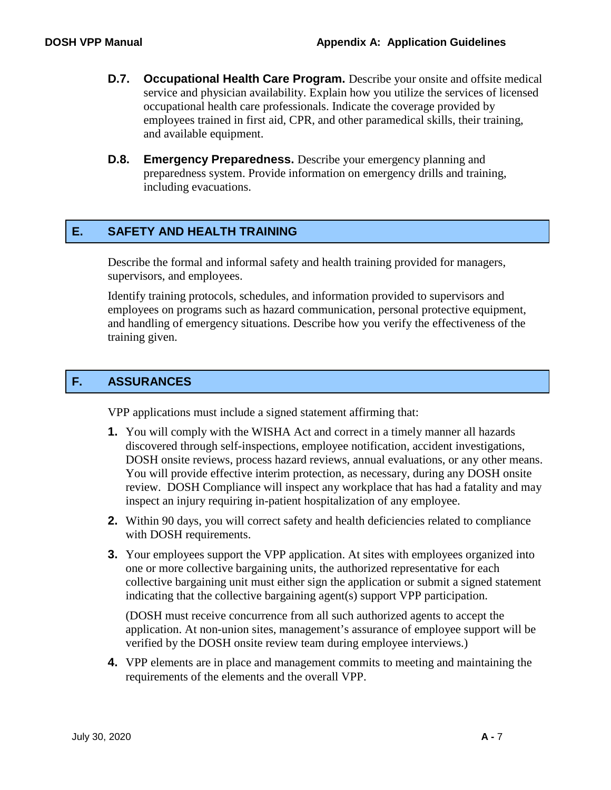- **D.7. Occupational Health Care Program.** Describe your onsite and offsite medical service and physician availability. Explain how you utilize the services of licensed occupational health care professionals. Indicate the coverage provided by employees trained in first aid, CPR, and other paramedical skills, their training, and available equipment.
- **D.8. Emergency Preparedness.** Describe your emergency planning and preparedness system. Provide information on emergency drills and training, including evacuations.

# **E. SAFETY AND HEALTH TRAINING**

Describe the formal and informal safety and health training provided for managers, supervisors, and employees.

Identify training protocols, schedules, and information provided to supervisors and employees on programs such as hazard communication, personal protective equipment, and handling of emergency situations. Describe how you verify the effectiveness of the training given.

# **F. ASSURANCES**

VPP applications must include a signed statement affirming that:

- **1.** You will comply with the WISHA Act and correct in a timely manner all hazards discovered through self-inspections, employee notification, accident investigations, DOSH onsite reviews, process hazard reviews, annual evaluations, or any other means. You will provide effective interim protection, as necessary, during any DOSH onsite review. DOSH Compliance will inspect any workplace that has had a fatality and may inspect an injury requiring in-patient hospitalization of any employee.
- **2.** Within 90 days, you will correct safety and health deficiencies related to compliance with DOSH requirements.
- **3.** Your employees support the VPP application. At sites with employees organized into one or more collective bargaining units, the authorized representative for each collective bargaining unit must either sign the application or submit a signed statement indicating that the collective bargaining agent(s) support VPP participation.

(DOSH must receive concurrence from all such authorized agents to accept the application. At non-union sites, management's assurance of employee support will be verified by the DOSH onsite review team during employee interviews.)

**4.** VPP elements are in place and management commits to meeting and maintaining the requirements of the elements and the overall VPP.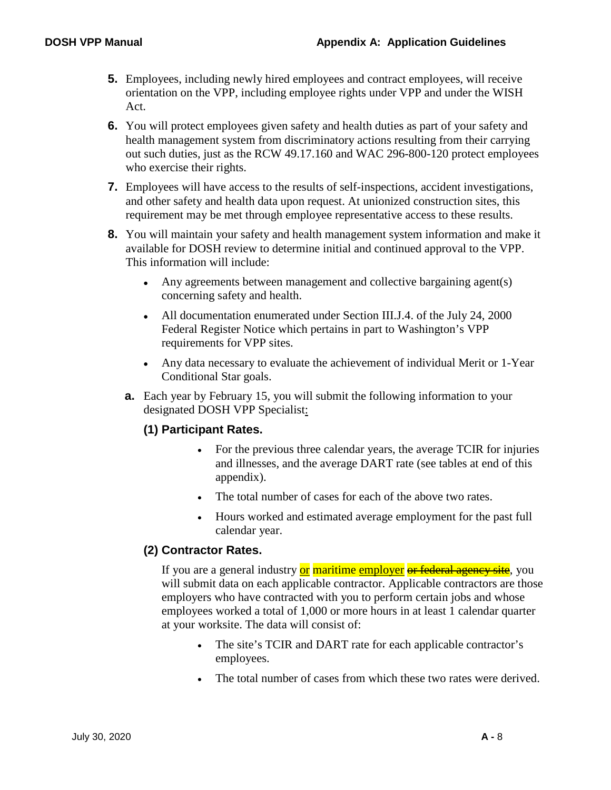- **5.** Employees, including newly hired employees and contract employees, will receive orientation on the VPP, including employee rights under VPP and under the WISH Act.
- **6.** You will protect employees given safety and health duties as part of your safety and health management system from discriminatory actions resulting from their carrying out such duties, just as the RCW 49.17.160 and WAC 296-800-120 protect employees who exercise their rights.
- **7.** Employees will have access to the results of self-inspections, accident investigations, and other safety and health data upon request. At unionized construction sites, this requirement may be met through employee representative access to these results.
- **8.** You will maintain your safety and health management system information and make it available for DOSH review to determine initial and continued approval to the VPP. This information will include:
	- Any agreements between management and collective bargaining agent(s) concerning safety and health.
	- All documentation enumerated under Section III.J.4. of the July 24, 2000 Federal Register Notice which pertains in part to Washington's VPP requirements for VPP sites.
	- Any data necessary to evaluate the achievement of individual Merit or 1-Year Conditional Star goals.
	- **a.** Each year by February 15, you will submit the following information to your designated DOSH VPP Specialist:

# **(1) Participant Rates.**

- For the previous three calendar years, the average TCIR for injuries and illnesses, and the average DART rate (see tables at end of this appendix).
- The total number of cases for each of the above two rates.
- Hours worked and estimated average employment for the past full calendar year.

# **(2) Contractor Rates.**

If you are a general industry or maritime employer or federal agency site, you will submit data on each applicable contractor. Applicable contractors are those employers who have contracted with you to perform certain jobs and whose employees worked a total of 1,000 or more hours in at least 1 calendar quarter at your worksite. The data will consist of:

- The site's TCIR and DART rate for each applicable contractor's employees.
- The total number of cases from which these two rates were derived.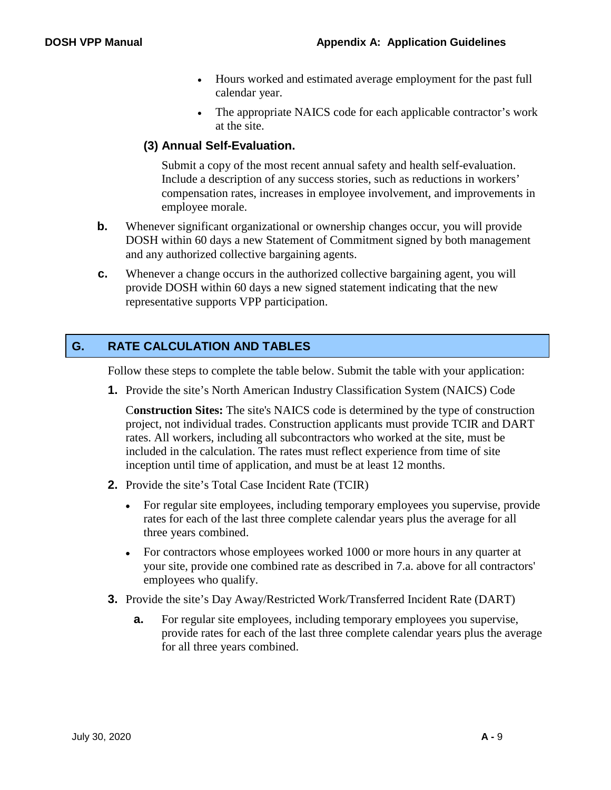- Hours worked and estimated average employment for the past full calendar year.
- The appropriate NAICS code for each applicable contractor's work at the site.

# **(3) Annual Self-Evaluation.**

Submit a copy of the most recent annual safety and health self-evaluation. Include a description of any success stories, such as reductions in workers' compensation rates, increases in employee involvement, and improvements in employee morale.

- **b.** Whenever significant organizational or ownership changes occur, you will provide DOSH within 60 days a new Statement of Commitment signed by both management and any authorized collective bargaining agents.
- **c.** Whenever a change occurs in the authorized collective bargaining agent, you will provide DOSH within 60 days a new signed statement indicating that the new representative supports VPP participation.

# **G. RATE CALCULATION AND TABLES**

Follow these steps to complete the table below. Submit the table with your application:

**1.** Provide the site's North American Industry Classification System (NAICS) Code

C**onstruction Sites:** The site's NAICS code is determined by the type of construction project, not individual trades. Construction applicants must provide TCIR and DART rates. All workers, including all subcontractors who worked at the site, must be included in the calculation. The rates must reflect experience from time of site inception until time of application, and must be at least 12 months.

- **2.** Provide the site's Total Case Incident Rate (TCIR)
	- For regular site employees, including temporary employees you supervise, provide rates for each of the last three complete calendar years plus the average for all three years combined.
	- For contractors whose employees worked 1000 or more hours in any quarter at your site, provide one combined rate as described in 7.a. above for all contractors' employees who qualify.
- **3.** Provide the site's Day Away/Restricted Work/Transferred Incident Rate (DART)
	- **a.** For regular site employees, including temporary employees you supervise, provide rates for each of the last three complete calendar years plus the average for all three years combined.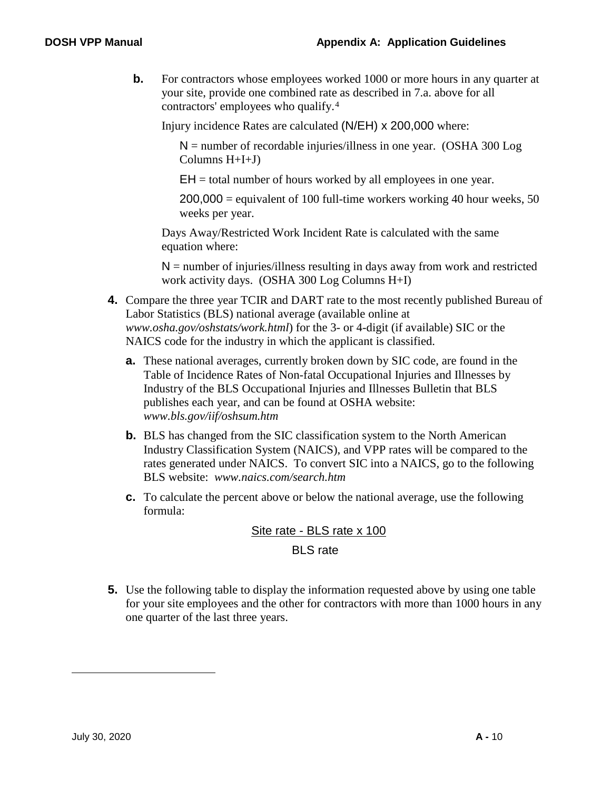**b.** For contractors whose employees worked 1000 or more hours in any quarter at your site, provide one combined rate as described in 7.a. above for all contractors' employees who qualify.[4](#page-120-0)

Injury incidence Rates are calculated (N/EH) x 200,000 where:

 $N =$  number of recordable injuries/illness in one year. (OSHA 300 Log) Columns H+I+J)

 $EH =$  total number of hours worked by all employees in one year.

 $200,000$  = equivalent of 100 full-time workers working 40 hour weeks, 50 weeks per year.

Days Away/Restricted Work Incident Rate is calculated with the same equation where:

 $N =$  number of injuries/illness resulting in days away from work and restricted work activity days. (OSHA 300 Log Columns H+I)

- **4.** Compare the three year TCIR and DART rate to the most recently published Bureau of Labor Statistics (BLS) national average (available online at *www.osha.gov/oshstats/work.html*) for the 3- or 4-digit (if available) SIC or the NAICS code for the industry in which the applicant is classified.
	- **a.** These national averages, currently broken down by SIC code, are found in the Table of Incidence Rates of Non-fatal Occupational Injuries and Illnesses by Industry of the BLS Occupational Injuries and Illnesses Bulletin that BLS publishes each year, and can be found at OSHA website: *[www.bls.gov/iif/oshsum.htm](http://www.bls.gov/iif/oshsum.htm)*
	- **b.** BLS has changed from the SIC classification system to the North American Industry Classification System (NAICS), and VPP rates will be compared to the rates generated under NAICS. To convert SIC into a NAICS, go to the following BLS website: *[www.naics.com/search.htm](http://www.naics.com/search.htm)*
	- **c.** To calculate the percent above or below the national average, use the following formula:

# Site rate - BLS rate x 100 BLS rate

**5.** Use the following table to display the information requested above by using one table for your site employees and the other for contractors with more than 1000 hours in any one quarter of the last three years.

<span id="page-120-0"></span> $\overline{a}$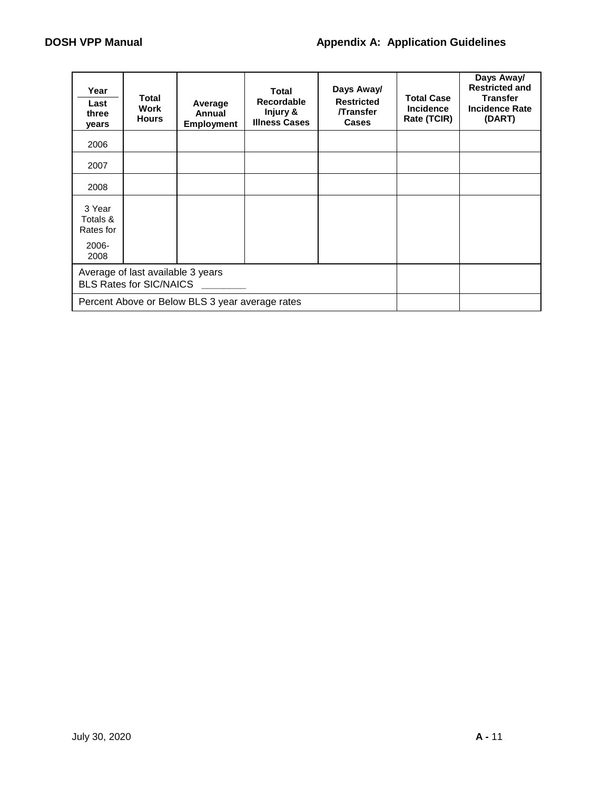| Year<br>Last<br>three<br>years                                      | Total<br><b>Work</b><br><b>Hours</b> | Average<br>Annual<br><b>Employment</b> | Total<br><b>Recordable</b><br>Injury &<br><b>Illness Cases</b> | Days Away/<br><b>Restricted</b><br><b>/Transfer</b><br><b>Cases</b> | <b>Total Case</b><br><b>Incidence</b><br>Rate (TCIR) | Days Away/<br><b>Restricted and</b><br><b>Transfer</b><br><b>Incidence Rate</b><br>(DART) |
|---------------------------------------------------------------------|--------------------------------------|----------------------------------------|----------------------------------------------------------------|---------------------------------------------------------------------|------------------------------------------------------|-------------------------------------------------------------------------------------------|
| 2006                                                                |                                      |                                        |                                                                |                                                                     |                                                      |                                                                                           |
| 2007                                                                |                                      |                                        |                                                                |                                                                     |                                                      |                                                                                           |
| 2008                                                                |                                      |                                        |                                                                |                                                                     |                                                      |                                                                                           |
| 3 Year<br>Totals &<br>Rates for                                     |                                      |                                        |                                                                |                                                                     |                                                      |                                                                                           |
| 2006-<br>2008                                                       |                                      |                                        |                                                                |                                                                     |                                                      |                                                                                           |
| Average of last available 3 years<br><b>BLS Rates for SIC/NAICS</b> |                                      |                                        |                                                                |                                                                     |                                                      |                                                                                           |
| Percent Above or Below BLS 3 year average rates                     |                                      |                                        |                                                                |                                                                     |                                                      |                                                                                           |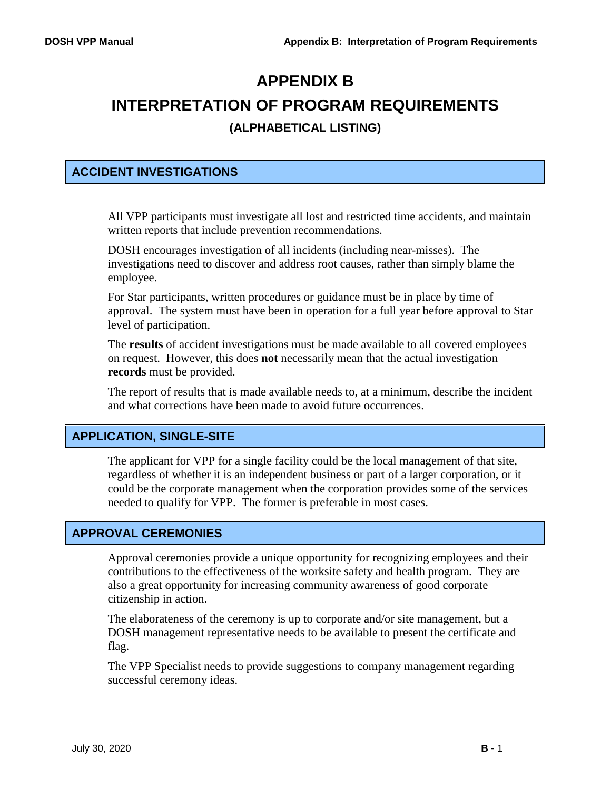# **APPENDIX B INTERPRETATION OF PROGRAM REQUIREMENTS (ALPHABETICAL LISTING)**

### **ACCIDENT INVESTIGATIONS**

All VPP participants must investigate all lost and restricted time accidents, and maintain written reports that include prevention recommendations.

DOSH encourages investigation of all incidents (including near-misses). The investigations need to discover and address root causes, rather than simply blame the employee.

For Star participants, written procedures or guidance must be in place by time of approval. The system must have been in operation for a full year before approval to Star level of participation.

The **results** of accident investigations must be made available to all covered employees on request. However, this does **not** necessarily mean that the actual investigation **records** must be provided.

The report of results that is made available needs to, at a minimum, describe the incident and what corrections have been made to avoid future occurrences.

#### **APPLICATION, SINGLE-SITE**

The applicant for VPP for a single facility could be the local management of that site, regardless of whether it is an independent business or part of a larger corporation, or it could be the corporate management when the corporation provides some of the services needed to qualify for VPP. The former is preferable in most cases.

#### **APPROVAL CEREMONIES**

Approval ceremonies provide a unique opportunity for recognizing employees and their contributions to the effectiveness of the worksite safety and health program. They are also a great opportunity for increasing community awareness of good corporate citizenship in action.

The elaborateness of the ceremony is up to corporate and/or site management, but a DOSH management representative needs to be available to present the certificate and flag.

The VPP Specialist needs to provide suggestions to company management regarding successful ceremony ideas.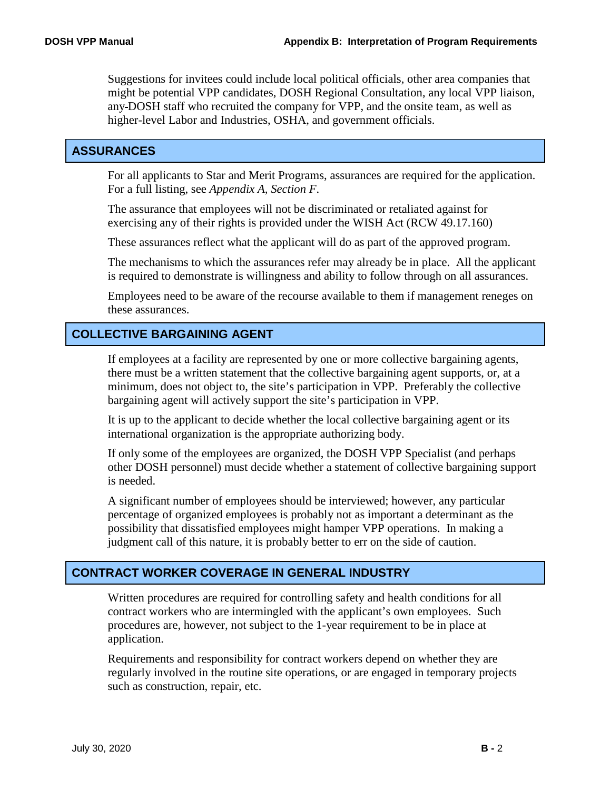Suggestions for invitees could include local political officials, other area companies that might be potential VPP candidates, DOSH Regional Consultation, any local VPP liaison, any DOSH staff who recruited the company for VPP, and the onsite team, as well as higher-level Labor and Industries, OSHA, and government officials.

# **ASSURANCES**

For all applicants to Star and Merit Programs, assurances are required for the application. For a full listing, see *Appendix A, Section F*.

The assurance that employees will not be discriminated or retaliated against for exercising any of their rights is provided under the WISH Act (RCW 49.17.160)

These assurances reflect what the applicant will do as part of the approved program.

The mechanisms to which the assurances refer may already be in place. All the applicant is required to demonstrate is willingness and ability to follow through on all assurances.

Employees need to be aware of the recourse available to them if management reneges on these assurances.

#### **COLLECTIVE BARGAINING AGENT**

If employees at a facility are represented by one or more collective bargaining agents, there must be a written statement that the collective bargaining agent supports, or, at a minimum, does not object to, the site's participation in VPP. Preferably the collective bargaining agent will actively support the site's participation in VPP.

It is up to the applicant to decide whether the local collective bargaining agent or its international organization is the appropriate authorizing body.

If only some of the employees are organized, the DOSH VPP Specialist (and perhaps other DOSH personnel) must decide whether a statement of collective bargaining support is needed.

A significant number of employees should be interviewed; however, any particular percentage of organized employees is probably not as important a determinant as the possibility that dissatisfied employees might hamper VPP operations. In making a judgment call of this nature, it is probably better to err on the side of caution.

# **CONTRACT WORKER COVERAGE IN GENERAL INDUSTRY**

Written procedures are required for controlling safety and health conditions for all contract workers who are intermingled with the applicant's own employees. Such procedures are, however, not subject to the 1-year requirement to be in place at application.

Requirements and responsibility for contract workers depend on whether they are regularly involved in the routine site operations, or are engaged in temporary projects such as construction, repair, etc.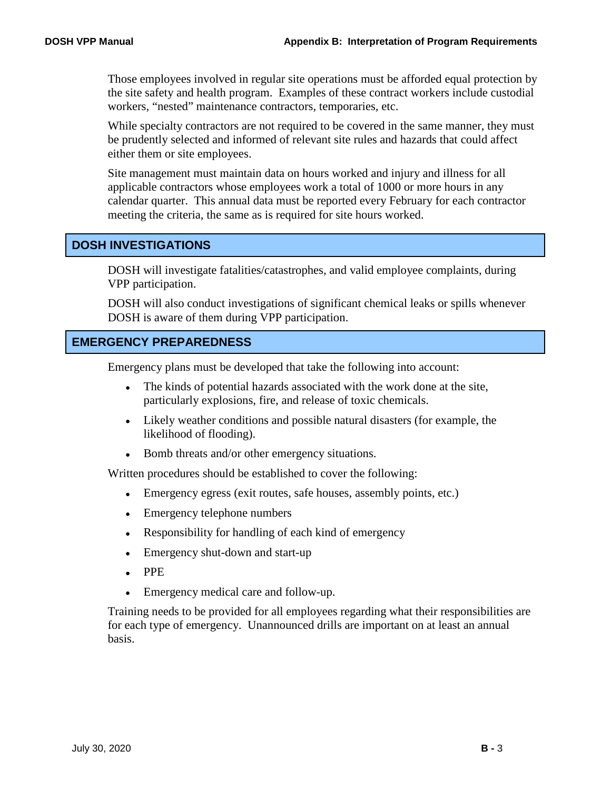Those employees involved in regular site operations must be afforded equal protection by the site safety and health program. Examples of these contract workers include custodial workers, "nested" maintenance contractors, temporaries, etc.

While specialty contractors are not required to be covered in the same manner, they must be prudently selected and informed of relevant site rules and hazards that could affect either them or site employees.

Site management must maintain data on hours worked and injury and illness for all applicable contractors whose employees work a total of 1000 or more hours in any calendar quarter. This annual data must be reported every February for each contractor meeting the criteria, the same as is required for site hours worked.

# **DOSH INVESTIGATIONS**

DOSH will investigate fatalities/catastrophes, and valid employee complaints, during VPP participation.

DOSH will also conduct investigations of significant chemical leaks or spills whenever DOSH is aware of them during VPP participation.

# **EMERGENCY PREPAREDNESS**

Emergency plans must be developed that take the following into account:

- The kinds of potential hazards associated with the work done at the site, particularly explosions, fire, and release of toxic chemicals.
- Likely weather conditions and possible natural disasters (for example, the likelihood of flooding).
- Bomb threats and/or other emergency situations.

Written procedures should be established to cover the following:

- Emergency egress (exit routes, safe houses, assembly points, etc.)
- Emergency telephone numbers
- Responsibility for handling of each kind of emergency
- Emergency shut-down and start-up
- PPE
- Emergency medical care and follow-up.

Training needs to be provided for all employees regarding what their responsibilities are for each type of emergency. Unannounced drills are important on at least an annual basis.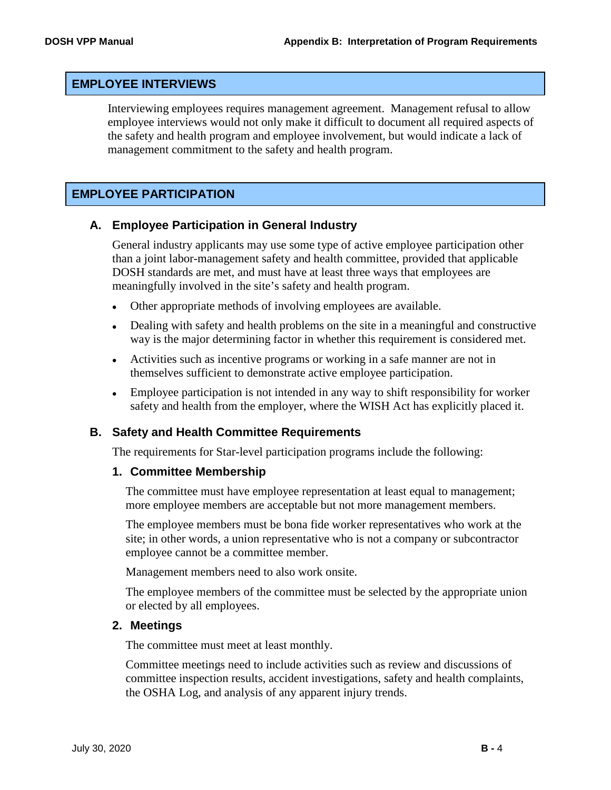# **EMPLOYEE INTERVIEWS**

Interviewing employees requires management agreement. Management refusal to allow employee interviews would not only make it difficult to document all required aspects of the safety and health program and employee involvement, but would indicate a lack of management commitment to the safety and health program.

# **EMPLOYEE PARTICIPATION**

#### **A. Employee Participation in General Industry**

General industry applicants may use some type of active employee participation other than a joint labor-management safety and health committee, provided that applicable DOSH standards are met, and must have at least three ways that employees are meaningfully involved in the site's safety and health program.

- Other appropriate methods of involving employees are available.
- Dealing with safety and health problems on the site in a meaningful and constructive way is the major determining factor in whether this requirement is considered met.
- Activities such as incentive programs or working in a safe manner are not in themselves sufficient to demonstrate active employee participation.
- Employee participation is not intended in any way to shift responsibility for worker safety and health from the employer, where the WISH Act has explicitly placed it.

#### **B. Safety and Health Committee Requirements**

The requirements for Star-level participation programs include the following:

#### **1. Committee Membership**

The committee must have employee representation at least equal to management; more employee members are acceptable but not more management members.

The employee members must be bona fide worker representatives who work at the site; in other words, a union representative who is not a company or subcontractor employee cannot be a committee member.

Management members need to also work onsite.

The employee members of the committee must be selected by the appropriate union or elected by all employees.

#### **2. Meetings**

The committee must meet at least monthly.

Committee meetings need to include activities such as review and discussions of committee inspection results, accident investigations, safety and health complaints, the OSHA Log, and analysis of any apparent injury trends.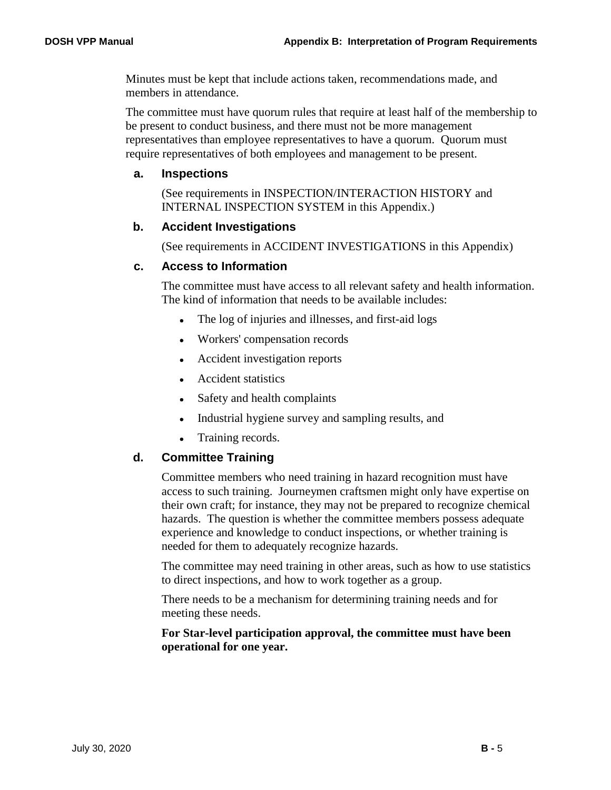Minutes must be kept that include actions taken, recommendations made, and members in attendance.

The committee must have quorum rules that require at least half of the membership to be present to conduct business, and there must not be more management representatives than employee representatives to have a quorum. Quorum must require representatives of both employees and management to be present.

#### **a. Inspections**

(See requirements in INSPECTION/INTERACTION HISTORY and INTERNAL INSPECTION SYSTEM in this Appendix.)

#### **b. Accident Investigations**

(See requirements in ACCIDENT INVESTIGATIONS in this Appendix)

#### **c. Access to Information**

The committee must have access to all relevant safety and health information. The kind of information that needs to be available includes:

- The log of injuries and illnesses, and first-aid logs
- Workers' compensation records
- Accident investigation reports
- Accident statistics
- Safety and health complaints
- Industrial hygiene survey and sampling results, and
- Training records.

#### **d. Committee Training**

Committee members who need training in hazard recognition must have access to such training. Journeymen craftsmen might only have expertise on their own craft; for instance, they may not be prepared to recognize chemical hazards. The question is whether the committee members possess adequate experience and knowledge to conduct inspections, or whether training is needed for them to adequately recognize hazards.

The committee may need training in other areas, such as how to use statistics to direct inspections, and how to work together as a group.

There needs to be a mechanism for determining training needs and for meeting these needs.

#### **For Star-level participation approval, the committee must have been operational for one year.**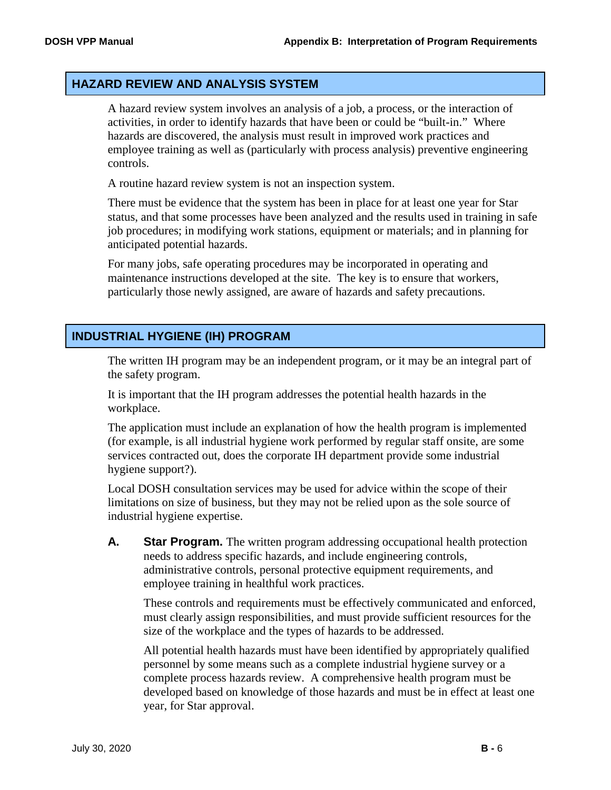# **HAZARD REVIEW AND ANALYSIS SYSTEM**

A hazard review system involves an analysis of a job, a process, or the interaction of activities, in order to identify hazards that have been or could be "built-in." Where hazards are discovered, the analysis must result in improved work practices and employee training as well as (particularly with process analysis) preventive engineering controls.

A routine hazard review system is not an inspection system.

There must be evidence that the system has been in place for at least one year for Star status, and that some processes have been analyzed and the results used in training in safe job procedures; in modifying work stations, equipment or materials; and in planning for anticipated potential hazards.

For many jobs, safe operating procedures may be incorporated in operating and maintenance instructions developed at the site. The key is to ensure that workers, particularly those newly assigned, are aware of hazards and safety precautions.

#### **INDUSTRIAL HYGIENE (IH) PROGRAM**

The written IH program may be an independent program, or it may be an integral part of the safety program.

It is important that the IH program addresses the potential health hazards in the workplace.

The application must include an explanation of how the health program is implemented (for example, is all industrial hygiene work performed by regular staff onsite, are some services contracted out, does the corporate IH department provide some industrial hygiene support?).

Local DOSH consultation services may be used for advice within the scope of their limitations on size of business, but they may not be relied upon as the sole source of industrial hygiene expertise.

**A. Star Program.** The written program addressing occupational health protection needs to address specific hazards, and include engineering controls, administrative controls, personal protective equipment requirements, and employee training in healthful work practices.

These controls and requirements must be effectively communicated and enforced, must clearly assign responsibilities, and must provide sufficient resources for the size of the workplace and the types of hazards to be addressed.

All potential health hazards must have been identified by appropriately qualified personnel by some means such as a complete industrial hygiene survey or a complete process hazards review. A comprehensive health program must be developed based on knowledge of those hazards and must be in effect at least one year, for Star approval.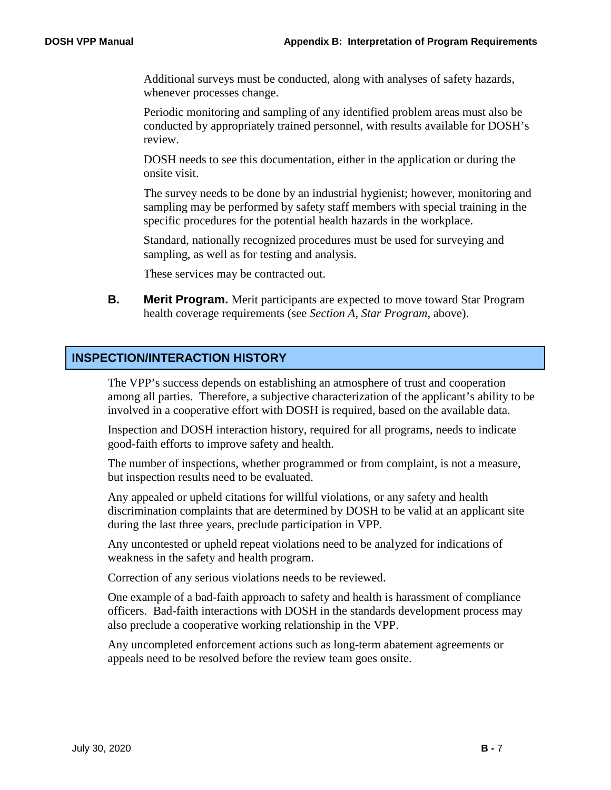Additional surveys must be conducted, along with analyses of safety hazards, whenever processes change.

Periodic monitoring and sampling of any identified problem areas must also be conducted by appropriately trained personnel, with results available for DOSH's review.

DOSH needs to see this documentation, either in the application or during the onsite visit.

The survey needs to be done by an industrial hygienist; however, monitoring and sampling may be performed by safety staff members with special training in the specific procedures for the potential health hazards in the workplace.

Standard, nationally recognized procedures must be used for surveying and sampling, as well as for testing and analysis.

These services may be contracted out.

**B. Merit Program.** Merit participants are expected to move toward Star Program health coverage requirements (see *Section A, Star Program*, above).

# **INSPECTION/INTERACTION HISTORY**

The VPP's success depends on establishing an atmosphere of trust and cooperation among all parties. Therefore, a subjective characterization of the applicant's ability to be involved in a cooperative effort with DOSH is required, based on the available data.

Inspection and DOSH interaction history, required for all programs, needs to indicate good-faith efforts to improve safety and health.

The number of inspections, whether programmed or from complaint, is not a measure, but inspection results need to be evaluated.

Any appealed or upheld citations for willful violations, or any safety and health discrimination complaints that are determined by DOSH to be valid at an applicant site during the last three years, preclude participation in VPP.

Any uncontested or upheld repeat violations need to be analyzed for indications of weakness in the safety and health program.

Correction of any serious violations needs to be reviewed.

One example of a bad-faith approach to safety and health is harassment of compliance officers. Bad-faith interactions with DOSH in the standards development process may also preclude a cooperative working relationship in the VPP.

Any uncompleted enforcement actions such as long-term abatement agreements or appeals need to be resolved before the review team goes onsite.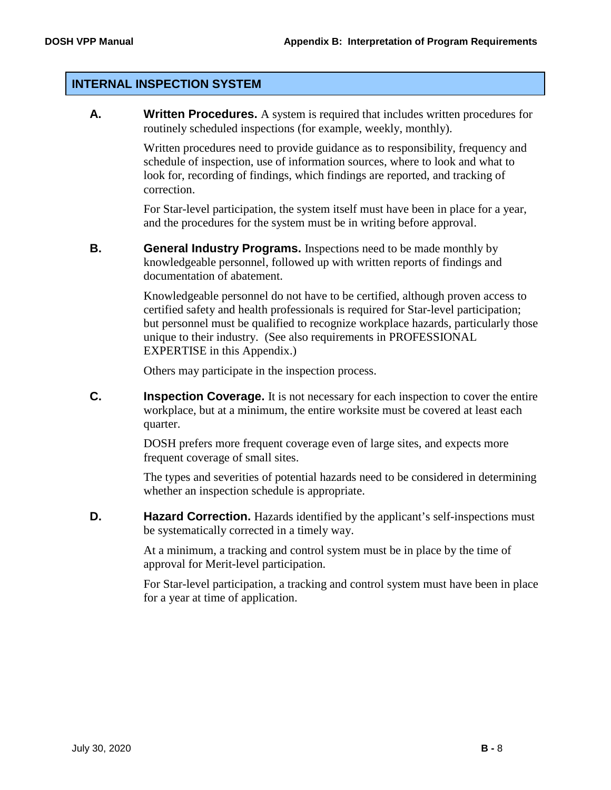# **INTERNAL INSPECTION SYSTEM**

**A. Written Procedures.** A system is required that includes written procedures for routinely scheduled inspections (for example, weekly, monthly).

> Written procedures need to provide guidance as to responsibility, frequency and schedule of inspection, use of information sources, where to look and what to look for, recording of findings, which findings are reported, and tracking of correction.

> For Star-level participation, the system itself must have been in place for a year, and the procedures for the system must be in writing before approval.

**B. General Industry Programs.** Inspections need to be made monthly by knowledgeable personnel, followed up with written reports of findings and documentation of abatement.

> Knowledgeable personnel do not have to be certified, although proven access to certified safety and health professionals is required for Star-level participation; but personnel must be qualified to recognize workplace hazards, particularly those unique to their industry. (See also requirements in PROFESSIONAL EXPERTISE in this Appendix.)

Others may participate in the inspection process.

**C. Inspection Coverage.** It is not necessary for each inspection to cover the entire workplace, but at a minimum, the entire worksite must be covered at least each quarter.

> DOSH prefers more frequent coverage even of large sites, and expects more frequent coverage of small sites.

The types and severities of potential hazards need to be considered in determining whether an inspection schedule is appropriate.

**D. Hazard Correction.** Hazards identified by the applicant's self-inspections must be systematically corrected in a timely way.

> At a minimum, a tracking and control system must be in place by the time of approval for Merit-level participation.

For Star-level participation, a tracking and control system must have been in place for a year at time of application.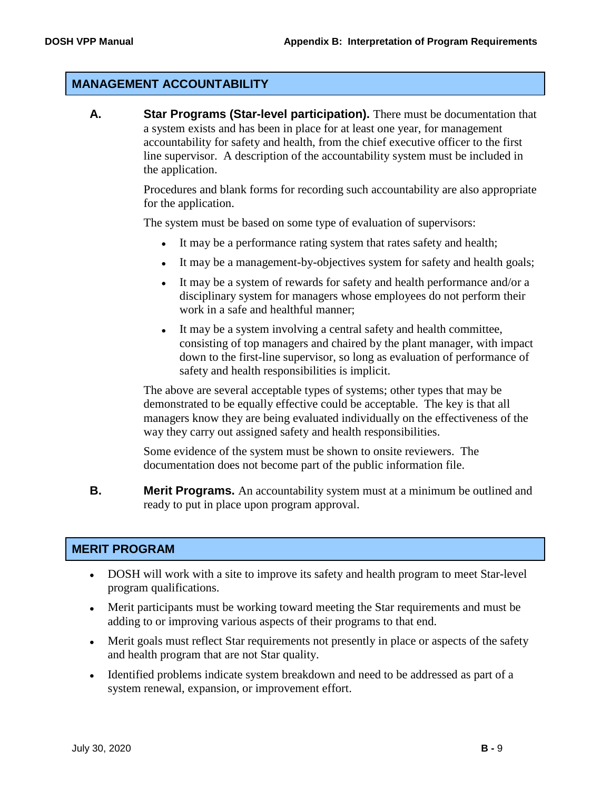# **MANAGEMENT ACCOUNTABILITY**

**A. Star Programs (Star-level participation).** There must be documentation that a system exists and has been in place for at least one year, for management accountability for safety and health, from the chief executive officer to the first line supervisor. A description of the accountability system must be included in the application.

> Procedures and blank forms for recording such accountability are also appropriate for the application.

The system must be based on some type of evaluation of supervisors:

- It may be a performance rating system that rates safety and health;
- It may be a management-by-objectives system for safety and health goals;
- It may be a system of rewards for safety and health performance and/or a disciplinary system for managers whose employees do not perform their work in a safe and healthful manner;
- It may be a system involving a central safety and health committee, consisting of top managers and chaired by the plant manager, with impact down to the first-line supervisor, so long as evaluation of performance of safety and health responsibilities is implicit.

The above are several acceptable types of systems; other types that may be demonstrated to be equally effective could be acceptable. The key is that all managers know they are being evaluated individually on the effectiveness of the way they carry out assigned safety and health responsibilities.

Some evidence of the system must be shown to onsite reviewers. The documentation does not become part of the public information file.

**B. Merit Programs.** An accountability system must at a minimum be outlined and ready to put in place upon program approval.

# **MERIT PROGRAM**

- DOSH will work with a site to improve its safety and health program to meet Star-level program qualifications.
- Merit participants must be working toward meeting the Star requirements and must be adding to or improving various aspects of their programs to that end.
- Merit goals must reflect Star requirements not presently in place or aspects of the safety and health program that are not Star quality.
- Identified problems indicate system breakdown and need to be addressed as part of a system renewal, expansion, or improvement effort.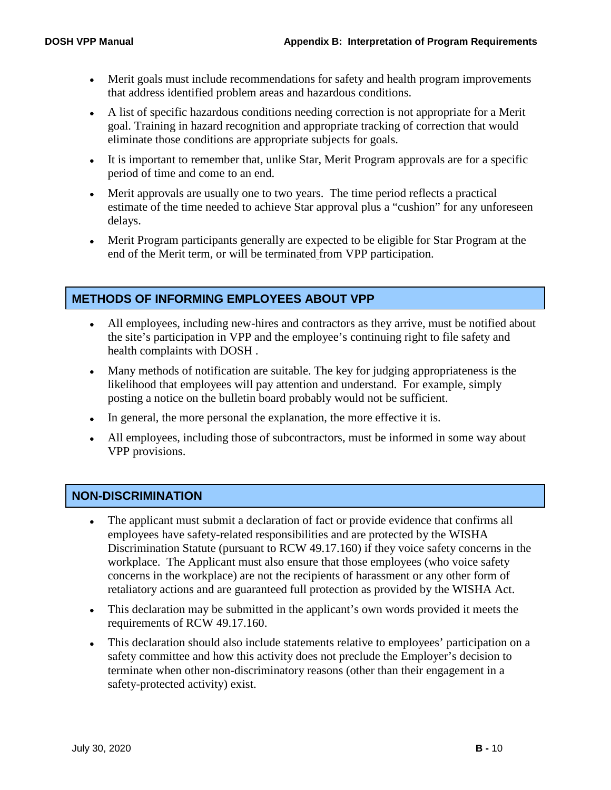- Merit goals must include recommendations for safety and health program improvements that address identified problem areas and hazardous conditions.
- A list of specific hazardous conditions needing correction is not appropriate for a Merit goal. Training in hazard recognition and appropriate tracking of correction that would eliminate those conditions are appropriate subjects for goals.
- It is important to remember that, unlike Star, Merit Program approvals are for a specific period of time and come to an end.
- Merit approvals are usually one to two years. The time period reflects a practical estimate of the time needed to achieve Star approval plus a "cushion" for any unforeseen delays.
- Merit Program participants generally are expected to be eligible for Star Program at the end of the Merit term, or will be terminated from VPP participation.

# **METHODS OF INFORMING EMPLOYEES ABOUT VPP**

- All employees, including new-hires and contractors as they arrive, must be notified about the site's participation in VPP and the employee's continuing right to file safety and health complaints with DOSH .
- Many methods of notification are suitable. The key for judging appropriateness is the likelihood that employees will pay attention and understand. For example, simply posting a notice on the bulletin board probably would not be sufficient.
- In general, the more personal the explanation, the more effective it is.
- All employees, including those of subcontractors, must be informed in some way about VPP provisions.

# **NON-DISCRIMINATION**

- The applicant must submit a declaration of fact or provide evidence that confirms all employees have safety-related responsibilities and are protected by the WISHA Discrimination Statute (pursuant to RCW 49.17.160) if they voice safety concerns in the workplace. The Applicant must also ensure that those employees (who voice safety concerns in the workplace) are not the recipients of harassment or any other form of retaliatory actions and are guaranteed full protection as provided by the WISHA Act.
- This declaration may be submitted in the applicant's own words provided it meets the requirements of RCW 49.17.160.
- This declaration should also include statements relative to employees' participation on a safety committee and how this activity does not preclude the Employer's decision to terminate when other non-discriminatory reasons (other than their engagement in a safety-protected activity) exist.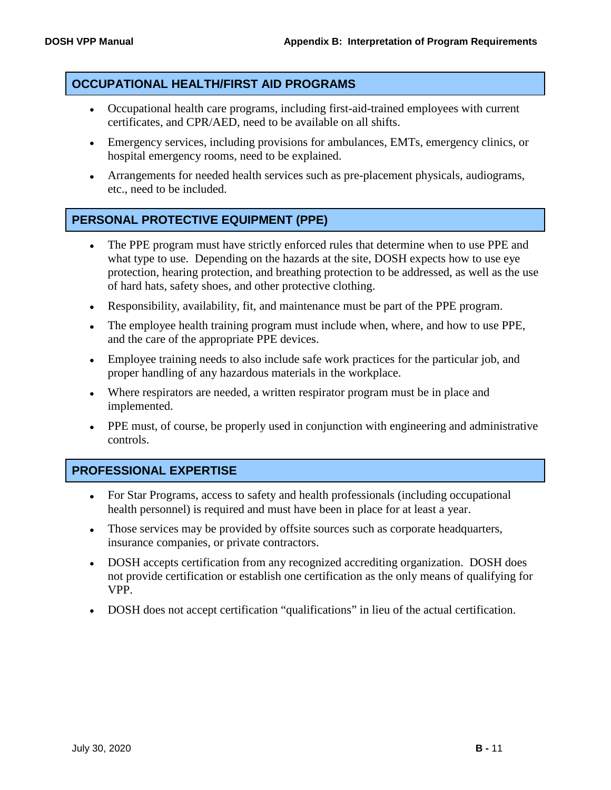# **OCCUPATIONAL HEALTH/FIRST AID PROGRAMS**

- Occupational health care programs, including first-aid-trained employees with current certificates, and CPR/AED, need to be available on all shifts.
- Emergency services, including provisions for ambulances, EMTs, emergency clinics, or hospital emergency rooms, need to be explained.
- Arrangements for needed health services such as pre-placement physicals, audiograms, etc., need to be included.

# **PERSONAL PROTECTIVE EQUIPMENT (PPE)**

- The PPE program must have strictly enforced rules that determine when to use PPE and what type to use. Depending on the hazards at the site, DOSH expects how to use eye protection, hearing protection, and breathing protection to be addressed, as well as the use of hard hats, safety shoes, and other protective clothing.
- Responsibility, availability, fit, and maintenance must be part of the PPE program.
- The employee health training program must include when, where, and how to use PPE, and the care of the appropriate PPE devices.
- Employee training needs to also include safe work practices for the particular job, and proper handling of any hazardous materials in the workplace.
- Where respirators are needed, a written respirator program must be in place and implemented.
- PPE must, of course, be properly used in conjunction with engineering and administrative controls.

# **PROFESSIONAL EXPERTISE**

- For Star Programs, access to safety and health professionals (including occupational health personnel) is required and must have been in place for at least a year.
- Those services may be provided by offsite sources such as corporate headquarters, insurance companies, or private contractors.
- DOSH accepts certification from any recognized accrediting organization. DOSH does not provide certification or establish one certification as the only means of qualifying for VPP.
- DOSH does not accept certification "qualifications" in lieu of the actual certification.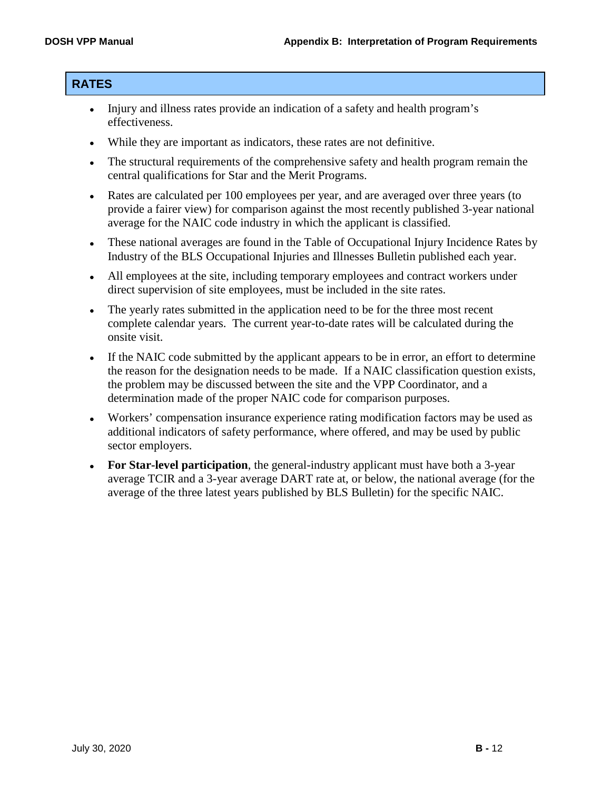# **RATES**

- Injury and illness rates provide an indication of a safety and health program's effectiveness.
- While they are important as indicators, these rates are not definitive.
- The structural requirements of the comprehensive safety and health program remain the central qualifications for Star and the Merit Programs.
- Rates are calculated per 100 employees per year, and are averaged over three years (to provide a fairer view) for comparison against the most recently published 3-year national average for the NAIC code industry in which the applicant is classified.
- These national averages are found in the Table of Occupational Injury Incidence Rates by Industry of the BLS Occupational Injuries and Illnesses Bulletin published each year.
- All employees at the site, including temporary employees and contract workers under direct supervision of site employees, must be included in the site rates.
- The yearly rates submitted in the application need to be for the three most recent complete calendar years. The current year-to-date rates will be calculated during the onsite visit.
- If the NAIC code submitted by the applicant appears to be in error, an effort to determine the reason for the designation needs to be made. If a NAIC classification question exists, the problem may be discussed between the site and the VPP Coordinator, and a determination made of the proper NAIC code for comparison purposes.
- Workers' compensation insurance experience rating modification factors may be used as additional indicators of safety performance, where offered, and may be used by public sector employers.
- **For Star-level participation**, the general-industry applicant must have both a 3-year average TCIR and a 3-year average DART rate at, or below, the national average (for the average of the three latest years published by BLS Bulletin) for the specific NAIC.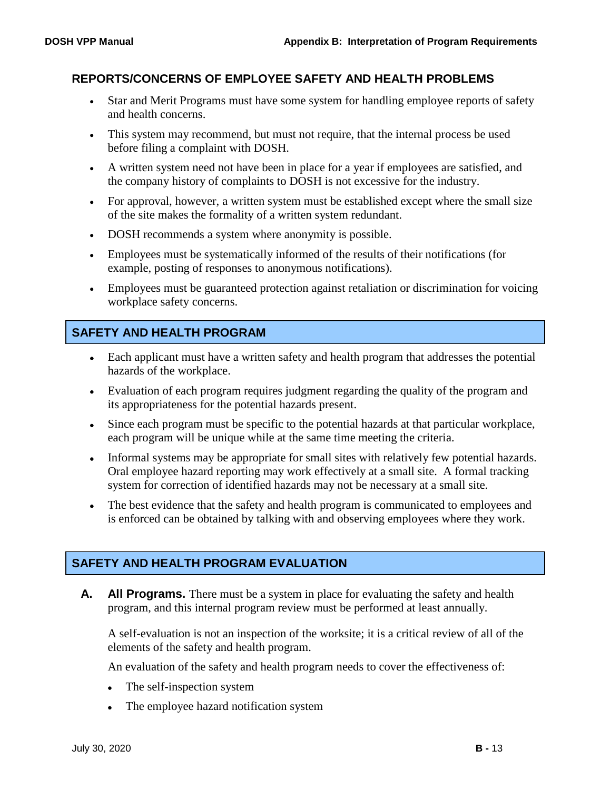### **REPORTS/CONCERNS OF EMPLOYEE SAFETY AND HEALTH PROBLEMS**

- Star and Merit Programs must have some system for handling employee reports of safety and health concerns.
- This system may recommend, but must not require, that the internal process be used before filing a complaint with DOSH.
- A written system need not have been in place for a year if employees are satisfied, and the company history of complaints to DOSH is not excessive for the industry.
- For approval, however, a written system must be established except where the small size of the site makes the formality of a written system redundant.
- DOSH recommends a system where anonymity is possible.
- Employees must be systematically informed of the results of their notifications (for example, posting of responses to anonymous notifications).
- Employees must be guaranteed protection against retaliation or discrimination for voicing workplace safety concerns.

# **SAFETY AND HEALTH PROGRAM**

- Each applicant must have a written safety and health program that addresses the potential hazards of the workplace.
- Evaluation of each program requires judgment regarding the quality of the program and its appropriateness for the potential hazards present.
- Since each program must be specific to the potential hazards at that particular workplace, each program will be unique while at the same time meeting the criteria.
- Informal systems may be appropriate for small sites with relatively few potential hazards. Oral employee hazard reporting may work effectively at a small site. A formal tracking system for correction of identified hazards may not be necessary at a small site.
- The best evidence that the safety and health program is communicated to employees and is enforced can be obtained by talking with and observing employees where they work.

# **SAFETY AND HEALTH PROGRAM EVALUATION**

**A. All Programs.** There must be a system in place for evaluating the safety and health program, and this internal program review must be performed at least annually.

A self-evaluation is not an inspection of the worksite; it is a critical review of all of the elements of the safety and health program.

An evaluation of the safety and health program needs to cover the effectiveness of:

- The self-inspection system
- The employee hazard notification system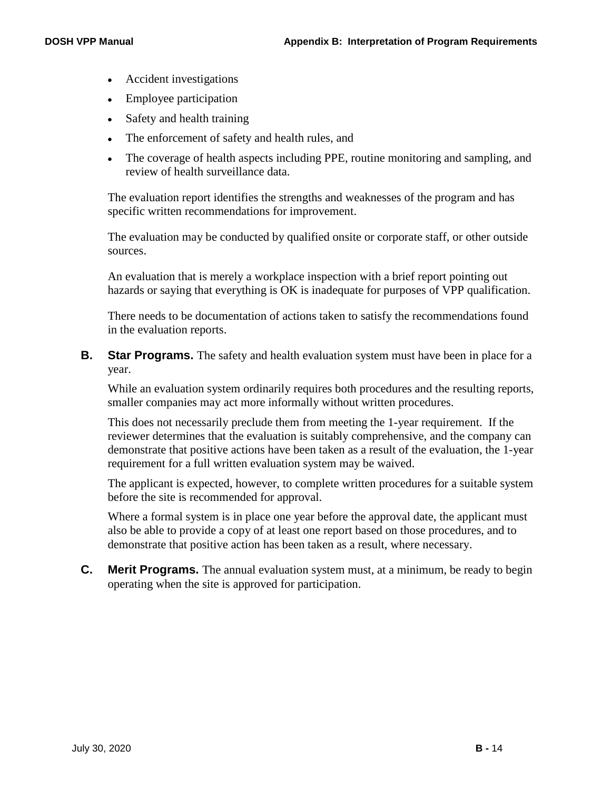- Accident investigations
- Employee participation
- Safety and health training
- The enforcement of safety and health rules, and
- The coverage of health aspects including PPE, routine monitoring and sampling, and review of health surveillance data.

The evaluation report identifies the strengths and weaknesses of the program and has specific written recommendations for improvement.

The evaluation may be conducted by qualified onsite or corporate staff, or other outside sources.

An evaluation that is merely a workplace inspection with a brief report pointing out hazards or saying that everything is OK is inadequate for purposes of VPP qualification.

There needs to be documentation of actions taken to satisfy the recommendations found in the evaluation reports.

**B. Star Programs.** The safety and health evaluation system must have been in place for a year.

While an evaluation system ordinarily requires both procedures and the resulting reports, smaller companies may act more informally without written procedures.

This does not necessarily preclude them from meeting the 1-year requirement. If the reviewer determines that the evaluation is suitably comprehensive, and the company can demonstrate that positive actions have been taken as a result of the evaluation, the 1-year requirement for a full written evaluation system may be waived.

The applicant is expected, however, to complete written procedures for a suitable system before the site is recommended for approval.

Where a formal system is in place one year before the approval date, the applicant must also be able to provide a copy of at least one report based on those procedures, and to demonstrate that positive action has been taken as a result, where necessary.

**C. Merit Programs.** The annual evaluation system must, at a minimum, be ready to begin operating when the site is approved for participation.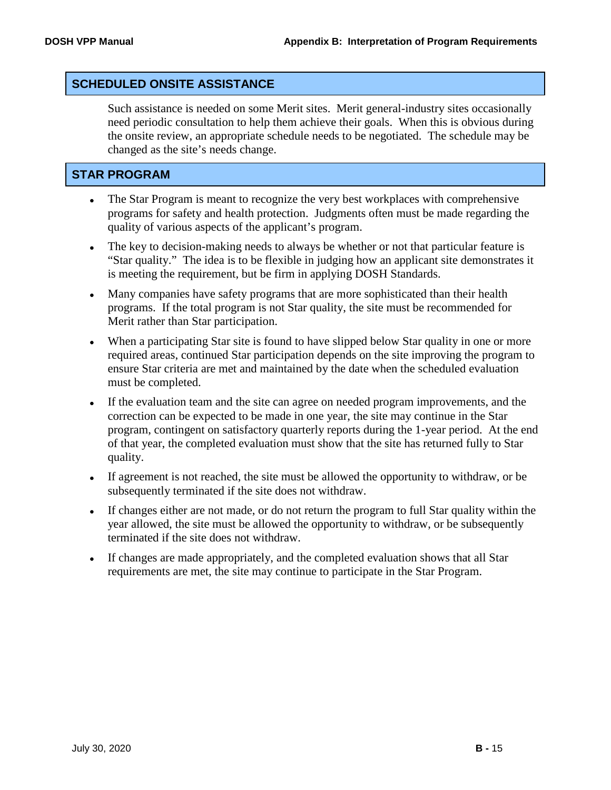# **SCHEDULED ONSITE ASSISTANCE**

Such assistance is needed on some Merit sites. Merit general-industry sites occasionally need periodic consultation to help them achieve their goals. When this is obvious during the onsite review, an appropriate schedule needs to be negotiated. The schedule may be changed as the site's needs change.

#### **STAR PROGRAM**

- The Star Program is meant to recognize the very best workplaces with comprehensive programs for safety and health protection. Judgments often must be made regarding the quality of various aspects of the applicant's program.
- The key to decision-making needs to always be whether or not that particular feature is "Star quality." The idea is to be flexible in judging how an applicant site demonstrates it is meeting the requirement, but be firm in applying DOSH Standards.
- Many companies have safety programs that are more sophisticated than their health programs. If the total program is not Star quality, the site must be recommended for Merit rather than Star participation.
- When a participating Star site is found to have slipped below Star quality in one or more required areas, continued Star participation depends on the site improving the program to ensure Star criteria are met and maintained by the date when the scheduled evaluation must be completed.
- If the evaluation team and the site can agree on needed program improvements, and the correction can be expected to be made in one year, the site may continue in the Star program, contingent on satisfactory quarterly reports during the 1-year period. At the end of that year, the completed evaluation must show that the site has returned fully to Star quality.
- If agreement is not reached, the site must be allowed the opportunity to withdraw, or be subsequently terminated if the site does not withdraw.
- If changes either are not made, or do not return the program to full Star quality within the year allowed, the site must be allowed the opportunity to withdraw, or be subsequently terminated if the site does not withdraw.
- If changes are made appropriately, and the completed evaluation shows that all Star requirements are met, the site may continue to participate in the Star Program.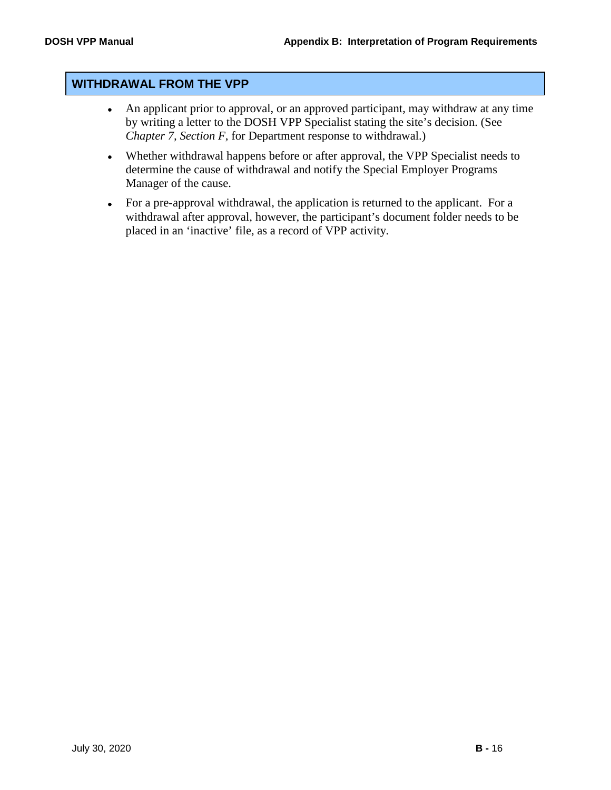# **WITHDRAWAL FROM THE VPP**

- An applicant prior to approval, or an approved participant, may withdraw at any time by writing a letter to the DOSH VPP Specialist stating the site's decision. (See *Chapter 7, Section F*, for Department response to withdrawal.)
- Whether withdrawal happens before or after approval, the VPP Specialist needs to determine the cause of withdrawal and notify the Special Employer Programs Manager of the cause.
- For a pre-approval withdrawal, the application is returned to the applicant. For a withdrawal after approval, however, the participant's document folder needs to be placed in an 'inactive' file, as a record of VPP activity.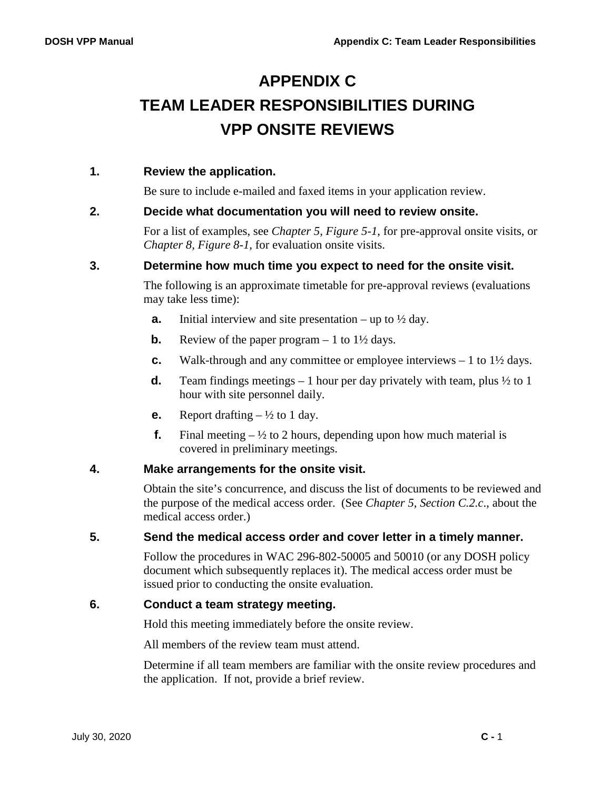# **APPENDIX C TEAM LEADER RESPONSIBILITIES DURING VPP ONSITE REVIEWS**

# **1. Review the application.**

Be sure to include e-mailed and faxed items in your application review.

#### **2. Decide what documentation you will need to review onsite.**

For a list of examples, see *Chapter 5, Figure 5-1*, for pre-approval onsite visits, or *Chapter 8, Figure 8-1*, for evaluation onsite visits.

#### **3. Determine how much time you expect to need for the onsite visit.**

The following is an approximate timetable for pre-approval reviews (evaluations may take less time):

- **a.** Initial interview and site presentation up to  $\frac{1}{2}$  day.
- **b.** Review of the paper program  $-1$  to  $1\frac{1}{2}$  days.
- **c.** Walk-through and any committee or employee interviews  $-1$  to  $1\frac{1}{2}$  days.
- **d.** Team findings meetings  $-1$  hour per day privately with team, plus  $\frac{1}{2}$  to 1 hour with site personnel daily.
- **e.** Report drafting  $-\frac{1}{2}$  to 1 day.
- **f.** Final meeting  $-\frac{1}{2}$  to 2 hours, depending upon how much material is covered in preliminary meetings.

# **4. Make arrangements for the onsite visit.**

Obtain the site's concurrence, and discuss the list of documents to be reviewed and the purpose of the medical access order. (See *Chapter 5, Section C.2.c*., about the medical access order.)

# **5. Send the medical access order and cover letter in a timely manner.**

Follow the procedures in WAC 296-802-50005 and 50010 (or any DOSH policy document which subsequently replaces it). The medical access order must be issued prior to conducting the onsite evaluation.

# **6. Conduct a team strategy meeting.**

Hold this meeting immediately before the onsite review.

All members of the review team must attend.

Determine if all team members are familiar with the onsite review procedures and the application. If not, provide a brief review.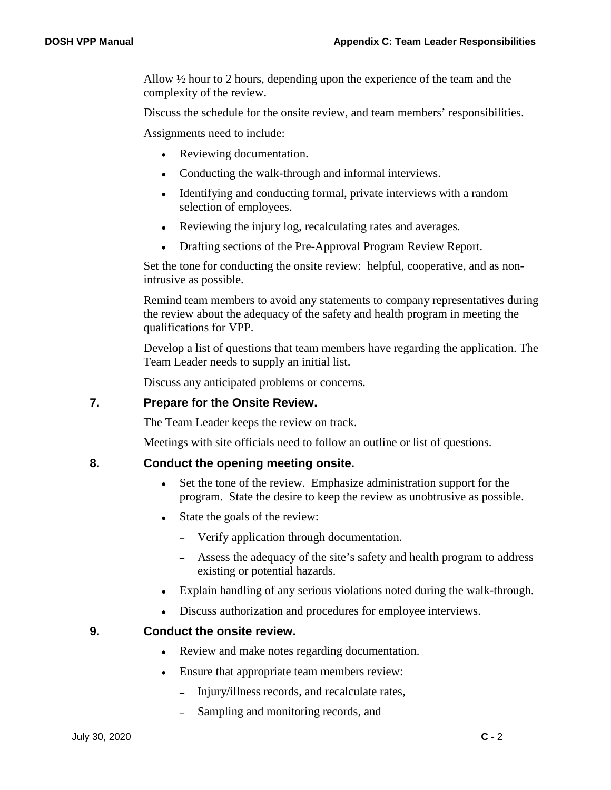Allow ½ hour to 2 hours, depending upon the experience of the team and the complexity of the review.

Discuss the schedule for the onsite review, and team members' responsibilities.

Assignments need to include:

- Reviewing documentation.
- Conducting the walk-through and informal interviews.
- Identifying and conducting formal, private interviews with a random selection of employees.
- Reviewing the injury log, recalculating rates and averages.
- Drafting sections of the Pre-Approval Program Review Report.

Set the tone for conducting the onsite review: helpful, cooperative, and as nonintrusive as possible.

Remind team members to avoid any statements to company representatives during the review about the adequacy of the safety and health program in meeting the qualifications for VPP.

Develop a list of questions that team members have regarding the application. The Team Leader needs to supply an initial list.

Discuss any anticipated problems or concerns.

#### **7. Prepare for the Onsite Review.**

The Team Leader keeps the review on track.

Meetings with site officials need to follow an outline or list of questions.

#### **8. Conduct the opening meeting onsite.**

- Set the tone of the review. Emphasize administration support for the program. State the desire to keep the review as unobtrusive as possible.
- State the goals of the review:
	- − Verify application through documentation.
	- − Assess the adequacy of the site's safety and health program to address existing or potential hazards.
- Explain handling of any serious violations noted during the walk-through.
- Discuss authorization and procedures for employee interviews.

#### **9. Conduct the onsite review.**

- Review and make notes regarding documentation.
- Ensure that appropriate team members review:
	- − Injury/illness records, and recalculate rates,
	- − Sampling and monitoring records, and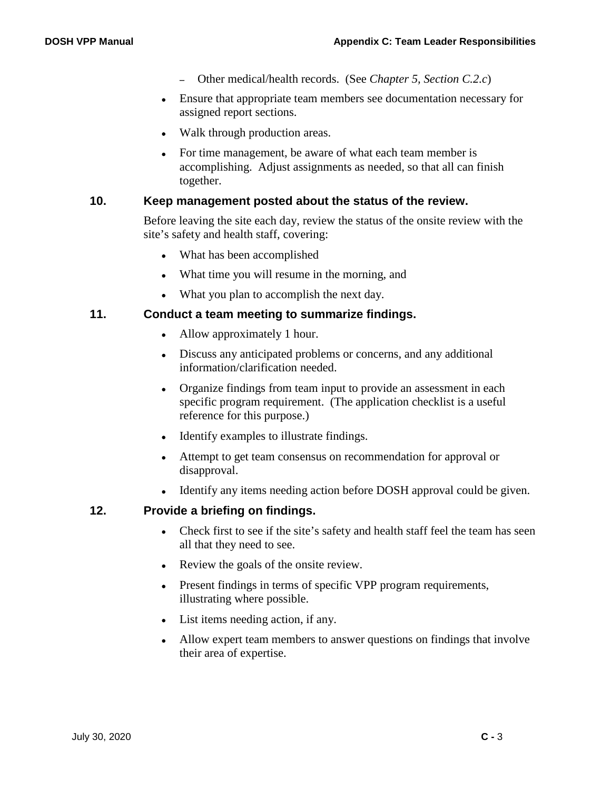- − Other medical/health records. (See *Chapter 5, Section C.2.c*)
- Ensure that appropriate team members see documentation necessary for assigned report sections.
- Walk through production areas.
- For time management, be aware of what each team member is accomplishing. Adjust assignments as needed, so that all can finish together.

#### **10. Keep management posted about the status of the review.**

Before leaving the site each day, review the status of the onsite review with the site's safety and health staff, covering:

- What has been accomplished
- What time you will resume in the morning, and
- What you plan to accomplish the next day.

#### **11. Conduct a team meeting to summarize findings.**

- Allow approximately 1 hour.
- Discuss any anticipated problems or concerns, and any additional information/clarification needed.
- Organize findings from team input to provide an assessment in each specific program requirement. (The application checklist is a useful reference for this purpose.)
- Identify examples to illustrate findings.
- Attempt to get team consensus on recommendation for approval or disapproval.
- Identify any items needing action before DOSH approval could be given.

# **12. Provide a briefing on findings.**

- Check first to see if the site's safety and health staff feel the team has seen all that they need to see.
- Review the goals of the onsite review.
- Present findings in terms of specific VPP program requirements, illustrating where possible.
- List items needing action, if any.
- Allow expert team members to answer questions on findings that involve their area of expertise.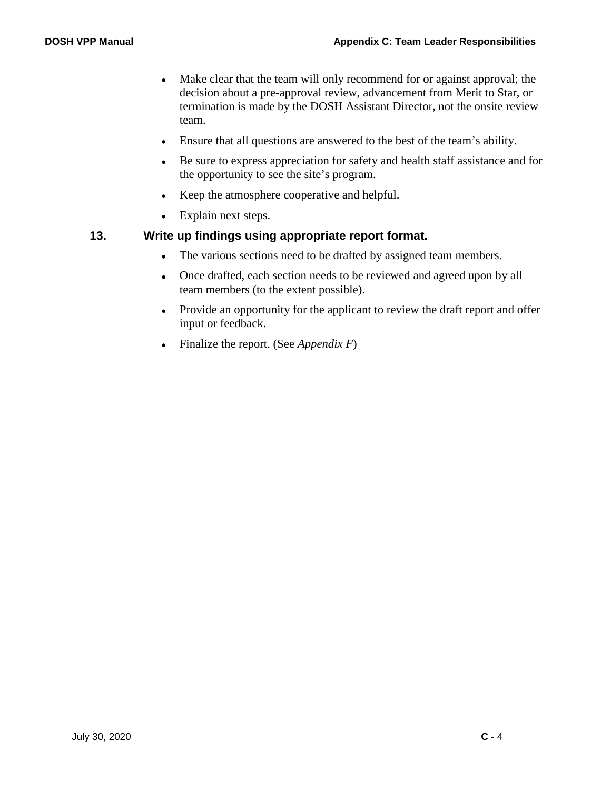- Make clear that the team will only recommend for or against approval; the decision about a pre-approval review, advancement from Merit to Star, or termination is made by the DOSH Assistant Director, not the onsite review team.
- Ensure that all questions are answered to the best of the team's ability.
- Be sure to express appreciation for safety and health staff assistance and for the opportunity to see the site's program.
- Keep the atmosphere cooperative and helpful.
- Explain next steps.

# **13. Write up findings using appropriate report format.**

- The various sections need to be drafted by assigned team members.
- Once drafted, each section needs to be reviewed and agreed upon by all team members (to the extent possible).
- Provide an opportunity for the applicant to review the draft report and offer input or feedback.
- Finalize the report. (See *Appendix F*)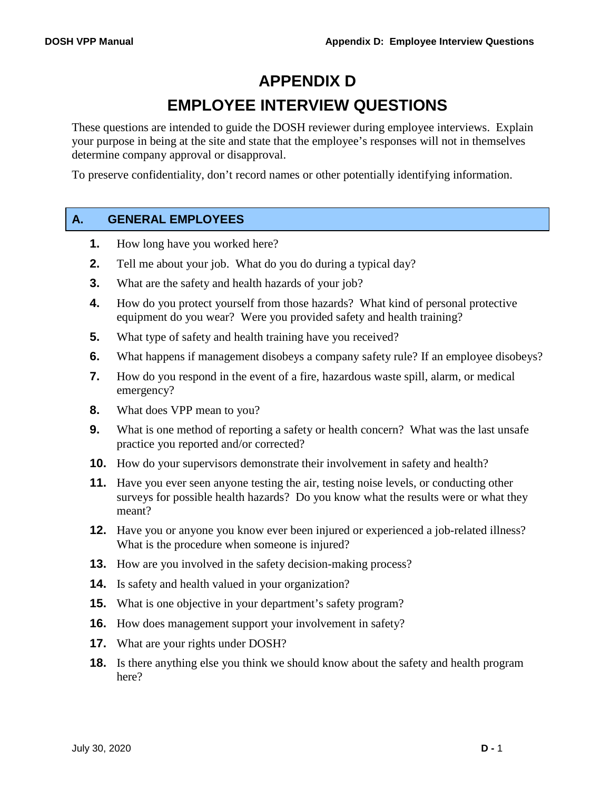# **APPENDIX D EMPLOYEE INTERVIEW QUESTIONS**

These questions are intended to guide the DOSH reviewer during employee interviews. Explain your purpose in being at the site and state that the employee's responses will not in themselves determine company approval or disapproval.

To preserve confidentiality, don't record names or other potentially identifying information.

# **A. GENERAL EMPLOYEES**

- **1.** How long have you worked here?
- **2.** Tell me about your job. What do you do during a typical day?
- **3.** What are the safety and health hazards of your job?
- **4.** How do you protect yourself from those hazards? What kind of personal protective equipment do you wear? Were you provided safety and health training?
- **5.** What type of safety and health training have you received?
- **6.** What happens if management disobeys a company safety rule? If an employee disobeys?
- **7.** How do you respond in the event of a fire, hazardous waste spill, alarm, or medical emergency?
- **8.** What does VPP mean to you?
- **9.** What is one method of reporting a safety or health concern? What was the last unsafe practice you reported and/or corrected?
- **10.** How do your supervisors demonstrate their involvement in safety and health?
- **11.** Have you ever seen anyone testing the air, testing noise levels, or conducting other surveys for possible health hazards? Do you know what the results were or what they meant?
- **12.** Have you or anyone you know ever been injured or experienced a job-related illness? What is the procedure when someone is injured?
- **13.** How are you involved in the safety decision-making process?
- **14.** Is safety and health valued in your organization?
- **15.** What is one objective in your department's safety program?
- **16.** How does management support your involvement in safety?
- **17.** What are your rights under DOSH?
- **18.** Is there anything else you think we should know about the safety and health program here?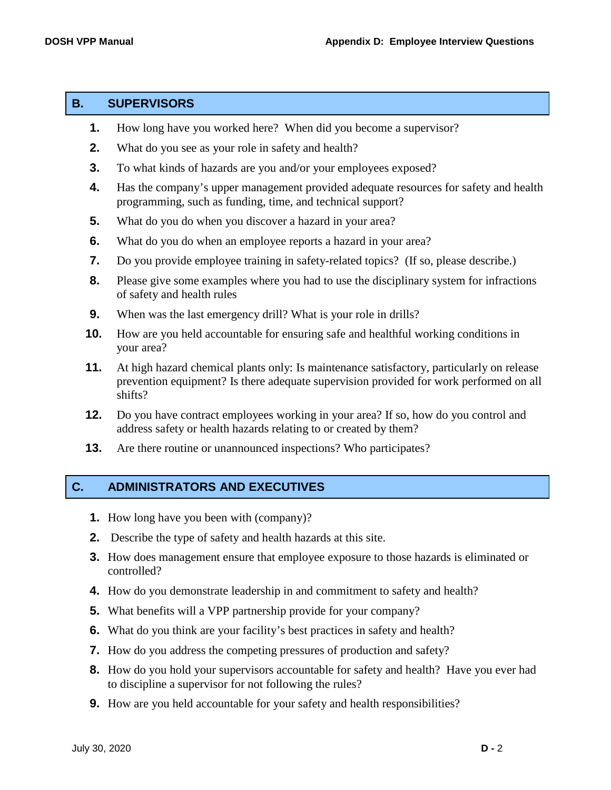#### **B. SUPERVISORS**

- **1.** How long have you worked here? When did you become a supervisor?
- **2.** What do you see as your role in safety and health?
- **3.** To what kinds of hazards are you and/or your employees exposed?
- **4.** Has the company's upper management provided adequate resources for safety and health programming, such as funding, time, and technical support?
- **5.** What do you do when you discover a hazard in your area?
- **6.** What do you do when an employee reports a hazard in your area?
- **7.** Do you provide employee training in safety-related topics? (If so, please describe.)
- **8.** Please give some examples where you had to use the disciplinary system for infractions of safety and health rules
- **9.** When was the last emergency drill? What is your role in drills?
- **10.** How are you held accountable for ensuring safe and healthful working conditions in your area?
- **11.** At high hazard chemical plants only: Is maintenance satisfactory, particularly on release prevention equipment? Is there adequate supervision provided for work performed on all shifts?
- **12.** Do you have contract employees working in your area? If so, how do you control and address safety or health hazards relating to or created by them?
- **13.** Are there routine or unannounced inspections? Who participates?

# **C. ADMINISTRATORS AND EXECUTIVES**

- **1.** How long have you been with (company)?
- **2.** Describe the type of safety and health hazards at this site.
- **3.** How does management ensure that employee exposure to those hazards is eliminated or controlled?
- **4.** How do you demonstrate leadership in and commitment to safety and health?
- **5.** What benefits will a VPP partnership provide for your company?
- **6.** What do you think are your facility's best practices in safety and health?
- **7.** How do you address the competing pressures of production and safety?
- **8.** How do you hold your supervisors accountable for safety and health? Have you ever had to discipline a supervisor for not following the rules?
- **9.** How are you held accountable for your safety and health responsibilities?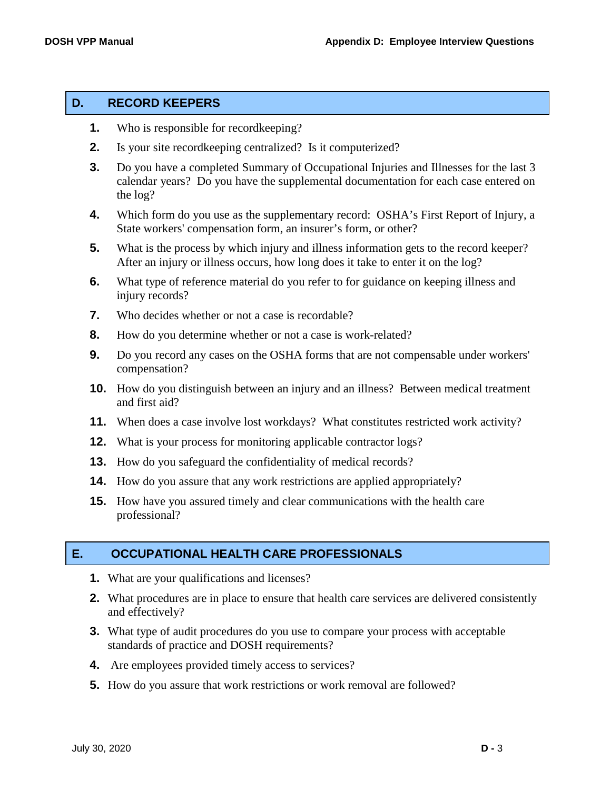#### **D. RECORD KEEPERS**

- **1.** Who is responsible for recordkeeping?
- **2.** Is your site recordkeeping centralized? Is it computerized?
- **3.** Do you have a completed Summary of Occupational Injuries and Illnesses for the last 3 calendar years? Do you have the supplemental documentation for each case entered on the log?
- **4.** Which form do you use as the supplementary record: OSHA's First Report of Injury, a State workers' compensation form, an insurer's form, or other?
- **5.** What is the process by which injury and illness information gets to the record keeper? After an injury or illness occurs, how long does it take to enter it on the log?
- **6.** What type of reference material do you refer to for guidance on keeping illness and injury records?
- **7.** Who decides whether or not a case is recordable?
- **8.** How do you determine whether or not a case is work-related?
- **9.** Do you record any cases on the OSHA forms that are not compensable under workers' compensation?
- **10.** How do you distinguish between an injury and an illness? Between medical treatment and first aid?
- **11.** When does a case involve lost workdays? What constitutes restricted work activity?
- **12.** What is your process for monitoring applicable contractor logs?
- **13.** How do you safeguard the confidentiality of medical records?
- **14.** How do you assure that any work restrictions are applied appropriately?
- **15.** How have you assured timely and clear communications with the health care professional?

# **E. OCCUPATIONAL HEALTH CARE PROFESSIONALS**

- **1.** What are your qualifications and licenses?
- **2.** What procedures are in place to ensure that health care services are delivered consistently and effectively?
- **3.** What type of audit procedures do you use to compare your process with acceptable standards of practice and DOSH requirements?
- **4.** Are employees provided timely access to services?
- **5.** How do you assure that work restrictions or work removal are followed?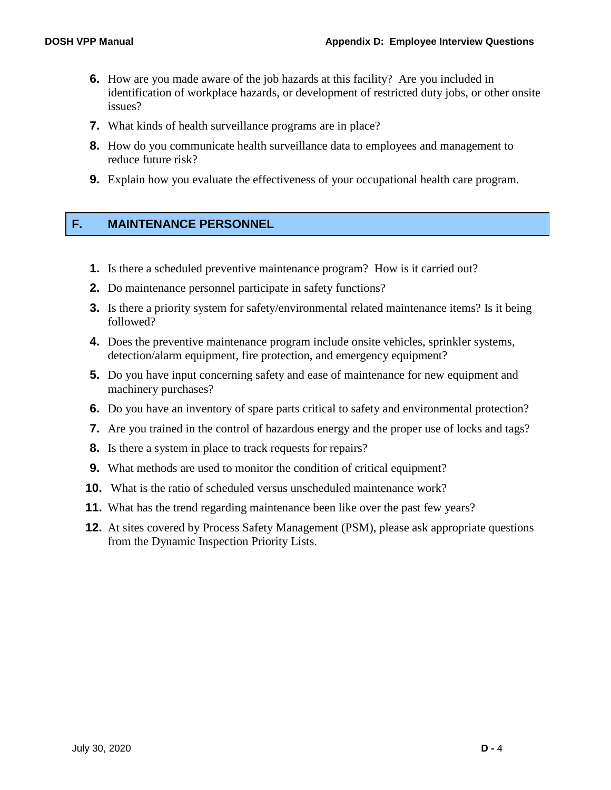- **6.** How are you made aware of the job hazards at this facility? Are you included in identification of workplace hazards, or development of restricted duty jobs, or other onsite issues?
- **7.** What kinds of health surveillance programs are in place?
- **8.** How do you communicate health surveillance data to employees and management to reduce future risk?
- **9.** Explain how you evaluate the effectiveness of your occupational health care program.

# **F. MAINTENANCE PERSONNEL**

- **1.** Is there a scheduled preventive maintenance program? How is it carried out?
- **2.** Do maintenance personnel participate in safety functions?
- **3.** Is there a priority system for safety/environmental related maintenance items? Is it being followed?
- **4.** Does the preventive maintenance program include onsite vehicles, sprinkler systems, detection/alarm equipment, fire protection, and emergency equipment?
- **5.** Do you have input concerning safety and ease of maintenance for new equipment and machinery purchases?
- **6.** Do you have an inventory of spare parts critical to safety and environmental protection?
- **7.** Are you trained in the control of hazardous energy and the proper use of locks and tags?
- **8.** Is there a system in place to track requests for repairs?
- **9.** What methods are used to monitor the condition of critical equipment?
- **10.** What is the ratio of scheduled versus unscheduled maintenance work?
- **11.** What has the trend regarding maintenance been like over the past few years?
- **12.** At sites covered by Process Safety Management (PSM), please ask appropriate questions from the Dynamic Inspection Priority Lists.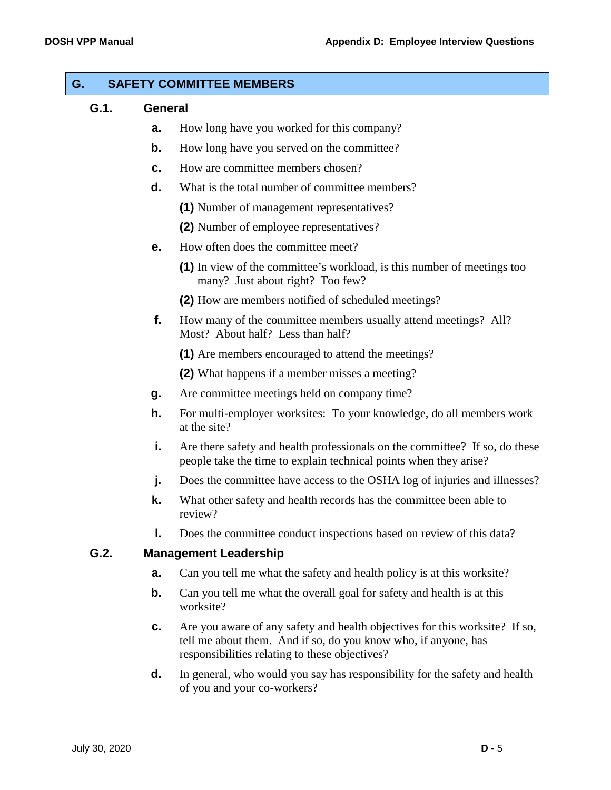# **G. SAFETY COMMITTEE MEMBERS**

## **G.1. General**

- **a.** How long have you worked for this company?
- **b.** How long have you served on the committee?
- **c.** How are committee members chosen?
- **d.** What is the total number of committee members?
	- **(1)** Number of management representatives?
	- **(2)** Number of employee representatives?
- **e.** How often does the committee meet?
	- **(1)** In view of the committee's workload, is this number of meetings too many? Just about right? Too few?
	- **(2)** How are members notified of scheduled meetings?
- **f.** How many of the committee members usually attend meetings? All? Most? About half? Less than half?
	- **(1)** Are members encouraged to attend the meetings?
	- **(2)** What happens if a member misses a meeting?
- **g.** Are committee meetings held on company time?
- **h.** For multi-employer worksites: To your knowledge, do all members work at the site?
- **i.** Are there safety and health professionals on the committee? If so, do these people take the time to explain technical points when they arise?
- **j.** Does the committee have access to the OSHA log of injuries and illnesses?
- **k.** What other safety and health records has the committee been able to review?
- **l.** Does the committee conduct inspections based on review of this data?

# **G.2. Management Leadership**

- **a.** Can you tell me what the safety and health policy is at this worksite?
- **b.** Can you tell me what the overall goal for safety and health is at this worksite?
- **c.** Are you aware of any safety and health objectives for this worksite? If so, tell me about them. And if so, do you know who, if anyone, has responsibilities relating to these objectives?
- **d.** In general, who would you say has responsibility for the safety and health of you and your co-workers?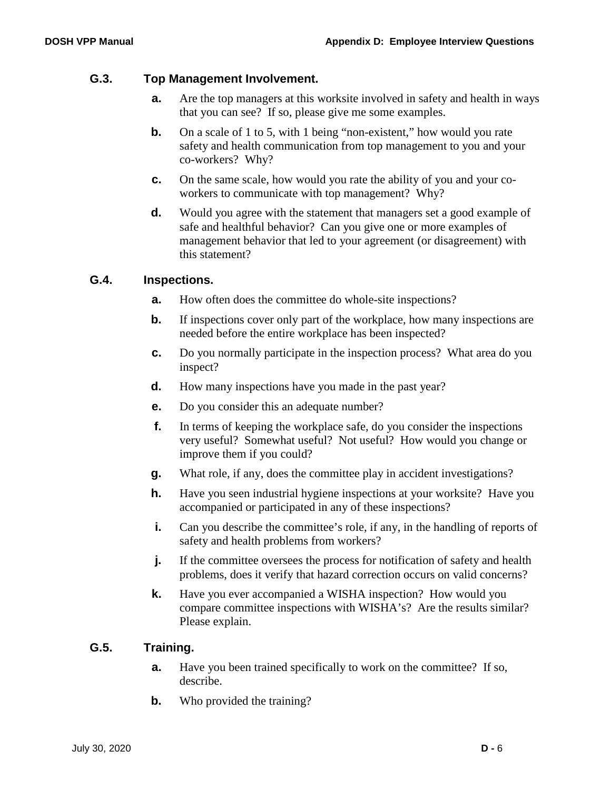### **G.3. Top Management Involvement.**

- **a.** Are the top managers at this worksite involved in safety and health in ways that you can see? If so, please give me some examples.
- **b.** On a scale of 1 to 5, with 1 being "non-existent," how would you rate safety and health communication from top management to you and your co-workers? Why?
- **c.** On the same scale, how would you rate the ability of you and your coworkers to communicate with top management? Why?
- **d.** Would you agree with the statement that managers set a good example of safe and healthful behavior? Can you give one or more examples of management behavior that led to your agreement (or disagreement) with this statement?

## **G.4. Inspections.**

- **a.** How often does the committee do whole-site inspections?
- **b.** If inspections cover only part of the workplace, how many inspections are needed before the entire workplace has been inspected?
- **c.** Do you normally participate in the inspection process? What area do you inspect?
- **d.** How many inspections have you made in the past year?
- **e.** Do you consider this an adequate number?
- **f.** In terms of keeping the workplace safe, do you consider the inspections very useful? Somewhat useful? Not useful? How would you change or improve them if you could?
- **g.** What role, if any, does the committee play in accident investigations?
- **h.** Have you seen industrial hygiene inspections at your worksite? Have you accompanied or participated in any of these inspections?
- **i.** Can you describe the committee's role, if any, in the handling of reports of safety and health problems from workers?
- **j.** If the committee oversees the process for notification of safety and health problems, does it verify that hazard correction occurs on valid concerns?
- **k.** Have you ever accompanied a WISHA inspection? How would you compare committee inspections with WISHA's? Are the results similar? Please explain.

# **G.5. Training.**

- **a.** Have you been trained specifically to work on the committee? If so, describe.
- **b.** Who provided the training?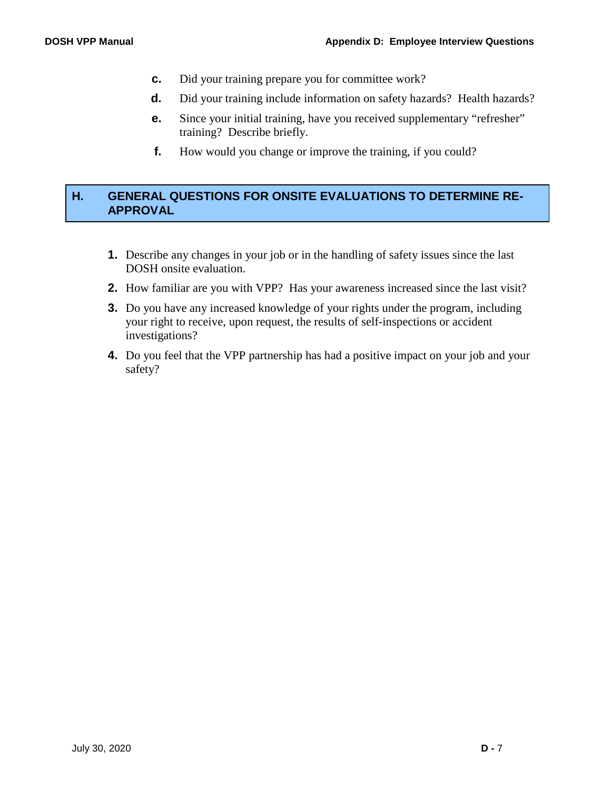- **c.** Did your training prepare you for committee work?
- **d.** Did your training include information on safety hazards? Health hazards?
- **e.** Since your initial training, have you received supplementary "refresher" training? Describe briefly.
- **f.** How would you change or improve the training, if you could?

# **H. GENERAL QUESTIONS FOR ONSITE EVALUATIONS TO DETERMINE RE-APPROVAL**

- **1.** Describe any changes in your job or in the handling of safety issues since the last DOSH onsite evaluation.
- **2.** How familiar are you with VPP? Has your awareness increased since the last visit?
- **3.** Do you have any increased knowledge of your rights under the program, including your right to receive, upon request, the results of self-inspections or accident investigations?
- **4.** Do you feel that the VPP partnership has had a positive impact on your job and your safety?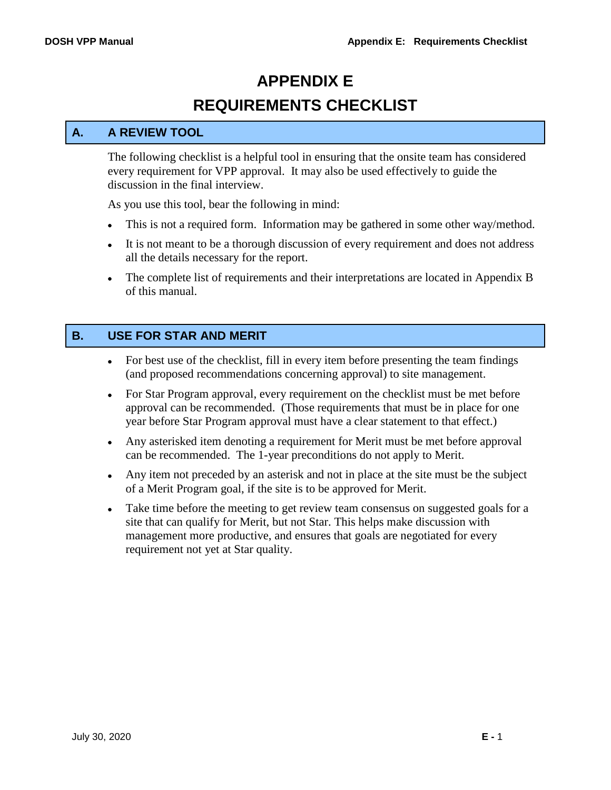# **APPENDIX E REQUIREMENTS CHECKLIST**

# **A. A REVIEW TOOL**

The following checklist is a helpful tool in ensuring that the onsite team has considered every requirement for VPP approval. It may also be used effectively to guide the discussion in the final interview.

As you use this tool, bear the following in mind:

- This is not a required form. Information may be gathered in some other way/method.
- It is not meant to be a thorough discussion of every requirement and does not address all the details necessary for the report.
- The complete list of requirements and their interpretations are located in Appendix B of this manual.

# **B. USE FOR STAR AND MERIT**

- For best use of the checklist, fill in every item before presenting the team findings (and proposed recommendations concerning approval) to site management.
- For Star Program approval, every requirement on the checklist must be met before approval can be recommended. (Those requirements that must be in place for one year before Star Program approval must have a clear statement to that effect.)
- Any asterisked item denoting a requirement for Merit must be met before approval can be recommended. The 1-year preconditions do not apply to Merit.
- Any item not preceded by an asterisk and not in place at the site must be the subject of a Merit Program goal, if the site is to be approved for Merit.
- Take time before the meeting to get review team consensus on suggested goals for a site that can qualify for Merit, but not Star. This helps make discussion with management more productive, and ensures that goals are negotiated for every requirement not yet at Star quality.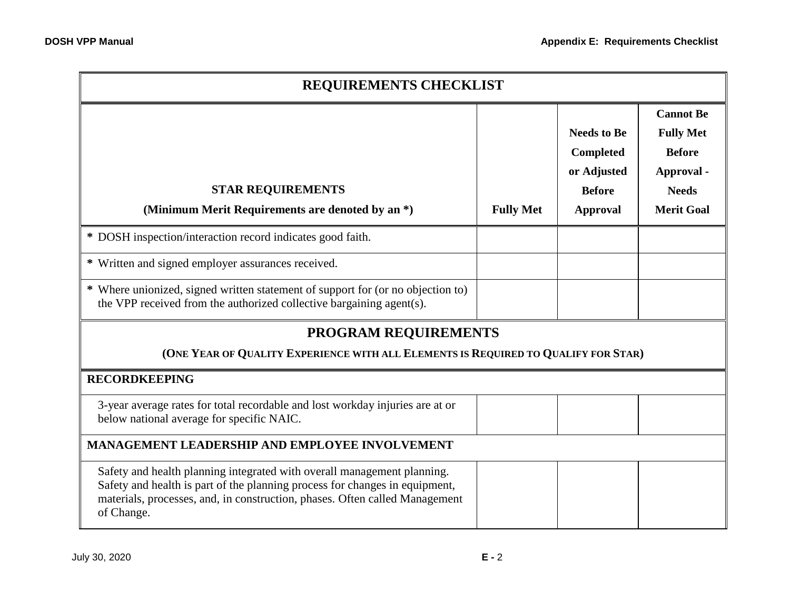| REQUIREMENTS CHECKLIST                                                                                                                                                                                                                              |                  |                                                                                    |                                                                                                          |
|-----------------------------------------------------------------------------------------------------------------------------------------------------------------------------------------------------------------------------------------------------|------------------|------------------------------------------------------------------------------------|----------------------------------------------------------------------------------------------------------|
| <b>STAR REQUIREMENTS</b><br>(Minimum Merit Requirements are denoted by an *)                                                                                                                                                                        | <b>Fully Met</b> | <b>Needs to Be</b><br>Completed<br>or Adjusted<br><b>Before</b><br><b>Approval</b> | <b>Cannot Be</b><br><b>Fully Met</b><br><b>Before</b><br>Approval -<br><b>Needs</b><br><b>Merit Goal</b> |
| * DOSH inspection/interaction record indicates good faith.                                                                                                                                                                                          |                  |                                                                                    |                                                                                                          |
| * Written and signed employer assurances received.                                                                                                                                                                                                  |                  |                                                                                    |                                                                                                          |
| * Where unionized, signed written statement of support for (or no objection to)<br>the VPP received from the authorized collective bargaining agent(s).                                                                                             |                  |                                                                                    |                                                                                                          |
| PROGRAM REQUIREMENTS<br>(ONE YEAR OF QUALITY EXPERIENCE WITH ALL ELEMENTS IS REQUIRED TO QUALIFY FOR STAR)                                                                                                                                          |                  |                                                                                    |                                                                                                          |
| <b>RECORDKEEPING</b>                                                                                                                                                                                                                                |                  |                                                                                    |                                                                                                          |
| 3-year average rates for total recordable and lost workday injuries are at or<br>below national average for specific NAIC.                                                                                                                          |                  |                                                                                    |                                                                                                          |
| MANAGEMENT LEADERSHIP AND EMPLOYEE INVOLVEMENT                                                                                                                                                                                                      |                  |                                                                                    |                                                                                                          |
| Safety and health planning integrated with overall management planning.<br>Safety and health is part of the planning process for changes in equipment,<br>materials, processes, and, in construction, phases. Often called Management<br>of Change. |                  |                                                                                    |                                                                                                          |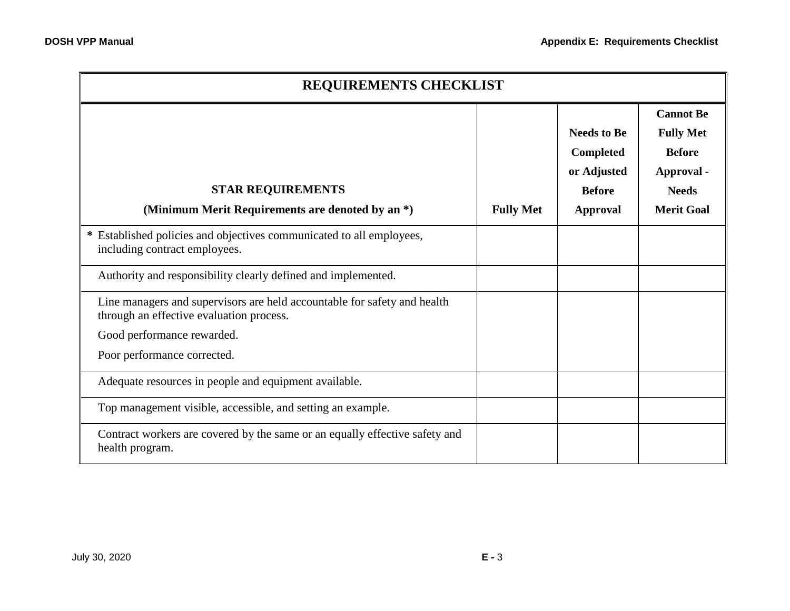| REQUIREMENTS CHECKLIST                                                                                                                                                            |                  |                                                                                           |                                                                                                          |
|-----------------------------------------------------------------------------------------------------------------------------------------------------------------------------------|------------------|-------------------------------------------------------------------------------------------|----------------------------------------------------------------------------------------------------------|
| <b>STAR REQUIREMENTS</b><br>(Minimum Merit Requirements are denoted by an *)                                                                                                      | <b>Fully Met</b> | <b>Needs to Be</b><br><b>Completed</b><br>or Adjusted<br><b>Before</b><br><b>Approval</b> | <b>Cannot Be</b><br><b>Fully Met</b><br><b>Before</b><br>Approval -<br><b>Needs</b><br><b>Merit Goal</b> |
| * Established policies and objectives communicated to all employees,<br>including contract employees.                                                                             |                  |                                                                                           |                                                                                                          |
| Authority and responsibility clearly defined and implemented.                                                                                                                     |                  |                                                                                           |                                                                                                          |
| Line managers and supervisors are held accountable for safety and health<br>through an effective evaluation process.<br>Good performance rewarded.<br>Poor performance corrected. |                  |                                                                                           |                                                                                                          |
| Adequate resources in people and equipment available.                                                                                                                             |                  |                                                                                           |                                                                                                          |
| Top management visible, accessible, and setting an example.                                                                                                                       |                  |                                                                                           |                                                                                                          |
| Contract workers are covered by the same or an equally effective safety and<br>health program.                                                                                    |                  |                                                                                           |                                                                                                          |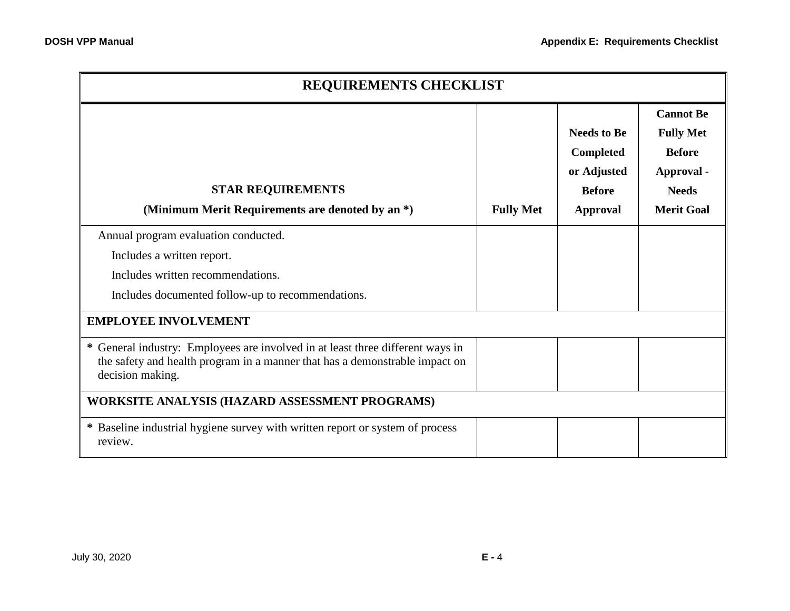| REQUIREMENTS CHECKLIST                                                                                                                                                            |                  |                                                                                    |                                                                                                          |
|-----------------------------------------------------------------------------------------------------------------------------------------------------------------------------------|------------------|------------------------------------------------------------------------------------|----------------------------------------------------------------------------------------------------------|
| <b>STAR REQUIREMENTS</b><br>(Minimum Merit Requirements are denoted by an *)                                                                                                      | <b>Fully Met</b> | <b>Needs to Be</b><br>Completed<br>or Adjusted<br><b>Before</b><br><b>Approval</b> | <b>Cannot Be</b><br><b>Fully Met</b><br><b>Before</b><br>Approval -<br><b>Needs</b><br><b>Merit Goal</b> |
| Annual program evaluation conducted.                                                                                                                                              |                  |                                                                                    |                                                                                                          |
| Includes a written report.                                                                                                                                                        |                  |                                                                                    |                                                                                                          |
| Includes written recommendations.                                                                                                                                                 |                  |                                                                                    |                                                                                                          |
| Includes documented follow-up to recommendations.                                                                                                                                 |                  |                                                                                    |                                                                                                          |
| <b>EMPLOYEE INVOLVEMENT</b>                                                                                                                                                       |                  |                                                                                    |                                                                                                          |
| * General industry: Employees are involved in at least three different ways in<br>the safety and health program in a manner that has a demonstrable impact on<br>decision making. |                  |                                                                                    |                                                                                                          |
| WORKSITE ANALYSIS (HAZARD ASSESSMENT PROGRAMS)                                                                                                                                    |                  |                                                                                    |                                                                                                          |
| * Baseline industrial hygiene survey with written report or system of process<br>review.                                                                                          |                  |                                                                                    |                                                                                                          |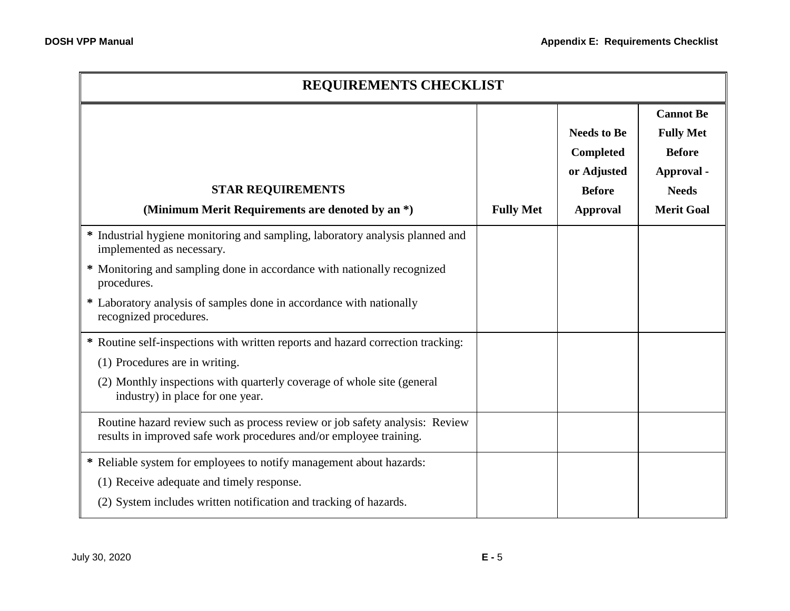| <b>REQUIREMENTS CHECKLIST</b>                                                                                                                     |                  |                                                                                           |                                                                                                          |
|---------------------------------------------------------------------------------------------------------------------------------------------------|------------------|-------------------------------------------------------------------------------------------|----------------------------------------------------------------------------------------------------------|
| <b>STAR REQUIREMENTS</b><br>(Minimum Merit Requirements are denoted by an *)                                                                      | <b>Fully Met</b> | <b>Needs to Be</b><br><b>Completed</b><br>or Adjusted<br><b>Before</b><br><b>Approval</b> | <b>Cannot Be</b><br><b>Fully Met</b><br><b>Before</b><br>Approval -<br><b>Needs</b><br><b>Merit Goal</b> |
| * Industrial hygiene monitoring and sampling, laboratory analysis planned and<br>implemented as necessary.                                        |                  |                                                                                           |                                                                                                          |
| * Monitoring and sampling done in accordance with nationally recognized<br>procedures.                                                            |                  |                                                                                           |                                                                                                          |
| * Laboratory analysis of samples done in accordance with nationally<br>recognized procedures.                                                     |                  |                                                                                           |                                                                                                          |
| * Routine self-inspections with written reports and hazard correction tracking:                                                                   |                  |                                                                                           |                                                                                                          |
| (1) Procedures are in writing.                                                                                                                    |                  |                                                                                           |                                                                                                          |
| (2) Monthly inspections with quarterly coverage of whole site (general<br>industry) in place for one year.                                        |                  |                                                                                           |                                                                                                          |
| Routine hazard review such as process review or job safety analysis: Review<br>results in improved safe work procedures and/or employee training. |                  |                                                                                           |                                                                                                          |
| * Reliable system for employees to notify management about hazards:                                                                               |                  |                                                                                           |                                                                                                          |
| (1) Receive adequate and timely response.                                                                                                         |                  |                                                                                           |                                                                                                          |
| (2) System includes written notification and tracking of hazards.                                                                                 |                  |                                                                                           |                                                                                                          |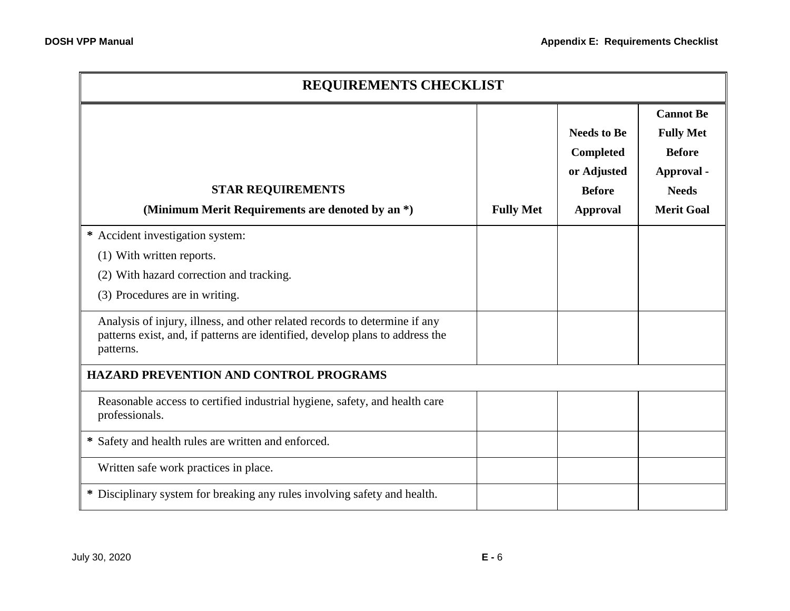| REQUIREMENTS CHECKLIST                                                                                                                                                   |                  |                                                                                           |                                                                                                          |
|--------------------------------------------------------------------------------------------------------------------------------------------------------------------------|------------------|-------------------------------------------------------------------------------------------|----------------------------------------------------------------------------------------------------------|
| <b>STAR REQUIREMENTS</b><br>(Minimum Merit Requirements are denoted by an *)                                                                                             | <b>Fully Met</b> | <b>Needs to Be</b><br><b>Completed</b><br>or Adjusted<br><b>Before</b><br><b>Approval</b> | <b>Cannot Be</b><br><b>Fully Met</b><br><b>Before</b><br>Approval -<br><b>Needs</b><br><b>Merit Goal</b> |
| * Accident investigation system:                                                                                                                                         |                  |                                                                                           |                                                                                                          |
| (1) With written reports.                                                                                                                                                |                  |                                                                                           |                                                                                                          |
| (2) With hazard correction and tracking.                                                                                                                                 |                  |                                                                                           |                                                                                                          |
| (3) Procedures are in writing.                                                                                                                                           |                  |                                                                                           |                                                                                                          |
| Analysis of injury, illness, and other related records to determine if any<br>patterns exist, and, if patterns are identified, develop plans to address the<br>patterns. |                  |                                                                                           |                                                                                                          |
| <b>HAZARD PREVENTION AND CONTROL PROGRAMS</b>                                                                                                                            |                  |                                                                                           |                                                                                                          |
| Reasonable access to certified industrial hygiene, safety, and health care<br>professionals.                                                                             |                  |                                                                                           |                                                                                                          |
| * Safety and health rules are written and enforced.                                                                                                                      |                  |                                                                                           |                                                                                                          |
| Written safe work practices in place.                                                                                                                                    |                  |                                                                                           |                                                                                                          |
| * Disciplinary system for breaking any rules involving safety and health.                                                                                                |                  |                                                                                           |                                                                                                          |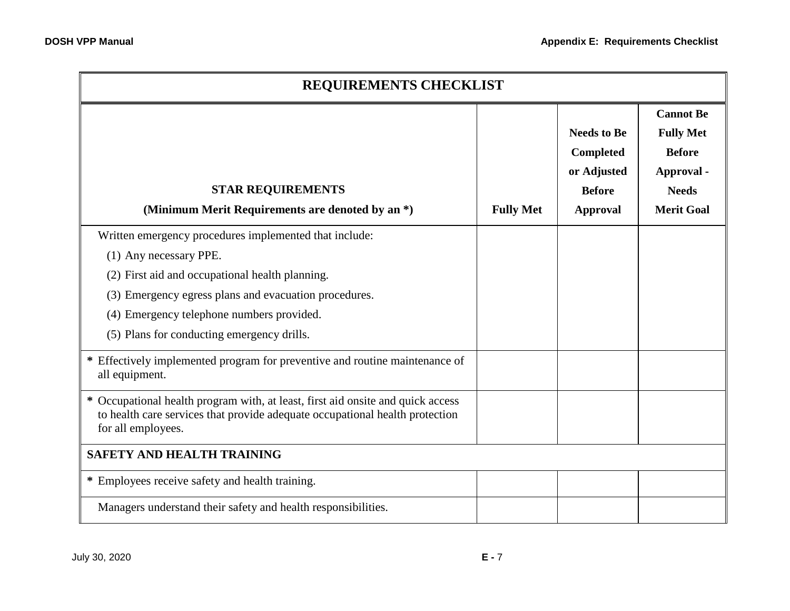| REQUIREMENTS CHECKLIST                                                                                                                                                                |                  |                                                                                           |                                                                                                          |
|---------------------------------------------------------------------------------------------------------------------------------------------------------------------------------------|------------------|-------------------------------------------------------------------------------------------|----------------------------------------------------------------------------------------------------------|
| <b>STAR REQUIREMENTS</b><br>(Minimum Merit Requirements are denoted by an *)                                                                                                          | <b>Fully Met</b> | <b>Needs to Be</b><br><b>Completed</b><br>or Adjusted<br><b>Before</b><br><b>Approval</b> | <b>Cannot Be</b><br><b>Fully Met</b><br><b>Before</b><br>Approval -<br><b>Needs</b><br><b>Merit Goal</b> |
| Written emergency procedures implemented that include:                                                                                                                                |                  |                                                                                           |                                                                                                          |
| (1) Any necessary PPE.                                                                                                                                                                |                  |                                                                                           |                                                                                                          |
| (2) First aid and occupational health planning.                                                                                                                                       |                  |                                                                                           |                                                                                                          |
| (3) Emergency egress plans and evacuation procedures.                                                                                                                                 |                  |                                                                                           |                                                                                                          |
| (4) Emergency telephone numbers provided.                                                                                                                                             |                  |                                                                                           |                                                                                                          |
| (5) Plans for conducting emergency drills.                                                                                                                                            |                  |                                                                                           |                                                                                                          |
| * Effectively implemented program for preventive and routine maintenance of<br>all equipment.                                                                                         |                  |                                                                                           |                                                                                                          |
| * Occupational health program with, at least, first aid onsite and quick access<br>to health care services that provide adequate occupational health protection<br>for all employees. |                  |                                                                                           |                                                                                                          |
| <b>SAFETY AND HEALTH TRAINING</b>                                                                                                                                                     |                  |                                                                                           |                                                                                                          |
| * Employees receive safety and health training.                                                                                                                                       |                  |                                                                                           |                                                                                                          |
| Managers understand their safety and health responsibilities.                                                                                                                         |                  |                                                                                           |                                                                                                          |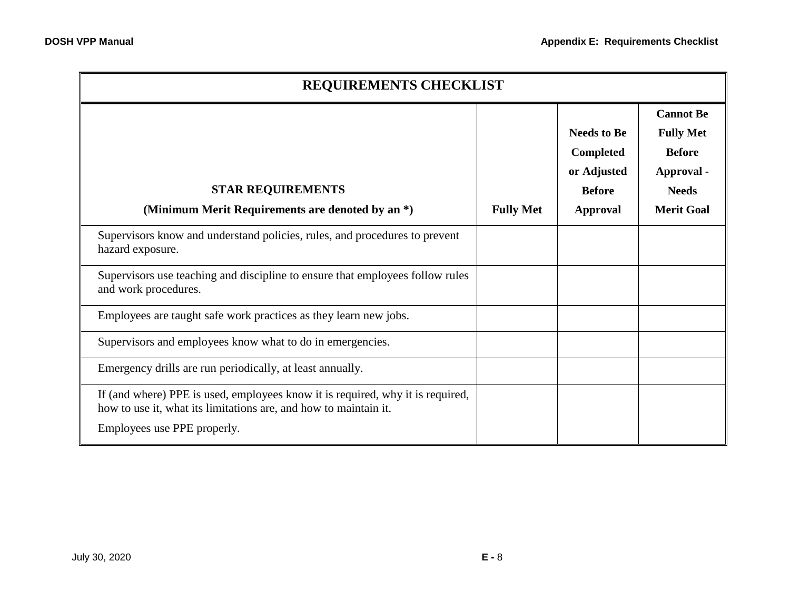| REQUIREMENTS CHECKLIST                                                                                                                                                            |                  |                                                                             |                                                                                                          |
|-----------------------------------------------------------------------------------------------------------------------------------------------------------------------------------|------------------|-----------------------------------------------------------------------------|----------------------------------------------------------------------------------------------------------|
| <b>STAR REQUIREMENTS</b><br>(Minimum Merit Requirements are denoted by an *)                                                                                                      | <b>Fully Met</b> | <b>Needs to Be</b><br>Completed<br>or Adjusted<br><b>Before</b><br>Approval | <b>Cannot Be</b><br><b>Fully Met</b><br><b>Before</b><br>Approval -<br><b>Needs</b><br><b>Merit Goal</b> |
| Supervisors know and understand policies, rules, and procedures to prevent<br>hazard exposure.                                                                                    |                  |                                                                             |                                                                                                          |
| Supervisors use teaching and discipline to ensure that employees follow rules<br>and work procedures.                                                                             |                  |                                                                             |                                                                                                          |
| Employees are taught safe work practices as they learn new jobs.                                                                                                                  |                  |                                                                             |                                                                                                          |
| Supervisors and employees know what to do in emergencies.                                                                                                                         |                  |                                                                             |                                                                                                          |
| Emergency drills are run periodically, at least annually.                                                                                                                         |                  |                                                                             |                                                                                                          |
| If (and where) PPE is used, employees know it is required, why it is required,<br>how to use it, what its limitations are, and how to maintain it.<br>Employees use PPE properly. |                  |                                                                             |                                                                                                          |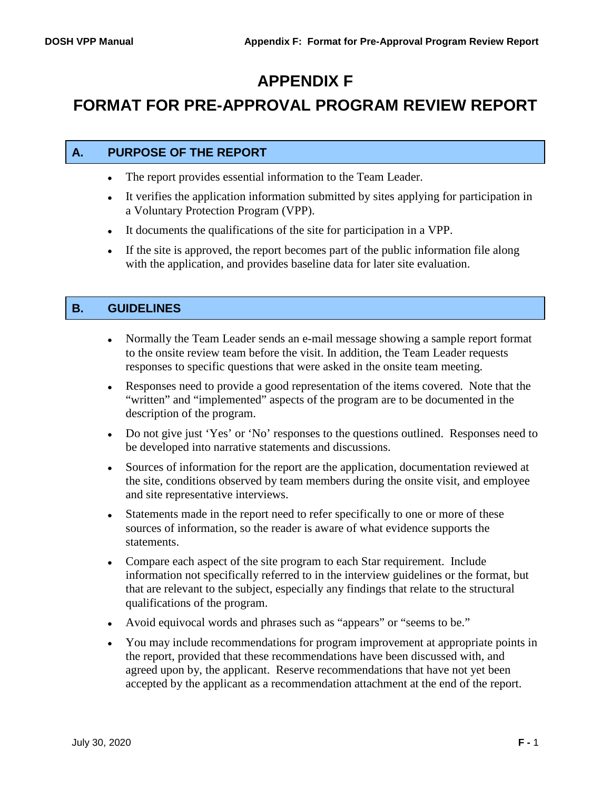# **APPENDIX F**

# **FORMAT FOR PRE-APPROVAL PROGRAM REVIEW REPORT**

# **A. PURPOSE OF THE REPORT**

- The report provides essential information to the Team Leader.
- It verifies the application information submitted by sites applying for participation in a Voluntary Protection Program (VPP).
- It documents the qualifications of the site for participation in a VPP.
- If the site is approved, the report becomes part of the public information file along with the application, and provides baseline data for later site evaluation.

# **B. GUIDELINES**

- Normally the Team Leader sends an e-mail message showing a sample report format to the onsite review team before the visit. In addition, the Team Leader requests responses to specific questions that were asked in the onsite team meeting.
- Responses need to provide a good representation of the items covered. Note that the "written" and "implemented" aspects of the program are to be documented in the description of the program.
- Do not give just 'Yes' or 'No' responses to the questions outlined. Responses need to be developed into narrative statements and discussions.
- Sources of information for the report are the application, documentation reviewed at the site, conditions observed by team members during the onsite visit, and employee and site representative interviews.
- Statements made in the report need to refer specifically to one or more of these sources of information, so the reader is aware of what evidence supports the statements.
- Compare each aspect of the site program to each Star requirement. Include information not specifically referred to in the interview guidelines or the format, but that are relevant to the subject, especially any findings that relate to the structural qualifications of the program.
- Avoid equivocal words and phrases such as "appears" or "seems to be."
- You may include recommendations for program improvement at appropriate points in the report, provided that these recommendations have been discussed with, and agreed upon by, the applicant. Reserve recommendations that have not yet been accepted by the applicant as a recommendation attachment at the end of the report.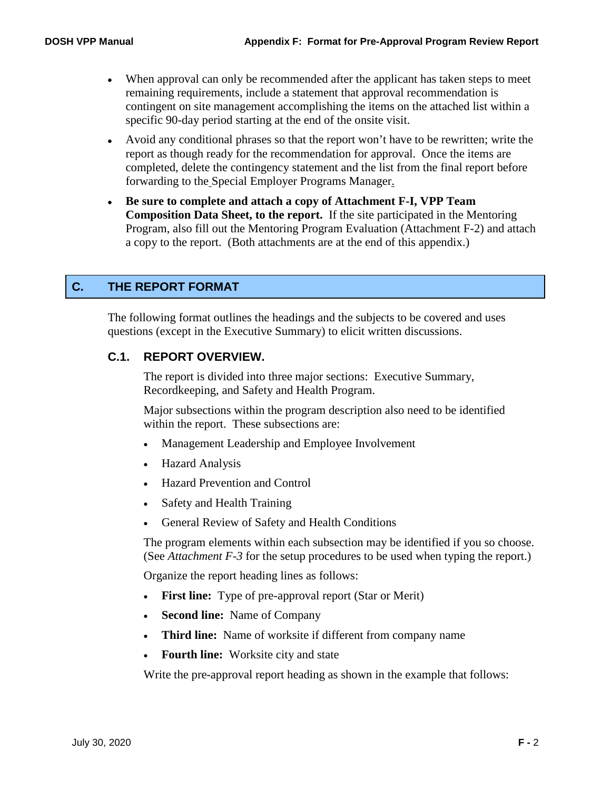- When approval can only be recommended after the applicant has taken steps to meet remaining requirements, include a statement that approval recommendation is contingent on site management accomplishing the items on the attached list within a specific 90-day period starting at the end of the onsite visit.
- Avoid any conditional phrases so that the report won't have to be rewritten; write the report as though ready for the recommendation for approval. Once the items are completed, delete the contingency statement and the list from the final report before forwarding to the Special Employer Programs Manager.
- **Be sure to complete and attach a copy of Attachment F-I, VPP Team Composition Data Sheet, to the report.** If the site participated in the Mentoring Program, also fill out the Mentoring Program Evaluation (Attachment F-2) and attach a copy to the report. (Both attachments are at the end of this appendix.)

# **C. THE REPORT FORMAT**

The following format outlines the headings and the subjects to be covered and uses questions (except in the Executive Summary) to elicit written discussions.

## **C.1. REPORT OVERVIEW.**

The report is divided into three major sections: Executive Summary, Recordkeeping, and Safety and Health Program.

Major subsections within the program description also need to be identified within the report. These subsections are:

- Management Leadership and Employee Involvement
- Hazard Analysis
- Hazard Prevention and Control
- Safety and Health Training
- General Review of Safety and Health Conditions

The program elements within each subsection may be identified if you so choose. (See *Attachment F-3* for the setup procedures to be used when typing the report.)

Organize the report heading lines as follows:

- **First line:** Type of pre-approval report (Star or Merit)
- **Second line:** Name of Company
- **Third line:** Name of worksite if different from company name
- **Fourth line:** Worksite city and state

Write the pre-approval report heading as shown in the example that follows: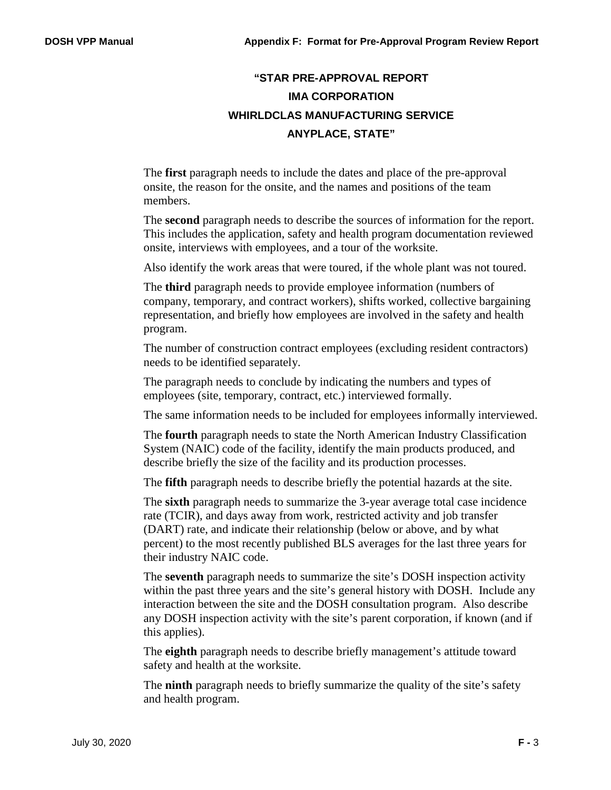# **"STAR PRE-APPROVAL REPORT IMA CORPORATION WHIRLDCLAS MANUFACTURING SERVICE ANYPLACE, STATE"**

The **first** paragraph needs to include the dates and place of the pre-approval onsite, the reason for the onsite, and the names and positions of the team members.

The **second** paragraph needs to describe the sources of information for the report. This includes the application, safety and health program documentation reviewed onsite, interviews with employees, and a tour of the worksite.

Also identify the work areas that were toured, if the whole plant was not toured.

The **third** paragraph needs to provide employee information (numbers of company, temporary, and contract workers), shifts worked, collective bargaining representation, and briefly how employees are involved in the safety and health program.

The number of construction contract employees (excluding resident contractors) needs to be identified separately.

The paragraph needs to conclude by indicating the numbers and types of employees (site, temporary, contract, etc.) interviewed formally.

The same information needs to be included for employees informally interviewed.

The **fourth** paragraph needs to state the [North American Industry Classification](http://www.census.gov/epcd/www/naics.html)  [System](http://www.census.gov/epcd/www/naics.html) (NAIC) code of the facility, identify the main products produced, and describe briefly the size of the facility and its production processes.

The **fifth** paragraph needs to describe briefly the potential hazards at the site.

The **sixth** paragraph needs to summarize the 3-year average total case incidence rate (TCIR), and days away from work, restricted activity and job transfer (DART) rate, and indicate their relationship (below or above, and by what percent) to the most recently published BLS averages for the last three years for their industry NAIC code.

The **seventh** paragraph needs to summarize the site's DOSH inspection activity within the past three years and the site's general history with DOSH. Include any interaction between the site and the DOSH consultation program. Also describe any DOSH inspection activity with the site's parent corporation, if known (and if this applies).

The **eighth** paragraph needs to describe briefly management's attitude toward safety and health at the worksite.

The **ninth** paragraph needs to briefly summarize the quality of the site's safety and health program.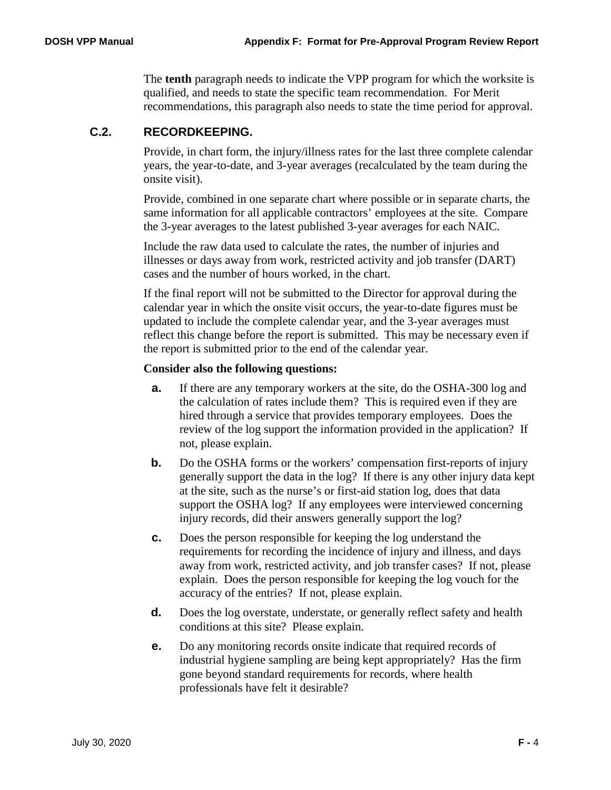The **tenth** paragraph needs to indicate the VPP program for which the worksite is qualified, and needs to state the specific team recommendation. For Merit recommendations, this paragraph also needs to state the time period for approval.

# **C.2. RECORDKEEPING.**

Provide, in chart form, the injury/illness rates for the last three complete calendar years, the year-to-date, and 3-year averages (recalculated by the team during the onsite visit).

Provide, combined in one separate chart where possible or in separate charts, the same information for all applicable contractors' employees at the site. Compare the 3-year averages to the latest published 3-year averages for each NAIC.

Include the raw data used to calculate the rates, the number of injuries and illnesses or days away from work, restricted activity and job transfer (DART) cases and the number of hours worked, in the chart.

If the final report will not be submitted to the Director for approval during the calendar year in which the onsite visit occurs, the year-to-date figures must be updated to include the complete calendar year, and the 3-year averages must reflect this change before the report is submitted. This may be necessary even if the report is submitted prior to the end of the calendar year.

#### **Consider also the following questions:**

- **a.** If there are any temporary workers at the site, do the OSHA-300 log and the calculation of rates include them? This is required even if they are hired through a service that provides temporary employees. Does the review of the log support the information provided in the application? If not, please explain.
- **b.** Do the OSHA forms or the workers' compensation first-reports of injury generally support the data in the log? If there is any other injury data kept at the site, such as the nurse's or first-aid station log, does that data support the OSHA log? If any employees were interviewed concerning injury records, did their answers generally support the log?
- **c.** Does the person responsible for keeping the log understand the requirements for recording the incidence of injury and illness, and days away from work, restricted activity, and job transfer cases? If not, please explain. Does the person responsible for keeping the log vouch for the accuracy of the entries? If not, please explain.
- **d.** Does the log overstate, understate, or generally reflect safety and health conditions at this site? Please explain.
- **e.** Do any monitoring records onsite indicate that required records of industrial hygiene sampling are being kept appropriately? Has the firm gone beyond standard requirements for records, where health professionals have felt it desirable?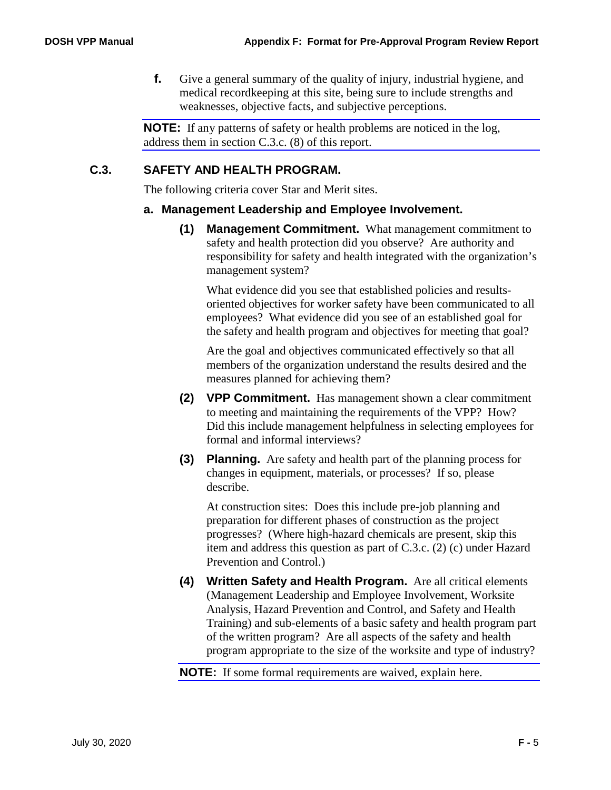**f.** Give a general summary of the quality of injury, industrial hygiene, and medical recordkeeping at this site, being sure to include strengths and weaknesses, objective facts, and subjective perceptions.

**NOTE:** If any patterns of safety or health problems are noticed in the log, address them in section C.3.c. (8) of this report.

# **C.3. SAFETY AND HEALTH PROGRAM.**

The following criteria cover Star and Merit sites.

## **a. Management Leadership and Employee Involvement.**

**(1) Management Commitment.** What management commitment to safety and health protection did you observe? Are authority and responsibility for safety and health integrated with the organization's management system?

What evidence did you see that established policies and resultsoriented objectives for worker safety have been communicated to all employees? What evidence did you see of an established goal for the safety and health program and objectives for meeting that goal?

Are the goal and objectives communicated effectively so that all members of the organization understand the results desired and the measures planned for achieving them?

- **(2) VPP Commitment.** Has management shown a clear commitment to meeting and maintaining the requirements of the VPP? How? Did this include management helpfulness in selecting employees for formal and informal interviews?
- **(3) Planning.** Are safety and health part of the planning process for changes in equipment, materials, or processes? If so, please describe.

At construction sites: Does this include pre-job planning and preparation for different phases of construction as the project progresses? (Where high-hazard chemicals are present, skip this item and address this question as part of C.3.c. (2) (c) under Hazard Prevention and Control.)

**(4) Written Safety and Health Program.** Are all critical elements (Management Leadership and Employee Involvement, Worksite Analysis, Hazard Prevention and Control, and Safety and Health Training) and sub-elements of a basic safety and health program part of the written program? Are all aspects of the safety and health program appropriate to the size of the worksite and type of industry?

**NOTE:** If some formal requirements are waived, explain here.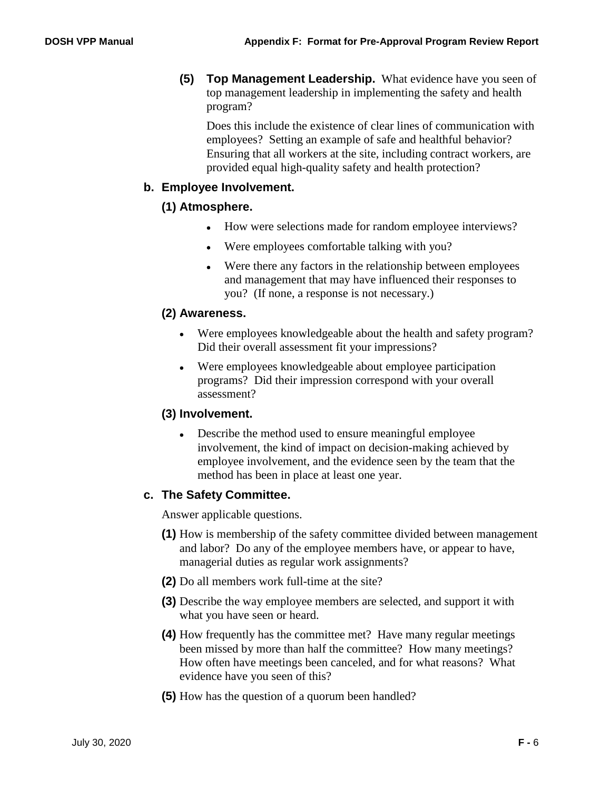**(5) Top Management Leadership.** What evidence have you seen of top management leadership in implementing the safety and health program?

Does this include the existence of clear lines of communication with employees? Setting an example of safe and healthful behavior? Ensuring that all workers at the site, including contract workers, are provided equal high-quality safety and health protection?

# **b. Employee Involvement.**

# **(1) Atmosphere.**

- How were selections made for random employee interviews?
- Were employees comfortable talking with you?
- Were there any factors in the relationship between employees and management that may have influenced their responses to you? (If none, a response is not necessary.)

# **(2) Awareness.**

- Were employees knowledgeable about the health and safety program? Did their overall assessment fit your impressions?
- Were employees knowledgeable about employee participation programs? Did their impression correspond with your overall assessment?

# **(3) Involvement.**

• Describe the method used to ensure meaningful employee involvement, the kind of impact on decision-making achieved by employee involvement, and the evidence seen by the team that the method has been in place at least one year.

# **c. The Safety Committee.**

Answer applicable questions.

- **(1)** How is membership of the safety committee divided between management and labor? Do any of the employee members have, or appear to have, managerial duties as regular work assignments?
- **(2)** Do all members work full-time at the site?
- **(3)** Describe the way employee members are selected, and support it with what you have seen or heard.
- **(4)** How frequently has the committee met? Have many regular meetings been missed by more than half the committee? How many meetings? How often have meetings been canceled, and for what reasons? What evidence have you seen of this?
- **(5)** How has the question of a quorum been handled?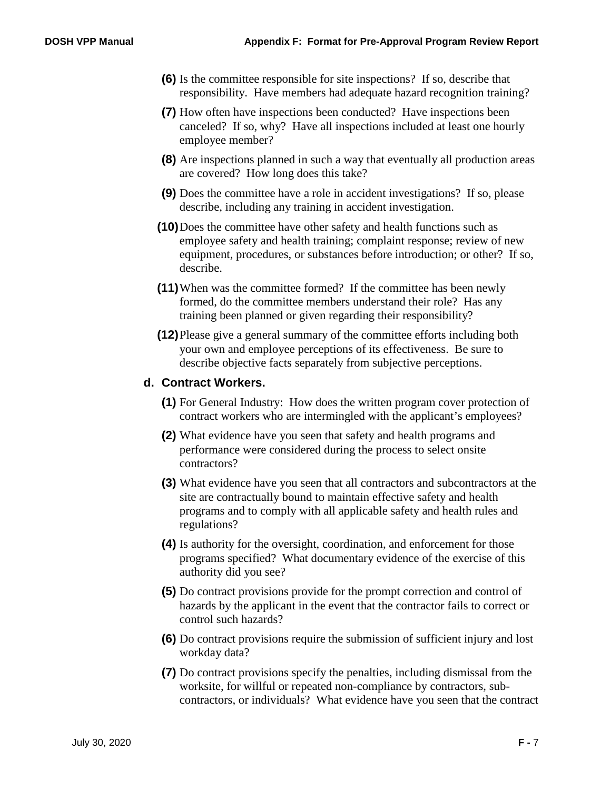- **(6)** Is the committee responsible for site inspections? If so, describe that responsibility. Have members had adequate hazard recognition training?
- **(7)** How often have inspections been conducted? Have inspections been canceled? If so, why? Have all inspections included at least one hourly employee member?
- **(8)** Are inspections planned in such a way that eventually all production areas are covered? How long does this take?
- **(9)** Does the committee have a role in accident investigations? If so, please describe, including any training in accident investigation.
- **(10)**Does the committee have other safety and health functions such as employee safety and health training; complaint response; review of new equipment, procedures, or substances before introduction; or other? If so, describe.
- **(11)**When was the committee formed? If the committee has been newly formed, do the committee members understand their role? Has any training been planned or given regarding their responsibility?
- **(12)**Please give a general summary of the committee efforts including both your own and employee perceptions of its effectiveness. Be sure to describe objective facts separately from subjective perceptions.

#### **d. Contract Workers.**

- **(1)** For General Industry: How does the written program cover protection of contract workers who are intermingled with the applicant's employees?
- **(2)** What evidence have you seen that safety and health programs and performance were considered during the process to select onsite contractors?
- **(3)** What evidence have you seen that all contractors and subcontractors at the site are contractually bound to maintain effective safety and health programs and to comply with all applicable safety and health rules and regulations?
- **(4)** Is authority for the oversight, coordination, and enforcement for those programs specified? What documentary evidence of the exercise of this authority did you see?
- **(5)** Do contract provisions provide for the prompt correction and control of hazards by the applicant in the event that the contractor fails to correct or control such hazards?
- **(6)** Do contract provisions require the submission of sufficient injury and lost workday data?
- **(7)** Do contract provisions specify the penalties, including dismissal from the worksite, for willful or repeated non-compliance by contractors, subcontractors, or individuals? What evidence have you seen that the contract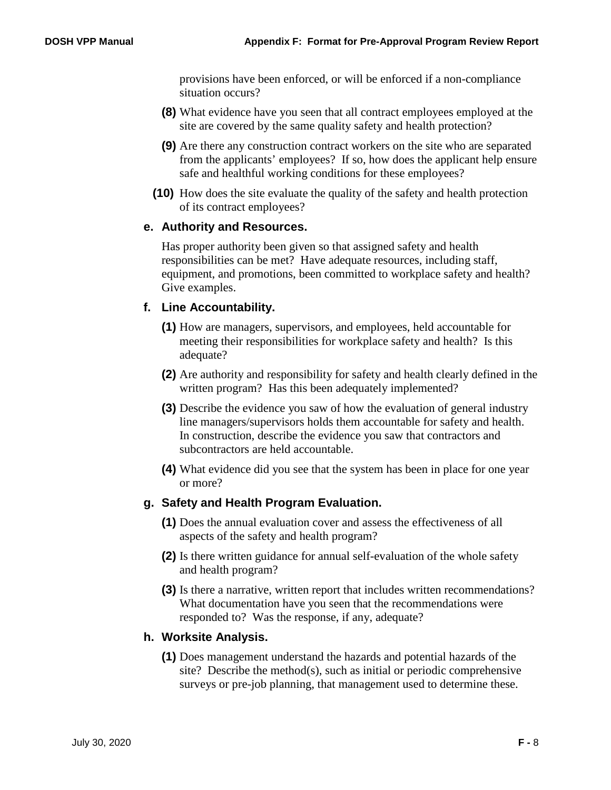provisions have been enforced, or will be enforced if a non-compliance situation occurs?

- **(8)** What evidence have you seen that all contract employees employed at the site are covered by the same quality safety and health protection?
- **(9)** Are there any construction contract workers on the site who are separated from the applicants' employees? If so, how does the applicant help ensure safe and healthful working conditions for these employees?
- **(10)** How does the site evaluate the quality of the safety and health protection of its contract employees?

## **e. Authority and Resources.**

Has proper authority been given so that assigned safety and health responsibilities can be met? Have adequate resources, including staff, equipment, and promotions, been committed to workplace safety and health? Give examples.

## **f. Line Accountability.**

- **(1)** How are managers, supervisors, and employees, held accountable for meeting their responsibilities for workplace safety and health? Is this adequate?
- **(2)** Are authority and responsibility for safety and health clearly defined in the written program? Has this been adequately implemented?
- **(3)** Describe the evidence you saw of how the evaluation of general industry line managers/supervisors holds them accountable for safety and health. In construction, describe the evidence you saw that contractors and subcontractors are held accountable.
- **(4)** What evidence did you see that the system has been in place for one year or more?

#### **g. Safety and Health Program Evaluation.**

- **(1)** Does the annual evaluation cover and assess the effectiveness of all aspects of the safety and health program?
- **(2)** Is there written guidance for annual self-evaluation of the whole safety and health program?
- **(3)** Is there a narrative, written report that includes written recommendations? What documentation have you seen that the recommendations were responded to? Was the response, if any, adequate?

#### **h. Worksite Analysis.**

**(1)** Does management understand the hazards and potential hazards of the site? Describe the method(s), such as initial or periodic comprehensive surveys or pre-job planning, that management used to determine these.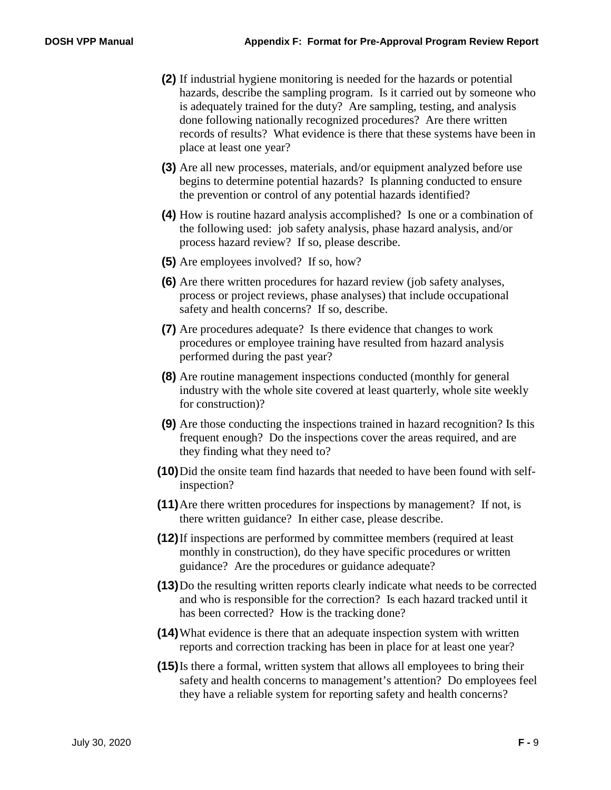- **(2)** If industrial hygiene monitoring is needed for the hazards or potential hazards, describe the sampling program. Is it carried out by someone who is adequately trained for the duty? Are sampling, testing, and analysis done following nationally recognized procedures? Are there written records of results? What evidence is there that these systems have been in place at least one year?
- **(3)** Are all new processes, materials, and/or equipment analyzed before use begins to determine potential hazards? Is planning conducted to ensure the prevention or control of any potential hazards identified?
- **(4)** How is routine hazard analysis accomplished? Is one or a combination of the following used: job safety analysis, phase hazard analysis, and/or process hazard review? If so, please describe.
- **(5)** Are employees involved? If so, how?
- **(6)** Are there written procedures for hazard review (job safety analyses, process or project reviews, phase analyses) that include occupational safety and health concerns? If so, describe.
- **(7)** Are procedures adequate? Is there evidence that changes to work procedures or employee training have resulted from hazard analysis performed during the past year?
- **(8)** Are routine management inspections conducted (monthly for general industry with the whole site covered at least quarterly, whole site weekly for construction)?
- **(9)** Are those conducting the inspections trained in hazard recognition? Is this frequent enough? Do the inspections cover the areas required, and are they finding what they need to?
- **(10)**Did the onsite team find hazards that needed to have been found with selfinspection?
- **(11)**Are there written procedures for inspections by management? If not, is there written guidance? In either case, please describe.
- **(12)**If inspections are performed by committee members (required at least monthly in construction), do they have specific procedures or written guidance? Are the procedures or guidance adequate?
- **(13)**Do the resulting written reports clearly indicate what needs to be corrected and who is responsible for the correction? Is each hazard tracked until it has been corrected? How is the tracking done?
- **(14)**What evidence is there that an adequate inspection system with written reports and correction tracking has been in place for at least one year?
- **(15)**Is there a formal, written system that allows all employees to bring their safety and health concerns to management's attention? Do employees feel they have a reliable system for reporting safety and health concerns?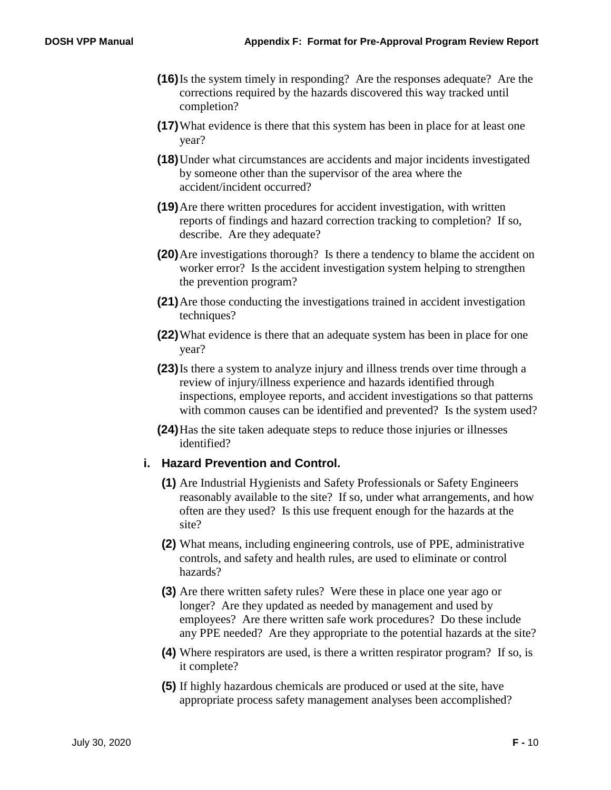- **(16)**Is the system timely in responding? Are the responses adequate? Are the corrections required by the hazards discovered this way tracked until completion?
- **(17)**What evidence is there that this system has been in place for at least one year?
- **(18)**Under what circumstances are accidents and major incidents investigated by someone other than the supervisor of the area where the accident/incident occurred?
- **(19)**Are there written procedures for accident investigation, with written reports of findings and hazard correction tracking to completion? If so, describe. Are they adequate?
- **(20)**Are investigations thorough? Is there a tendency to blame the accident on worker error? Is the accident investigation system helping to strengthen the prevention program?
- **(21)**Are those conducting the investigations trained in accident investigation techniques?
- **(22)**What evidence is there that an adequate system has been in place for one year?
- **(23)**Is there a system to analyze injury and illness trends over time through a review of injury/illness experience and hazards identified through inspections, employee reports, and accident investigations so that patterns with common causes can be identified and prevented? Is the system used?
- **(24)**Has the site taken adequate steps to reduce those injuries or illnesses identified?

# **i. Hazard Prevention and Control.**

- **(1)** Are Industrial Hygienists and Safety Professionals or Safety Engineers reasonably available to the site? If so, under what arrangements, and how often are they used? Is this use frequent enough for the hazards at the site?
- **(2)** What means, including engineering controls, use of PPE, administrative controls, and safety and health rules, are used to eliminate or control hazards?
- **(3)** Are there written safety rules? Were these in place one year ago or longer? Are they updated as needed by management and used by employees? Are there written safe work procedures? Do these include any PPE needed? Are they appropriate to the potential hazards at the site?
- **(4)** Where respirators are used, is there a written respirator program? If so, is it complete?
- **(5)** If highly hazardous chemicals are produced or used at the site, have appropriate process safety management analyses been accomplished?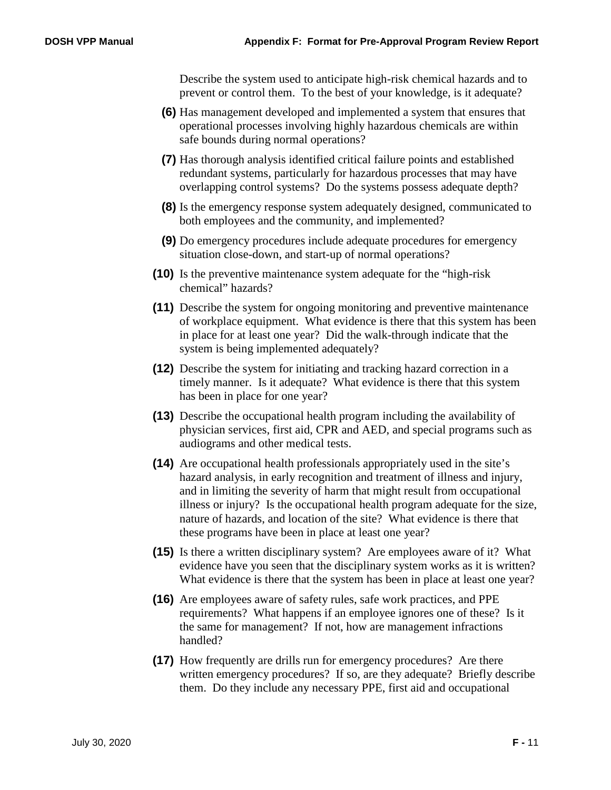Describe the system used to anticipate high-risk chemical hazards and to prevent or control them. To the best of your knowledge, is it adequate?

- **(6)** Has management developed and implemented a system that ensures that operational processes involving highly hazardous chemicals are within safe bounds during normal operations?
- **(7)** Has thorough analysis identified critical failure points and established redundant systems, particularly for hazardous processes that may have overlapping control systems? Do the systems possess adequate depth?
- **(8)** Is the emergency response system adequately designed, communicated to both employees and the community, and implemented?
- **(9)** Do emergency procedures include adequate procedures for emergency situation close-down, and start-up of normal operations?
- **(10)** Is the preventive maintenance system adequate for the "high-risk chemical" hazards?
- **(11)** Describe the system for ongoing monitoring and preventive maintenance of workplace equipment. What evidence is there that this system has been in place for at least one year? Did the walk-through indicate that the system is being implemented adequately?
- **(12)** Describe the system for initiating and tracking hazard correction in a timely manner. Is it adequate? What evidence is there that this system has been in place for one year?
- **(13)** Describe the occupational health program including the availability of physician services, first aid, CPR and AED, and special programs such as audiograms and other medical tests.
- **(14)** Are occupational health professionals appropriately used in the site's hazard analysis, in early recognition and treatment of illness and injury, and in limiting the severity of harm that might result from occupational illness or injury? Is the occupational health program adequate for the size, nature of hazards, and location of the site? What evidence is there that these programs have been in place at least one year?
- **(15)** Is there a written disciplinary system? Are employees aware of it? What evidence have you seen that the disciplinary system works as it is written? What evidence is there that the system has been in place at least one year?
- **(16)** Are employees aware of safety rules, safe work practices, and PPE requirements? What happens if an employee ignores one of these? Is it the same for management? If not, how are management infractions handled?
- **(17)** How frequently are drills run for emergency procedures? Are there written emergency procedures? If so, are they adequate? Briefly describe them. Do they include any necessary PPE, first aid and occupational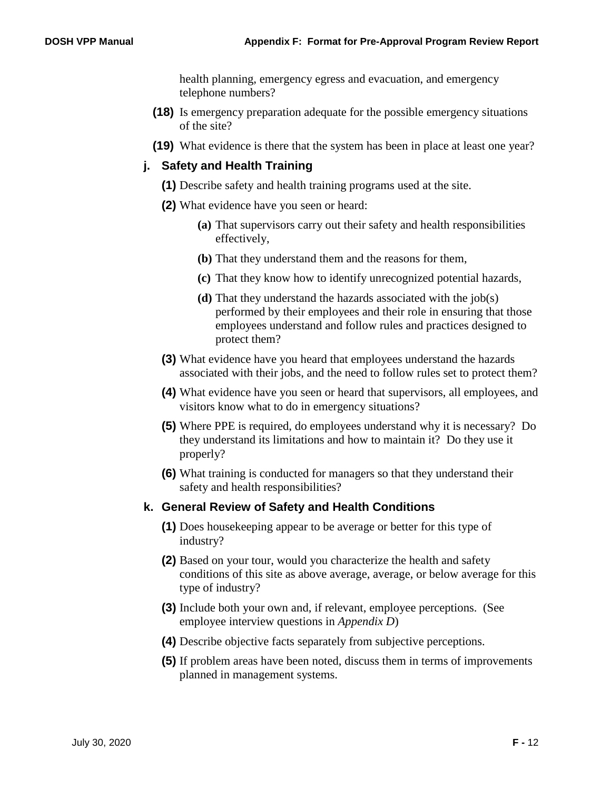health planning, emergency egress and evacuation, and emergency telephone numbers?

- **(18)** Is emergency preparation adequate for the possible emergency situations of the site?
- **(19)** What evidence is there that the system has been in place at least one year?

## **j. Safety and Health Training**

- **(1)** Describe safety and health training programs used at the site.
- **(2)** What evidence have you seen or heard:
	- **(a)** That supervisors carry out their safety and health responsibilities effectively,
	- **(b)** That they understand them and the reasons for them,
	- **(c)** That they know how to identify unrecognized potential hazards,
	- **(d)** That they understand the hazards associated with the job(s) performed by their employees and their role in ensuring that those employees understand and follow rules and practices designed to protect them?
- **(3)** What evidence have you heard that employees understand the hazards associated with their jobs, and the need to follow rules set to protect them?
- **(4)** What evidence have you seen or heard that supervisors, all employees, and visitors know what to do in emergency situations?
- **(5)** Where PPE is required, do employees understand why it is necessary? Do they understand its limitations and how to maintain it? Do they use it properly?
- **(6)** What training is conducted for managers so that they understand their safety and health responsibilities?

#### **k. General Review of Safety and Health Conditions**

- **(1)** Does housekeeping appear to be average or better for this type of industry?
- **(2)** Based on your tour, would you characterize the health and safety conditions of this site as above average, average, or below average for this type of industry?
- **(3)** Include both your own and, if relevant, employee perceptions. (See employee interview questions in *Appendix D*)
- **(4)** Describe objective facts separately from subjective perceptions.
- **(5)** If problem areas have been noted, discuss them in terms of improvements planned in management systems.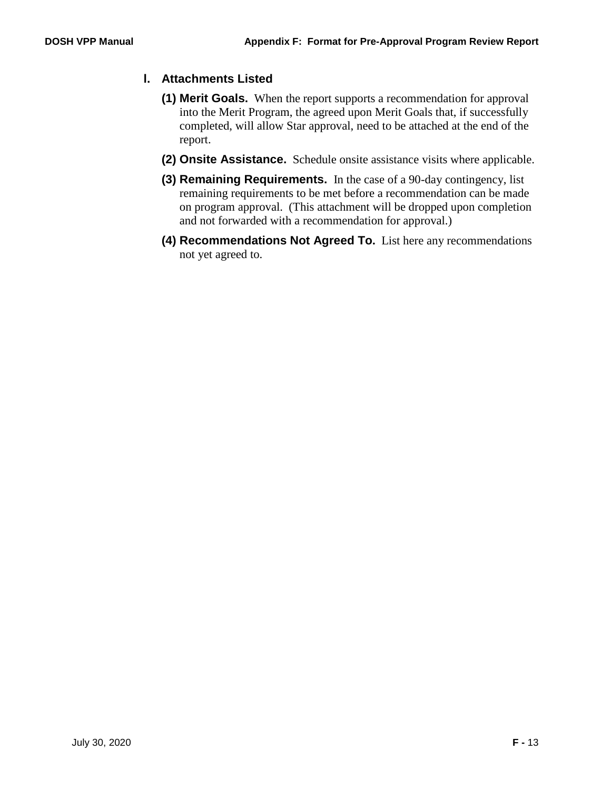# **l. Attachments Listed**

- **(1) Merit Goals.** When the report supports a recommendation for approval into the Merit Program, the agreed upon Merit Goals that, if successfully completed, will allow Star approval, need to be attached at the end of the report.
- **(2) Onsite Assistance.** Schedule onsite assistance visits where applicable.
- **(3) Remaining Requirements.** In the case of a 90-day contingency, list remaining requirements to be met before a recommendation can be made on program approval. (This attachment will be dropped upon completion and not forwarded with a recommendation for approval.)
- **(4) Recommendations Not Agreed To.** List here any recommendations not yet agreed to.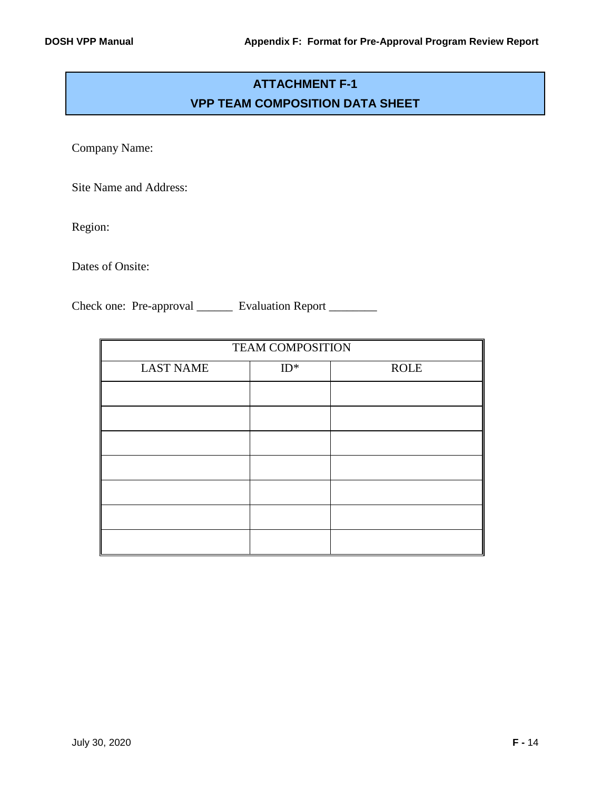# **ATTACHMENT F-1 VPP TEAM COMPOSITION DATA SHEET**

Company Name:

Site Name and Address:

Region:

Dates of Onsite:

Check one: Pre-approval \_\_\_\_\_\_\_ Evaluation Report \_\_\_\_\_\_\_\_

| <b>TEAM COMPOSITION</b> |       |             |  |
|-------------------------|-------|-------------|--|
| <b>LAST NAME</b>        | $ID*$ | <b>ROLE</b> |  |
|                         |       |             |  |
|                         |       |             |  |
|                         |       |             |  |
|                         |       |             |  |
|                         |       |             |  |
|                         |       |             |  |
|                         |       |             |  |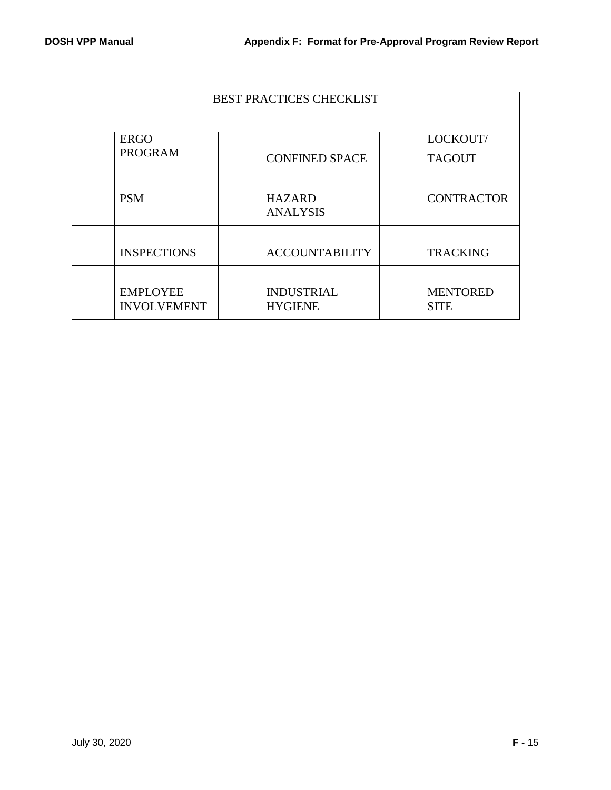| BEST PRACTICES CHECKLIST              |                                     |                                |  |
|---------------------------------------|-------------------------------------|--------------------------------|--|
|                                       |                                     |                                |  |
| <b>ERGO</b>                           |                                     | LOCKOUT/                       |  |
| <b>PROGRAM</b>                        | <b>CONFINED SPACE</b>               | <b>TAGOUT</b>                  |  |
| <b>PSM</b>                            | <b>HAZARD</b><br><b>ANALYSIS</b>    | <b>CONTRACTOR</b>              |  |
| <b>INSPECTIONS</b>                    | <b>ACCOUNTABILITY</b>               | <b>TRACKING</b>                |  |
| <b>EMPLOYEE</b><br><b>INVOLVEMENT</b> | <b>INDUSTRIAL</b><br><b>HYGIENE</b> | <b>MENTORED</b><br><b>SITE</b> |  |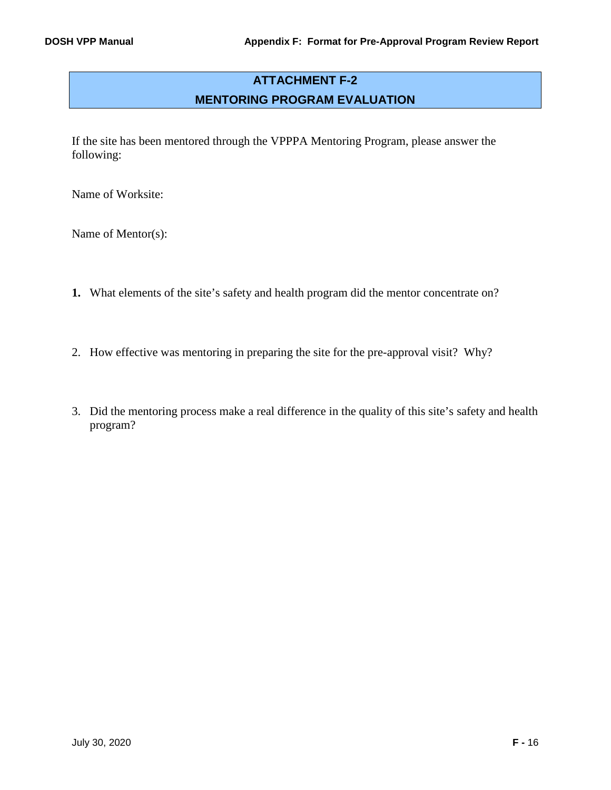# **ATTACHMENT F-2 MENTORING PROGRAM EVALUATION**

If the site has been mentored through the VPPPA Mentoring Program, please answer the following:

Name of Worksite:

Name of Mentor(s):

- **1.** What elements of the site's safety and health program did the mentor concentrate on?
- 2. How effective was mentoring in preparing the site for the pre-approval visit? Why?
- 3. Did the mentoring process make a real difference in the quality of this site's safety and health program?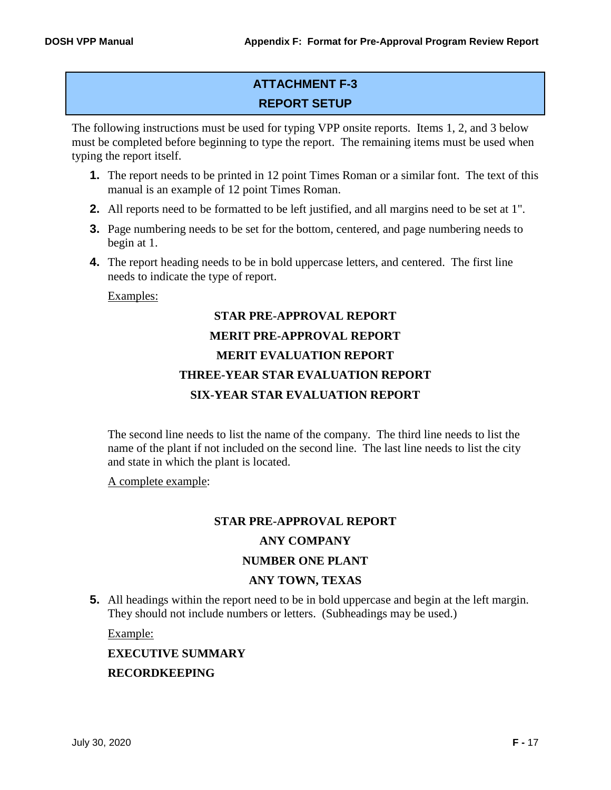# **ATTACHMENT F-3 REPORT SETUP**

The following instructions must be used for typing VPP onsite reports. Items 1, 2, and 3 below must be completed before beginning to type the report. The remaining items must be used when typing the report itself.

- **1.** The report needs to be printed in 12 point Times Roman or a similar font. The text of this manual is an example of 12 point Times Roman.
- **2.** All reports need to be formatted to be left justified, and all margins need to be set at 1".
- **3.** Page numbering needs to be set for the bottom, centered, and page numbering needs to begin at 1.
- **4.** The report heading needs to be in bold uppercase letters, and centered. The first line needs to indicate the type of report.

Examples:

# **STAR PRE-APPROVAL REPORT MERIT PRE-APPROVAL REPORT MERIT EVALUATION REPORT THREE-YEAR STAR EVALUATION REPORT SIX-YEAR STAR EVALUATION REPORT**

The second line needs to list the name of the company. The third line needs to list the name of the plant if not included on the second line. The last line needs to list the city and state in which the plant is located.

A complete example:

#### **STAR PRE-APPROVAL REPORT**

#### **ANY COMPANY**

#### **NUMBER ONE PLANT**

#### **ANY TOWN, TEXAS**

**5.** All headings within the report need to be in bold uppercase and begin at the left margin. They should not include numbers or letters. (Subheadings may be used.)

Example:

# **EXECUTIVE SUMMARY RECORDKEEPING**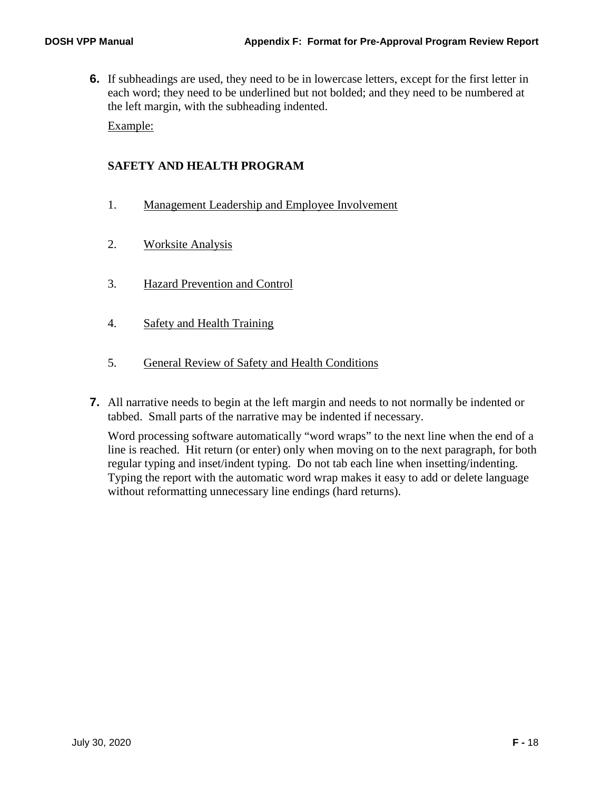**6.** If subheadings are used, they need to be in lowercase letters, except for the first letter in each word; they need to be underlined but not bolded; and they need to be numbered at the left margin, with the subheading indented.

Example:

# **SAFETY AND HEALTH PROGRAM**

- 1. Management Leadership and Employee Involvement
- 2. Worksite Analysis
- 3. Hazard Prevention and Control
- 4. Safety and Health Training
- 5. General Review of Safety and Health Conditions
- **7.** All narrative needs to begin at the left margin and needs to not normally be indented or tabbed. Small parts of the narrative may be indented if necessary.

Word processing software automatically "word wraps" to the next line when the end of a line is reached. Hit return (or enter) only when moving on to the next paragraph, for both regular typing and inset/indent typing. Do not tab each line when insetting/indenting. Typing the report with the automatic word wrap makes it easy to add or delete language without reformatting unnecessary line endings (hard returns).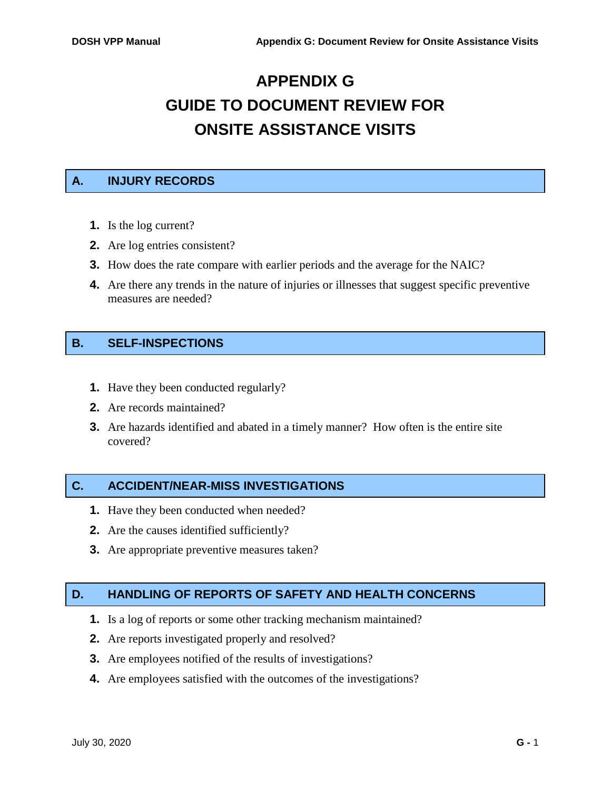# **APPENDIX G GUIDE TO DOCUMENT REVIEW FOR ONSITE ASSISTANCE VISITS**

# **A. INJURY RECORDS**

- **1.** Is the log current?
- **2.** Are log entries consistent?
- **3.** How does the rate compare with earlier periods and the average for the NAIC?
- **4.** Are there any trends in the nature of injuries or illnesses that suggest specific preventive measures are needed?

# **B. SELF-INSPECTIONS**

- **1.** Have they been conducted regularly?
- **2.** Are records maintained?
- **3.** Are hazards identified and abated in a timely manner? How often is the entire site covered?

# **C. ACCIDENT/NEAR-MISS INVESTIGATIONS**

- **1.** Have they been conducted when needed?
- **2.** Are the causes identified sufficiently?
- **3.** Are appropriate preventive measures taken?

# **D. HANDLING OF REPORTS OF SAFETY AND HEALTH CONCERNS**

- **1.** Is a log of reports or some other tracking mechanism maintained?
- **2.** Are reports investigated properly and resolved?
- **3.** Are employees notified of the results of investigations?
- **4.** Are employees satisfied with the outcomes of the investigations?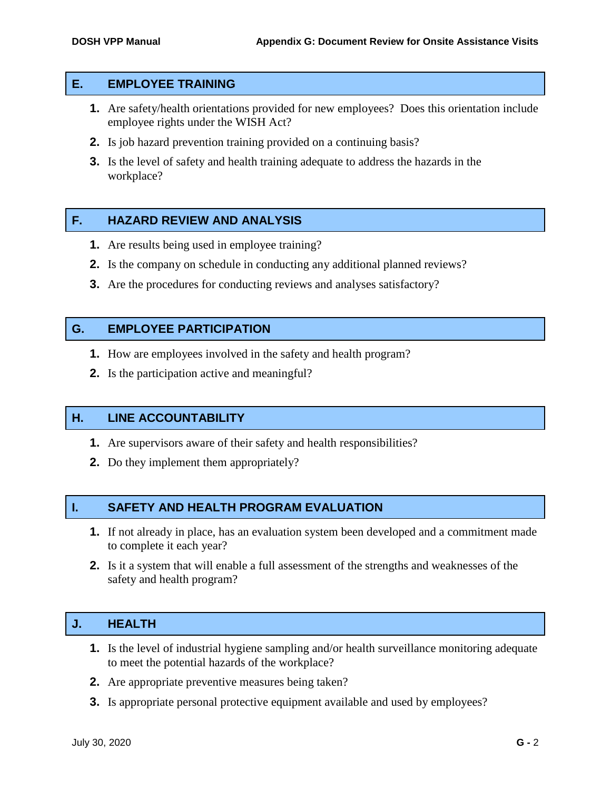## **E. EMPLOYEE TRAINING**

- **1.** Are safety/health orientations provided for new employees? Does this orientation include employee rights under the WISH Act?
- **2.** Is job hazard prevention training provided on a continuing basis?
- **3.** Is the level of safety and health training adequate to address the hazards in the workplace?

## **F. HAZARD REVIEW AND ANALYSIS**

- **1.** Are results being used in employee training?
- **2.** Is the company on schedule in conducting any additional planned reviews?
- **3.** Are the procedures for conducting reviews and analyses satisfactory?

#### **G. EMPLOYEE PARTICIPATION**

- **1.** How are employees involved in the safety and health program?
- **2.** Is the participation active and meaningful?

## **H. LINE ACCOUNTABILITY**

- **1.** Are supervisors aware of their safety and health responsibilities?
- **2.** Do they implement them appropriately?

# **I. SAFETY AND HEALTH PROGRAM EVALUATION**

- **1.** If not already in place, has an evaluation system been developed and a commitment made to complete it each year?
- **2.** Is it a system that will enable a full assessment of the strengths and weaknesses of the safety and health program?

# **J. HEALTH**

- **1.** Is the level of industrial hygiene sampling and/or health surveillance monitoring adequate to meet the potential hazards of the workplace?
- **2.** Are appropriate preventive measures being taken?
- **3.** Is appropriate personal protective equipment available and used by employees?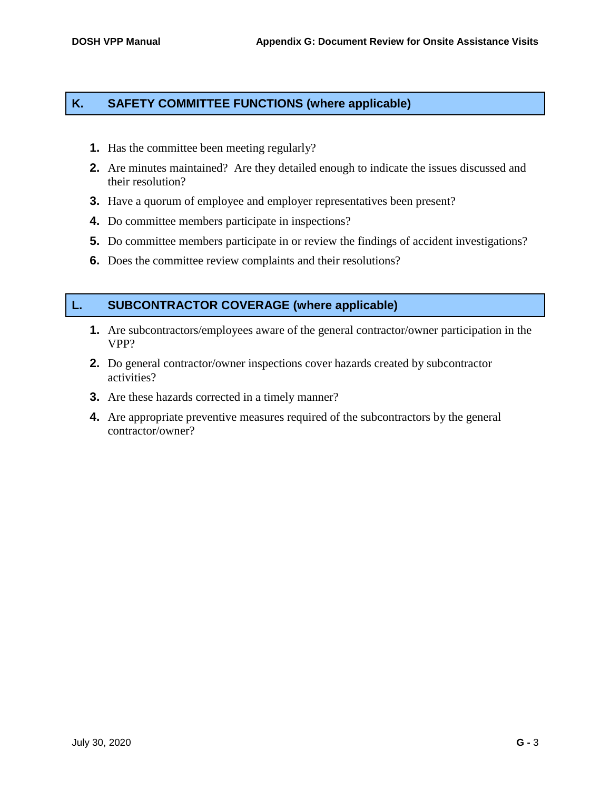# **K. SAFETY COMMITTEE FUNCTIONS (where applicable)**

- **1.** Has the committee been meeting regularly?
- **2.** Are minutes maintained? Are they detailed enough to indicate the issues discussed and their resolution?
- **3.** Have a quorum of employee and employer representatives been present?
- **4.** Do committee members participate in inspections?
- **5.** Do committee members participate in or review the findings of accident investigations?
- **6.** Does the committee review complaints and their resolutions?

# **L. SUBCONTRACTOR COVERAGE (where applicable)**

- **1.** Are subcontractors/employees aware of the general contractor/owner participation in the VPP?
- **2.** Do general contractor/owner inspections cover hazards created by subcontractor activities?
- **3.** Are these hazards corrected in a timely manner?
- **4.** Are appropriate preventive measures required of the subcontractors by the general contractor/owner?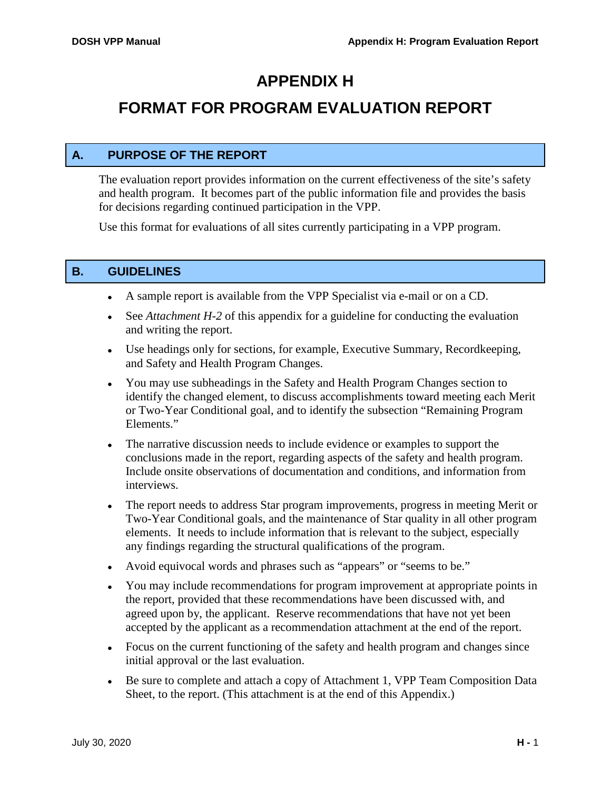# **APPENDIX H**

# **FORMAT FOR PROGRAM EVALUATION REPORT**

# **A. PURPOSE OF THE REPORT**

The evaluation report provides information on the current effectiveness of the site's safety and health program. It becomes part of the public information file and provides the basis for decisions regarding continued participation in the VPP.

Use this format for evaluations of all sites currently participating in a VPP program.

# **B. GUIDELINES**

- A sample report is available from the VPP Specialist via e-mail or on a CD.
- See *Attachment H-2* of this appendix for a guideline for conducting the evaluation and writing the report.
- Use headings only for sections, for example, Executive Summary, Recordkeeping, and Safety and Health Program Changes.
- You may use subheadings in the Safety and Health Program Changes section to identify the changed element, to discuss accomplishments toward meeting each Merit or Two-Year Conditional goal, and to identify the subsection "Remaining Program Elements."
- The narrative discussion needs to include evidence or examples to support the conclusions made in the report, regarding aspects of the safety and health program. Include onsite observations of documentation and conditions, and information from interviews.
- The report needs to address Star program improvements, progress in meeting Merit or Two-Year Conditional goals, and the maintenance of Star quality in all other program elements. It needs to include information that is relevant to the subject, especially any findings regarding the structural qualifications of the program.
- Avoid equivocal words and phrases such as "appears" or "seems to be."
- You may include recommendations for program improvement at appropriate points in the report, provided that these recommendations have been discussed with, and agreed upon by, the applicant. Reserve recommendations that have not yet been accepted by the applicant as a recommendation attachment at the end of the report.
- Focus on the current functioning of the safety and health program and changes since initial approval or the last evaluation.
- Be sure to complete and attach a copy of Attachment 1, VPP Team Composition Data Sheet, to the report. (This attachment is at the end of this Appendix.)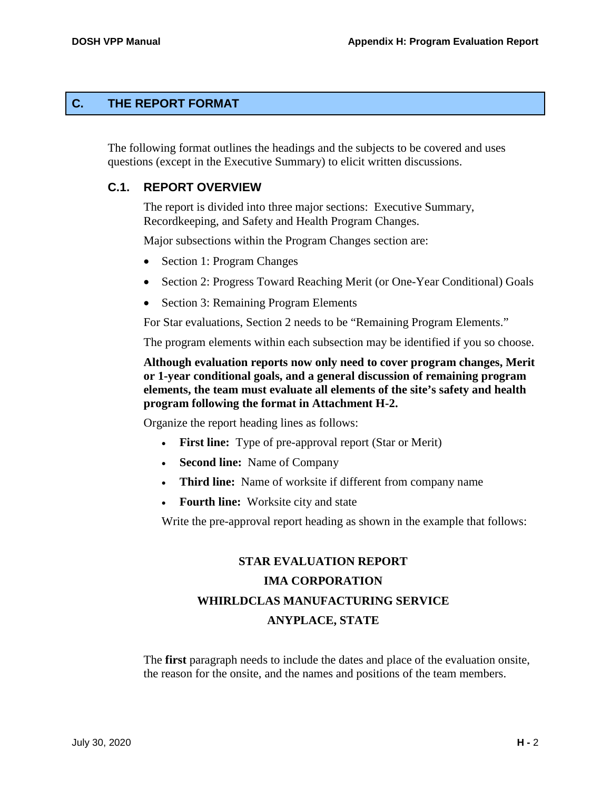# **C. THE REPORT FORMAT**

The following format outlines the headings and the subjects to be covered and uses questions (except in the Executive Summary) to elicit written discussions.

#### **C.1. REPORT OVERVIEW**

The report is divided into three major sections: Executive Summary, Recordkeeping, and Safety and Health Program Changes.

Major subsections within the Program Changes section are:

- Section 1: Program Changes
- Section 2: Progress Toward Reaching Merit (or One-Year Conditional) Goals
- Section 3: Remaining Program Elements

For Star evaluations, Section 2 needs to be "Remaining Program Elements."

The program elements within each subsection may be identified if you so choose.

**Although evaluation reports now only need to cover program changes, Merit or 1-year conditional goals, and a general discussion of remaining program elements, the team must evaluate all elements of the site's safety and health program following the format in Attachment H-2.** 

Organize the report heading lines as follows:

- **First line:** Type of pre-approval report (Star or Merit)
- **Second line:** Name of Company
- **Third line:** Name of worksite if different from company name
- **Fourth line:** Worksite city and state

Write the pre-approval report heading as shown in the example that follows:

# **STAR EVALUATION REPORT IMA CORPORATION WHIRLDCLAS MANUFACTURING SERVICE ANYPLACE, STATE**

The **first** paragraph needs to include the dates and place of the evaluation onsite, the reason for the onsite, and the names and positions of the team members.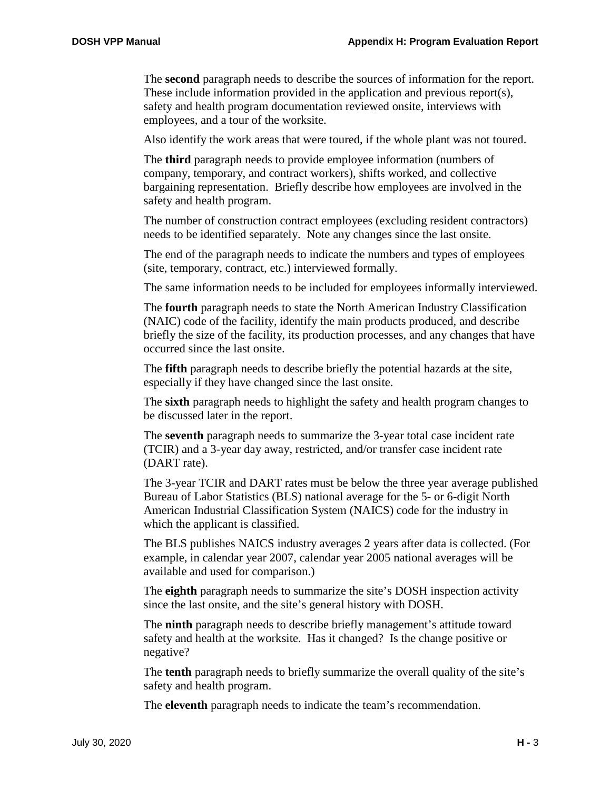The **second** paragraph needs to describe the sources of information for the report. These include information provided in the application and previous report(s), safety and health program documentation reviewed onsite, interviews with employees, and a tour of the worksite.

Also identify the work areas that were toured, if the whole plant was not toured.

The **third** paragraph needs to provide employee information (numbers of company, temporary, and contract workers), shifts worked, and collective bargaining representation. Briefly describe how employees are involved in the safety and health program.

The number of construction contract employees (excluding resident contractors) needs to be identified separately. Note any changes since the last onsite.

The end of the paragraph needs to indicate the numbers and types of employees (site, temporary, contract, etc.) interviewed formally.

The same information needs to be included for employees informally interviewed.

The **fourth** paragraph needs to state the North American Industry Classification (NAIC) code of the facility, identify the main products produced, and describe briefly the size of the facility, its production processes, and any changes that have occurred since the last onsite.

The **fifth** paragraph needs to describe briefly the potential hazards at the site, especially if they have changed since the last onsite.

The **sixth** paragraph needs to highlight the safety and health program changes to be discussed later in the report.

The **seventh** paragraph needs to summarize the 3-year total case incident rate (TCIR) and a 3-year day away, restricted, and/or transfer case incident rate (DART rate).

The 3-year TCIR and DART rates must be below the three year average published Bureau of Labor Statistics (BLS) national average for the 5- or 6-digit North American Industrial Classification System (NAICS) code for the industry in which the applicant is classified.

The BLS publishes NAICS industry averages 2 years after data is collected. (For example, in calendar year 2007, calendar year 2005 national averages will be available and used for comparison.)

The **eighth** paragraph needs to summarize the site's DOSH inspection activity since the last onsite, and the site's general history with DOSH.

The **ninth** paragraph needs to describe briefly management's attitude toward safety and health at the worksite. Has it changed? Is the change positive or negative?

The **tenth** paragraph needs to briefly summarize the overall quality of the site's safety and health program.

The **eleventh** paragraph needs to indicate the team's recommendation.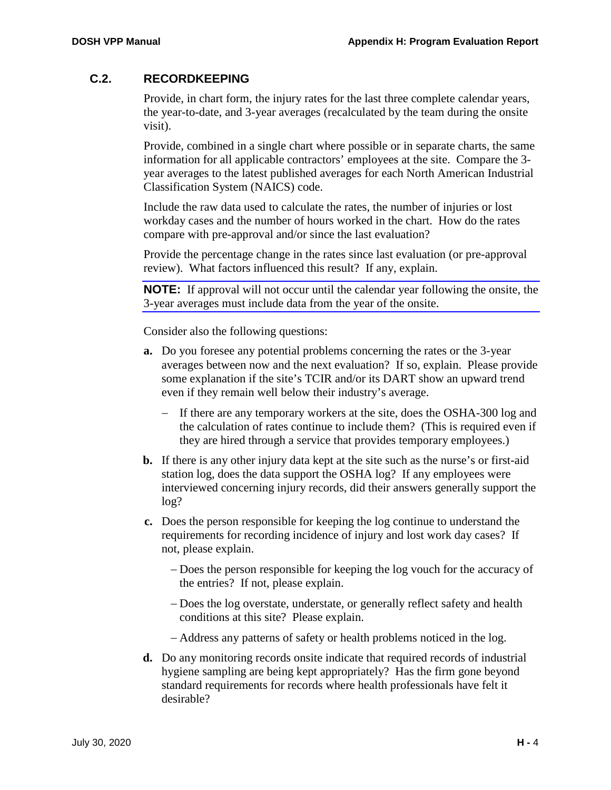# **C.2. RECORDKEEPING**

Provide, in chart form, the injury rates for the last three complete calendar years, the year-to-date, and 3-year averages (recalculated by the team during the onsite visit).

Provide, combined in a single chart where possible or in separate charts, the same information for all applicable contractors' employees at the site. Compare the 3 year averages to the latest published averages for each North American Industrial Classification System (NAICS) code.

Include the raw data used to calculate the rates, the number of injuries or lost workday cases and the number of hours worked in the chart. How do the rates compare with pre-approval and/or since the last evaluation?

Provide the percentage change in the rates since last evaluation (or pre-approval review). What factors influenced this result? If any, explain.

**NOTE:** If approval will not occur until the calendar year following the onsite, the 3-year averages must include data from the year of the onsite.

Consider also the following questions:

- **a.** Do you foresee any potential problems concerning the rates or the 3-year averages between now and the next evaluation? If so, explain. Please provide some explanation if the site's TCIR and/or its DART show an upward trend even if they remain well below their industry's average.
	- − If there are any temporary workers at the site, does the OSHA-300 log and the calculation of rates continue to include them? (This is required even if they are hired through a service that provides temporary employees.)
- **b.** If there is any other injury data kept at the site such as the nurse's or first-aid station log, does the data support the OSHA log? If any employees were interviewed concerning injury records, did their answers generally support the log?
- **c.** Does the person responsible for keeping the log continue to understand the requirements for recording incidence of injury and lost work day cases? If not, please explain.
	- − Does the person responsible for keeping the log vouch for the accuracy of the entries? If not, please explain.
	- − Does the log overstate, understate, or generally reflect safety and health conditions at this site? Please explain.
	- − Address any patterns of safety or health problems noticed in the log.
- **d.** Do any monitoring records onsite indicate that required records of industrial hygiene sampling are being kept appropriately? Has the firm gone beyond standard requirements for records where health professionals have felt it desirable?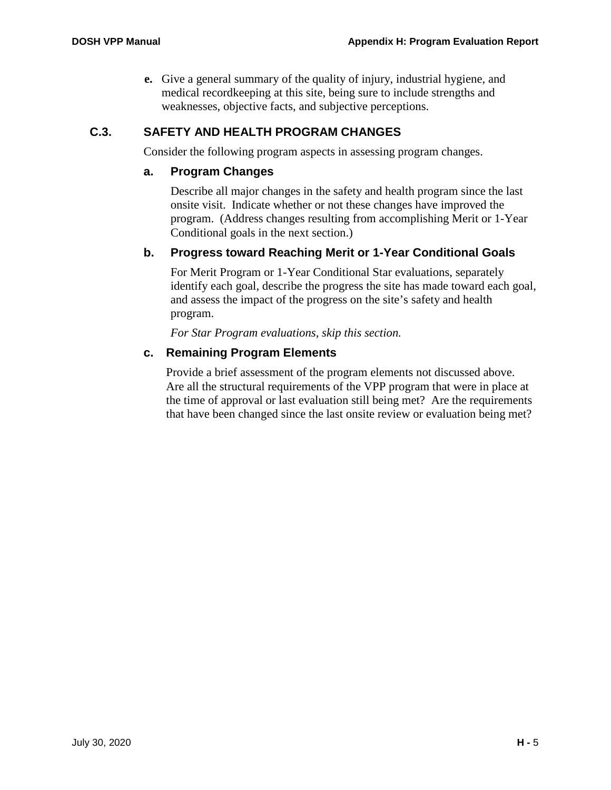**e.** Give a general summary of the quality of injury, industrial hygiene, and medical recordkeeping at this site, being sure to include strengths and weaknesses, objective facts, and subjective perceptions.

# **C.3. SAFETY AND HEALTH PROGRAM CHANGES**

Consider the following program aspects in assessing program changes.

#### **a. Program Changes**

Describe all major changes in the safety and health program since the last onsite visit. Indicate whether or not these changes have improved the program. (Address changes resulting from accomplishing Merit or 1-Year Conditional goals in the next section.)

#### **b. Progress toward Reaching Merit or 1-Year Conditional Goals**

For Merit Program or 1-Year Conditional Star evaluations, separately identify each goal, describe the progress the site has made toward each goal, and assess the impact of the progress on the site's safety and health program.

*For Star Program evaluations, skip this section.*

#### **c. Remaining Program Elements**

Provide a brief assessment of the program elements not discussed above. Are all the structural requirements of the VPP program that were in place at the time of approval or last evaluation still being met? Are the requirements that have been changed since the last onsite review or evaluation being met?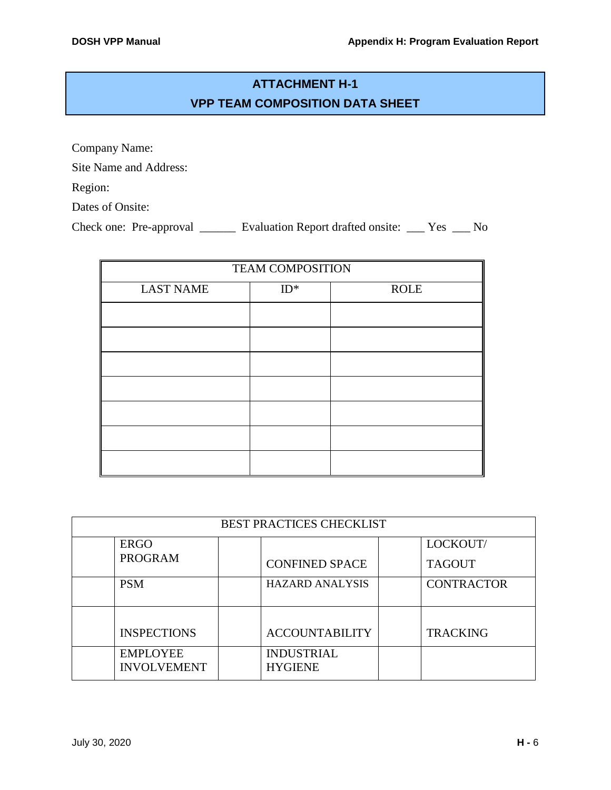# **ATTACHMENT H-1 VPP TEAM COMPOSITION DATA SHEET**

Company Name:

Site Name and Address:

Region:

Dates of Onsite:

Check one: Pre-approval \_\_\_\_\_\_ Evaluation Report drafted onsite: \_\_\_ Yes \_\_\_ No

| <b>TEAM COMPOSITION</b> |        |             |  |  |  |  |  |  |
|-------------------------|--------|-------------|--|--|--|--|--|--|
| <b>LAST NAME</b>        | $ID^*$ | <b>ROLE</b> |  |  |  |  |  |  |
|                         |        |             |  |  |  |  |  |  |
|                         |        |             |  |  |  |  |  |  |
|                         |        |             |  |  |  |  |  |  |
|                         |        |             |  |  |  |  |  |  |
|                         |        |             |  |  |  |  |  |  |
|                         |        |             |  |  |  |  |  |  |
|                         |        |             |  |  |  |  |  |  |
|                         |        |             |  |  |  |  |  |  |

| BEST PRACTICES CHECKLIST |                                       |  |                                     |                           |                   |  |  |  |  |
|--------------------------|---------------------------------------|--|-------------------------------------|---------------------------|-------------------|--|--|--|--|
|                          | <b>ERGO</b><br><b>PROGRAM</b>         |  | <b>CONFINED SPACE</b>               | LOCKOUT/<br><b>TAGOUT</b> |                   |  |  |  |  |
|                          | <b>PSM</b>                            |  | <b>HAZARD ANALYSIS</b>              |                           | <b>CONTRACTOR</b> |  |  |  |  |
|                          | <b>INSPECTIONS</b>                    |  | <b>ACCOUNTABILITY</b>               |                           | <b>TRACKING</b>   |  |  |  |  |
|                          | <b>EMPLOYEE</b><br><b>INVOLVEMENT</b> |  | <b>INDUSTRIAL</b><br><b>HYGIENE</b> |                           |                   |  |  |  |  |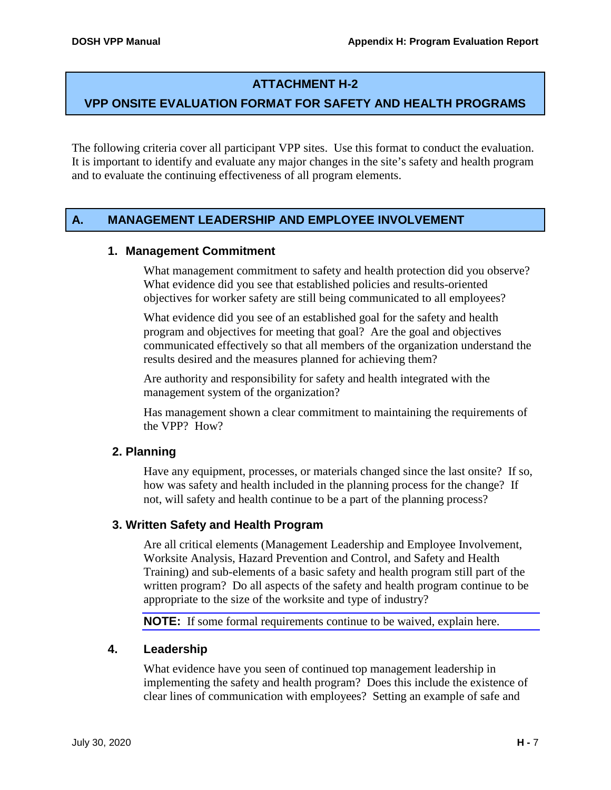# **ATTACHMENT H-2**

# **VPP ONSITE EVALUATION FORMAT FOR SAFETY AND HEALTH PROGRAMS**

The following criteria cover all participant VPP sites. Use this format to conduct the evaluation. It is important to identify and evaluate any major changes in the site's safety and health program and to evaluate the continuing effectiveness of all program elements.

# **A. MANAGEMENT LEADERSHIP AND EMPLOYEE INVOLVEMENT**

# **1. Management Commitment**

What management commitment to safety and health protection did you observe? What evidence did you see that established policies and results-oriented objectives for worker safety are still being communicated to all employees?

What evidence did you see of an established goal for the safety and health program and objectives for meeting that goal? Are the goal and objectives communicated effectively so that all members of the organization understand the results desired and the measures planned for achieving them?

Are authority and responsibility for safety and health integrated with the management system of the organization?

Has management shown a clear commitment to maintaining the requirements of the VPP? How?

# **2. Planning**

Have any equipment, processes, or materials changed since the last onsite? If so, how was safety and health included in the planning process for the change? If not, will safety and health continue to be a part of the planning process?

# **3. Written Safety and Health Program**

Are all critical elements (Management Leadership and Employee Involvement, Worksite Analysis, Hazard Prevention and Control, and Safety and Health Training) and sub-elements of a basic safety and health program still part of the written program? Do all aspects of the safety and health program continue to be appropriate to the size of the worksite and type of industry?

**NOTE:** If some formal requirements continue to be waived, explain here.

# **4. Leadership**

What evidence have you seen of continued top management leadership in implementing the safety and health program? Does this include the existence of clear lines of communication with employees? Setting an example of safe and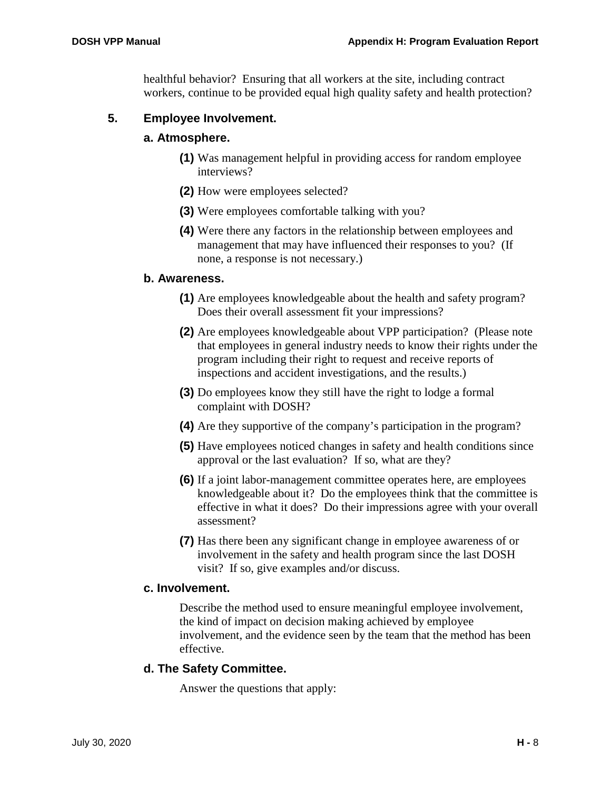healthful behavior? Ensuring that all workers at the site, including contract workers, continue to be provided equal high quality safety and health protection?

# **5. Employee Involvement.**

#### **a. Atmosphere.**

- **(1)** Was management helpful in providing access for random employee interviews?
- **(2)** How were employees selected?
- **(3)** Were employees comfortable talking with you?
- **(4)** Were there any factors in the relationship between employees and management that may have influenced their responses to you? (If none, a response is not necessary.)

#### **b. Awareness.**

- **(1)** Are employees knowledgeable about the health and safety program? Does their overall assessment fit your impressions?
- **(2)** Are employees knowledgeable about VPP participation? (Please note that employees in general industry needs to know their rights under the program including their right to request and receive reports of inspections and accident investigations, and the results.)
- **(3)** Do employees know they still have the right to lodge a formal complaint with DOSH?
- **(4)** Are they supportive of the company's participation in the program?
- **(5)** Have employees noticed changes in safety and health conditions since approval or the last evaluation? If so, what are they?
- **(6)** If a joint labor-management committee operates here, are employees knowledgeable about it? Do the employees think that the committee is effective in what it does? Do their impressions agree with your overall assessment?
- **(7)** Has there been any significant change in employee awareness of or involvement in the safety and health program since the last DOSH visit? If so, give examples and/or discuss.

#### **c. Involvement.**

Describe the method used to ensure meaningful employee involvement, the kind of impact on decision making achieved by employee involvement, and the evidence seen by the team that the method has been effective.

# **d. The Safety Committee.**

Answer the questions that apply: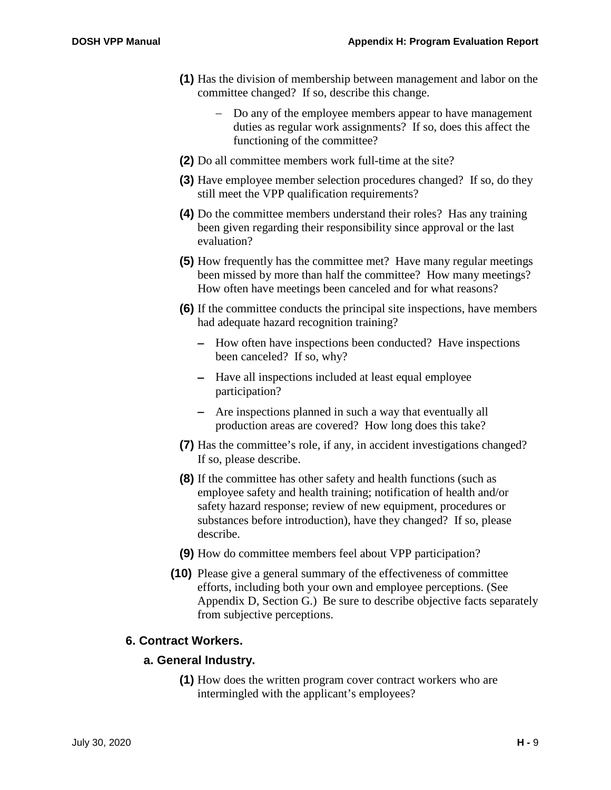- **(1)** Has the division of membership between management and labor on the committee changed? If so, describe this change.
	- − Do any of the employee members appear to have management duties as regular work assignments? If so, does this affect the functioning of the committee?
- **(2)** Do all committee members work full-time at the site?
- **(3)** Have employee member selection procedures changed? If so, do they still meet the VPP qualification requirements?
- **(4)** Do the committee members understand their roles? Has any training been given regarding their responsibility since approval or the last evaluation?
- **(5)** How frequently has the committee met? Have many regular meetings been missed by more than half the committee? How many meetings? How often have meetings been canceled and for what reasons?
- **(6)** If the committee conducts the principal site inspections, have members had adequate hazard recognition training?
	- − How often have inspections been conducted? Have inspections been canceled? If so, why?
	- − Have all inspections included at least equal employee participation?
	- − Are inspections planned in such a way that eventually all production areas are covered? How long does this take?
- **(7)** Has the committee's role, if any, in accident investigations changed? If so, please describe.
- **(8)** If the committee has other safety and health functions (such as employee safety and health training; notification of health and/or safety hazard response; review of new equipment, procedures or substances before introduction), have they changed? If so, please describe.
- **(9)** How do committee members feel about VPP participation?
- **(10)** Please give a general summary of the effectiveness of committee efforts, including both your own and employee perceptions. (See Appendix D, Section G.) Be sure to describe objective facts separately from subjective perceptions.

# **6. Contract Workers.**

#### **a. General Industry.**

**(1)** How does the written program cover contract workers who are intermingled with the applicant's employees?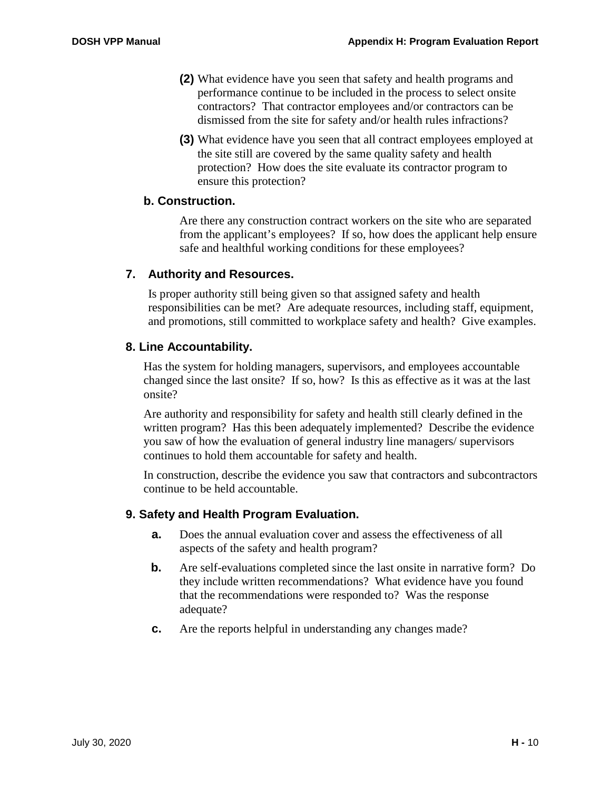- **(2)** What evidence have you seen that safety and health programs and performance continue to be included in the process to select onsite contractors? That contractor employees and/or contractors can be dismissed from the site for safety and/or health rules infractions?
- **(3)** What evidence have you seen that all contract employees employed at the site still are covered by the same quality safety and health protection? How does the site evaluate its contractor program to ensure this protection?

#### **b. Construction.**

Are there any construction contract workers on the site who are separated from the applicant's employees? If so, how does the applicant help ensure safe and healthful working conditions for these employees?

#### **7. Authority and Resources.**

Is proper authority still being given so that assigned safety and health responsibilities can be met? Are adequate resources, including staff, equipment, and promotions, still committed to workplace safety and health? Give examples.

#### **8. Line Accountability.**

Has the system for holding managers, supervisors, and employees accountable changed since the last onsite? If so, how? Is this as effective as it was at the last onsite?

Are authority and responsibility for safety and health still clearly defined in the written program? Has this been adequately implemented? Describe the evidence you saw of how the evaluation of general industry line managers/ supervisors continues to hold them accountable for safety and health.

In construction, describe the evidence you saw that contractors and subcontractors continue to be held accountable.

# **9. Safety and Health Program Evaluation.**

- **a.** Does the annual evaluation cover and assess the effectiveness of all aspects of the safety and health program?
- **b.** Are self-evaluations completed since the last onsite in narrative form? Do they include written recommendations? What evidence have you found that the recommendations were responded to? Was the response adequate?
- **c.** Are the reports helpful in understanding any changes made?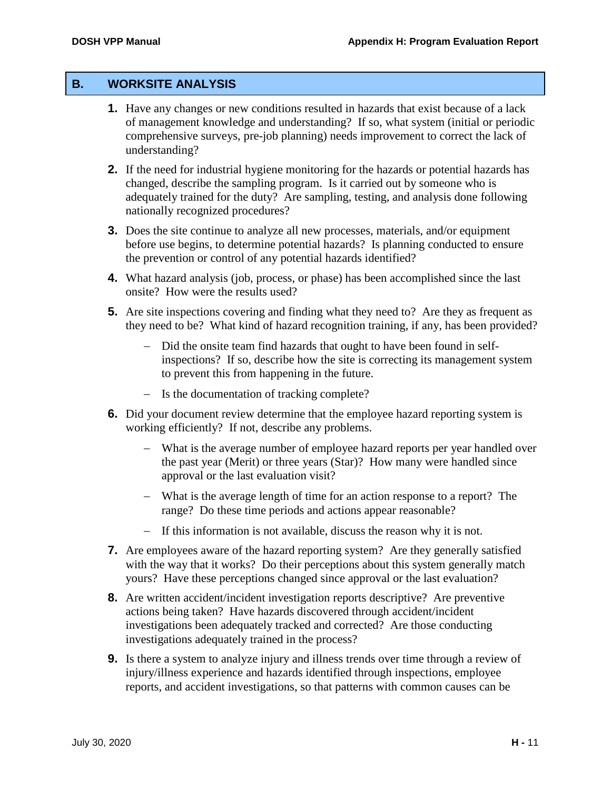# **B. WORKSITE ANALYSIS**

- **1.** Have any changes or new conditions resulted in hazards that exist because of a lack of management knowledge and understanding? If so, what system (initial or periodic comprehensive surveys, pre-job planning) needs improvement to correct the lack of understanding?
- **2.** If the need for industrial hygiene monitoring for the hazards or potential hazards has changed, describe the sampling program. Is it carried out by someone who is adequately trained for the duty? Are sampling, testing, and analysis done following nationally recognized procedures?
- **3.** Does the site continue to analyze all new processes, materials, and/or equipment before use begins, to determine potential hazards? Is planning conducted to ensure the prevention or control of any potential hazards identified?
- **4.** What hazard analysis (job, process, or phase) has been accomplished since the last onsite? How were the results used?
- **5.** Are site inspections covering and finding what they need to? Are they as frequent as they need to be? What kind of hazard recognition training, if any, has been provided?
	- − Did the onsite team find hazards that ought to have been found in selfinspections? If so, describe how the site is correcting its management system to prevent this from happening in the future.
	- − Is the documentation of tracking complete?
- **6.** Did your document review determine that the employee hazard reporting system is working efficiently? If not, describe any problems.
	- − What is the average number of employee hazard reports per year handled over the past year (Merit) or three years (Star)? How many were handled since approval or the last evaluation visit?
	- − What is the average length of time for an action response to a report? The range? Do these time periods and actions appear reasonable?
	- − If this information is not available, discuss the reason why it is not.
- **7.** Are employees aware of the hazard reporting system? Are they generally satisfied with the way that it works? Do their perceptions about this system generally match yours? Have these perceptions changed since approval or the last evaluation?
- **8.** Are written accident/incident investigation reports descriptive? Are preventive actions being taken? Have hazards discovered through accident/incident investigations been adequately tracked and corrected? Are those conducting investigations adequately trained in the process?
- **9.** Is there a system to analyze injury and illness trends over time through a review of injury/illness experience and hazards identified through inspections, employee reports, and accident investigations, so that patterns with common causes can be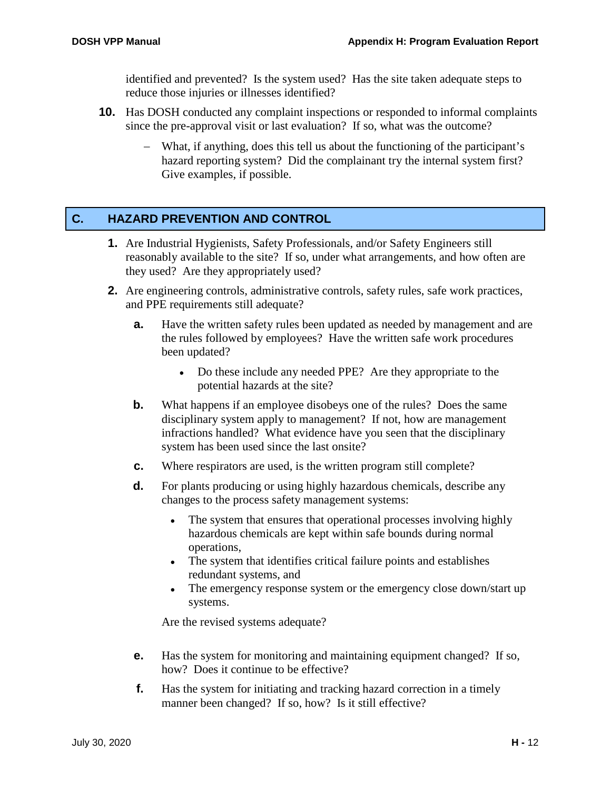identified and prevented? Is the system used? Has the site taken adequate steps to reduce those injuries or illnesses identified?

- **10.** Has DOSH conducted any complaint inspections or responded to informal complaints since the pre-approval visit or last evaluation? If so, what was the outcome?
	- What, if anything, does this tell us about the functioning of the participant's hazard reporting system? Did the complainant try the internal system first? Give examples, if possible.

# **C. HAZARD PREVENTION AND CONTROL**

- **1.** Are Industrial Hygienists, Safety Professionals, and/or Safety Engineers still reasonably available to the site? If so, under what arrangements, and how often are they used? Are they appropriately used?
- **2.** Are engineering controls, administrative controls, safety rules, safe work practices, and PPE requirements still adequate?
	- **a.** Have the written safety rules been updated as needed by management and are the rules followed by employees? Have the written safe work procedures been updated?
		- Do these include any needed PPE? Are they appropriate to the potential hazards at the site?
	- **b.** What happens if an employee disobeys one of the rules? Does the same disciplinary system apply to management? If not, how are management infractions handled? What evidence have you seen that the disciplinary system has been used since the last onsite?
	- **c.** Where respirators are used, is the written program still complete?
	- **d.** For plants producing or using highly hazardous chemicals, describe any changes to the process safety management systems:
		- The system that ensures that operational processes involving highly hazardous chemicals are kept within safe bounds during normal operations,
		- The system that identifies critical failure points and establishes redundant systems, and
		- The emergency response system or the emergency close down/start up systems.

Are the revised systems adequate?

- **e.** Has the system for monitoring and maintaining equipment changed? If so, how? Does it continue to be effective?
- **f.** Has the system for initiating and tracking hazard correction in a timely manner been changed? If so, how? Is it still effective?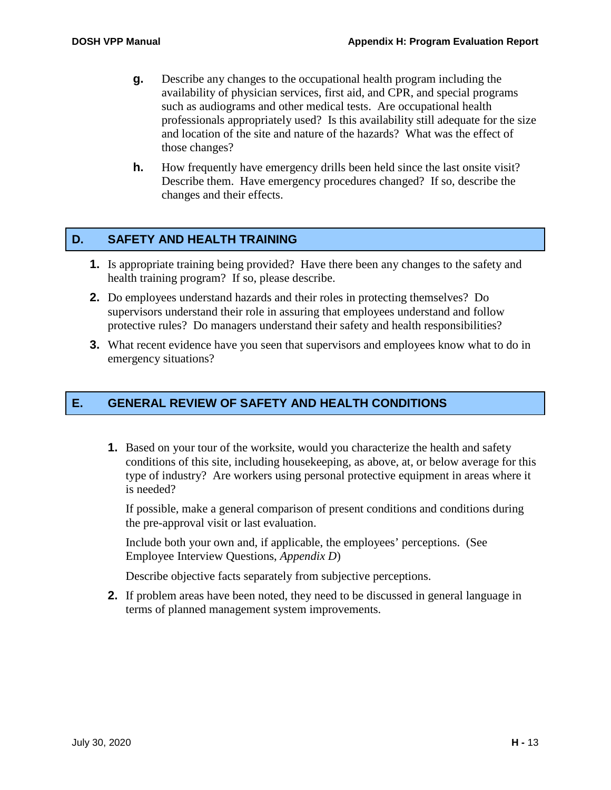- **g.** Describe any changes to the occupational health program including the availability of physician services, first aid, and CPR, and special programs such as audiograms and other medical tests. Are occupational health professionals appropriately used? Is this availability still adequate for the size and location of the site and nature of the hazards? What was the effect of those changes?
- **h.** How frequently have emergency drills been held since the last onsite visit? Describe them. Have emergency procedures changed? If so, describe the changes and their effects.

#### **D. SAFETY AND HEALTH TRAINING**

- **1.** Is appropriate training being provided? Have there been any changes to the safety and health training program? If so, please describe.
- **2.** Do employees understand hazards and their roles in protecting themselves? Do supervisors understand their role in assuring that employees understand and follow protective rules? Do managers understand their safety and health responsibilities?
- **3.** What recent evidence have you seen that supervisors and employees know what to do in emergency situations?

# **E. GENERAL REVIEW OF SAFETY AND HEALTH CONDITIONS**

**1.** Based on your tour of the worksite, would you characterize the health and safety conditions of this site, including housekeeping, as above, at, or below average for this type of industry? Are workers using personal protective equipment in areas where it is needed?

If possible, make a general comparison of present conditions and conditions during the pre-approval visit or last evaluation.

Include both your own and, if applicable, the employees' perceptions. (See Employee Interview Questions, *Appendix D*)

Describe objective facts separately from subjective perceptions.

**2.** If problem areas have been noted, they need to be discussed in general language in terms of planned management system improvements.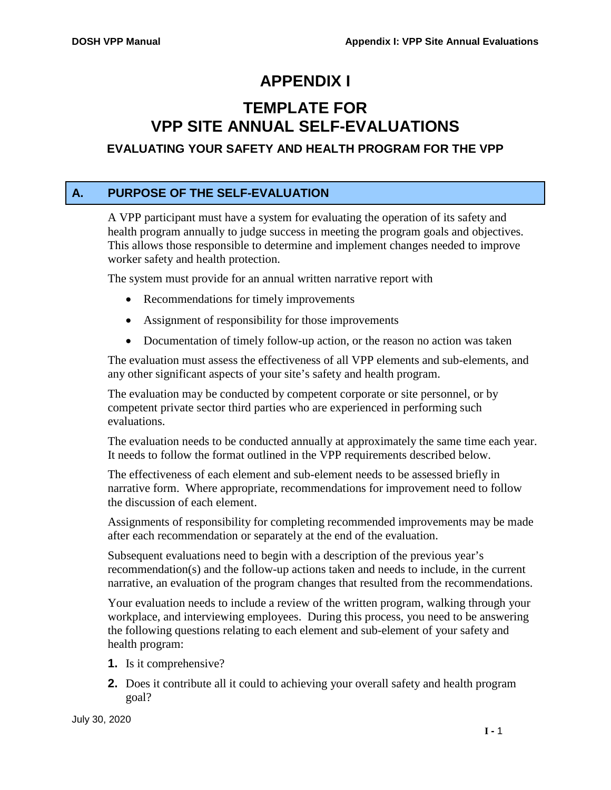# **APPENDIX I**

# **TEMPLATE FOR VPP SITE ANNUAL SELF-EVALUATIONS**

# **EVALUATING YOUR SAFETY AND HEALTH PROGRAM FOR THE VPP**

# **A. PURPOSE OF THE SELF-EVALUATION**

A VPP participant must have a system for evaluating the operation of its safety and health program annually to judge success in meeting the program goals and objectives. This allows those responsible to determine and implement changes needed to improve worker safety and health protection.

The system must provide for an annual written narrative report with

- Recommendations for timely improvements
- Assignment of responsibility for those improvements
- Documentation of timely follow-up action, or the reason no action was taken

The evaluation must assess the effectiveness of all VPP elements and sub-elements, and any other significant aspects of your site's safety and health program.

The evaluation may be conducted by competent corporate or site personnel, or by competent private sector third parties who are experienced in performing such evaluations.

The evaluation needs to be conducted annually at approximately the same time each year. It needs to follow the format outlined in the VPP requirements described below.

The effectiveness of each element and sub-element needs to be assessed briefly in narrative form. Where appropriate, recommendations for improvement need to follow the discussion of each element.

Assignments of responsibility for completing recommended improvements may be made after each recommendation or separately at the end of the evaluation.

Subsequent evaluations need to begin with a description of the previous year's recommendation(s) and the follow-up actions taken and needs to include, in the current narrative, an evaluation of the program changes that resulted from the recommendations.

Your evaluation needs to include a review of the written program, walking through your workplace, and interviewing employees. During this process, you need to be answering the following questions relating to each element and sub-element of your safety and health program:

- **1.** Is it comprehensive?
- **2.** Does it contribute all it could to achieving your overall safety and health program goal?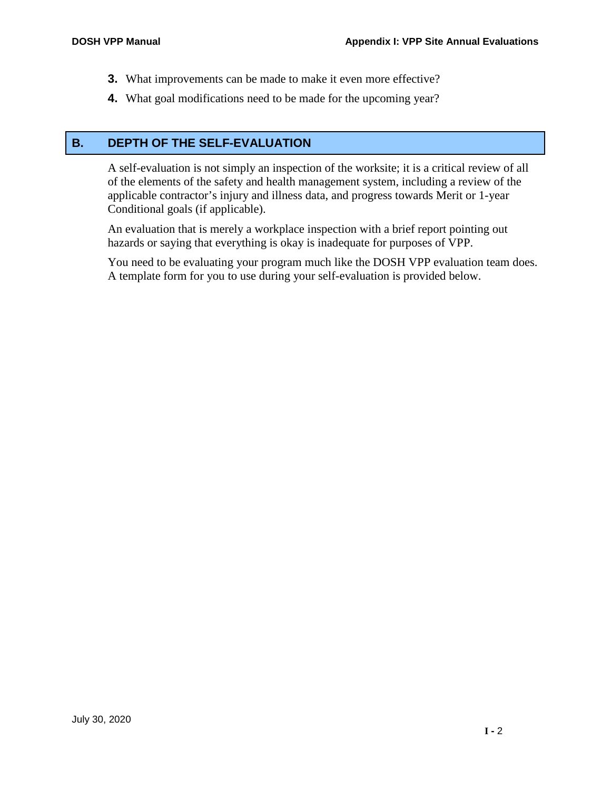- **3.** What improvements can be made to make it even more effective?
- **4.** What goal modifications need to be made for the upcoming year?

# **B. DEPTH OF THE SELF-EVALUATION**

A self-evaluation is not simply an inspection of the worksite; it is a critical review of all of the elements of the safety and health management system, including a review of the applicable contractor's injury and illness data, and progress towards Merit or 1-year Conditional goals (if applicable).

An evaluation that is merely a workplace inspection with a brief report pointing out hazards or saying that everything is okay is inadequate for purposes of VPP.

You need to be evaluating your program much like the DOSH VPP evaluation team does. A template form for you to use during your self-evaluation is provided below.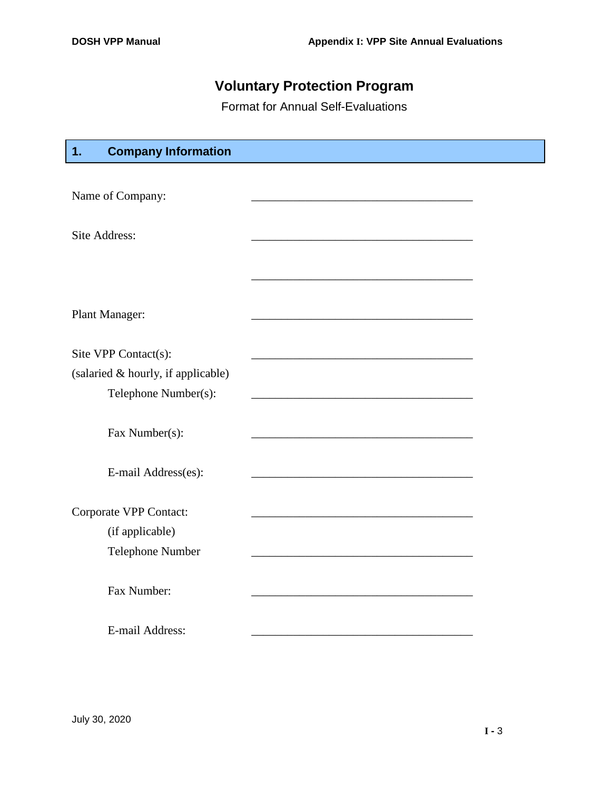# **Voluntary Protection Program**

Format for Annual Self-Evaluations

| <b>Company Information</b><br>1.   |                                                                                                                      |
|------------------------------------|----------------------------------------------------------------------------------------------------------------------|
|                                    |                                                                                                                      |
| Name of Company:                   |                                                                                                                      |
|                                    |                                                                                                                      |
| <b>Site Address:</b>               |                                                                                                                      |
|                                    |                                                                                                                      |
|                                    |                                                                                                                      |
|                                    |                                                                                                                      |
| Plant Manager:                     |                                                                                                                      |
| Site VPP Contact(s):               | <u> 2000 - Paris Paris II, martin amerikana amerikana di Indonesia dan menggunakan perbedapan dan perbedapan dan</u> |
| (salaried & hourly, if applicable) |                                                                                                                      |
| Telephone Number(s):               |                                                                                                                      |
|                                    |                                                                                                                      |
| Fax Number(s):                     |                                                                                                                      |
|                                    |                                                                                                                      |
| E-mail Address(es):                |                                                                                                                      |
| Corporate VPP Contact:             |                                                                                                                      |
| (if applicable)                    |                                                                                                                      |
| Telephone Number                   |                                                                                                                      |
|                                    |                                                                                                                      |
| Fax Number:                        |                                                                                                                      |
|                                    |                                                                                                                      |
| E-mail Address:                    |                                                                                                                      |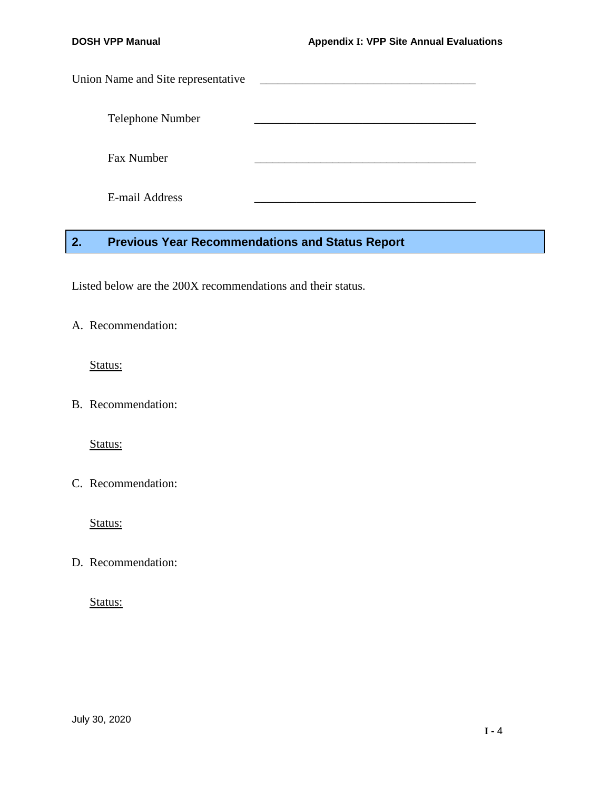| Union Name and Site representative |  |
|------------------------------------|--|
| Telephone Number                   |  |
| <b>Fax Number</b>                  |  |
| E-mail Address                     |  |

# **2. Previous Year Recommendations and Status Report**

Listed below are the 200X recommendations and their status.

A. Recommendation:

Status:

B. Recommendation:

Status:

C. Recommendation:

Status:

D. Recommendation:

Status: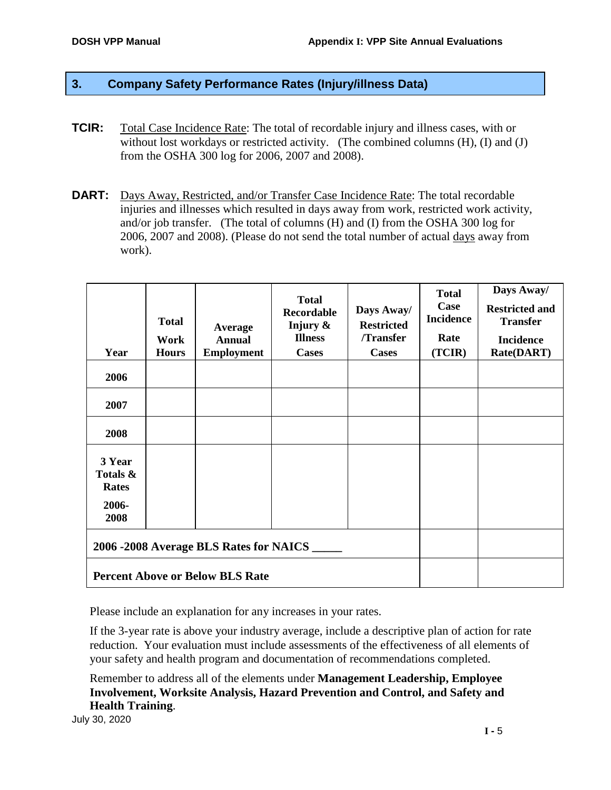# **3. Company Safety Performance Rates (Injury/illness Data)**

- **TCIR:** Total Case Incidence Rate: The total of recordable injury and illness cases, with or without lost workdays or restricted activity. (The combined columns (H), (I) and (J) from the OSHA 300 log for 2006, 2007 and 2008).
- **DART:** Days Away, Restricted, and/or Transfer Case Incidence Rate: The total recordable injuries and illnesses which resulted in days away from work, restricted work activity, and/or job transfer. (The total of columns (H) and (I) from the OSHA 300 log for 2006, 2007 and 2008). (Please do not send the total number of actual days away from work).

| Year                                         | <b>Total</b><br>Work<br><b>Hours</b>   | Average<br><b>Annual</b><br><b>Employment</b> | <b>Total</b><br><b>Recordable</b><br>Injury $\&$<br><b>Illness</b><br><b>Cases</b> | Days Away/<br><b>Restricted</b><br>/Transfer<br><b>Cases</b> | <b>Total</b><br>Case<br><b>Incidence</b><br>Rate<br>(TCIR) | Days Away/<br><b>Restricted and</b><br><b>Transfer</b><br><b>Incidence</b><br><b>Rate(DART)</b> |  |  |
|----------------------------------------------|----------------------------------------|-----------------------------------------------|------------------------------------------------------------------------------------|--------------------------------------------------------------|------------------------------------------------------------|-------------------------------------------------------------------------------------------------|--|--|
| 2006                                         |                                        |                                               |                                                                                    |                                                              |                                                            |                                                                                                 |  |  |
| 2007                                         |                                        |                                               |                                                                                    |                                                              |                                                            |                                                                                                 |  |  |
| 2008                                         |                                        |                                               |                                                                                    |                                                              |                                                            |                                                                                                 |  |  |
| 3 Year<br>Totals &<br>Rates<br>2006-<br>2008 |                                        |                                               |                                                                                    |                                                              |                                                            |                                                                                                 |  |  |
|                                              | 2006 -2008 Average BLS Rates for NAICS |                                               |                                                                                    |                                                              |                                                            |                                                                                                 |  |  |
| <b>Percent Above or Below BLS Rate</b>       |                                        |                                               |                                                                                    |                                                              |                                                            |                                                                                                 |  |  |

Please include an explanation for any increases in your rates.

If the 3-year rate is above your industry average, include a descriptive plan of action for rate reduction. Your evaluation must include assessments of the effectiveness of all elements of your safety and health program and documentation of recommendations completed.

Remember to address all of the elements under **Management Leadership, Employee Involvement, Worksite Analysis, Hazard Prevention and Control, and Safety and Health Training**.

July 30, 2020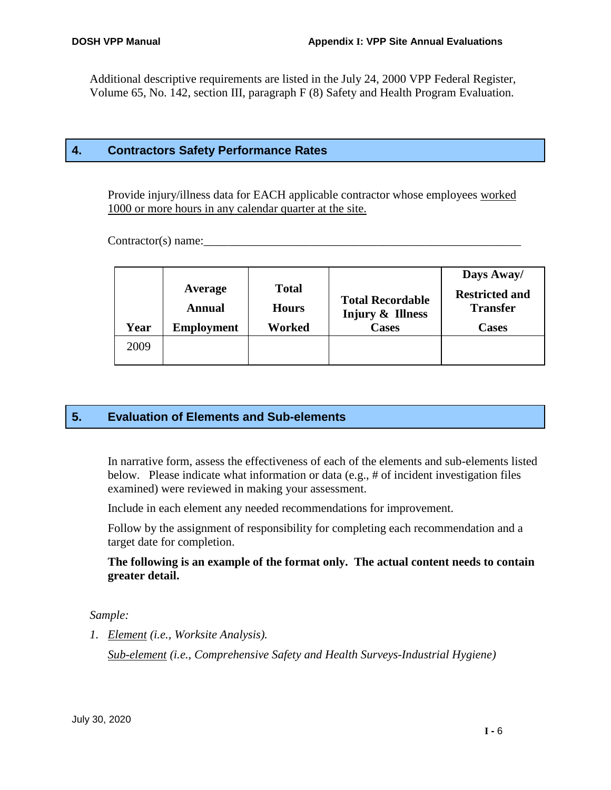Additional descriptive requirements are listed in the July 24, 2000 VPP Federal Register, Volume 65, No. 142, section III, paragraph F (8) Safety and Health Program Evaluation.

### **4. Contractors Safety Performance Rates**

Provide injury/illness data for EACH applicable contractor whose employees worked 1000 or more hours in any calendar quarter at the site.

Contractor(s) name:

| Year | Average<br>Annual<br><b>Employment</b> | <b>Total</b><br><b>Hours</b><br>Worked | <b>Total Recordable</b><br>Injury & Illness<br><b>Cases</b> | Days Away/<br><b>Restricted and</b><br><b>Transfer</b><br>Cases |
|------|----------------------------------------|----------------------------------------|-------------------------------------------------------------|-----------------------------------------------------------------|
| 2009 |                                        |                                        |                                                             |                                                                 |

# **5. Evaluation of Elements and Sub-elements**

In narrative form, assess the effectiveness of each of the elements and sub-elements listed below. Please indicate what information or data (e.g., # of incident investigation files examined) were reviewed in making your assessment.

Include in each element any needed recommendations for improvement.

Follow by the assignment of responsibility for completing each recommendation and a target date for completion.

#### **The following is an example of the format only. The actual content needs to contain greater detail.**

#### *Sample:*

*1. Element (i.e., Worksite Analysis).*

*Sub-element (i.e., Comprehensive Safety and Health Surveys-Industrial Hygiene)*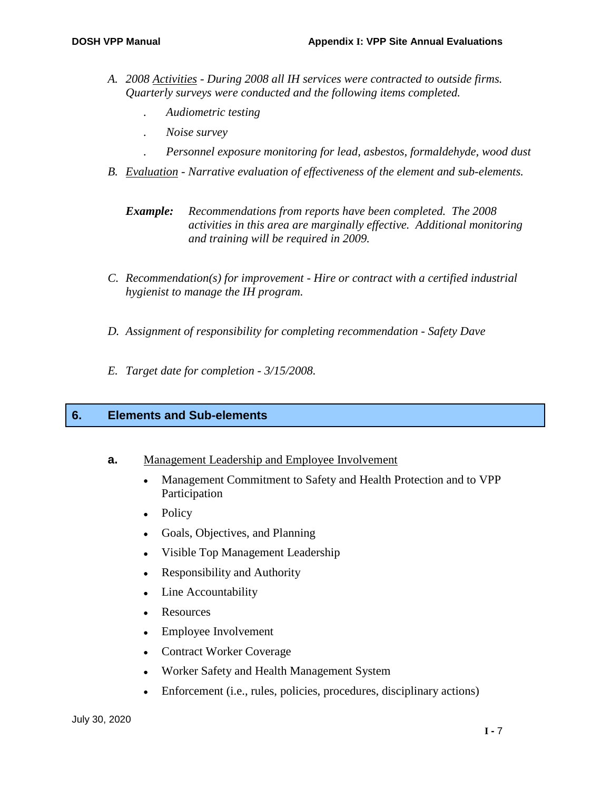- *A. 2008 Activities - During 2008 all IH services were contracted to outside firms. Quarterly surveys were conducted and the following items completed.*
	- *. Audiometric testing*
	- *. Noise survey*
	- *. Personnel exposure monitoring for lead, asbestos, formaldehyde, wood dust*
- *B. Evaluation - Narrative evaluation of effectiveness of the element and sub-elements.*
	- *Example: Recommendations from reports have been completed. The 2008 activities in this area are marginally effective. Additional monitoring and training will be required in 2009.*
- *C. Recommendation(s) for improvement - Hire or contract with a certified industrial hygienist to manage the IH program.*
- *D. Assignment of responsibility for completing recommendation - Safety Dave*
- *E. Target date for completion - 3/15/2008.*

# **6. Elements and Sub-elements**

- **a.** Management Leadership and Employee Involvement
	- Management Commitment to Safety and Health Protection and to VPP Participation
	- **Policy**
	- Goals, Objectives, and Planning
	- Visible Top Management Leadership
	- Responsibility and Authority
	- Line Accountability
	- **Resources**
	- Employee Involvement
	- Contract Worker Coverage
	- Worker Safety and Health Management System
	- Enforcement (i.e., rules, policies, procedures, disciplinary actions)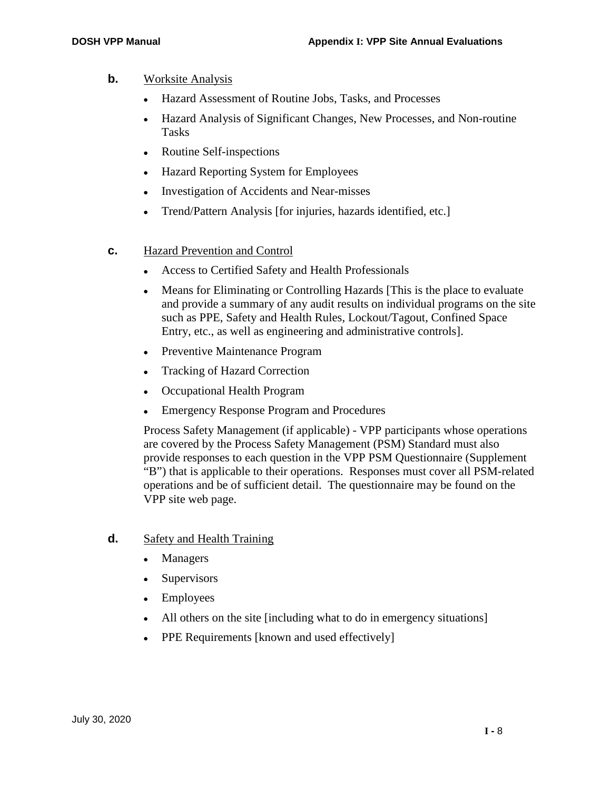#### **b.** Worksite Analysis

- Hazard Assessment of Routine Jobs, Tasks, and Processes
- Hazard Analysis of Significant Changes, New Processes, and Non-routine Tasks
- Routine Self-inspections
- Hazard Reporting System for Employees
- Investigation of Accidents and Near-misses
- Trend/Pattern Analysis [for injuries, hazards identified, etc.]

#### **c.** Hazard Prevention and Control

- Access to Certified Safety and Health Professionals
- Means for Eliminating or Controlling Hazards [This is the place to evaluate and provide a summary of any audit results on individual programs on the site such as PPE, Safety and Health Rules, Lockout/Tagout, Confined Space Entry, etc., as well as engineering and administrative controls].
- Preventive Maintenance Program
- Tracking of Hazard Correction
- Occupational Health Program
- Emergency Response Program and Procedures

Process Safety Management (if applicable) - VPP participants whose operations are covered by the Process Safety Management (PSM) Standard must also provide responses to each question in the VPP PSM Questionnaire (Supplement "B") that is applicable to their operations. Responses must cover all PSM-related operations and be of sufficient detail. The questionnaire may be found on the VPP site web page.

- **d.** Safety and Health Training
	- Managers
	- Supervisors
	- Employees
	- All others on the site [including what to do in emergency situations]
	- PPE Requirements [known and used effectively]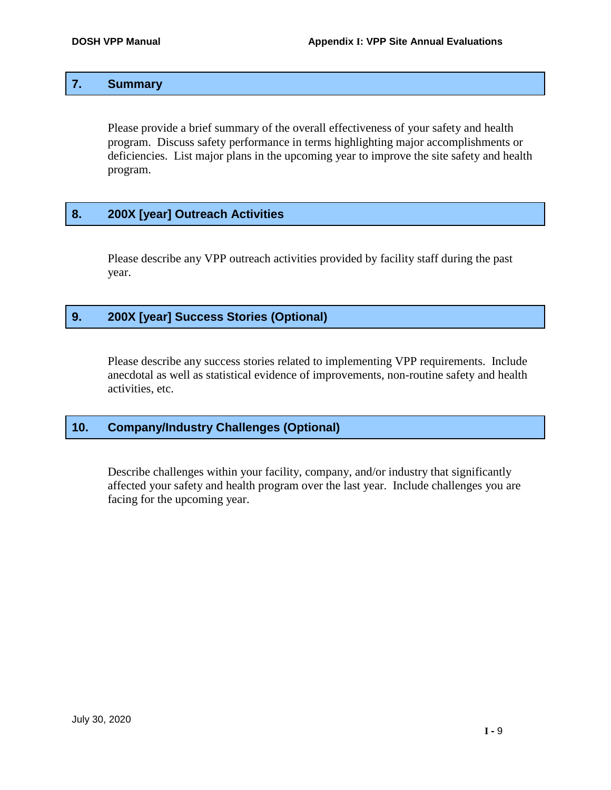#### **7. Summary**

Please provide a brief summary of the overall effectiveness of your safety and health program. Discuss safety performance in terms highlighting major accomplishments or deficiencies. List major plans in the upcoming year to improve the site safety and health program.

# **8. 200X [year] Outreach Activities**

Please describe any VPP outreach activities provided by facility staff during the past year.

# **9. 200X [year] Success Stories (Optional)**

Please describe any success stories related to implementing VPP requirements. Include anecdotal as well as statistical evidence of improvements, non-routine safety and health activities, etc.

# **10. Company/Industry Challenges (Optional)**

Describe challenges within your facility, company, and/or industry that significantly affected your safety and health program over the last year. Include challenges you are facing for the upcoming year.